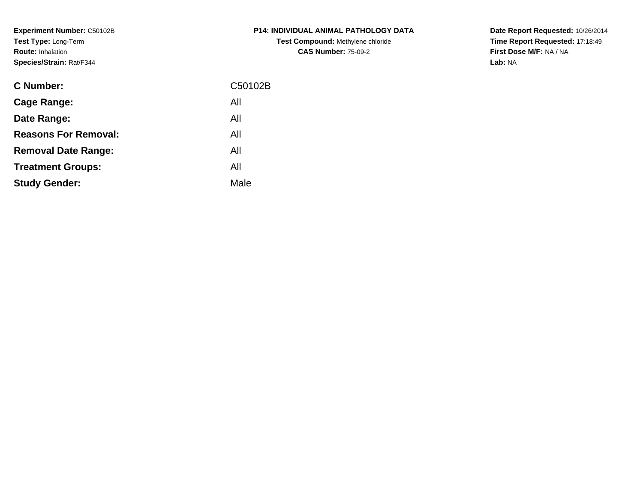**Experiment Number:** C50102B**Test Type:** Long-Term**Route:** Inhalation**Species/Strain:** Rat/F344

| <b>C Number:</b>            | C50102B |
|-----------------------------|---------|
| Cage Range:                 | All     |
| Date Range:                 | All     |
| <b>Reasons For Removal:</b> | All     |
| <b>Removal Date Range:</b>  | All     |
| <b>Treatment Groups:</b>    | All     |
| <b>Study Gender:</b>        | Male    |
|                             |         |

**P14: INDIVIDUAL ANIMAL PATHOLOGY DATATest Compound:** Methylene chloride**CAS Number:** 75-09-2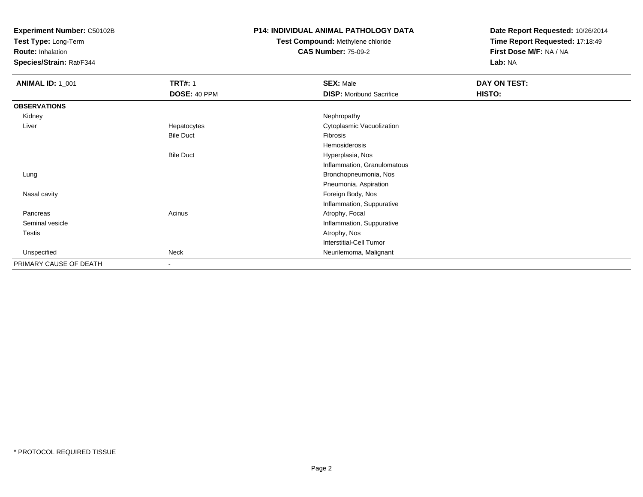**Test Type:** Long-Term

**Route:** Inhalation

**Species/Strain:** Rat/F344

#### **P14: INDIVIDUAL ANIMAL PATHOLOGY DATA**

# **Test Compound:** Methylene chloride**CAS Number:** 75-09-2

| <b>ANIMAL ID: 1_001</b> | <b>TRT#: 1</b>           | <b>SEX: Male</b>                | DAY ON TEST: |
|-------------------------|--------------------------|---------------------------------|--------------|
|                         | DOSE: 40 PPM             | <b>DISP:</b> Moribund Sacrifice | HISTO:       |
| <b>OBSERVATIONS</b>     |                          |                                 |              |
| Kidney                  |                          | Nephropathy                     |              |
| Liver                   | Hepatocytes              | Cytoplasmic Vacuolization       |              |
|                         | <b>Bile Duct</b>         | Fibrosis                        |              |
|                         |                          | Hemosiderosis                   |              |
|                         | <b>Bile Duct</b>         | Hyperplasia, Nos                |              |
|                         |                          | Inflammation, Granulomatous     |              |
| Lung                    |                          | Bronchopneumonia, Nos           |              |
|                         |                          | Pneumonia, Aspiration           |              |
| Nasal cavity            |                          | Foreign Body, Nos               |              |
|                         |                          | Inflammation, Suppurative       |              |
| Pancreas                | Acinus                   | Atrophy, Focal                  |              |
| Seminal vesicle         |                          | Inflammation, Suppurative       |              |
| Testis                  |                          | Atrophy, Nos                    |              |
|                         |                          | Interstitial-Cell Tumor         |              |
| Unspecified             | Neck                     | Neurilemoma, Malignant          |              |
| PRIMARY CAUSE OF DEATH  | $\overline{\phantom{a}}$ |                                 |              |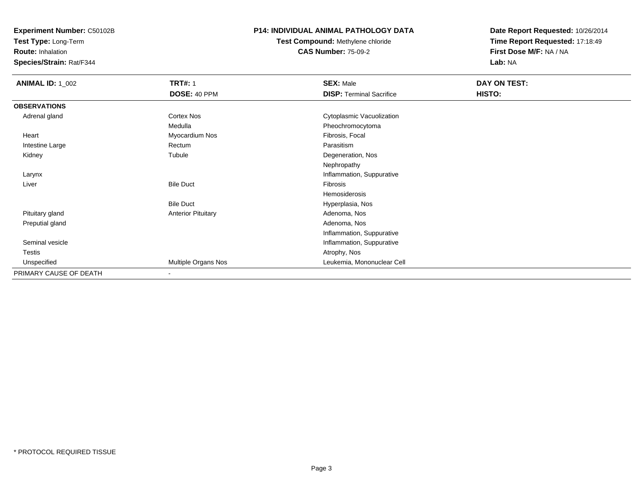**Test Type:** Long-Term

**Route:** Inhalation

**Species/Strain:** Rat/F344

### **P14: INDIVIDUAL ANIMAL PATHOLOGY DATA**

**Test Compound:** Methylene chloride**CAS Number:** 75-09-2

| <b>ANIMAL ID: 1_002</b> | <b>TRT#: 1</b>            | <b>SEX: Male</b>                | DAY ON TEST: |  |
|-------------------------|---------------------------|---------------------------------|--------------|--|
|                         | DOSE: 40 PPM              | <b>DISP: Terminal Sacrifice</b> | HISTO:       |  |
| <b>OBSERVATIONS</b>     |                           |                                 |              |  |
| Adrenal gland           | Cortex Nos                | Cytoplasmic Vacuolization       |              |  |
|                         | Medulla                   | Pheochromocytoma                |              |  |
| Heart                   | Myocardium Nos            | Fibrosis, Focal                 |              |  |
| Intestine Large         | Rectum                    | Parasitism                      |              |  |
| Kidney                  | Tubule                    | Degeneration, Nos               |              |  |
|                         |                           | Nephropathy                     |              |  |
| Larynx                  |                           | Inflammation, Suppurative       |              |  |
| Liver                   | <b>Bile Duct</b>          | Fibrosis                        |              |  |
|                         |                           | Hemosiderosis                   |              |  |
|                         | <b>Bile Duct</b>          | Hyperplasia, Nos                |              |  |
| Pituitary gland         | <b>Anterior Pituitary</b> | Adenoma, Nos                    |              |  |
| Preputial gland         |                           | Adenoma, Nos                    |              |  |
|                         |                           | Inflammation, Suppurative       |              |  |
| Seminal vesicle         |                           | Inflammation, Suppurative       |              |  |
| <b>Testis</b>           |                           | Atrophy, Nos                    |              |  |
| Unspecified             | Multiple Organs Nos       | Leukemia, Mononuclear Cell      |              |  |
| PRIMARY CAUSE OF DEATH  | $\overline{\phantom{a}}$  |                                 |              |  |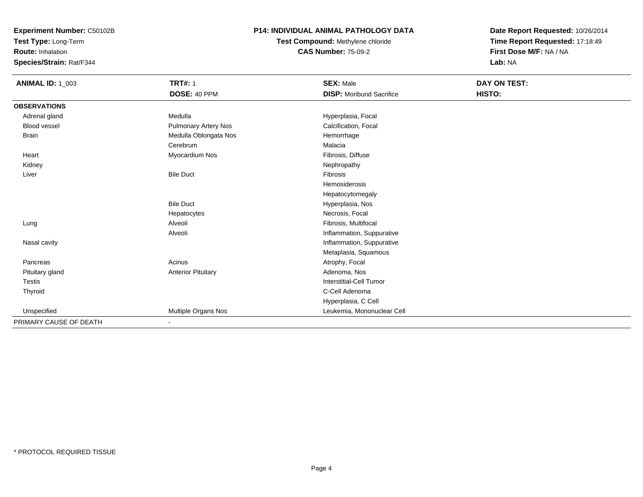**Test Type:** Long-Term

**Route:** Inhalation

**Species/Strain:** Rat/F344

### **P14: INDIVIDUAL ANIMAL PATHOLOGY DATA**

**Test Compound:** Methylene chloride**CAS Number:** 75-09-2

| <b>ANIMAL ID: 1_003</b> | <b>TRT#: 1</b>              | <b>SEX: Male</b>                | DAY ON TEST: |  |
|-------------------------|-----------------------------|---------------------------------|--------------|--|
|                         | DOSE: 40 PPM                | <b>DISP:</b> Moribund Sacrifice | HISTO:       |  |
| <b>OBSERVATIONS</b>     |                             |                                 |              |  |
| Adrenal gland           | Medulla                     | Hyperplasia, Focal              |              |  |
| Blood vessel            | <b>Pulmonary Artery Nos</b> | Calcification, Focal            |              |  |
| <b>Brain</b>            | Medulla Oblongata Nos       | Hemorrhage                      |              |  |
|                         | Cerebrum                    | Malacia                         |              |  |
| Heart                   | Myocardium Nos              | Fibrosis, Diffuse               |              |  |
| Kidney                  |                             | Nephropathy                     |              |  |
| Liver                   | <b>Bile Duct</b>            | <b>Fibrosis</b>                 |              |  |
|                         |                             | Hemosiderosis                   |              |  |
|                         |                             | Hepatocytomegaly                |              |  |
|                         | <b>Bile Duct</b>            | Hyperplasia, Nos                |              |  |
|                         | Hepatocytes                 | Necrosis, Focal                 |              |  |
| Lung                    | Alveoli                     | Fibrosis, Multifocal            |              |  |
|                         | Alveoli                     | Inflammation, Suppurative       |              |  |
| Nasal cavity            |                             | Inflammation, Suppurative       |              |  |
|                         |                             | Metaplasia, Squamous            |              |  |
| Pancreas                | Acinus                      | Atrophy, Focal                  |              |  |
| Pituitary gland         | <b>Anterior Pituitary</b>   | Adenoma, Nos                    |              |  |
| Testis                  |                             | Interstitial-Cell Tumor         |              |  |
| Thyroid                 |                             | C-Cell Adenoma                  |              |  |
|                         |                             | Hyperplasia, C Cell             |              |  |
| Unspecified             | Multiple Organs Nos         | Leukemia, Mononuclear Cell      |              |  |
| PRIMARY CAUSE OF DEATH  |                             |                                 |              |  |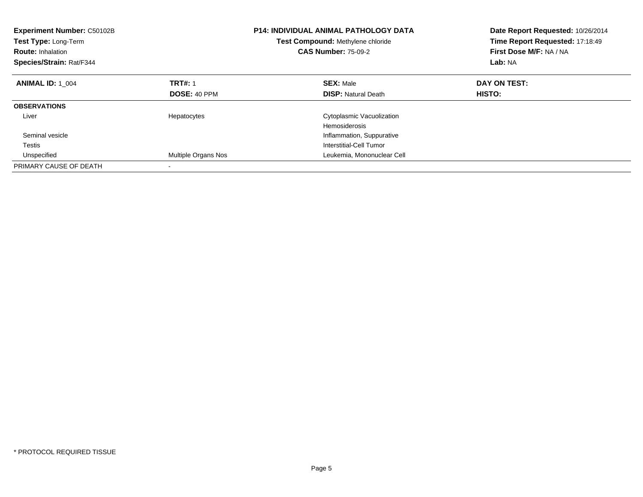| <b>Experiment Number: C50102B</b><br>Test Type: Long-Term<br><b>Route: Inhalation</b><br>Species/Strain: Rat/F344 | <b>P14: INDIVIDUAL ANIMAL PATHOLOGY DATA</b><br>Test Compound: Methylene chloride<br><b>CAS Number: 75-09-2</b> |                            | Date Report Requested: 10/26/2014<br>Time Report Requested: 17:18:49<br>First Dose M/F: NA / NA<br>Lab: NA |
|-------------------------------------------------------------------------------------------------------------------|-----------------------------------------------------------------------------------------------------------------|----------------------------|------------------------------------------------------------------------------------------------------------|
| <b>ANIMAL ID: 1 004</b>                                                                                           | <b>TRT#: 1</b>                                                                                                  | <b>SEX: Male</b>           | DAY ON TEST:                                                                                               |
|                                                                                                                   | DOSE: 40 PPM                                                                                                    | <b>DISP:</b> Natural Death | HISTO:                                                                                                     |
| <b>OBSERVATIONS</b>                                                                                               |                                                                                                                 |                            |                                                                                                            |
| Liver                                                                                                             | Hepatocytes                                                                                                     | Cytoplasmic Vacuolization  |                                                                                                            |
|                                                                                                                   |                                                                                                                 | Hemosiderosis              |                                                                                                            |
| Seminal vesicle                                                                                                   |                                                                                                                 | Inflammation, Suppurative  |                                                                                                            |
| Testis                                                                                                            |                                                                                                                 | Interstitial-Cell Tumor    |                                                                                                            |
| Unspecified                                                                                                       | Multiple Organs Nos                                                                                             | Leukemia, Mononuclear Cell |                                                                                                            |
| PRIMARY CAUSE OF DEATH                                                                                            |                                                                                                                 |                            |                                                                                                            |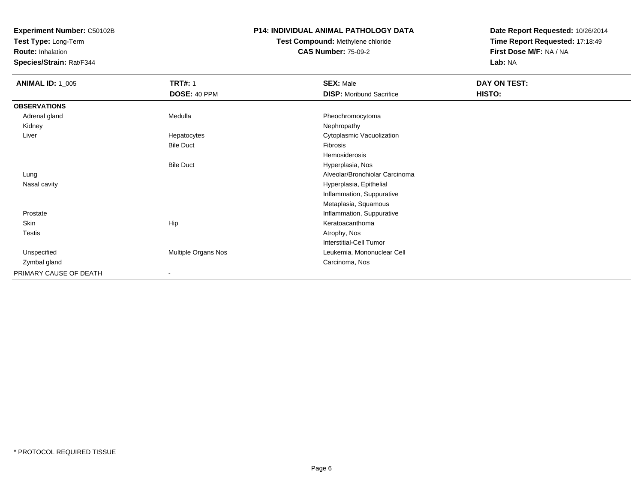**Test Type:** Long-Term

**Route:** Inhalation

**Species/Strain:** Rat/F344

## **P14: INDIVIDUAL ANIMAL PATHOLOGY DATA**

# **Test Compound:** Methylene chloride**CAS Number:** 75-09-2

| <b>ANIMAL ID: 1_005</b> | <b>TRT#: 1</b>      | <b>SEX: Male</b>                | DAY ON TEST: |
|-------------------------|---------------------|---------------------------------|--------------|
|                         | DOSE: 40 PPM        | <b>DISP:</b> Moribund Sacrifice | HISTO:       |
| <b>OBSERVATIONS</b>     |                     |                                 |              |
| Adrenal gland           | Medulla             | Pheochromocytoma                |              |
| Kidney                  |                     | Nephropathy                     |              |
| Liver                   | Hepatocytes         | Cytoplasmic Vacuolization       |              |
|                         | <b>Bile Duct</b>    | Fibrosis                        |              |
|                         |                     | Hemosiderosis                   |              |
|                         | <b>Bile Duct</b>    | Hyperplasia, Nos                |              |
| Lung                    |                     | Alveolar/Bronchiolar Carcinoma  |              |
| Nasal cavity            |                     | Hyperplasia, Epithelial         |              |
|                         |                     | Inflammation, Suppurative       |              |
|                         |                     | Metaplasia, Squamous            |              |
| Prostate                |                     | Inflammation, Suppurative       |              |
| Skin                    | Hip                 | Keratoacanthoma                 |              |
| <b>Testis</b>           |                     | Atrophy, Nos                    |              |
|                         |                     | Interstitial-Cell Tumor         |              |
| Unspecified             | Multiple Organs Nos | Leukemia, Mononuclear Cell      |              |
| Zymbal gland            |                     | Carcinoma, Nos                  |              |
| PRIMARY CAUSE OF DEATH  | ۰                   |                                 |              |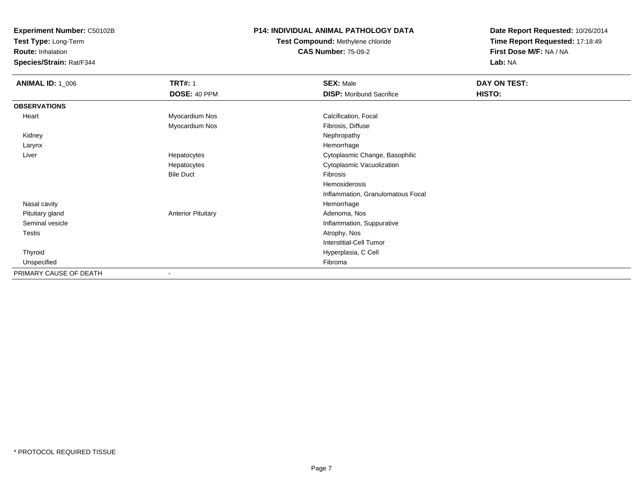**Test Type:** Long-Term

**Route:** Inhalation

**Species/Strain:** Rat/F344

## **P14: INDIVIDUAL ANIMAL PATHOLOGY DATA**

# **Test Compound:** Methylene chloride**CAS Number:** 75-09-2

| <b>ANIMAL ID: 1_006</b> | <b>TRT#: 1</b>            | <b>SEX: Male</b>                  | DAY ON TEST: |  |
|-------------------------|---------------------------|-----------------------------------|--------------|--|
|                         | DOSE: 40 PPM              | <b>DISP:</b> Moribund Sacrifice   | HISTO:       |  |
| <b>OBSERVATIONS</b>     |                           |                                   |              |  |
| Heart                   | Myocardium Nos            | Calcification, Focal              |              |  |
|                         | Myocardium Nos            | Fibrosis, Diffuse                 |              |  |
| Kidney                  |                           | Nephropathy                       |              |  |
| Larynx                  |                           | Hemorrhage                        |              |  |
| Liver                   | Hepatocytes               | Cytoplasmic Change, Basophilic    |              |  |
|                         | Hepatocytes               | Cytoplasmic Vacuolization         |              |  |
|                         | <b>Bile Duct</b>          | Fibrosis                          |              |  |
|                         |                           | Hemosiderosis                     |              |  |
|                         |                           | Inflammation, Granulomatous Focal |              |  |
| Nasal cavity            |                           | Hemorrhage                        |              |  |
| Pituitary gland         | <b>Anterior Pituitary</b> | Adenoma, Nos                      |              |  |
| Seminal vesicle         |                           | Inflammation, Suppurative         |              |  |
| Testis                  |                           | Atrophy, Nos                      |              |  |
|                         |                           | <b>Interstitial-Cell Tumor</b>    |              |  |
| Thyroid                 |                           | Hyperplasia, C Cell               |              |  |
| Unspecified             |                           | Fibroma                           |              |  |
| PRIMARY CAUSE OF DEATH  |                           |                                   |              |  |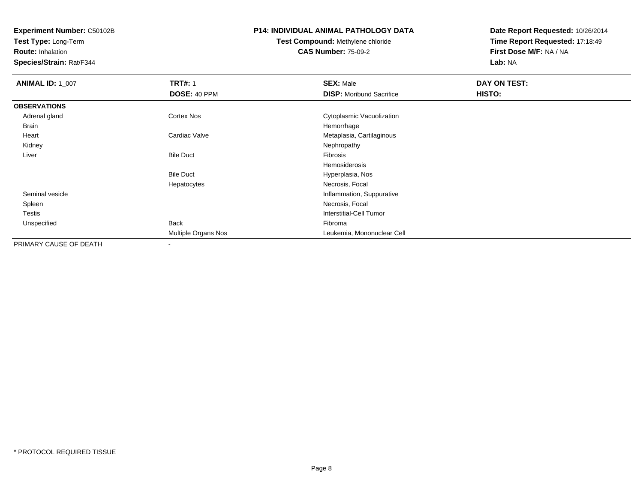**Test Type:** Long-Term

**Route:** Inhalation

**Species/Strain:** Rat/F344

## **P14: INDIVIDUAL ANIMAL PATHOLOGY DATA**

# **Test Compound:** Methylene chloride**CAS Number:** 75-09-2

| <b>ANIMAL ID: 1_007</b> | <b>TRT#: 1</b>      | <b>SEX: Male</b>                | DAY ON TEST: |  |
|-------------------------|---------------------|---------------------------------|--------------|--|
|                         | DOSE: 40 PPM        | <b>DISP: Moribund Sacrifice</b> | HISTO:       |  |
| <b>OBSERVATIONS</b>     |                     |                                 |              |  |
| Adrenal gland           | Cortex Nos          | Cytoplasmic Vacuolization       |              |  |
| <b>Brain</b>            |                     | Hemorrhage                      |              |  |
| Heart                   | Cardiac Valve       | Metaplasia, Cartilaginous       |              |  |
| Kidney                  |                     | Nephropathy                     |              |  |
| Liver                   | <b>Bile Duct</b>    | Fibrosis                        |              |  |
|                         |                     | Hemosiderosis                   |              |  |
|                         | <b>Bile Duct</b>    | Hyperplasia, Nos                |              |  |
|                         | Hepatocytes         | Necrosis, Focal                 |              |  |
| Seminal vesicle         |                     | Inflammation, Suppurative       |              |  |
| Spleen                  |                     | Necrosis, Focal                 |              |  |
| <b>Testis</b>           |                     | Interstitial-Cell Tumor         |              |  |
| Unspecified             | <b>Back</b>         | Fibroma                         |              |  |
|                         | Multiple Organs Nos | Leukemia, Mononuclear Cell      |              |  |
| PRIMARY CAUSE OF DEATH  |                     |                                 |              |  |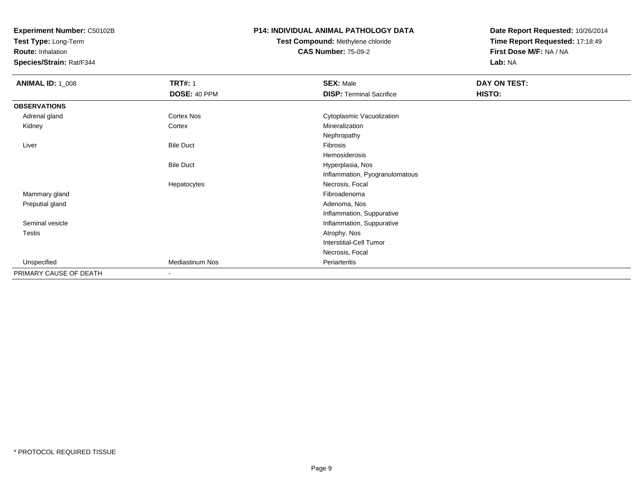**Test Type:** Long-Term

**Route:** Inhalation

**Species/Strain:** Rat/F344

## **P14: INDIVIDUAL ANIMAL PATHOLOGY DATA**

# **Test Compound:** Methylene chloride**CAS Number:** 75-09-2

| <b>ANIMAL ID: 1_008</b> | <b>TRT#: 1</b>   | <b>SEX: Male</b>                | DAY ON TEST: |
|-------------------------|------------------|---------------------------------|--------------|
|                         | DOSE: 40 PPM     | <b>DISP: Terminal Sacrifice</b> | HISTO:       |
| <b>OBSERVATIONS</b>     |                  |                                 |              |
| Adrenal gland           | Cortex Nos       | Cytoplasmic Vacuolization       |              |
| Kidney                  | Cortex           | Mineralization                  |              |
|                         |                  | Nephropathy                     |              |
| Liver                   | <b>Bile Duct</b> | Fibrosis                        |              |
|                         |                  | Hemosiderosis                   |              |
|                         | <b>Bile Duct</b> | Hyperplasia, Nos                |              |
|                         |                  | Inflammation, Pyogranulomatous  |              |
|                         | Hepatocytes      | Necrosis, Focal                 |              |
| Mammary gland           |                  | Fibroadenoma                    |              |
| Preputial gland         |                  | Adenoma, Nos                    |              |
|                         |                  | Inflammation, Suppurative       |              |
| Seminal vesicle         |                  | Inflammation, Suppurative       |              |
| Testis                  |                  | Atrophy, Nos                    |              |
|                         |                  | <b>Interstitial-Cell Tumor</b>  |              |
|                         |                  | Necrosis, Focal                 |              |
| Unspecified             | Mediastinum Nos  | Periarteritis                   |              |
| PRIMARY CAUSE OF DEATH  | $\blacksquare$   |                                 |              |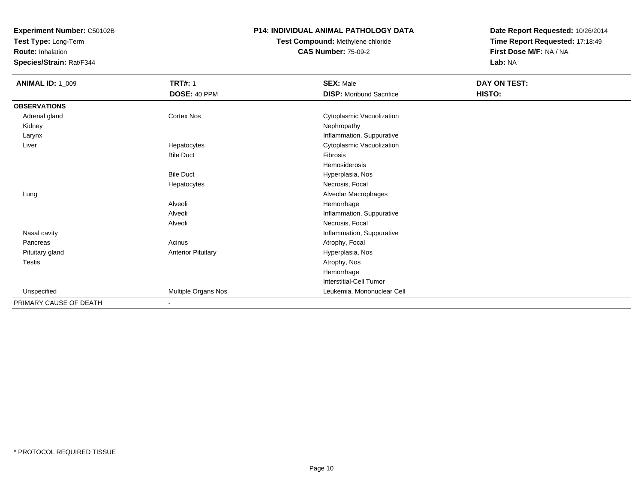**Test Type:** Long-Term

**Route:** Inhalation

**Species/Strain:** Rat/F344

### **P14: INDIVIDUAL ANIMAL PATHOLOGY DATA**

# **Test Compound:** Methylene chloride**CAS Number:** 75-09-2

| <b>ANIMAL ID: 1_009</b> | <b>TRT#: 1</b>            | <b>SEX: Male</b>                | DAY ON TEST: |  |
|-------------------------|---------------------------|---------------------------------|--------------|--|
|                         | DOSE: 40 PPM              | <b>DISP:</b> Moribund Sacrifice | HISTO:       |  |
| <b>OBSERVATIONS</b>     |                           |                                 |              |  |
| Adrenal gland           | Cortex Nos                | Cytoplasmic Vacuolization       |              |  |
| Kidney                  |                           | Nephropathy                     |              |  |
| Larynx                  |                           | Inflammation, Suppurative       |              |  |
| Liver                   | Hepatocytes               | Cytoplasmic Vacuolization       |              |  |
|                         | <b>Bile Duct</b>          | Fibrosis                        |              |  |
|                         |                           | Hemosiderosis                   |              |  |
|                         | <b>Bile Duct</b>          | Hyperplasia, Nos                |              |  |
|                         | Hepatocytes               | Necrosis, Focal                 |              |  |
| Lung                    |                           | Alveolar Macrophages            |              |  |
|                         | Alveoli                   | Hemorrhage                      |              |  |
|                         | Alveoli                   | Inflammation, Suppurative       |              |  |
|                         | Alveoli                   | Necrosis, Focal                 |              |  |
| Nasal cavity            |                           | Inflammation, Suppurative       |              |  |
| Pancreas                | Acinus                    | Atrophy, Focal                  |              |  |
| Pituitary gland         | <b>Anterior Pituitary</b> | Hyperplasia, Nos                |              |  |
| Testis                  |                           | Atrophy, Nos                    |              |  |
|                         |                           | Hemorrhage                      |              |  |
|                         |                           | <b>Interstitial-Cell Tumor</b>  |              |  |
| Unspecified             | Multiple Organs Nos       | Leukemia, Mononuclear Cell      |              |  |
| PRIMARY CAUSE OF DEATH  |                           |                                 |              |  |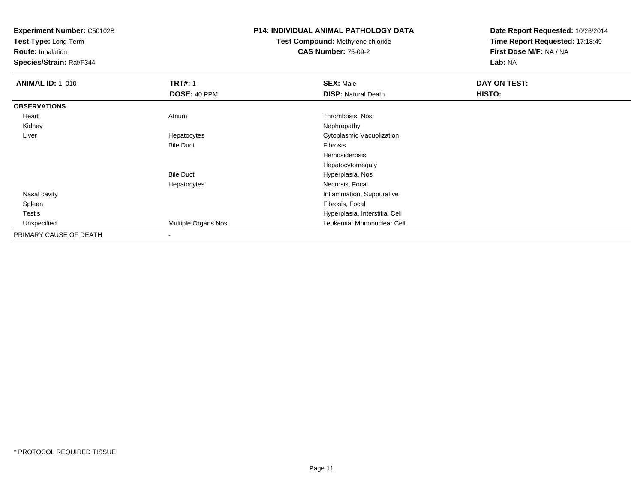**Test Type:** Long-Term

**Route:** Inhalation

**Species/Strain:** Rat/F344

### **P14: INDIVIDUAL ANIMAL PATHOLOGY DATA**

# **Test Compound:** Methylene chloride**CAS Number:** 75-09-2

| <b>ANIMAL ID: 1_010</b> | <b>TRT#: 1</b>           | <b>SEX: Male</b>               | DAY ON TEST: |  |
|-------------------------|--------------------------|--------------------------------|--------------|--|
|                         | DOSE: 40 PPM             | <b>DISP: Natural Death</b>     | HISTO:       |  |
| <b>OBSERVATIONS</b>     |                          |                                |              |  |
| Heart                   | Atrium                   | Thrombosis, Nos                |              |  |
| Kidney                  |                          | Nephropathy                    |              |  |
| Liver                   | Hepatocytes              | Cytoplasmic Vacuolization      |              |  |
|                         | <b>Bile Duct</b>         | Fibrosis                       |              |  |
|                         |                          | Hemosiderosis                  |              |  |
|                         |                          | Hepatocytomegaly               |              |  |
|                         | <b>Bile Duct</b>         | Hyperplasia, Nos               |              |  |
|                         | Hepatocytes              | Necrosis, Focal                |              |  |
| Nasal cavity            |                          | Inflammation, Suppurative      |              |  |
| Spleen                  |                          | Fibrosis, Focal                |              |  |
| Testis                  |                          | Hyperplasia, Interstitial Cell |              |  |
| Unspecified             | Multiple Organs Nos      | Leukemia, Mononuclear Cell     |              |  |
| PRIMARY CAUSE OF DEATH  | $\overline{\phantom{a}}$ |                                |              |  |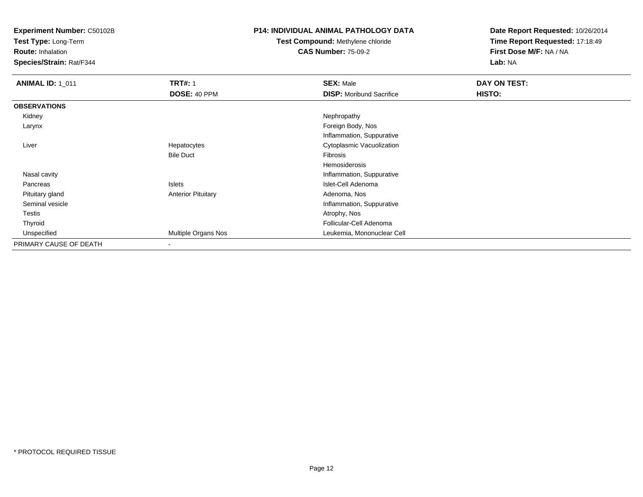**Test Type:** Long-Term

**Route:** Inhalation

**Species/Strain:** Rat/F344

#### **P14: INDIVIDUAL ANIMAL PATHOLOGY DATA**

# **Test Compound:** Methylene chloride**CAS Number:** 75-09-2

| <b>ANIMAL ID: 1_011</b> | <b>TRT#: 1</b>            | <b>SEX: Male</b>                | DAY ON TEST: |  |
|-------------------------|---------------------------|---------------------------------|--------------|--|
|                         | DOSE: 40 PPM              | <b>DISP:</b> Moribund Sacrifice | HISTO:       |  |
| <b>OBSERVATIONS</b>     |                           |                                 |              |  |
| Kidney                  |                           | Nephropathy                     |              |  |
| Larynx                  |                           | Foreign Body, Nos               |              |  |
|                         |                           | Inflammation, Suppurative       |              |  |
| Liver                   | Hepatocytes               | Cytoplasmic Vacuolization       |              |  |
|                         | <b>Bile Duct</b>          | Fibrosis                        |              |  |
|                         |                           | Hemosiderosis                   |              |  |
| Nasal cavity            |                           | Inflammation, Suppurative       |              |  |
| Pancreas                | Islets                    | Islet-Cell Adenoma              |              |  |
| Pituitary gland         | <b>Anterior Pituitary</b> | Adenoma, Nos                    |              |  |
| Seminal vesicle         |                           | Inflammation, Suppurative       |              |  |
| Testis                  |                           | Atrophy, Nos                    |              |  |
| Thyroid                 |                           | Follicular-Cell Adenoma         |              |  |
| Unspecified             | Multiple Organs Nos       | Leukemia, Mononuclear Cell      |              |  |
| PRIMARY CAUSE OF DEATH  | $\overline{\phantom{a}}$  |                                 |              |  |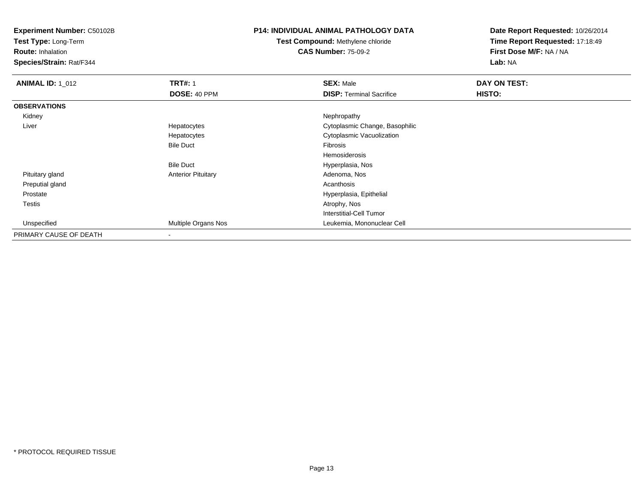**Test Type:** Long-Term

**Route:** Inhalation

**Species/Strain:** Rat/F344

# **P14: INDIVIDUAL ANIMAL PATHOLOGY DATA**

**Test Compound:** Methylene chloride**CAS Number:** 75-09-2

| <b>ANIMAL ID: 1 012</b> | <b>TRT#: 1</b>            | <b>SEX: Male</b>                | DAY ON TEST: |
|-------------------------|---------------------------|---------------------------------|--------------|
|                         | DOSE: 40 PPM              | <b>DISP: Terminal Sacrifice</b> | HISTO:       |
| <b>OBSERVATIONS</b>     |                           |                                 |              |
| Kidney                  |                           | Nephropathy                     |              |
| Liver                   | Hepatocytes               | Cytoplasmic Change, Basophilic  |              |
|                         | Hepatocytes               | Cytoplasmic Vacuolization       |              |
|                         | <b>Bile Duct</b>          | Fibrosis                        |              |
|                         |                           | Hemosiderosis                   |              |
|                         | <b>Bile Duct</b>          | Hyperplasia, Nos                |              |
| Pituitary gland         | <b>Anterior Pituitary</b> | Adenoma, Nos                    |              |
| Preputial gland         |                           | Acanthosis                      |              |
| Prostate                |                           | Hyperplasia, Epithelial         |              |
| Testis                  |                           | Atrophy, Nos                    |              |
|                         |                           | Interstitial-Cell Tumor         |              |
| Unspecified             | Multiple Organs Nos       | Leukemia, Mononuclear Cell      |              |
| PRIMARY CAUSE OF DEATH  | $\overline{\phantom{a}}$  |                                 |              |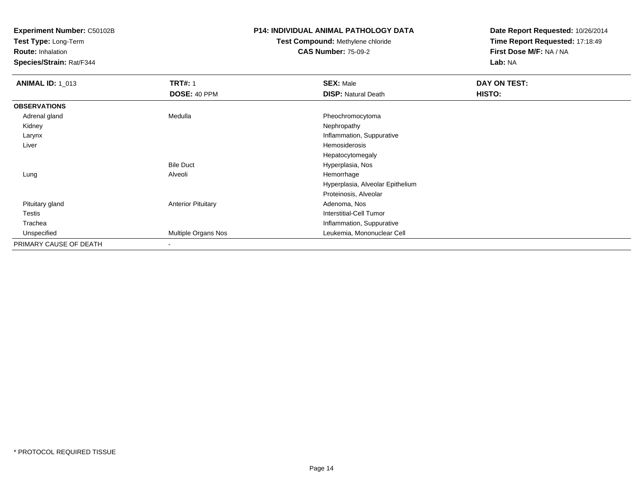**Test Type:** Long-Term

**Route:** Inhalation

**Species/Strain:** Rat/F344

### **P14: INDIVIDUAL ANIMAL PATHOLOGY DATA**

# **Test Compound:** Methylene chloride**CAS Number:** 75-09-2

| <b>ANIMAL ID: 1_013</b> | <b>TRT#: 1</b>            | <b>SEX: Male</b>                 | DAY ON TEST: |
|-------------------------|---------------------------|----------------------------------|--------------|
|                         | DOSE: 40 PPM              | <b>DISP: Natural Death</b>       | HISTO:       |
| <b>OBSERVATIONS</b>     |                           |                                  |              |
| Adrenal gland           | Medulla                   | Pheochromocytoma                 |              |
| Kidney                  |                           | Nephropathy                      |              |
| Larynx                  |                           | Inflammation, Suppurative        |              |
| Liver                   |                           | Hemosiderosis                    |              |
|                         |                           | Hepatocytomegaly                 |              |
|                         | <b>Bile Duct</b>          | Hyperplasia, Nos                 |              |
| Lung                    | Alveoli                   | Hemorrhage                       |              |
|                         |                           | Hyperplasia, Alveolar Epithelium |              |
|                         |                           | Proteinosis, Alveolar            |              |
| Pituitary gland         | <b>Anterior Pituitary</b> | Adenoma, Nos                     |              |
| <b>Testis</b>           |                           | <b>Interstitial-Cell Tumor</b>   |              |
| Trachea                 |                           | Inflammation, Suppurative        |              |
| Unspecified             | Multiple Organs Nos       | Leukemia, Mononuclear Cell       |              |
| PRIMARY CAUSE OF DEATH  |                           |                                  |              |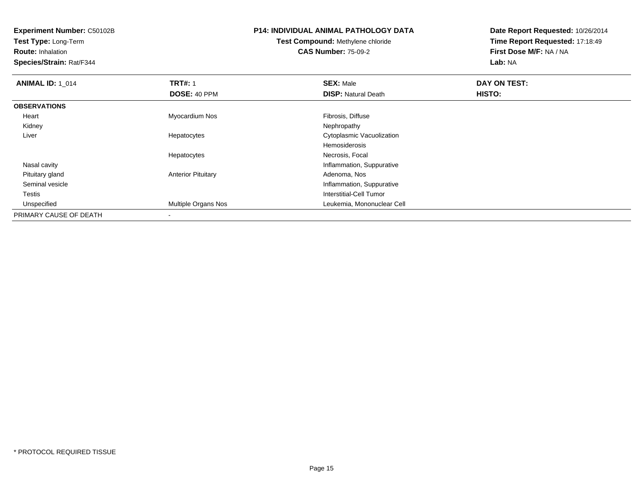**Test Type:** Long-Term

**Route:** Inhalation

**Species/Strain:** Rat/F344

# **P14: INDIVIDUAL ANIMAL PATHOLOGY DATA**

# **Test Compound:** Methylene chloride**CAS Number:** 75-09-2

| <b>ANIMAL ID: 1_014</b> | <b>TRT#: 1</b>            | <b>SEX: Male</b>                 | DAY ON TEST: |  |
|-------------------------|---------------------------|----------------------------------|--------------|--|
|                         | DOSE: 40 PPM              | <b>DISP: Natural Death</b>       | HISTO:       |  |
| <b>OBSERVATIONS</b>     |                           |                                  |              |  |
| Heart                   | Myocardium Nos            | Fibrosis, Diffuse                |              |  |
| Kidney                  |                           | Nephropathy                      |              |  |
| Liver                   | Hepatocytes               | <b>Cytoplasmic Vacuolization</b> |              |  |
|                         |                           | Hemosiderosis                    |              |  |
|                         | Hepatocytes               | Necrosis, Focal                  |              |  |
| Nasal cavity            |                           | Inflammation, Suppurative        |              |  |
| Pituitary gland         | <b>Anterior Pituitary</b> | Adenoma, Nos                     |              |  |
| Seminal vesicle         |                           | Inflammation, Suppurative        |              |  |
| <b>Testis</b>           |                           | Interstitial-Cell Tumor          |              |  |
| Unspecified             | Multiple Organs Nos       | Leukemia, Mononuclear Cell       |              |  |
| PRIMARY CAUSE OF DEATH  | $\overline{\phantom{a}}$  |                                  |              |  |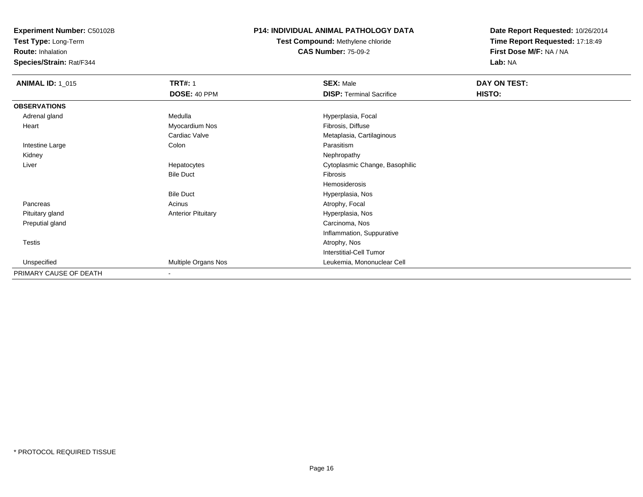**Test Type:** Long-Term

**Route:** Inhalation

**Species/Strain:** Rat/F344

### **P14: INDIVIDUAL ANIMAL PATHOLOGY DATA**

**Test Compound:** Methylene chloride**CAS Number:** 75-09-2

| <b>ANIMAL ID: 1_015</b> | <b>TRT#: 1</b>            | <b>SEX: Male</b>                | DAY ON TEST: |  |
|-------------------------|---------------------------|---------------------------------|--------------|--|
|                         | DOSE: 40 PPM              | <b>DISP: Terminal Sacrifice</b> | HISTO:       |  |
| <b>OBSERVATIONS</b>     |                           |                                 |              |  |
| Adrenal gland           | Medulla                   | Hyperplasia, Focal              |              |  |
| Heart                   | Myocardium Nos            | Fibrosis, Diffuse               |              |  |
|                         | Cardiac Valve             | Metaplasia, Cartilaginous       |              |  |
| Intestine Large         | Colon                     | Parasitism                      |              |  |
| Kidney                  |                           | Nephropathy                     |              |  |
| Liver                   | Hepatocytes               | Cytoplasmic Change, Basophilic  |              |  |
|                         | <b>Bile Duct</b>          | Fibrosis                        |              |  |
|                         |                           | Hemosiderosis                   |              |  |
|                         | <b>Bile Duct</b>          | Hyperplasia, Nos                |              |  |
| Pancreas                | Acinus                    | Atrophy, Focal                  |              |  |
| Pituitary gland         | <b>Anterior Pituitary</b> | Hyperplasia, Nos                |              |  |
| Preputial gland         |                           | Carcinoma, Nos                  |              |  |
|                         |                           | Inflammation, Suppurative       |              |  |
| Testis                  |                           | Atrophy, Nos                    |              |  |
|                         |                           | <b>Interstitial-Cell Tumor</b>  |              |  |
| Unspecified             | Multiple Organs Nos       | Leukemia, Mononuclear Cell      |              |  |
| PRIMARY CAUSE OF DEATH  | $\blacksquare$            |                                 |              |  |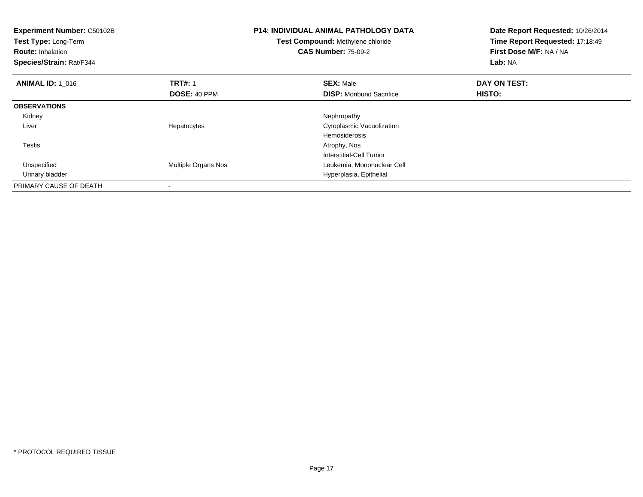| Experiment Number: C50102B<br>Test Type: Long-Term<br><b>Route: Inhalation</b><br>Species/Strain: Rat/F344 |                     | <b>P14: INDIVIDUAL ANIMAL PATHOLOGY DATA</b><br>Test Compound: Methylene chloride<br><b>CAS Number: 75-09-2</b> | Date Report Requested: 10/26/2014<br>Time Report Requested: 17:18:49<br>First Dose M/F: NA / NA<br>Lab: NA |
|------------------------------------------------------------------------------------------------------------|---------------------|-----------------------------------------------------------------------------------------------------------------|------------------------------------------------------------------------------------------------------------|
| <b>ANIMAL ID: 1 016</b>                                                                                    | <b>TRT#: 1</b>      | <b>SEX: Male</b>                                                                                                | DAY ON TEST:                                                                                               |
|                                                                                                            | DOSE: 40 PPM        | <b>DISP:</b> Moribund Sacrifice                                                                                 | HISTO:                                                                                                     |
| <b>OBSERVATIONS</b>                                                                                        |                     |                                                                                                                 |                                                                                                            |
| Kidney                                                                                                     |                     | Nephropathy                                                                                                     |                                                                                                            |
| Liver                                                                                                      | Hepatocytes         | Cytoplasmic Vacuolization                                                                                       |                                                                                                            |
|                                                                                                            |                     | <b>Hemosiderosis</b>                                                                                            |                                                                                                            |
| Testis                                                                                                     |                     | Atrophy, Nos                                                                                                    |                                                                                                            |
|                                                                                                            |                     | Interstitial-Cell Tumor                                                                                         |                                                                                                            |
| Unspecified                                                                                                | Multiple Organs Nos | Leukemia, Mononuclear Cell                                                                                      |                                                                                                            |
| Urinary bladder                                                                                            |                     | Hyperplasia, Epithelial                                                                                         |                                                                                                            |
| PRIMARY CAUSE OF DEATH                                                                                     |                     |                                                                                                                 |                                                                                                            |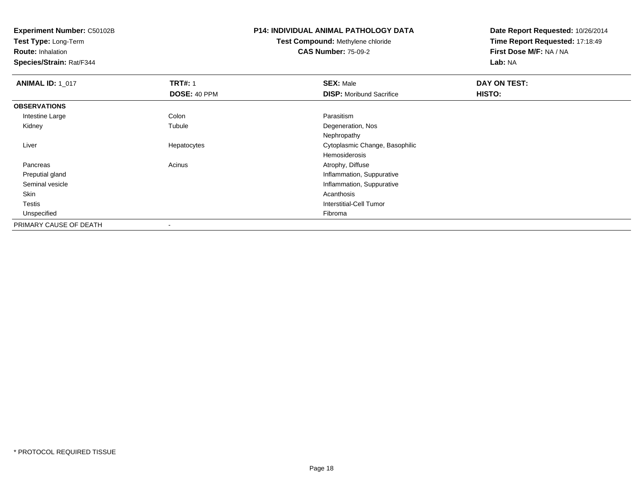**Test Type:** Long-Term

**Route:** Inhalation

**Species/Strain:** Rat/F344

# **P14: INDIVIDUAL ANIMAL PATHOLOGY DATA**

# **Test Compound:** Methylene chloride**CAS Number:** 75-09-2

| <b>ANIMAL ID: 1_017</b> | <b>TRT#: 1</b> | <b>SEX: Male</b>                | DAY ON TEST: |  |
|-------------------------|----------------|---------------------------------|--------------|--|
|                         | DOSE: 40 PPM   | <b>DISP:</b> Moribund Sacrifice | HISTO:       |  |
| <b>OBSERVATIONS</b>     |                |                                 |              |  |
| Intestine Large         | Colon          | Parasitism                      |              |  |
| Kidney                  | Tubule         | Degeneration, Nos               |              |  |
|                         |                | Nephropathy                     |              |  |
| Liver                   | Hepatocytes    | Cytoplasmic Change, Basophilic  |              |  |
|                         |                | Hemosiderosis                   |              |  |
| Pancreas                | Acinus         | Atrophy, Diffuse                |              |  |
| Preputial gland         |                | Inflammation, Suppurative       |              |  |
| Seminal vesicle         |                | Inflammation, Suppurative       |              |  |
| Skin                    |                | Acanthosis                      |              |  |
| Testis                  |                | Interstitial-Cell Tumor         |              |  |
| Unspecified             |                | Fibroma                         |              |  |
| PRIMARY CAUSE OF DEATH  | $\,$           |                                 |              |  |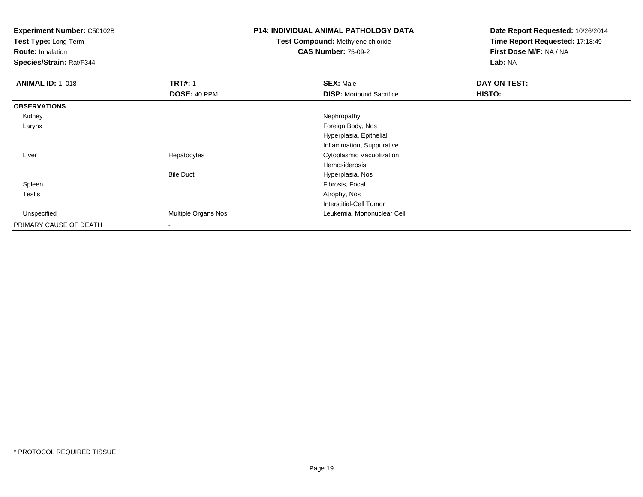**Test Type:** Long-Term

**Route:** Inhalation

**Species/Strain:** Rat/F344

# **P14: INDIVIDUAL ANIMAL PATHOLOGY DATA**

# **Test Compound:** Methylene chloride**CAS Number:** 75-09-2

| <b>ANIMAL ID: 1_018</b> | <b>TRT#: 1</b>      | <b>SEX: Male</b>                | DAY ON TEST: |  |
|-------------------------|---------------------|---------------------------------|--------------|--|
|                         | DOSE: 40 PPM        | <b>DISP:</b> Moribund Sacrifice | HISTO:       |  |
| <b>OBSERVATIONS</b>     |                     |                                 |              |  |
| Kidney                  |                     | Nephropathy                     |              |  |
| Larynx                  |                     | Foreign Body, Nos               |              |  |
|                         |                     | Hyperplasia, Epithelial         |              |  |
|                         |                     | Inflammation, Suppurative       |              |  |
| Liver                   | Hepatocytes         | Cytoplasmic Vacuolization       |              |  |
|                         |                     | Hemosiderosis                   |              |  |
|                         | <b>Bile Duct</b>    | Hyperplasia, Nos                |              |  |
| Spleen                  |                     | Fibrosis, Focal                 |              |  |
| Testis                  |                     | Atrophy, Nos                    |              |  |
|                         |                     | Interstitial-Cell Tumor         |              |  |
| Unspecified             | Multiple Organs Nos | Leukemia, Mononuclear Cell      |              |  |
| PRIMARY CAUSE OF DEATH  | $\,$                |                                 |              |  |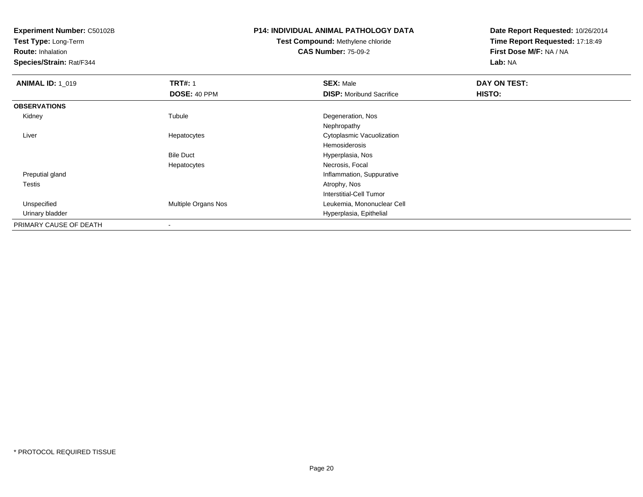**Test Type:** Long-Term

**Route:** Inhalation

**Species/Strain:** Rat/F344

# **P14: INDIVIDUAL ANIMAL PATHOLOGY DATA**

**Test Compound:** Methylene chloride**CAS Number:** 75-09-2

| <b>ANIMAL ID: 1_019</b> | <b>TRT#: 1</b>             | <b>SEX: Male</b>                | DAY ON TEST: |  |
|-------------------------|----------------------------|---------------------------------|--------------|--|
|                         | DOSE: 40 PPM               | <b>DISP:</b> Moribund Sacrifice | HISTO:       |  |
| <b>OBSERVATIONS</b>     |                            |                                 |              |  |
| Kidney                  | Tubule                     | Degeneration, Nos               |              |  |
|                         |                            | Nephropathy                     |              |  |
| Liver                   | Hepatocytes                | Cytoplasmic Vacuolization       |              |  |
|                         |                            | Hemosiderosis                   |              |  |
|                         | <b>Bile Duct</b>           | Hyperplasia, Nos                |              |  |
|                         | Hepatocytes                | Necrosis, Focal                 |              |  |
| Preputial gland         |                            | Inflammation, Suppurative       |              |  |
| Testis                  |                            | Atrophy, Nos                    |              |  |
|                         |                            | Interstitial-Cell Tumor         |              |  |
| Unspecified             | <b>Multiple Organs Nos</b> | Leukemia, Mononuclear Cell      |              |  |
| Urinary bladder         |                            | Hyperplasia, Epithelial         |              |  |
| PRIMARY CAUSE OF DEATH  | $\overline{\phantom{a}}$   |                                 |              |  |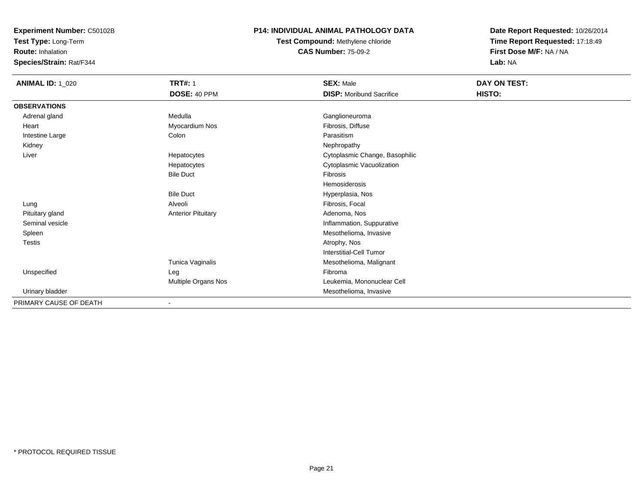**Test Type:** Long-Term

**Route:** Inhalation

**Species/Strain:** Rat/F344

### **P14: INDIVIDUAL ANIMAL PATHOLOGY DATA**

**Test Compound:** Methylene chloride**CAS Number:** 75-09-2

| <b>ANIMAL ID: 1_020</b> | <b>TRT#: 1</b>            | <b>SEX: Male</b>                | DAY ON TEST: |  |
|-------------------------|---------------------------|---------------------------------|--------------|--|
|                         | DOSE: 40 PPM              | <b>DISP:</b> Moribund Sacrifice | HISTO:       |  |
| <b>OBSERVATIONS</b>     |                           |                                 |              |  |
| Adrenal gland           | Medulla                   | Ganglioneuroma                  |              |  |
| Heart                   | Myocardium Nos            | Fibrosis, Diffuse               |              |  |
| Intestine Large         | Colon                     | Parasitism                      |              |  |
| Kidney                  |                           | Nephropathy                     |              |  |
| Liver                   | Hepatocytes               | Cytoplasmic Change, Basophilic  |              |  |
|                         | Hepatocytes               | Cytoplasmic Vacuolization       |              |  |
|                         | <b>Bile Duct</b>          | Fibrosis                        |              |  |
|                         |                           | Hemosiderosis                   |              |  |
|                         | <b>Bile Duct</b>          | Hyperplasia, Nos                |              |  |
| Lung                    | Alveoli                   | Fibrosis, Focal                 |              |  |
| Pituitary gland         | <b>Anterior Pituitary</b> | Adenoma, Nos                    |              |  |
| Seminal vesicle         |                           | Inflammation, Suppurative       |              |  |
| Spleen                  |                           | Mesothelioma, Invasive          |              |  |
| <b>Testis</b>           |                           | Atrophy, Nos                    |              |  |
|                         |                           | Interstitial-Cell Tumor         |              |  |
|                         | Tunica Vaginalis          | Mesothelioma, Malignant         |              |  |
| Unspecified             | Leg                       | Fibroma                         |              |  |
|                         | Multiple Organs Nos       | Leukemia, Mononuclear Cell      |              |  |
| Urinary bladder         |                           | Mesothelioma, Invasive          |              |  |
| PRIMARY CAUSE OF DEATH  |                           |                                 |              |  |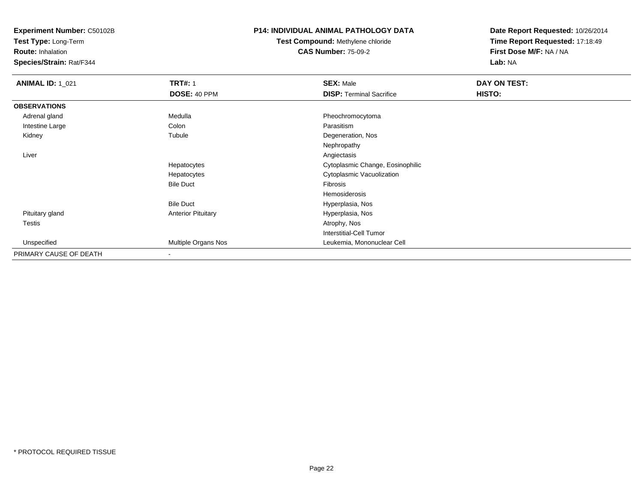**Test Type:** Long-Term

**Route:** Inhalation

**Species/Strain:** Rat/F344

#### **P14: INDIVIDUAL ANIMAL PATHOLOGY DATA**

# **Test Compound:** Methylene chloride**CAS Number:** 75-09-2

| <b>ANIMAL ID: 1_021</b> | <b>TRT#: 1</b>            | <b>SEX: Male</b>                 | DAY ON TEST: |  |
|-------------------------|---------------------------|----------------------------------|--------------|--|
|                         | DOSE: 40 PPM              | <b>DISP: Terminal Sacrifice</b>  | HISTO:       |  |
| <b>OBSERVATIONS</b>     |                           |                                  |              |  |
| Adrenal gland           | Medulla                   | Pheochromocytoma                 |              |  |
| Intestine Large         | Colon                     | Parasitism                       |              |  |
| Kidney                  | Tubule                    | Degeneration, Nos                |              |  |
|                         |                           | Nephropathy                      |              |  |
| Liver                   |                           | Angiectasis                      |              |  |
|                         | Hepatocytes               | Cytoplasmic Change, Eosinophilic |              |  |
|                         | Hepatocytes               | Cytoplasmic Vacuolization        |              |  |
|                         | <b>Bile Duct</b>          | Fibrosis                         |              |  |
|                         |                           | Hemosiderosis                    |              |  |
|                         | <b>Bile Duct</b>          | Hyperplasia, Nos                 |              |  |
| Pituitary gland         | <b>Anterior Pituitary</b> | Hyperplasia, Nos                 |              |  |
| Testis                  |                           | Atrophy, Nos                     |              |  |
|                         |                           | <b>Interstitial-Cell Tumor</b>   |              |  |
| Unspecified             | Multiple Organs Nos       | Leukemia, Mononuclear Cell       |              |  |
| PRIMARY CAUSE OF DEATH  |                           |                                  |              |  |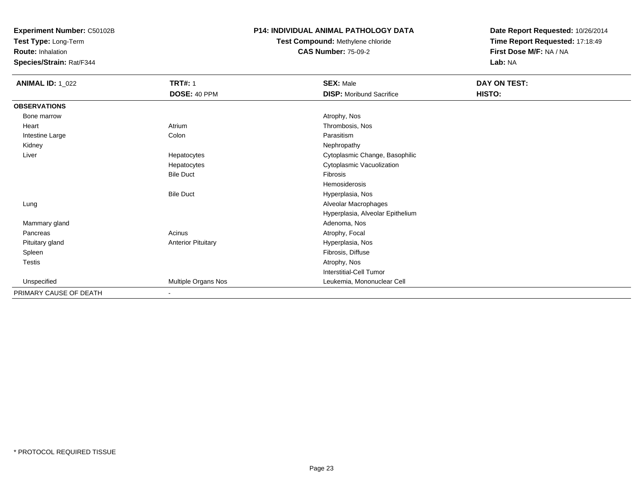**Test Type:** Long-Term

**Route:** Inhalation

**Species/Strain:** Rat/F344

### **P14: INDIVIDUAL ANIMAL PATHOLOGY DATA**

# **Test Compound:** Methylene chloride**CAS Number:** 75-09-2

| <b>ANIMAL ID: 1_022</b> | <b>TRT#: 1</b>            | <b>SEX: Male</b>                 | DAY ON TEST: |  |
|-------------------------|---------------------------|----------------------------------|--------------|--|
|                         | DOSE: 40 PPM              | <b>DISP:</b> Moribund Sacrifice  | HISTO:       |  |
| <b>OBSERVATIONS</b>     |                           |                                  |              |  |
| Bone marrow             |                           | Atrophy, Nos                     |              |  |
| Heart                   | Atrium                    | Thrombosis, Nos                  |              |  |
| Intestine Large         | Colon                     | Parasitism                       |              |  |
| Kidney                  |                           | Nephropathy                      |              |  |
| Liver                   | Hepatocytes               | Cytoplasmic Change, Basophilic   |              |  |
|                         | Hepatocytes               | Cytoplasmic Vacuolization        |              |  |
|                         | <b>Bile Duct</b>          | Fibrosis                         |              |  |
|                         |                           | Hemosiderosis                    |              |  |
|                         | <b>Bile Duct</b>          | Hyperplasia, Nos                 |              |  |
| Lung                    |                           | Alveolar Macrophages             |              |  |
|                         |                           | Hyperplasia, Alveolar Epithelium |              |  |
| Mammary gland           |                           | Adenoma, Nos                     |              |  |
| Pancreas                | Acinus                    | Atrophy, Focal                   |              |  |
| Pituitary gland         | <b>Anterior Pituitary</b> | Hyperplasia, Nos                 |              |  |
| Spleen                  |                           | Fibrosis, Diffuse                |              |  |
| Testis                  |                           | Atrophy, Nos                     |              |  |
|                         |                           | Interstitial-Cell Tumor          |              |  |
| Unspecified             | Multiple Organs Nos       | Leukemia, Mononuclear Cell       |              |  |
| PRIMARY CAUSE OF DEATH  | $\overline{\phantom{a}}$  |                                  |              |  |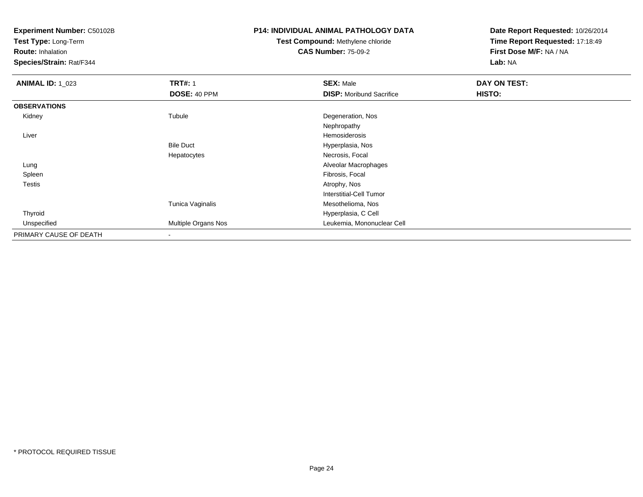**Test Type:** Long-Term

**Route:** Inhalation

**Species/Strain:** Rat/F344

## **P14: INDIVIDUAL ANIMAL PATHOLOGY DATA**

# **Test Compound:** Methylene chloride**CAS Number:** 75-09-2

| <b>ANIMAL ID: 1_023</b> | <b>TRT#: 1</b>      | <b>SEX: Male</b>                | DAY ON TEST: |  |
|-------------------------|---------------------|---------------------------------|--------------|--|
|                         | DOSE: 40 PPM        | <b>DISP:</b> Moribund Sacrifice | HISTO:       |  |
| <b>OBSERVATIONS</b>     |                     |                                 |              |  |
| Kidney                  | Tubule              | Degeneration, Nos               |              |  |
|                         |                     | Nephropathy                     |              |  |
| Liver                   |                     | Hemosiderosis                   |              |  |
|                         | <b>Bile Duct</b>    | Hyperplasia, Nos                |              |  |
|                         | Hepatocytes         | Necrosis, Focal                 |              |  |
| Lung                    |                     | Alveolar Macrophages            |              |  |
| Spleen                  |                     | Fibrosis, Focal                 |              |  |
| Testis                  |                     | Atrophy, Nos                    |              |  |
|                         |                     | Interstitial-Cell Tumor         |              |  |
|                         | Tunica Vaginalis    | Mesothelioma, Nos               |              |  |
| Thyroid                 |                     | Hyperplasia, C Cell             |              |  |
| Unspecified             | Multiple Organs Nos | Leukemia, Mononuclear Cell      |              |  |
| PRIMARY CAUSE OF DEATH  |                     |                                 |              |  |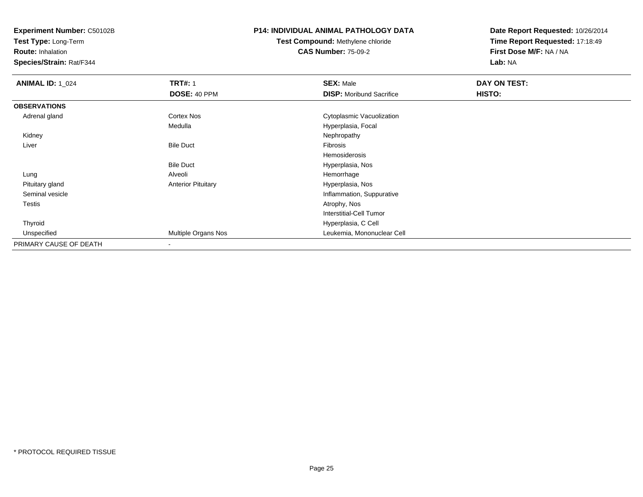**Test Type:** Long-Term

**Route:** Inhalation

**Species/Strain:** Rat/F344

### **P14: INDIVIDUAL ANIMAL PATHOLOGY DATA**

**Test Compound:** Methylene chloride**CAS Number:** 75-09-2

| <b>ANIMAL ID: 1_024</b> | <b>TRT#: 1</b>            | <b>SEX: Male</b>                | DAY ON TEST: |  |
|-------------------------|---------------------------|---------------------------------|--------------|--|
|                         | DOSE: 40 PPM              | <b>DISP:</b> Moribund Sacrifice | HISTO:       |  |
| <b>OBSERVATIONS</b>     |                           |                                 |              |  |
| Adrenal gland           | <b>Cortex Nos</b>         | Cytoplasmic Vacuolization       |              |  |
|                         | Medulla                   | Hyperplasia, Focal              |              |  |
| Kidney                  |                           | Nephropathy                     |              |  |
| Liver                   | <b>Bile Duct</b>          | Fibrosis                        |              |  |
|                         |                           | Hemosiderosis                   |              |  |
|                         | <b>Bile Duct</b>          | Hyperplasia, Nos                |              |  |
| Lung                    | Alveoli                   | Hemorrhage                      |              |  |
| Pituitary gland         | <b>Anterior Pituitary</b> | Hyperplasia, Nos                |              |  |
| Seminal vesicle         |                           | Inflammation, Suppurative       |              |  |
| Testis                  |                           | Atrophy, Nos                    |              |  |
|                         |                           | Interstitial-Cell Tumor         |              |  |
| Thyroid                 |                           | Hyperplasia, C Cell             |              |  |
| Unspecified             | Multiple Organs Nos       | Leukemia, Mononuclear Cell      |              |  |
| PRIMARY CAUSE OF DEATH  | $\overline{\phantom{a}}$  |                                 |              |  |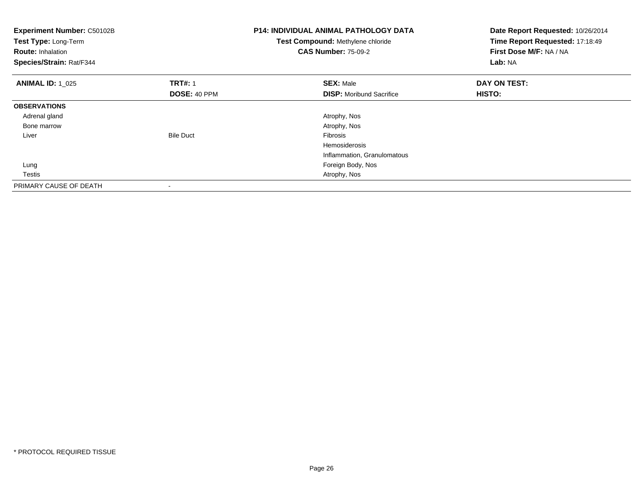| Experiment Number: C50102B<br>Test Type: Long-Term<br><b>Route: Inhalation</b><br>Species/Strain: Rat/F344 |                  | <b>P14: INDIVIDUAL ANIMAL PATHOLOGY DATA</b><br>Test Compound: Methylene chloride<br><b>CAS Number: 75-09-2</b> | Date Report Requested: 10/26/2014<br>Time Report Requested: 17:18:49<br>First Dose M/F: NA / NA<br>Lab: NA |
|------------------------------------------------------------------------------------------------------------|------------------|-----------------------------------------------------------------------------------------------------------------|------------------------------------------------------------------------------------------------------------|
| <b>ANIMAL ID: 1 025</b>                                                                                    | <b>TRT#: 1</b>   | <b>SEX: Male</b>                                                                                                | DAY ON TEST:                                                                                               |
|                                                                                                            | DOSE: 40 PPM     | <b>DISP:</b> Moribund Sacrifice                                                                                 | HISTO:                                                                                                     |
| <b>OBSERVATIONS</b>                                                                                        |                  |                                                                                                                 |                                                                                                            |
| Adrenal gland                                                                                              |                  | Atrophy, Nos                                                                                                    |                                                                                                            |
| Bone marrow                                                                                                |                  | Atrophy, Nos                                                                                                    |                                                                                                            |
| Liver                                                                                                      | <b>Bile Duct</b> | Fibrosis                                                                                                        |                                                                                                            |
|                                                                                                            |                  | <b>Hemosiderosis</b>                                                                                            |                                                                                                            |
|                                                                                                            |                  | Inflammation, Granulomatous                                                                                     |                                                                                                            |
| Lung                                                                                                       |                  | Foreign Body, Nos                                                                                               |                                                                                                            |
| Testis                                                                                                     |                  | Atrophy, Nos                                                                                                    |                                                                                                            |
| PRIMARY CAUSE OF DEATH                                                                                     |                  |                                                                                                                 |                                                                                                            |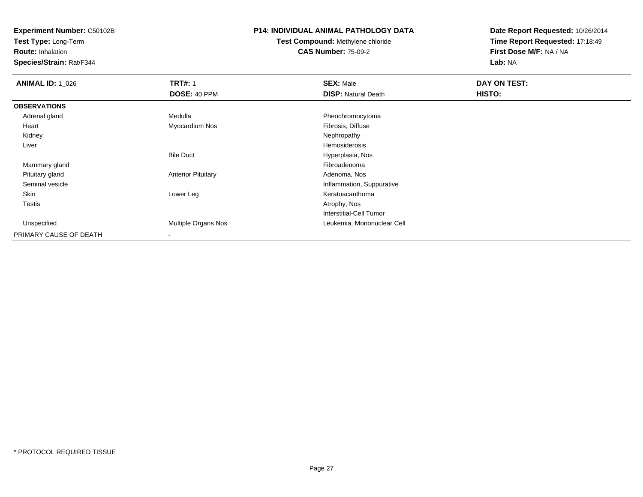**Test Type:** Long-Term

**Route:** Inhalation

**Species/Strain:** Rat/F344

## **P14: INDIVIDUAL ANIMAL PATHOLOGY DATA**

**Test Compound:** Methylene chloride**CAS Number:** 75-09-2

| <b>ANIMAL ID: 1_026</b> | <b>TRT#: 1</b>            | <b>SEX: Male</b>           | DAY ON TEST: |  |
|-------------------------|---------------------------|----------------------------|--------------|--|
|                         | DOSE: 40 PPM              | <b>DISP: Natural Death</b> | HISTO:       |  |
| <b>OBSERVATIONS</b>     |                           |                            |              |  |
| Adrenal gland           | Medulla                   | Pheochromocytoma           |              |  |
| Heart                   | Myocardium Nos            | Fibrosis, Diffuse          |              |  |
| Kidney                  |                           | Nephropathy                |              |  |
| Liver                   |                           | Hemosiderosis              |              |  |
|                         | <b>Bile Duct</b>          | Hyperplasia, Nos           |              |  |
| Mammary gland           |                           | Fibroadenoma               |              |  |
| Pituitary gland         | <b>Anterior Pituitary</b> | Adenoma, Nos               |              |  |
| Seminal vesicle         |                           | Inflammation, Suppurative  |              |  |
| Skin                    | Lower Leg                 | Keratoacanthoma            |              |  |
| <b>Testis</b>           |                           | Atrophy, Nos               |              |  |
|                         |                           | Interstitial-Cell Tumor    |              |  |
| Unspecified             | Multiple Organs Nos       | Leukemia, Mononuclear Cell |              |  |
| PRIMARY CAUSE OF DEATH  |                           |                            |              |  |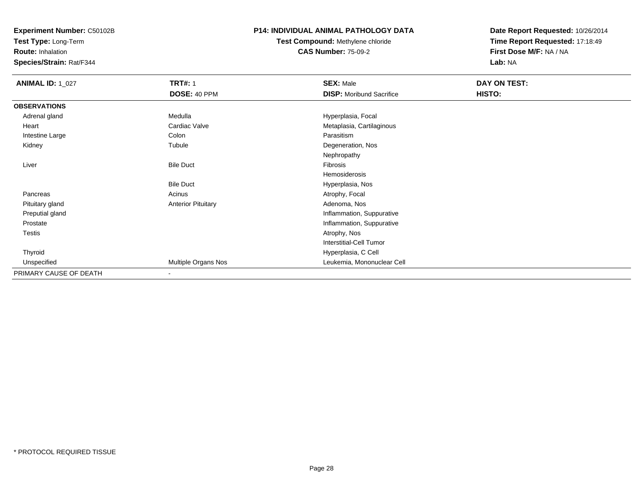**Test Type:** Long-Term

**Route:** Inhalation

**Species/Strain:** Rat/F344

### **P14: INDIVIDUAL ANIMAL PATHOLOGY DATA**

# **Test Compound:** Methylene chloride**CAS Number:** 75-09-2

| <b>ANIMAL ID: 1_027</b> | <b>TRT#: 1</b>            | <b>SEX: Male</b>                | DAY ON TEST: |  |
|-------------------------|---------------------------|---------------------------------|--------------|--|
|                         | DOSE: 40 PPM              | <b>DISP: Moribund Sacrifice</b> | HISTO:       |  |
| <b>OBSERVATIONS</b>     |                           |                                 |              |  |
| Adrenal gland           | Medulla                   | Hyperplasia, Focal              |              |  |
| Heart                   | Cardiac Valve             | Metaplasia, Cartilaginous       |              |  |
| Intestine Large         | Colon                     | Parasitism                      |              |  |
| Kidney                  | Tubule                    | Degeneration, Nos               |              |  |
|                         |                           | Nephropathy                     |              |  |
| Liver                   | <b>Bile Duct</b>          | Fibrosis                        |              |  |
|                         |                           | Hemosiderosis                   |              |  |
|                         | <b>Bile Duct</b>          | Hyperplasia, Nos                |              |  |
| Pancreas                | Acinus                    | Atrophy, Focal                  |              |  |
| Pituitary gland         | <b>Anterior Pituitary</b> | Adenoma, Nos                    |              |  |
| Preputial gland         |                           | Inflammation, Suppurative       |              |  |
| Prostate                |                           | Inflammation, Suppurative       |              |  |
| Testis                  |                           | Atrophy, Nos                    |              |  |
|                         |                           | <b>Interstitial-Cell Tumor</b>  |              |  |
| Thyroid                 |                           | Hyperplasia, C Cell             |              |  |
| Unspecified             | Multiple Organs Nos       | Leukemia, Mononuclear Cell      |              |  |
| PRIMARY CAUSE OF DEATH  |                           |                                 |              |  |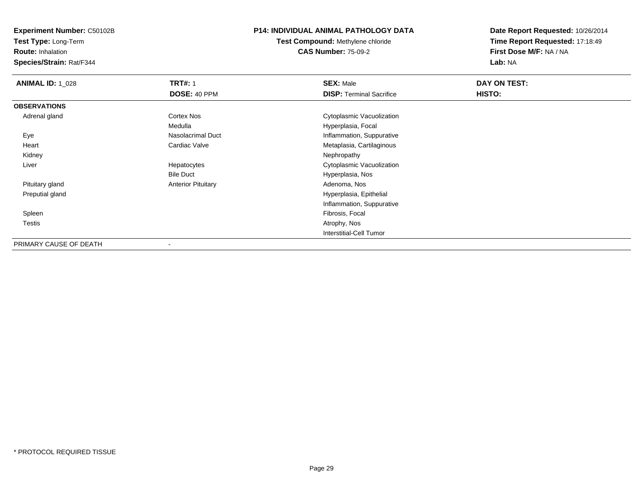**Test Type:** Long-Term

**Route:** Inhalation

**Species/Strain:** Rat/F344

### **P14: INDIVIDUAL ANIMAL PATHOLOGY DATA**

**Test Compound:** Methylene chloride**CAS Number:** 75-09-2

| <b>ANIMAL ID: 1_028</b> | <b>TRT#: 1</b>            | <b>SEX: Male</b>                | DAY ON TEST: |  |
|-------------------------|---------------------------|---------------------------------|--------------|--|
|                         | DOSE: 40 PPM              | <b>DISP:</b> Terminal Sacrifice | HISTO:       |  |
| <b>OBSERVATIONS</b>     |                           |                                 |              |  |
| Adrenal gland           | Cortex Nos                | Cytoplasmic Vacuolization       |              |  |
|                         | Medulla                   | Hyperplasia, Focal              |              |  |
| Eye                     | Nasolacrimal Duct         | Inflammation, Suppurative       |              |  |
| Heart                   | Cardiac Valve             | Metaplasia, Cartilaginous       |              |  |
| Kidney                  |                           | Nephropathy                     |              |  |
| Liver                   | Hepatocytes               | Cytoplasmic Vacuolization       |              |  |
|                         | <b>Bile Duct</b>          | Hyperplasia, Nos                |              |  |
| Pituitary gland         | <b>Anterior Pituitary</b> | Adenoma, Nos                    |              |  |
| Preputial gland         |                           | Hyperplasia, Epithelial         |              |  |
|                         |                           | Inflammation, Suppurative       |              |  |
| Spleen                  |                           | Fibrosis, Focal                 |              |  |
| <b>Testis</b>           |                           | Atrophy, Nos                    |              |  |
|                         |                           | <b>Interstitial-Cell Tumor</b>  |              |  |
| PRIMARY CAUSE OF DEATH  | ٠                         |                                 |              |  |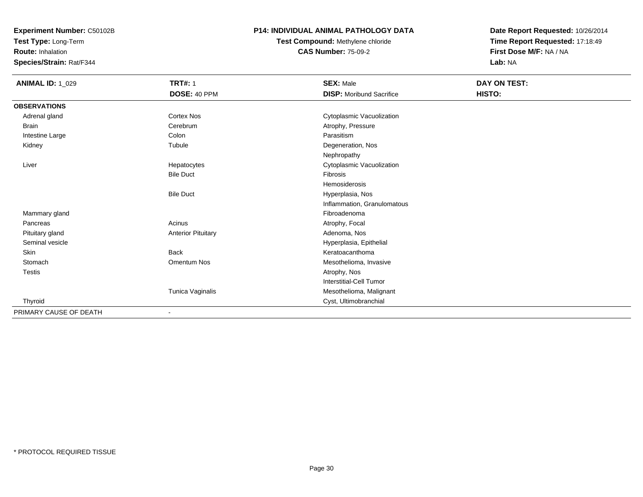**Test Type:** Long-Term

**Route:** Inhalation

**Species/Strain:** Rat/F344

### **P14: INDIVIDUAL ANIMAL PATHOLOGY DATA**

**Test Compound:** Methylene chloride**CAS Number:** 75-09-2

| <b>ANIMAL ID: 1_029</b> | <b>TRT#: 1</b>            | <b>SEX: Male</b>                | DAY ON TEST: |
|-------------------------|---------------------------|---------------------------------|--------------|
|                         | DOSE: 40 PPM              | <b>DISP:</b> Moribund Sacrifice | HISTO:       |
| <b>OBSERVATIONS</b>     |                           |                                 |              |
| Adrenal gland           | <b>Cortex Nos</b>         | Cytoplasmic Vacuolization       |              |
| Brain                   | Cerebrum                  | Atrophy, Pressure               |              |
| Intestine Large         | Colon                     | Parasitism                      |              |
| Kidney                  | Tubule                    | Degeneration, Nos               |              |
|                         |                           | Nephropathy                     |              |
| Liver                   | Hepatocytes               | Cytoplasmic Vacuolization       |              |
|                         | <b>Bile Duct</b>          | <b>Fibrosis</b>                 |              |
|                         |                           | Hemosiderosis                   |              |
|                         | <b>Bile Duct</b>          | Hyperplasia, Nos                |              |
|                         |                           | Inflammation, Granulomatous     |              |
| Mammary gland           |                           | Fibroadenoma                    |              |
| Pancreas                | Acinus                    | Atrophy, Focal                  |              |
| Pituitary gland         | <b>Anterior Pituitary</b> | Adenoma, Nos                    |              |
| Seminal vesicle         |                           | Hyperplasia, Epithelial         |              |
| Skin                    | <b>Back</b>               | Keratoacanthoma                 |              |
| Stomach                 | Omentum Nos               | Mesothelioma, Invasive          |              |
| <b>Testis</b>           |                           | Atrophy, Nos                    |              |
|                         |                           | <b>Interstitial-Cell Tumor</b>  |              |
|                         | Tunica Vaginalis          | Mesothelioma, Malignant         |              |
| Thyroid                 |                           | Cyst, Ultimobranchial           |              |
| PRIMARY CAUSE OF DEATH  |                           |                                 |              |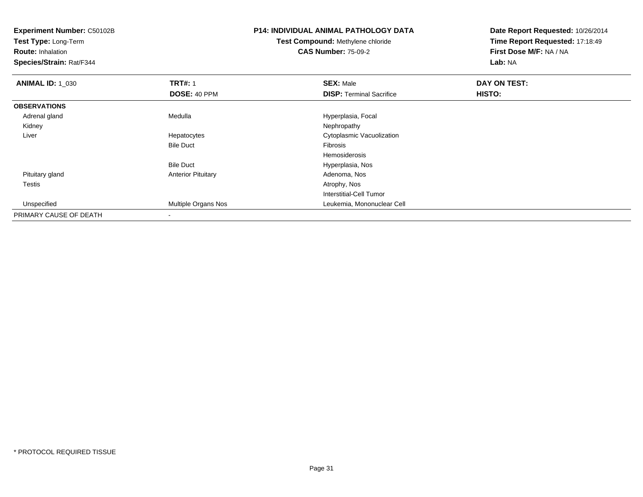**Experiment Number:** C50102B**Test Type:** Long-Term**Route:** Inhalation **Species/Strain:** Rat/F344**P14: INDIVIDUAL ANIMAL PATHOLOGY DATATest Compound:** Methylene chloride**CAS Number:** 75-09-2**Date Report Requested:** 10/26/2014**Time Report Requested:** 17:18:49**First Dose M/F:** NA / NA**Lab:** NA**ANIMAL ID: 1\_030 C TRT#:** 1 **SEX:** Male **DAY ON TEST: DOSE:** 40 PPM**DISP:** Terminal Sacrifice **HISTO: OBSERVATIONS** Adrenal glandMedulla Medulla Hyperplasia, Focal<br>
Mephropathy Kidneyy the control of the control of the control of the control of the control of the control of the control of the control of the control of the control of the control of the control of the control of the control of the contro Liver Hepatocytes Cytoplasmic VacuolizationBile Duct Fibrosis Hemosiderosis Hyperplasia, NosBile Duct Pituitary glandAnterior Pituitary **Adenoma, Nos**<br>Atrophy, Nos Testiss and the contract of the contract of the contract of the contract of the contract of the contract of the contract of the contract of the contract of the contract of the contract of the contract of the contract of the cont Interstitial-Cell Tumor Unspecified Multiple Organs Nos Leukemia, Mononuclear Cell PRIMARY CAUSE OF DEATH-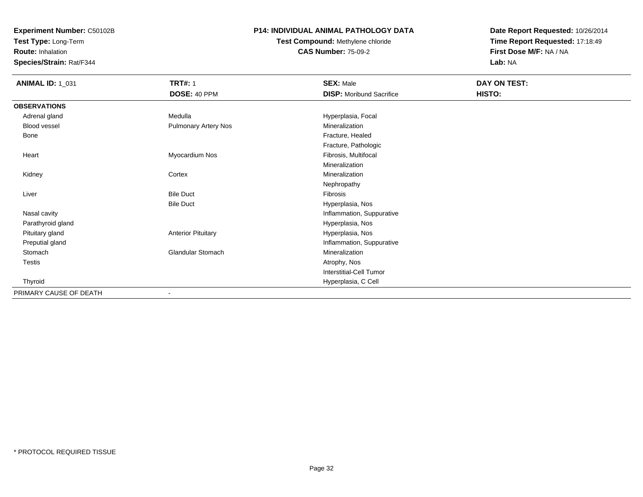**Test Type:** Long-Term

**Route:** Inhalation

**Species/Strain:** Rat/F344

#### **P14: INDIVIDUAL ANIMAL PATHOLOGY DATA**

# **Test Compound:** Methylene chloride**CAS Number:** 75-09-2

| <b>ANIMAL ID: 1_031</b> | <b>TRT#: 1</b><br>DOSE: 40 PPM | <b>SEX: Male</b><br><b>DISP:</b> Moribund Sacrifice | DAY ON TEST:<br>HISTO: |
|-------------------------|--------------------------------|-----------------------------------------------------|------------------------|
|                         |                                |                                                     |                        |
| <b>OBSERVATIONS</b>     |                                |                                                     |                        |
| Adrenal gland           | Medulla                        | Hyperplasia, Focal                                  |                        |
| Blood vessel            | Pulmonary Artery Nos           | Mineralization                                      |                        |
| Bone                    |                                | Fracture, Healed                                    |                        |
|                         |                                | Fracture, Pathologic                                |                        |
| Heart                   | Myocardium Nos                 | Fibrosis, Multifocal                                |                        |
|                         |                                | Mineralization                                      |                        |
| Kidney                  | Cortex                         | Mineralization                                      |                        |
|                         |                                | Nephropathy                                         |                        |
| Liver                   | <b>Bile Duct</b>               | Fibrosis                                            |                        |
|                         | <b>Bile Duct</b>               | Hyperplasia, Nos                                    |                        |
| Nasal cavity            |                                | Inflammation, Suppurative                           |                        |
| Parathyroid gland       |                                | Hyperplasia, Nos                                    |                        |
| Pituitary gland         | <b>Anterior Pituitary</b>      | Hyperplasia, Nos                                    |                        |
| Preputial gland         |                                | Inflammation, Suppurative                           |                        |
| Stomach                 | Glandular Stomach              | Mineralization                                      |                        |
| Testis                  |                                | Atrophy, Nos                                        |                        |
|                         |                                | <b>Interstitial-Cell Tumor</b>                      |                        |
| Thyroid                 |                                | Hyperplasia, C Cell                                 |                        |
| PRIMARY CAUSE OF DEATH  |                                |                                                     |                        |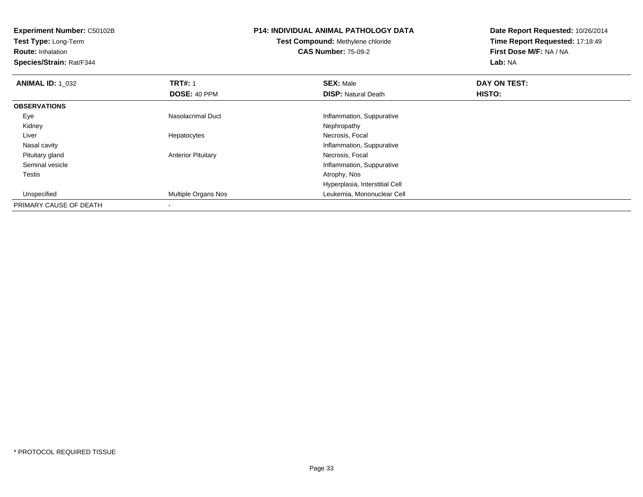**Experiment Number:** C50102B**Test Type:** Long-Term**Route:** Inhalation **Species/Strain:** Rat/F344**P14: INDIVIDUAL ANIMAL PATHOLOGY DATATest Compound:** Methylene chloride**CAS Number:** 75-09-2**Date Report Requested:** 10/26/2014**Time Report Requested:** 17:18:49**First Dose M/F:** NA / NA**Lab:** NA**ANIMAL ID: 1\_032 2 DAY ON TRT#:** 1 **SEX:** Male **SEX:** Male **DAY ON TEST: DOSE:** 40 PPM**DISP:** Natural Death **HISTO: OBSERVATIONS** EyeNasolacrimal Duct Inflammation, Suppurative<br>
Nephropathy<br>
Nephropathy

Anterior Pituitary **Necrosis**, Focal

Multiple Organs Nos Leukemia, Mononuclear Cell

y the control of the control of the control of the control of the control of the control of the control of the control of the control of the control of the control of the control of the control of the control of the contro

s and the contract of the contract of the contract of the contract of the contract of the contract of the contract of the contract of the contract of the contract of the contract of the contract of the contract of the cont

Hepatocytes

 UnspecifiedPRIMARY CAUSE OF DEATH-

Kidney

Nasal cavity

Pituitary gland

Seminal vesicle

Liver

Testis

Necrosis, Focal

Inflammation, Suppurative

Inflammation, Suppurative

Hyperplasia, Interstitial Cell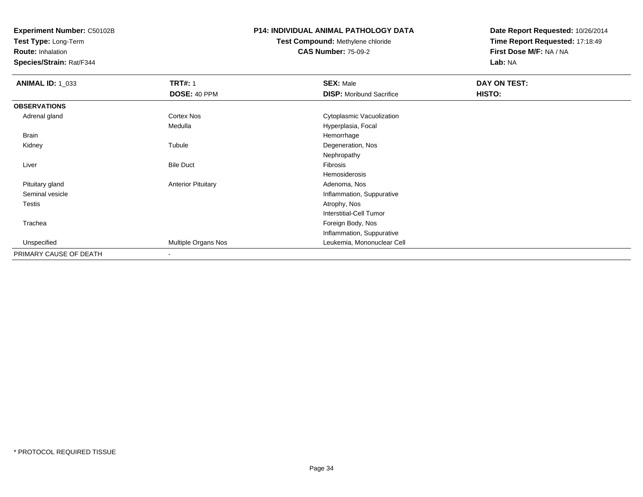**Test Type:** Long-Term

**Route:** Inhalation

**Species/Strain:** Rat/F344

## **P14: INDIVIDUAL ANIMAL PATHOLOGY DATA**

# **Test Compound:** Methylene chloride**CAS Number:** 75-09-2

| <b>ANIMAL ID: 1_033</b> | <b>TRT#: 1</b>            | <b>SEX: Male</b>                | DAY ON TEST: |  |
|-------------------------|---------------------------|---------------------------------|--------------|--|
|                         | DOSE: 40 PPM              | <b>DISP:</b> Moribund Sacrifice | HISTO:       |  |
| <b>OBSERVATIONS</b>     |                           |                                 |              |  |
| Adrenal gland           | Cortex Nos                | Cytoplasmic Vacuolization       |              |  |
|                         | Medulla                   | Hyperplasia, Focal              |              |  |
| <b>Brain</b>            |                           | Hemorrhage                      |              |  |
| Kidney                  | Tubule                    | Degeneration, Nos               |              |  |
|                         |                           | Nephropathy                     |              |  |
| Liver                   | <b>Bile Duct</b>          | Fibrosis                        |              |  |
|                         |                           | Hemosiderosis                   |              |  |
| Pituitary gland         | <b>Anterior Pituitary</b> | Adenoma, Nos                    |              |  |
| Seminal vesicle         |                           | Inflammation, Suppurative       |              |  |
| Testis                  |                           | Atrophy, Nos                    |              |  |
|                         |                           | <b>Interstitial-Cell Tumor</b>  |              |  |
| Trachea                 |                           | Foreign Body, Nos               |              |  |
|                         |                           | Inflammation, Suppurative       |              |  |
| Unspecified             | Multiple Organs Nos       | Leukemia, Mononuclear Cell      |              |  |
| PRIMARY CAUSE OF DEATH  | $\blacksquare$            |                                 |              |  |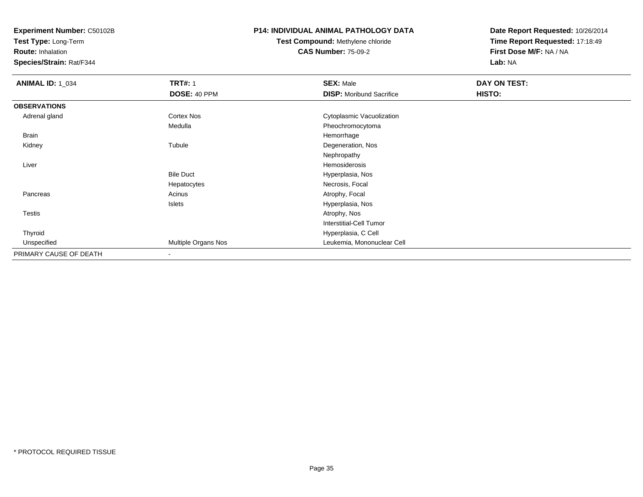**Test Type:** Long-Term

**Route:** Inhalation

**Species/Strain:** Rat/F344

### **P14: INDIVIDUAL ANIMAL PATHOLOGY DATA**

# **Test Compound:** Methylene chloride**CAS Number:** 75-09-2

| <b>ANIMAL ID: 1_034</b> | <b>TRT#: 1</b>      | <b>SEX: Male</b>                | DAY ON TEST: |  |
|-------------------------|---------------------|---------------------------------|--------------|--|
|                         | DOSE: 40 PPM        | <b>DISP:</b> Moribund Sacrifice | HISTO:       |  |
| <b>OBSERVATIONS</b>     |                     |                                 |              |  |
| Adrenal gland           | Cortex Nos          | Cytoplasmic Vacuolization       |              |  |
|                         | Medulla             | Pheochromocytoma                |              |  |
| <b>Brain</b>            |                     | Hemorrhage                      |              |  |
| Kidney                  | Tubule              | Degeneration, Nos               |              |  |
|                         |                     | Nephropathy                     |              |  |
| Liver                   |                     | Hemosiderosis                   |              |  |
|                         | <b>Bile Duct</b>    | Hyperplasia, Nos                |              |  |
|                         | Hepatocytes         | Necrosis, Focal                 |              |  |
| Pancreas                | Acinus              | Atrophy, Focal                  |              |  |
|                         | Islets              | Hyperplasia, Nos                |              |  |
| Testis                  |                     | Atrophy, Nos                    |              |  |
|                         |                     | <b>Interstitial-Cell Tumor</b>  |              |  |
| Thyroid                 |                     | Hyperplasia, C Cell             |              |  |
| Unspecified             | Multiple Organs Nos | Leukemia, Mononuclear Cell      |              |  |
| PRIMARY CAUSE OF DEATH  | $\blacksquare$      |                                 |              |  |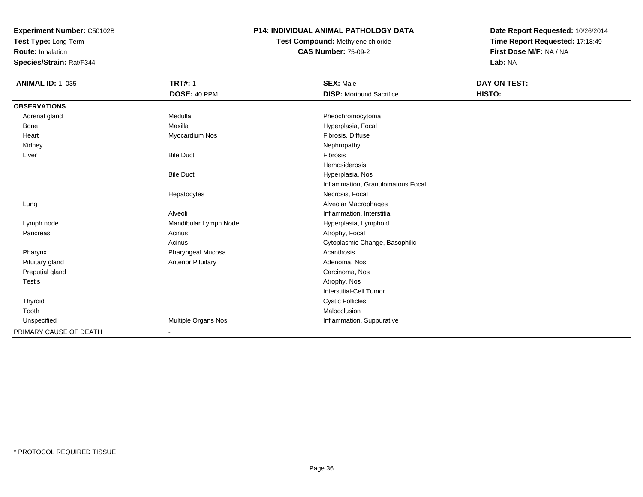**Test Type:** Long-Term

**Route:** Inhalation

**Species/Strain:** Rat/F344

### **P14: INDIVIDUAL ANIMAL PATHOLOGY DATA**

**Test Compound:** Methylene chloride**CAS Number:** 75-09-2

| <b>ANIMAL ID: 1_035</b> | <b>TRT#: 1</b>            | <b>SEX: Male</b>                  | DAY ON TEST: |  |
|-------------------------|---------------------------|-----------------------------------|--------------|--|
|                         | DOSE: 40 PPM              | <b>DISP:</b> Moribund Sacrifice   | HISTO:       |  |
| <b>OBSERVATIONS</b>     |                           |                                   |              |  |
| Adrenal gland           | Medulla                   | Pheochromocytoma                  |              |  |
| Bone                    | Maxilla                   | Hyperplasia, Focal                |              |  |
| Heart                   | Myocardium Nos            | Fibrosis, Diffuse                 |              |  |
| Kidney                  |                           | Nephropathy                       |              |  |
| Liver                   | <b>Bile Duct</b>          | <b>Fibrosis</b>                   |              |  |
|                         |                           | <b>Hemosiderosis</b>              |              |  |
|                         | <b>Bile Duct</b>          | Hyperplasia, Nos                  |              |  |
|                         |                           | Inflammation, Granulomatous Focal |              |  |
|                         | Hepatocytes               | Necrosis, Focal                   |              |  |
| Lung                    |                           | Alveolar Macrophages              |              |  |
|                         | Alveoli                   | Inflammation, Interstitial        |              |  |
| Lymph node              | Mandibular Lymph Node     | Hyperplasia, Lymphoid             |              |  |
| Pancreas                | Acinus                    | Atrophy, Focal                    |              |  |
|                         | Acinus                    | Cytoplasmic Change, Basophilic    |              |  |
| Pharynx                 | Pharyngeal Mucosa         | Acanthosis                        |              |  |
| Pituitary gland         | <b>Anterior Pituitary</b> | Adenoma, Nos                      |              |  |
| Preputial gland         |                           | Carcinoma, Nos                    |              |  |
| <b>Testis</b>           |                           | Atrophy, Nos                      |              |  |
|                         |                           | <b>Interstitial-Cell Tumor</b>    |              |  |
| <b>Thyroid</b>          |                           | <b>Cystic Follicles</b>           |              |  |
| Tooth                   |                           | Malocclusion                      |              |  |
| Unspecified             | Multiple Organs Nos       | Inflammation, Suppurative         |              |  |
| PRIMARY CAUSE OF DEATH  |                           |                                   |              |  |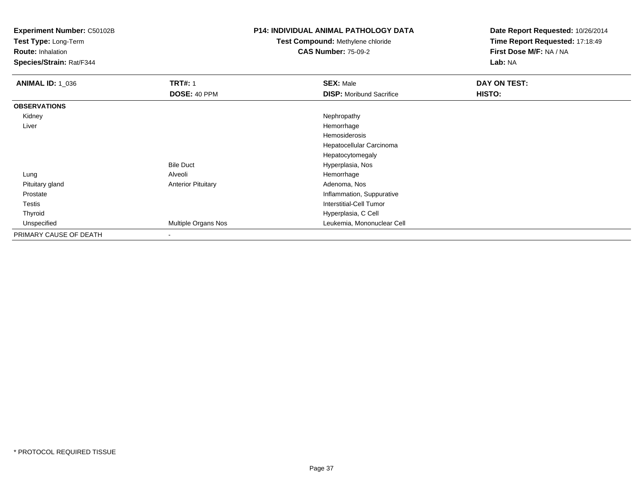**Test Type:** Long-Term

**Route:** Inhalation

**Species/Strain:** Rat/F344

## **P14: INDIVIDUAL ANIMAL PATHOLOGY DATA**

**Test Compound:** Methylene chloride**CAS Number:** 75-09-2

| <b>ANIMAL ID: 1_036</b> | <b>TRT#: 1</b>            | <b>SEX: Male</b>                | DAY ON TEST: |
|-------------------------|---------------------------|---------------------------------|--------------|
|                         | DOSE: 40 PPM              | <b>DISP:</b> Moribund Sacrifice | HISTO:       |
| <b>OBSERVATIONS</b>     |                           |                                 |              |
| Kidney                  |                           | Nephropathy                     |              |
| Liver                   |                           | Hemorrhage                      |              |
|                         |                           | Hemosiderosis                   |              |
|                         |                           | Hepatocellular Carcinoma        |              |
|                         |                           | Hepatocytomegaly                |              |
|                         | <b>Bile Duct</b>          | Hyperplasia, Nos                |              |
| Lung                    | Alveoli                   | Hemorrhage                      |              |
| Pituitary gland         | <b>Anterior Pituitary</b> | Adenoma, Nos                    |              |
| Prostate                |                           | Inflammation, Suppurative       |              |
| Testis                  |                           | Interstitial-Cell Tumor         |              |
| Thyroid                 |                           | Hyperplasia, C Cell             |              |
| Unspecified             | Multiple Organs Nos       | Leukemia, Mononuclear Cell      |              |
| PRIMARY CAUSE OF DEATH  | $\,$ $\,$                 |                                 |              |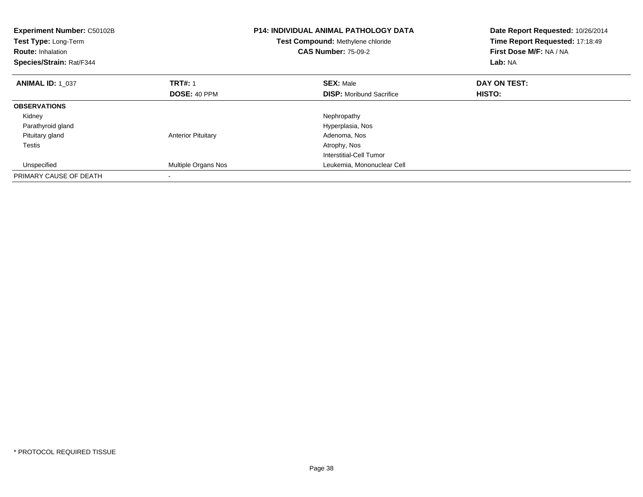| <b>Experiment Number: C50102B</b><br>Test Type: Long-Term<br><b>Route: Inhalation</b><br>Species/Strain: Rat/F344 |                           | <b>P14: INDIVIDUAL ANIMAL PATHOLOGY DATA</b><br>Test Compound: Methylene chloride<br><b>CAS Number: 75-09-2</b> | Date Report Requested: 10/26/2014<br>Time Report Requested: 17:18:49<br>First Dose M/F: NA / NA<br>Lab: NA |
|-------------------------------------------------------------------------------------------------------------------|---------------------------|-----------------------------------------------------------------------------------------------------------------|------------------------------------------------------------------------------------------------------------|
| <b>ANIMAL ID: 1 037</b>                                                                                           | <b>TRT#: 1</b>            | <b>SEX: Male</b>                                                                                                | DAY ON TEST:                                                                                               |
|                                                                                                                   | <b>DOSE: 40 PPM</b>       | <b>DISP:</b> Moribund Sacrifice                                                                                 | <b>HISTO:</b>                                                                                              |
| <b>OBSERVATIONS</b>                                                                                               |                           |                                                                                                                 |                                                                                                            |
| Kidney                                                                                                            |                           | Nephropathy                                                                                                     |                                                                                                            |
| Parathyroid gland                                                                                                 |                           | Hyperplasia, Nos                                                                                                |                                                                                                            |
| Pituitary gland                                                                                                   | <b>Anterior Pituitary</b> | Adenoma, Nos                                                                                                    |                                                                                                            |
| Testis                                                                                                            |                           | Atrophy, Nos                                                                                                    |                                                                                                            |
|                                                                                                                   |                           | <b>Interstitial-Cell Tumor</b>                                                                                  |                                                                                                            |
| Unspecified                                                                                                       | Multiple Organs Nos       | Leukemia, Mononuclear Cell                                                                                      |                                                                                                            |
| PRIMARY CAUSE OF DEATH                                                                                            |                           |                                                                                                                 |                                                                                                            |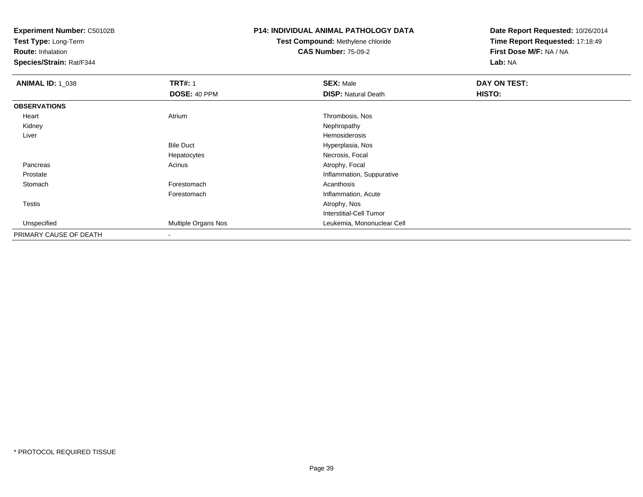**Test Type:** Long-Term

**Route:** Inhalation

**Species/Strain:** Rat/F344

## **P14: INDIVIDUAL ANIMAL PATHOLOGY DATA**

# **Test Compound:** Methylene chloride**CAS Number:** 75-09-2

| <b>ANIMAL ID: 1_038</b> | <b>TRT#: 1</b>      | <b>SEX: Male</b>           | DAY ON TEST: |  |
|-------------------------|---------------------|----------------------------|--------------|--|
|                         | DOSE: 40 PPM        | <b>DISP: Natural Death</b> | HISTO:       |  |
| <b>OBSERVATIONS</b>     |                     |                            |              |  |
| Heart                   | Atrium              | Thrombosis, Nos            |              |  |
| Kidney                  |                     | Nephropathy                |              |  |
| Liver                   |                     | Hemosiderosis              |              |  |
|                         | <b>Bile Duct</b>    | Hyperplasia, Nos           |              |  |
|                         | Hepatocytes         | Necrosis, Focal            |              |  |
| Pancreas                | Acinus              | Atrophy, Focal             |              |  |
| Prostate                |                     | Inflammation, Suppurative  |              |  |
| Stomach                 | Forestomach         | Acanthosis                 |              |  |
|                         | Forestomach         | Inflammation, Acute        |              |  |
| <b>Testis</b>           |                     | Atrophy, Nos               |              |  |
|                         |                     | Interstitial-Cell Tumor    |              |  |
| Unspecified             | Multiple Organs Nos | Leukemia, Mononuclear Cell |              |  |
| PRIMARY CAUSE OF DEATH  | $\blacksquare$      |                            |              |  |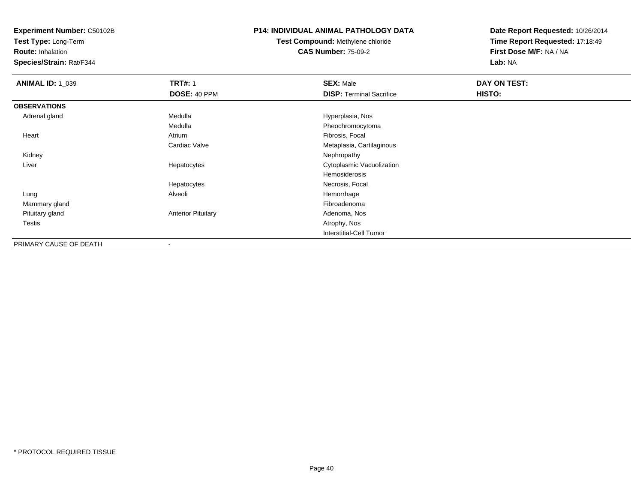**Test Type:** Long-Term

**Route:** Inhalation

**Species/Strain:** Rat/F344

#### **P14: INDIVIDUAL ANIMAL PATHOLOGY DATA**

**Test Compound:** Methylene chloride**CAS Number:** 75-09-2

| <b>ANIMAL ID: 1_039</b> | <b>TRT#: 1</b>            | <b>SEX: Male</b>                | DAY ON TEST: |  |
|-------------------------|---------------------------|---------------------------------|--------------|--|
|                         | DOSE: 40 PPM              | <b>DISP: Terminal Sacrifice</b> | HISTO:       |  |
| <b>OBSERVATIONS</b>     |                           |                                 |              |  |
| Adrenal gland           | Medulla                   | Hyperplasia, Nos                |              |  |
|                         | Medulla                   | Pheochromocytoma                |              |  |
| Heart                   | Atrium                    | Fibrosis, Focal                 |              |  |
|                         | Cardiac Valve             | Metaplasia, Cartilaginous       |              |  |
| Kidney                  |                           | Nephropathy                     |              |  |
| Liver                   | Hepatocytes               | Cytoplasmic Vacuolization       |              |  |
|                         |                           | Hemosiderosis                   |              |  |
|                         | Hepatocytes               | Necrosis, Focal                 |              |  |
| Lung                    | Alveoli                   | Hemorrhage                      |              |  |
| Mammary gland           |                           | Fibroadenoma                    |              |  |
| Pituitary gland         | <b>Anterior Pituitary</b> | Adenoma, Nos                    |              |  |
| Testis                  |                           | Atrophy, Nos                    |              |  |
|                         |                           | <b>Interstitial-Cell Tumor</b>  |              |  |
| PRIMARY CAUSE OF DEATH  |                           |                                 |              |  |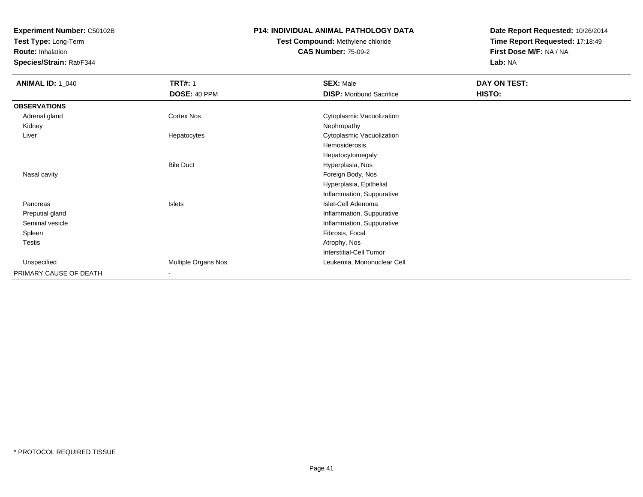**Test Type:** Long-Term

**Route:** Inhalation

**Species/Strain:** Rat/F344

## **P14: INDIVIDUAL ANIMAL PATHOLOGY DATA**

# **Test Compound:** Methylene chloride**CAS Number:** 75-09-2

| <b>ANIMAL ID: 1_040</b> | <b>TRT#: 1</b>      | <b>SEX: Male</b>                | DAY ON TEST: |  |
|-------------------------|---------------------|---------------------------------|--------------|--|
|                         | DOSE: 40 PPM        | <b>DISP:</b> Moribund Sacrifice | HISTO:       |  |
| <b>OBSERVATIONS</b>     |                     |                                 |              |  |
| Adrenal gland           | Cortex Nos          | Cytoplasmic Vacuolization       |              |  |
| Kidney                  |                     | Nephropathy                     |              |  |
| Liver                   | Hepatocytes         | Cytoplasmic Vacuolization       |              |  |
|                         |                     | Hemosiderosis                   |              |  |
|                         |                     | Hepatocytomegaly                |              |  |
|                         | <b>Bile Duct</b>    | Hyperplasia, Nos                |              |  |
| Nasal cavity            |                     | Foreign Body, Nos               |              |  |
|                         |                     | Hyperplasia, Epithelial         |              |  |
|                         |                     | Inflammation, Suppurative       |              |  |
| Pancreas                | Islets              | Islet-Cell Adenoma              |              |  |
| Preputial gland         |                     | Inflammation, Suppurative       |              |  |
| Seminal vesicle         |                     | Inflammation, Suppurative       |              |  |
| Spleen                  |                     | Fibrosis, Focal                 |              |  |
| <b>Testis</b>           |                     | Atrophy, Nos                    |              |  |
|                         |                     | <b>Interstitial-Cell Tumor</b>  |              |  |
| Unspecified             | Multiple Organs Nos | Leukemia, Mononuclear Cell      |              |  |
| PRIMARY CAUSE OF DEATH  | ۰                   |                                 |              |  |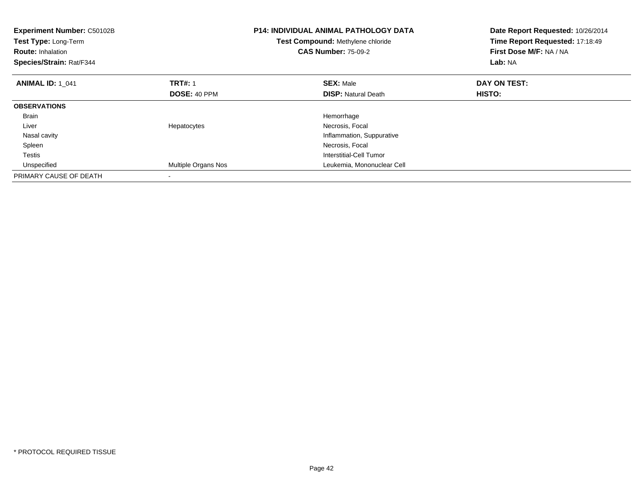| <b>Experiment Number: C50102B</b><br>Test Type: Long-Term<br><b>Route: Inhalation</b><br>Species/Strain: Rat/F344 |                     | P14: INDIVIDUAL ANIMAL PATHOLOGY DATA<br>Test Compound: Methylene chloride<br><b>CAS Number: 75-09-2</b> | Date Report Requested: 10/26/2014<br>Time Report Requested: 17:18:49<br>First Dose M/F: NA / NA<br>Lab: NA |
|-------------------------------------------------------------------------------------------------------------------|---------------------|----------------------------------------------------------------------------------------------------------|------------------------------------------------------------------------------------------------------------|
| <b>ANIMAL ID: 1 041</b>                                                                                           | <b>TRT#: 1</b>      | <b>SEX: Male</b>                                                                                         | DAY ON TEST:                                                                                               |
|                                                                                                                   | <b>DOSE: 40 PPM</b> | <b>DISP: Natural Death</b>                                                                               | HISTO:                                                                                                     |
| <b>OBSERVATIONS</b>                                                                                               |                     |                                                                                                          |                                                                                                            |
| <b>Brain</b>                                                                                                      |                     | Hemorrhage                                                                                               |                                                                                                            |
| Liver                                                                                                             | Hepatocytes         | Necrosis, Focal                                                                                          |                                                                                                            |
| Nasal cavity                                                                                                      |                     | Inflammation, Suppurative                                                                                |                                                                                                            |
| Spleen                                                                                                            |                     | Necrosis, Focal                                                                                          |                                                                                                            |
| Testis                                                                                                            |                     | Interstitial-Cell Tumor                                                                                  |                                                                                                            |
| Unspecified                                                                                                       | Multiple Organs Nos | Leukemia, Mononuclear Cell                                                                               |                                                                                                            |
| PRIMARY CAUSE OF DEATH                                                                                            |                     |                                                                                                          |                                                                                                            |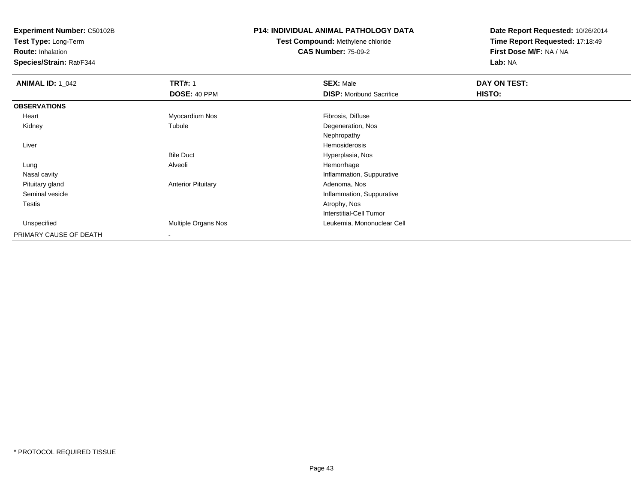**Test Type:** Long-Term

**Route:** Inhalation

**Species/Strain:** Rat/F344

## **P14: INDIVIDUAL ANIMAL PATHOLOGY DATA**

# **Test Compound:** Methylene chloride**CAS Number:** 75-09-2

| <b>ANIMAL ID: 1 042</b> | <b>TRT#: 1</b>            | <b>SEX: Male</b>                | DAY ON TEST: |  |
|-------------------------|---------------------------|---------------------------------|--------------|--|
|                         | DOSE: 40 PPM              | <b>DISP:</b> Moribund Sacrifice | HISTO:       |  |
| <b>OBSERVATIONS</b>     |                           |                                 |              |  |
| Heart                   | Myocardium Nos            | Fibrosis, Diffuse               |              |  |
| Kidney                  | Tubule                    | Degeneration, Nos               |              |  |
|                         |                           | Nephropathy                     |              |  |
| Liver                   |                           | <b>Hemosiderosis</b>            |              |  |
|                         | <b>Bile Duct</b>          | Hyperplasia, Nos                |              |  |
| Lung                    | Alveoli                   | Hemorrhage                      |              |  |
| Nasal cavity            |                           | Inflammation, Suppurative       |              |  |
| Pituitary gland         | <b>Anterior Pituitary</b> | Adenoma, Nos                    |              |  |
| Seminal vesicle         |                           | Inflammation, Suppurative       |              |  |
| Testis                  |                           | Atrophy, Nos                    |              |  |
|                         |                           | Interstitial-Cell Tumor         |              |  |
| Unspecified             | Multiple Organs Nos       | Leukemia, Mononuclear Cell      |              |  |
| PRIMARY CAUSE OF DEATH  | $\overline{\phantom{a}}$  |                                 |              |  |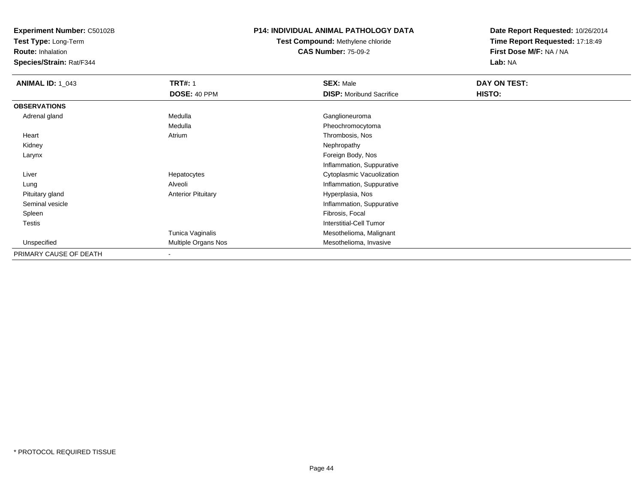**Test Type:** Long-Term

**Route:** Inhalation

**Species/Strain:** Rat/F344

## **P14: INDIVIDUAL ANIMAL PATHOLOGY DATA**

# **Test Compound:** Methylene chloride**CAS Number:** 75-09-2

| <b>ANIMAL ID: 1_043</b> | <b>TRT#: 1</b>            | <b>SEX: Male</b>                | DAY ON TEST: |  |
|-------------------------|---------------------------|---------------------------------|--------------|--|
|                         | DOSE: 40 PPM              | <b>DISP:</b> Moribund Sacrifice | HISTO:       |  |
| <b>OBSERVATIONS</b>     |                           |                                 |              |  |
| Adrenal gland           | Medulla                   | Ganglioneuroma                  |              |  |
|                         | Medulla                   | Pheochromocytoma                |              |  |
| Heart                   | Atrium                    | Thrombosis, Nos                 |              |  |
| Kidney                  |                           | Nephropathy                     |              |  |
| Larynx                  |                           | Foreign Body, Nos               |              |  |
|                         |                           | Inflammation, Suppurative       |              |  |
| Liver                   | Hepatocytes               | Cytoplasmic Vacuolization       |              |  |
| Lung                    | Alveoli                   | Inflammation, Suppurative       |              |  |
| Pituitary gland         | <b>Anterior Pituitary</b> | Hyperplasia, Nos                |              |  |
| Seminal vesicle         |                           | Inflammation, Suppurative       |              |  |
| Spleen                  |                           | Fibrosis, Focal                 |              |  |
| Testis                  |                           | <b>Interstitial-Cell Tumor</b>  |              |  |
|                         | Tunica Vaginalis          | Mesothelioma, Malignant         |              |  |
| Unspecified             | Multiple Organs Nos       | Mesothelioma, Invasive          |              |  |
| PRIMARY CAUSE OF DEATH  | $\,$ $\,$                 |                                 |              |  |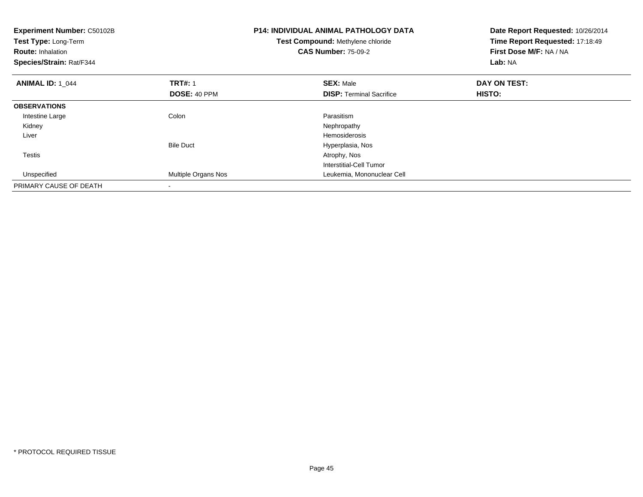| <b>Experiment Number: C50102B</b><br>Test Type: Long-Term<br><b>Route: Inhalation</b><br>Species/Strain: Rat/F344 |                     | <b>P14: INDIVIDUAL ANIMAL PATHOLOGY DATA</b><br>Test Compound: Methylene chloride<br><b>CAS Number: 75-09-2</b> | Date Report Requested: 10/26/2014<br>Time Report Requested: 17:18:49<br>First Dose M/F: NA / NA<br>Lab: NA |
|-------------------------------------------------------------------------------------------------------------------|---------------------|-----------------------------------------------------------------------------------------------------------------|------------------------------------------------------------------------------------------------------------|
| <b>ANIMAL ID: 1 044</b>                                                                                           | <b>TRT#: 1</b>      | <b>SEX: Male</b>                                                                                                | DAY ON TEST:                                                                                               |
|                                                                                                                   | DOSE: 40 PPM        | <b>DISP:</b> Terminal Sacrifice                                                                                 | HISTO:                                                                                                     |
| <b>OBSERVATIONS</b>                                                                                               |                     |                                                                                                                 |                                                                                                            |
| Intestine Large                                                                                                   | Colon               | Parasitism                                                                                                      |                                                                                                            |
| Kidney                                                                                                            |                     | Nephropathy                                                                                                     |                                                                                                            |
| Liver                                                                                                             |                     | Hemosiderosis                                                                                                   |                                                                                                            |
|                                                                                                                   | <b>Bile Duct</b>    | Hyperplasia, Nos                                                                                                |                                                                                                            |
| <b>Testis</b>                                                                                                     |                     | Atrophy, Nos                                                                                                    |                                                                                                            |
|                                                                                                                   |                     | Interstitial-Cell Tumor                                                                                         |                                                                                                            |
| Unspecified                                                                                                       | Multiple Organs Nos | Leukemia, Mononuclear Cell                                                                                      |                                                                                                            |
| PRIMARY CAUSE OF DEATH                                                                                            |                     |                                                                                                                 |                                                                                                            |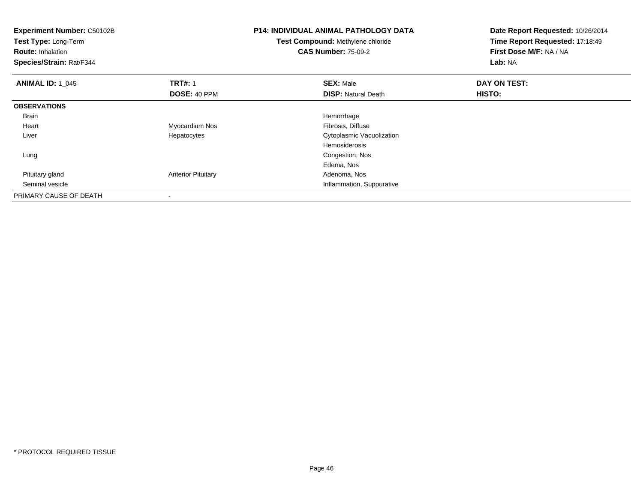| Experiment Number: C50102B<br>Test Type: Long-Term<br><b>Route: Inhalation</b><br>Species/Strain: Rat/F344 |                           | <b>P14: INDIVIDUAL ANIMAL PATHOLOGY DATA</b><br><b>Test Compound: Methylene chloride</b><br><b>CAS Number: 75-09-2</b> | Date Report Requested: 10/26/2014<br>Time Report Requested: 17:18:49<br>First Dose M/F: NA / NA<br>Lab: NA |
|------------------------------------------------------------------------------------------------------------|---------------------------|------------------------------------------------------------------------------------------------------------------------|------------------------------------------------------------------------------------------------------------|
| <b>ANIMAL ID: 1 045</b>                                                                                    | <b>TRT#: 1</b>            | <b>SEX: Male</b>                                                                                                       | DAY ON TEST:                                                                                               |
|                                                                                                            | DOSE: 40 PPM              | <b>DISP:</b> Natural Death                                                                                             | <b>HISTO:</b>                                                                                              |
| <b>OBSERVATIONS</b>                                                                                        |                           |                                                                                                                        |                                                                                                            |
| <b>Brain</b>                                                                                               |                           | Hemorrhage                                                                                                             |                                                                                                            |
| Heart                                                                                                      | Myocardium Nos            | Fibrosis, Diffuse                                                                                                      |                                                                                                            |
| Liver                                                                                                      | Hepatocytes               | Cytoplasmic Vacuolization                                                                                              |                                                                                                            |
|                                                                                                            |                           | Hemosiderosis                                                                                                          |                                                                                                            |
| Lung                                                                                                       |                           | Congestion, Nos                                                                                                        |                                                                                                            |
|                                                                                                            |                           | Edema, Nos                                                                                                             |                                                                                                            |
| Pituitary gland                                                                                            | <b>Anterior Pituitary</b> | Adenoma, Nos                                                                                                           |                                                                                                            |
| Seminal vesicle                                                                                            |                           | Inflammation, Suppurative                                                                                              |                                                                                                            |
| PRIMARY CAUSE OF DEATH                                                                                     |                           |                                                                                                                        |                                                                                                            |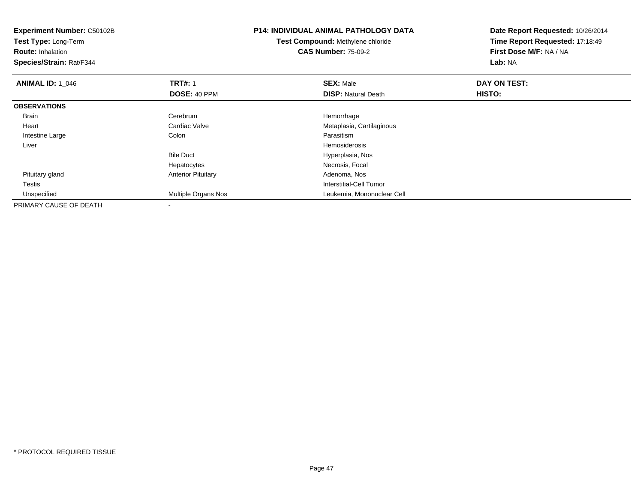| <b>Experiment Number: C50102B</b><br><b>Test Type: Long-Term</b><br><b>Route: Inhalation</b><br>Species/Strain: Rat/F344 |                           | <b>P14: INDIVIDUAL ANIMAL PATHOLOGY DATA</b><br><b>Test Compound: Methylene chloride</b><br><b>CAS Number: 75-09-2</b> | Date Report Requested: 10/26/2014<br>Time Report Requested: 17:18:49<br>First Dose M/F: NA / NA<br>Lab: NA |
|--------------------------------------------------------------------------------------------------------------------------|---------------------------|------------------------------------------------------------------------------------------------------------------------|------------------------------------------------------------------------------------------------------------|
| <b>ANIMAL ID: 1_046</b>                                                                                                  | <b>TRT#: 1</b>            | <b>SEX: Male</b>                                                                                                       | DAY ON TEST:                                                                                               |
|                                                                                                                          | DOSE: 40 PPM              | <b>DISP:</b> Natural Death                                                                                             | HISTO:                                                                                                     |
| <b>OBSERVATIONS</b>                                                                                                      |                           |                                                                                                                        |                                                                                                            |
| <b>Brain</b>                                                                                                             | Cerebrum                  | Hemorrhage                                                                                                             |                                                                                                            |
| Heart                                                                                                                    | Cardiac Valve             | Metaplasia, Cartilaginous                                                                                              |                                                                                                            |
| Intestine Large                                                                                                          | Colon                     | Parasitism                                                                                                             |                                                                                                            |
| Liver                                                                                                                    |                           | Hemosiderosis                                                                                                          |                                                                                                            |
|                                                                                                                          | <b>Bile Duct</b>          | Hyperplasia, Nos                                                                                                       |                                                                                                            |
|                                                                                                                          | Hepatocytes               | Necrosis, Focal                                                                                                        |                                                                                                            |
| Pituitary gland                                                                                                          | <b>Anterior Pituitary</b> | Adenoma, Nos                                                                                                           |                                                                                                            |
| Testis                                                                                                                   |                           | Interstitial-Cell Tumor                                                                                                |                                                                                                            |
| Unspecified                                                                                                              | Multiple Organs Nos       | Leukemia, Mononuclear Cell                                                                                             |                                                                                                            |
| PRIMARY CAUSE OF DEATH                                                                                                   |                           |                                                                                                                        |                                                                                                            |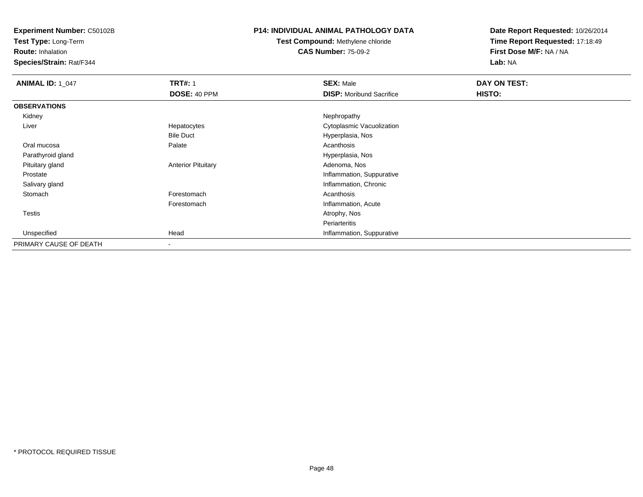**Test Type:** Long-Term

**Route:** Inhalation

**Species/Strain:** Rat/F344

### **P14: INDIVIDUAL ANIMAL PATHOLOGY DATA**

# **Test Compound:** Methylene chloride**CAS Number:** 75-09-2

| <b>ANIMAL ID: 1_047</b> | <b>TRT#: 1</b>            | <b>SEX: Male</b>                | DAY ON TEST: |  |
|-------------------------|---------------------------|---------------------------------|--------------|--|
|                         | DOSE: 40 PPM              | <b>DISP:</b> Moribund Sacrifice | HISTO:       |  |
| <b>OBSERVATIONS</b>     |                           |                                 |              |  |
| Kidney                  |                           | Nephropathy                     |              |  |
| Liver                   | Hepatocytes               | Cytoplasmic Vacuolization       |              |  |
|                         | <b>Bile Duct</b>          | Hyperplasia, Nos                |              |  |
| Oral mucosa             | Palate                    | Acanthosis                      |              |  |
| Parathyroid gland       |                           | Hyperplasia, Nos                |              |  |
| Pituitary gland         | <b>Anterior Pituitary</b> | Adenoma, Nos                    |              |  |
| Prostate                |                           | Inflammation, Suppurative       |              |  |
| Salivary gland          |                           | Inflammation, Chronic           |              |  |
| Stomach                 | Forestomach               | Acanthosis                      |              |  |
|                         | Forestomach               | Inflammation, Acute             |              |  |
| <b>Testis</b>           |                           | Atrophy, Nos                    |              |  |
|                         |                           | Periarteritis                   |              |  |
| Unspecified             | Head                      | Inflammation, Suppurative       |              |  |
| PRIMARY CAUSE OF DEATH  |                           |                                 |              |  |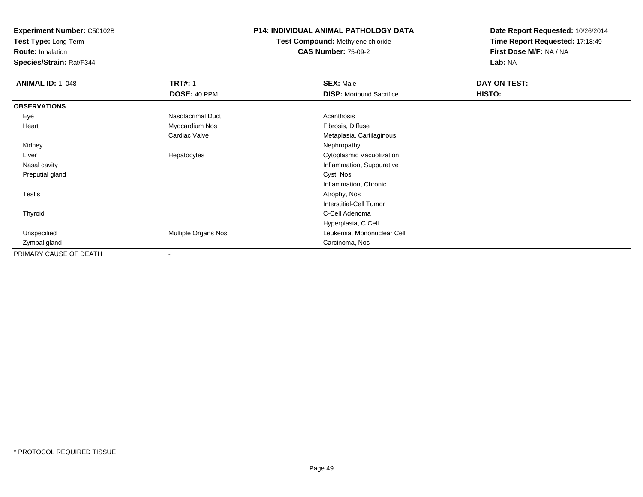**Test Type:** Long-Term

**Route:** Inhalation

**Species/Strain:** Rat/F344

## **P14: INDIVIDUAL ANIMAL PATHOLOGY DATA**

# **Test Compound:** Methylene chloride**CAS Number:** 75-09-2

| <b>ANIMAL ID: 1_048</b> | <b>TRT#: 1</b>           | <b>SEX: Male</b>                | DAY ON TEST: |  |
|-------------------------|--------------------------|---------------------------------|--------------|--|
|                         | DOSE: 40 PPM             | <b>DISP:</b> Moribund Sacrifice | HISTO:       |  |
| <b>OBSERVATIONS</b>     |                          |                                 |              |  |
| Eye                     | Nasolacrimal Duct        | Acanthosis                      |              |  |
| Heart                   | Myocardium Nos           | Fibrosis, Diffuse               |              |  |
|                         | Cardiac Valve            | Metaplasia, Cartilaginous       |              |  |
| Kidney                  |                          | Nephropathy                     |              |  |
| Liver                   | Hepatocytes              | Cytoplasmic Vacuolization       |              |  |
| Nasal cavity            |                          | Inflammation, Suppurative       |              |  |
| Preputial gland         |                          | Cyst, Nos                       |              |  |
|                         |                          | Inflammation, Chronic           |              |  |
| Testis                  |                          | Atrophy, Nos                    |              |  |
|                         |                          | Interstitial-Cell Tumor         |              |  |
| Thyroid                 |                          | C-Cell Adenoma                  |              |  |
|                         |                          | Hyperplasia, C Cell             |              |  |
| Unspecified             | Multiple Organs Nos      | Leukemia, Mononuclear Cell      |              |  |
| Zymbal gland            |                          | Carcinoma, Nos                  |              |  |
| PRIMARY CAUSE OF DEATH  | $\overline{\phantom{a}}$ |                                 |              |  |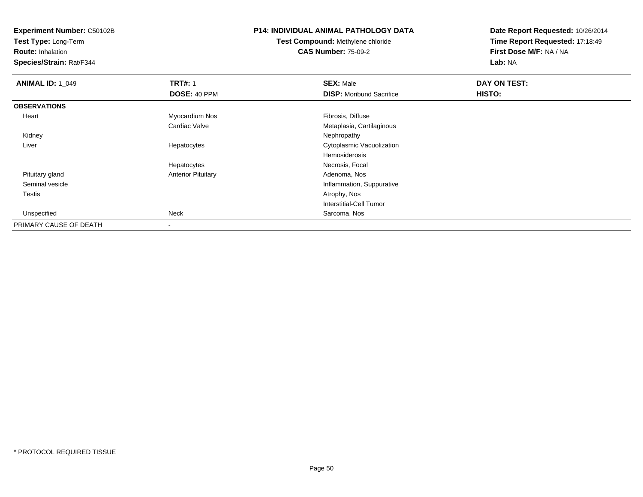**Test Type:** Long-Term

**Route:** Inhalation

**Species/Strain:** Rat/F344

# **P14: INDIVIDUAL ANIMAL PATHOLOGY DATA**

# **Test Compound:** Methylene chloride**CAS Number:** 75-09-2

| <b>ANIMAL ID: 1_049</b> | <b>TRT#: 1</b>            | <b>SEX: Male</b>                | DAY ON TEST: |  |
|-------------------------|---------------------------|---------------------------------|--------------|--|
|                         | DOSE: 40 PPM              | <b>DISP:</b> Moribund Sacrifice | HISTO:       |  |
| <b>OBSERVATIONS</b>     |                           |                                 |              |  |
| Heart                   | Myocardium Nos            | Fibrosis, Diffuse               |              |  |
|                         | Cardiac Valve             | Metaplasia, Cartilaginous       |              |  |
| Kidney                  |                           | Nephropathy                     |              |  |
| Liver                   | Hepatocytes               | Cytoplasmic Vacuolization       |              |  |
|                         |                           | Hemosiderosis                   |              |  |
|                         | Hepatocytes               | Necrosis, Focal                 |              |  |
| Pituitary gland         | <b>Anterior Pituitary</b> | Adenoma, Nos                    |              |  |
| Seminal vesicle         |                           | Inflammation, Suppurative       |              |  |
| <b>Testis</b>           |                           | Atrophy, Nos                    |              |  |
|                         |                           | <b>Interstitial-Cell Tumor</b>  |              |  |
| Unspecified             | Neck                      | Sarcoma, Nos                    |              |  |
| PRIMARY CAUSE OF DEATH  | $\,$ $\,$                 |                                 |              |  |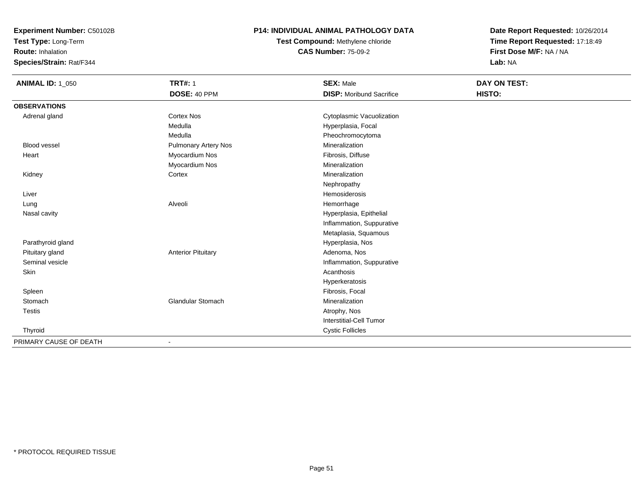**Test Type:** Long-Term

**Route:** Inhalation

**Species/Strain:** Rat/F344

## **P14: INDIVIDUAL ANIMAL PATHOLOGY DATA**

**Test Compound:** Methylene chloride**CAS Number:** 75-09-2

| <b>ANIMAL ID: 1_050</b> | <b>TRT#: 1</b>            | <b>SEX: Male</b>                | DAY ON TEST: |
|-------------------------|---------------------------|---------------------------------|--------------|
|                         | DOSE: 40 PPM              | <b>DISP:</b> Moribund Sacrifice | HISTO:       |
| <b>OBSERVATIONS</b>     |                           |                                 |              |
| Adrenal gland           | <b>Cortex Nos</b>         | Cytoplasmic Vacuolization       |              |
|                         | Medulla                   | Hyperplasia, Focal              |              |
|                         | Medulla                   | Pheochromocytoma                |              |
| <b>Blood vessel</b>     | Pulmonary Artery Nos      | Mineralization                  |              |
| Heart                   | Myocardium Nos            | Fibrosis, Diffuse               |              |
|                         | Myocardium Nos            | Mineralization                  |              |
| Kidney                  | Cortex                    | Mineralization                  |              |
|                         |                           | Nephropathy                     |              |
| Liver                   |                           | Hemosiderosis                   |              |
| Lung                    | Alveoli                   | Hemorrhage                      |              |
| Nasal cavity            |                           | Hyperplasia, Epithelial         |              |
|                         |                           | Inflammation, Suppurative       |              |
|                         |                           | Metaplasia, Squamous            |              |
| Parathyroid gland       |                           | Hyperplasia, Nos                |              |
| Pituitary gland         | <b>Anterior Pituitary</b> | Adenoma, Nos                    |              |
| Seminal vesicle         |                           | Inflammation, Suppurative       |              |
| Skin                    |                           | Acanthosis                      |              |
|                         |                           | Hyperkeratosis                  |              |
| Spleen                  |                           | Fibrosis, Focal                 |              |
| Stomach                 | Glandular Stomach         | Mineralization                  |              |
| <b>Testis</b>           |                           | Atrophy, Nos                    |              |
|                         |                           | <b>Interstitial-Cell Tumor</b>  |              |
| Thyroid                 |                           | <b>Cystic Follicles</b>         |              |
| PRIMARY CAUSE OF DEATH  | $\overline{\phantom{a}}$  |                                 |              |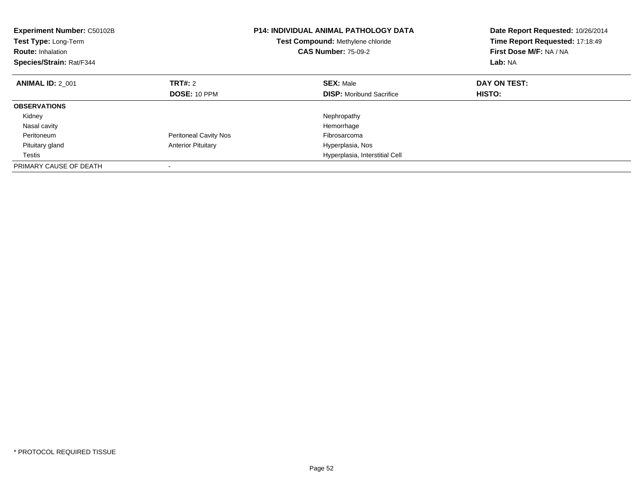| <b>Experiment Number: C50102B</b><br>Test Type: Long-Term<br><b>Route: Inhalation</b><br>Species/Strain: Rat/F344 |                              | <b>P14: INDIVIDUAL ANIMAL PATHOLOGY DATA</b><br>Test Compound: Methylene chloride<br><b>CAS Number: 75-09-2</b> | Date Report Requested: 10/26/2014<br>Time Report Requested: 17:18:49<br>First Dose M/F: NA / NA<br>Lab: NA |
|-------------------------------------------------------------------------------------------------------------------|------------------------------|-----------------------------------------------------------------------------------------------------------------|------------------------------------------------------------------------------------------------------------|
| <b>ANIMAL ID: 2 001</b>                                                                                           | <b>TRT#: 2</b>               | <b>SEX: Male</b>                                                                                                | DAY ON TEST:                                                                                               |
|                                                                                                                   | DOSE: 10 PPM                 | <b>DISP:</b> Moribund Sacrifice                                                                                 | <b>HISTO:</b>                                                                                              |
| <b>OBSERVATIONS</b>                                                                                               |                              |                                                                                                                 |                                                                                                            |
| Kidney                                                                                                            |                              | Nephropathy                                                                                                     |                                                                                                            |
| Nasal cavity                                                                                                      |                              | Hemorrhage                                                                                                      |                                                                                                            |
| Peritoneum                                                                                                        | <b>Peritoneal Cavity Nos</b> | Fibrosarcoma                                                                                                    |                                                                                                            |
| Pituitary gland                                                                                                   | <b>Anterior Pituitary</b>    | Hyperplasia, Nos                                                                                                |                                                                                                            |
| Testis                                                                                                            |                              | Hyperplasia, Interstitial Cell                                                                                  |                                                                                                            |
| PRIMARY CAUSE OF DEATH                                                                                            |                              |                                                                                                                 |                                                                                                            |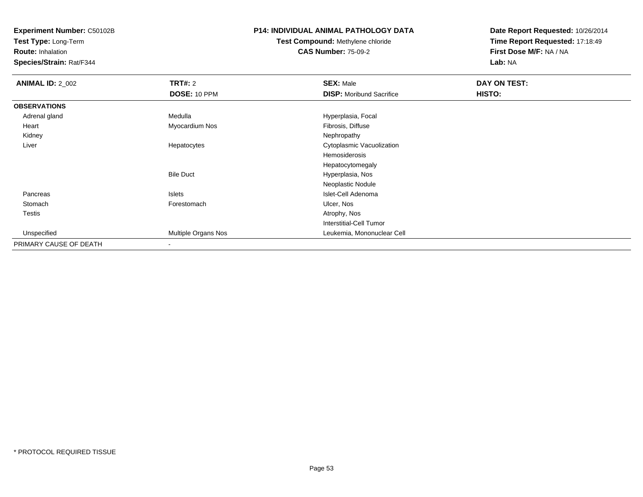**Test Type:** Long-Term

**Route:** Inhalation

**Species/Strain:** Rat/F344

## **P14: INDIVIDUAL ANIMAL PATHOLOGY DATA**

# **Test Compound:** Methylene chloride**CAS Number:** 75-09-2

| <b>ANIMAL ID: 2_002</b> | <b>TRT#: 2</b>      | <b>SEX: Male</b>                | DAY ON TEST: |  |
|-------------------------|---------------------|---------------------------------|--------------|--|
|                         | <b>DOSE: 10 PPM</b> | <b>DISP:</b> Moribund Sacrifice | HISTO:       |  |
| <b>OBSERVATIONS</b>     |                     |                                 |              |  |
| Adrenal gland           | Medulla             | Hyperplasia, Focal              |              |  |
| Heart                   | Myocardium Nos      | Fibrosis, Diffuse               |              |  |
| Kidney                  |                     | Nephropathy                     |              |  |
| Liver                   | Hepatocytes         | Cytoplasmic Vacuolization       |              |  |
|                         |                     | Hemosiderosis                   |              |  |
|                         |                     | Hepatocytomegaly                |              |  |
|                         | <b>Bile Duct</b>    | Hyperplasia, Nos                |              |  |
|                         |                     | Neoplastic Nodule               |              |  |
| Pancreas                | Islets              | Islet-Cell Adenoma              |              |  |
| Stomach                 | Forestomach         | Ulcer, Nos                      |              |  |
| <b>Testis</b>           |                     | Atrophy, Nos                    |              |  |
|                         |                     | <b>Interstitial-Cell Tumor</b>  |              |  |
| Unspecified             | Multiple Organs Nos | Leukemia, Mononuclear Cell      |              |  |
| PRIMARY CAUSE OF DEATH  |                     |                                 |              |  |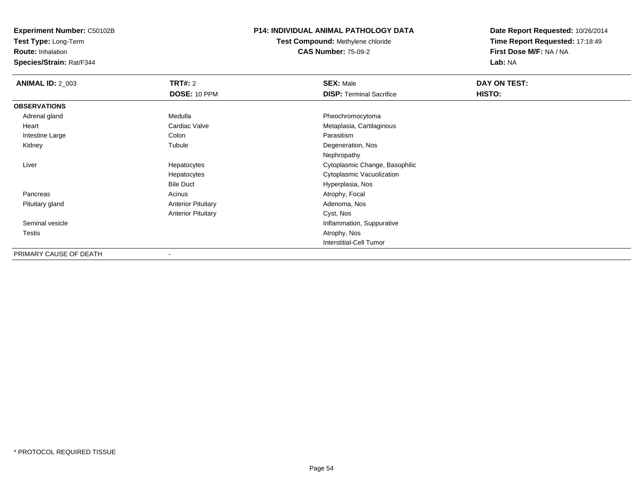**Test Type:** Long-Term

**Route:** Inhalation

**Species/Strain:** Rat/F344

## **P14: INDIVIDUAL ANIMAL PATHOLOGY DATA**

**Test Compound:** Methylene chloride**CAS Number:** 75-09-2

| <b>ANIMAL ID: 2_003</b> | <b>TRT#: 2</b>            | <b>SEX: Male</b>                | DAY ON TEST: |  |
|-------------------------|---------------------------|---------------------------------|--------------|--|
|                         | DOSE: 10 PPM              | <b>DISP: Terminal Sacrifice</b> | HISTO:       |  |
| <b>OBSERVATIONS</b>     |                           |                                 |              |  |
| Adrenal gland           | Medulla                   | Pheochromocytoma                |              |  |
| Heart                   | Cardiac Valve             | Metaplasia, Cartilaginous       |              |  |
| Intestine Large         | Colon                     | Parasitism                      |              |  |
| Kidney                  | Tubule                    | Degeneration, Nos               |              |  |
|                         |                           | Nephropathy                     |              |  |
| Liver                   | Hepatocytes               | Cytoplasmic Change, Basophilic  |              |  |
|                         | Hepatocytes               | Cytoplasmic Vacuolization       |              |  |
|                         | <b>Bile Duct</b>          | Hyperplasia, Nos                |              |  |
| Pancreas                | Acinus                    | Atrophy, Focal                  |              |  |
| Pituitary gland         | <b>Anterior Pituitary</b> | Adenoma, Nos                    |              |  |
|                         | <b>Anterior Pituitary</b> | Cyst, Nos                       |              |  |
| Seminal vesicle         |                           | Inflammation, Suppurative       |              |  |
| Testis                  |                           | Atrophy, Nos                    |              |  |
|                         |                           | <b>Interstitial-Cell Tumor</b>  |              |  |
| PRIMARY CAUSE OF DEATH  | $\overline{\phantom{a}}$  |                                 |              |  |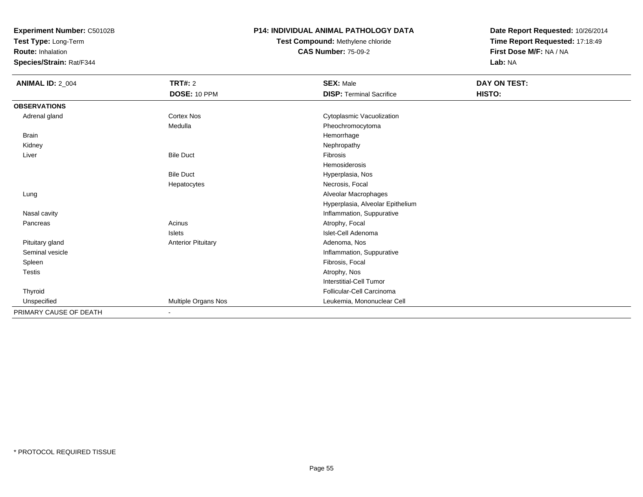**Test Type:** Long-Term

**Route:** Inhalation

**Species/Strain:** Rat/F344

## **P14: INDIVIDUAL ANIMAL PATHOLOGY DATA**

**Test Compound:** Methylene chloride**CAS Number:** 75-09-2

| <b>ANIMAL ID: 2_004</b> | <b>TRT#: 2</b>            | <b>SEX: Male</b>                 | DAY ON TEST: |  |
|-------------------------|---------------------------|----------------------------------|--------------|--|
|                         | DOSE: 10 PPM              | <b>DISP: Terminal Sacrifice</b>  | HISTO:       |  |
| <b>OBSERVATIONS</b>     |                           |                                  |              |  |
| Adrenal gland           | <b>Cortex Nos</b>         | Cytoplasmic Vacuolization        |              |  |
|                         | Medulla                   | Pheochromocytoma                 |              |  |
| <b>Brain</b>            |                           | Hemorrhage                       |              |  |
| Kidney                  |                           | Nephropathy                      |              |  |
| Liver                   | <b>Bile Duct</b>          | Fibrosis                         |              |  |
|                         |                           | Hemosiderosis                    |              |  |
|                         | <b>Bile Duct</b>          | Hyperplasia, Nos                 |              |  |
|                         | Hepatocytes               | Necrosis, Focal                  |              |  |
| Lung                    |                           | Alveolar Macrophages             |              |  |
|                         |                           | Hyperplasia, Alveolar Epithelium |              |  |
| Nasal cavity            |                           | Inflammation, Suppurative        |              |  |
| Pancreas                | Acinus                    | Atrophy, Focal                   |              |  |
|                         | <b>Islets</b>             | Islet-Cell Adenoma               |              |  |
| Pituitary gland         | <b>Anterior Pituitary</b> | Adenoma, Nos                     |              |  |
| Seminal vesicle         |                           | Inflammation, Suppurative        |              |  |
| Spleen                  |                           | Fibrosis, Focal                  |              |  |
| Testis                  |                           | Atrophy, Nos                     |              |  |
|                         |                           | <b>Interstitial-Cell Tumor</b>   |              |  |
| Thyroid                 |                           | Follicular-Cell Carcinoma        |              |  |
| Unspecified             | Multiple Organs Nos       | Leukemia, Mononuclear Cell       |              |  |
| PRIMARY CAUSE OF DEATH  |                           |                                  |              |  |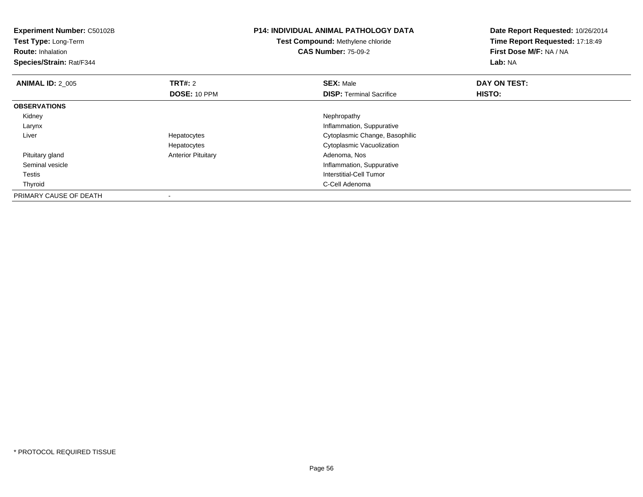| <b>Experiment Number: C50102B</b><br>Test Type: Long-Term<br><b>Route: Inhalation</b><br>Species/Strain: Rat/F344 |                           | <b>P14: INDIVIDUAL ANIMAL PATHOLOGY DATA</b><br>Test Compound: Methylene chloride<br><b>CAS Number: 75-09-2</b> | Date Report Requested: 10/26/2014<br>Time Report Requested: 17:18:49<br>First Dose M/F: NA / NA<br>Lab: NA |
|-------------------------------------------------------------------------------------------------------------------|---------------------------|-----------------------------------------------------------------------------------------------------------------|------------------------------------------------------------------------------------------------------------|
| <b>ANIMAL ID: 2 005</b>                                                                                           | <b>TRT#: 2</b>            | <b>SEX: Male</b>                                                                                                | DAY ON TEST:                                                                                               |
|                                                                                                                   | DOSE: 10 PPM              | <b>DISP:</b> Terminal Sacrifice                                                                                 | HISTO:                                                                                                     |
| <b>OBSERVATIONS</b>                                                                                               |                           |                                                                                                                 |                                                                                                            |
| Kidney                                                                                                            |                           | Nephropathy                                                                                                     |                                                                                                            |
| Larynx                                                                                                            |                           | Inflammation, Suppurative                                                                                       |                                                                                                            |
| Liver                                                                                                             | Hepatocytes               | Cytoplasmic Change, Basophilic                                                                                  |                                                                                                            |
|                                                                                                                   | Hepatocytes               | Cytoplasmic Vacuolization                                                                                       |                                                                                                            |
| Pituitary gland                                                                                                   | <b>Anterior Pituitary</b> | Adenoma, Nos                                                                                                    |                                                                                                            |
| Seminal vesicle                                                                                                   |                           | Inflammation, Suppurative                                                                                       |                                                                                                            |
| Testis                                                                                                            |                           | Interstitial-Cell Tumor                                                                                         |                                                                                                            |
| Thyroid                                                                                                           |                           | C-Cell Adenoma                                                                                                  |                                                                                                            |
| PRIMARY CAUSE OF DEATH                                                                                            |                           |                                                                                                                 |                                                                                                            |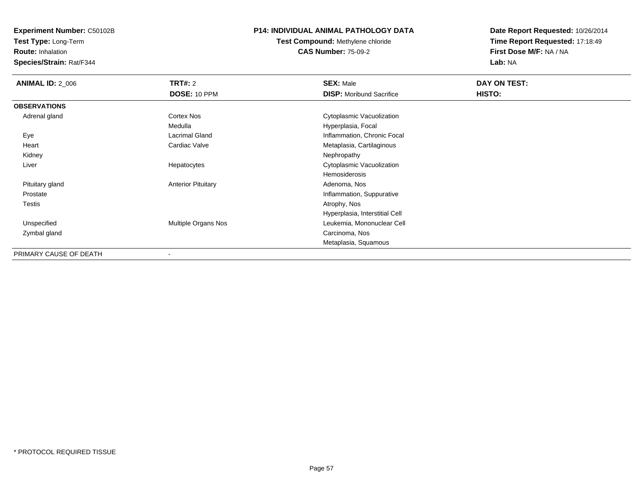**Test Type:** Long-Term

**Route:** Inhalation

**Species/Strain:** Rat/F344

## **P14: INDIVIDUAL ANIMAL PATHOLOGY DATA**

**Test Compound:** Methylene chloride**CAS Number:** 75-09-2

| <b>ANIMAL ID: 2_006</b> | <b>TRT#: 2</b>            | <b>SEX: Male</b>                | DAY ON TEST: |  |
|-------------------------|---------------------------|---------------------------------|--------------|--|
|                         | DOSE: 10 PPM              | <b>DISP: Moribund Sacrifice</b> | HISTO:       |  |
| <b>OBSERVATIONS</b>     |                           |                                 |              |  |
| Adrenal gland           | Cortex Nos                | Cytoplasmic Vacuolization       |              |  |
|                         | Medulla                   | Hyperplasia, Focal              |              |  |
| Eye                     | <b>Lacrimal Gland</b>     | Inflammation, Chronic Focal     |              |  |
| Heart                   | Cardiac Valve             | Metaplasia, Cartilaginous       |              |  |
| Kidney                  |                           | Nephropathy                     |              |  |
| Liver                   | Hepatocytes               | Cytoplasmic Vacuolization       |              |  |
|                         |                           | Hemosiderosis                   |              |  |
| Pituitary gland         | <b>Anterior Pituitary</b> | Adenoma, Nos                    |              |  |
| Prostate                |                           | Inflammation, Suppurative       |              |  |
| Testis                  |                           | Atrophy, Nos                    |              |  |
|                         |                           | Hyperplasia, Interstitial Cell  |              |  |
| Unspecified             | Multiple Organs Nos       | Leukemia, Mononuclear Cell      |              |  |
| Zymbal gland            |                           | Carcinoma, Nos                  |              |  |
|                         |                           | Metaplasia, Squamous            |              |  |
| PRIMARY CAUSE OF DEATH  | ۰                         |                                 |              |  |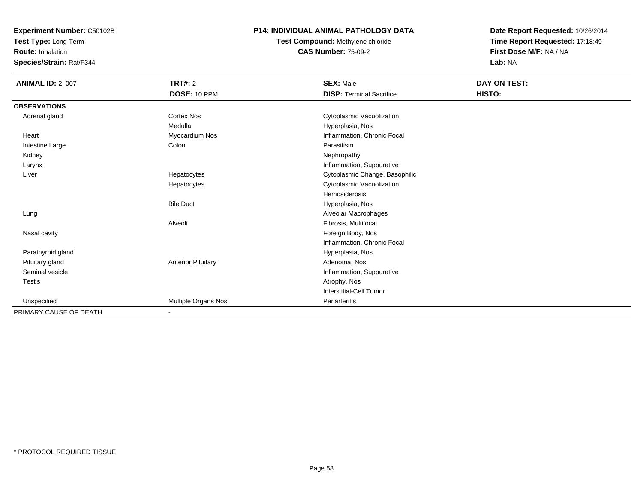**Test Type:** Long-Term

**Route:** Inhalation

**Species/Strain:** Rat/F344

## **P14: INDIVIDUAL ANIMAL PATHOLOGY DATA**

**Test Compound:** Methylene chloride**CAS Number:** 75-09-2

| <b>ANIMAL ID: 2_007</b> | <b>TRT#: 2</b>            | <b>SEX: Male</b>                | DAY ON TEST: |  |
|-------------------------|---------------------------|---------------------------------|--------------|--|
|                         | DOSE: 10 PPM              | <b>DISP: Terminal Sacrifice</b> | HISTO:       |  |
| <b>OBSERVATIONS</b>     |                           |                                 |              |  |
| Adrenal gland           | <b>Cortex Nos</b>         | Cytoplasmic Vacuolization       |              |  |
|                         | Medulla                   | Hyperplasia, Nos                |              |  |
| Heart                   | Myocardium Nos            | Inflammation, Chronic Focal     |              |  |
| Intestine Large         | Colon                     | Parasitism                      |              |  |
| Kidney                  |                           | Nephropathy                     |              |  |
| Larynx                  |                           | Inflammation, Suppurative       |              |  |
| Liver                   | Hepatocytes               | Cytoplasmic Change, Basophilic  |              |  |
|                         | Hepatocytes               | Cytoplasmic Vacuolization       |              |  |
|                         |                           | Hemosiderosis                   |              |  |
|                         | <b>Bile Duct</b>          | Hyperplasia, Nos                |              |  |
| Lung                    |                           | Alveolar Macrophages            |              |  |
|                         | Alveoli                   | Fibrosis, Multifocal            |              |  |
| Nasal cavity            |                           | Foreign Body, Nos               |              |  |
|                         |                           | Inflammation, Chronic Focal     |              |  |
| Parathyroid gland       |                           | Hyperplasia, Nos                |              |  |
| Pituitary gland         | <b>Anterior Pituitary</b> | Adenoma, Nos                    |              |  |
| Seminal vesicle         |                           | Inflammation, Suppurative       |              |  |
| <b>Testis</b>           |                           | Atrophy, Nos                    |              |  |
|                         |                           | Interstitial-Cell Tumor         |              |  |
| Unspecified             | Multiple Organs Nos       | Periarteritis                   |              |  |
| PRIMARY CAUSE OF DEATH  | $\sim$                    |                                 |              |  |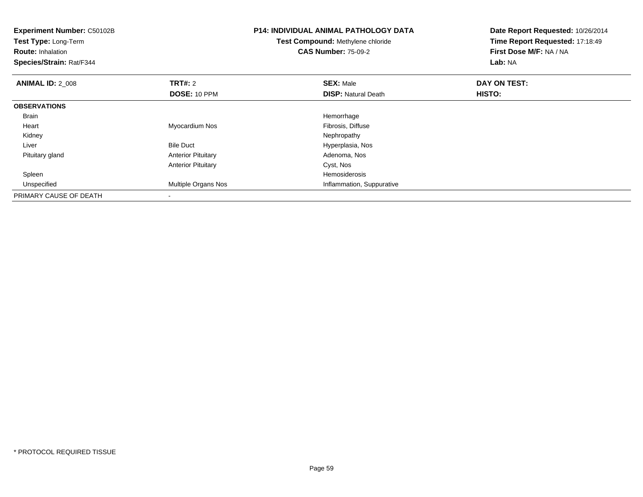| <b>Experiment Number: C50102B</b><br>Test Type: Long-Term<br><b>Route: Inhalation</b><br>Species/Strain: Rat/F344 |                           | <b>P14: INDIVIDUAL ANIMAL PATHOLOGY DATA</b><br>Test Compound: Methylene chloride<br><b>CAS Number: 75-09-2</b> | Date Report Requested: 10/26/2014<br>Time Report Requested: 17:18:49<br>First Dose M/F: NA / NA<br>Lab: NA |
|-------------------------------------------------------------------------------------------------------------------|---------------------------|-----------------------------------------------------------------------------------------------------------------|------------------------------------------------------------------------------------------------------------|
| <b>ANIMAL ID: 2_008</b>                                                                                           | <b>TRT#: 2</b>            | <b>SEX: Male</b>                                                                                                | DAY ON TEST:                                                                                               |
|                                                                                                                   | DOSE: 10 PPM              | <b>DISP: Natural Death</b>                                                                                      | <b>HISTO:</b>                                                                                              |
| <b>OBSERVATIONS</b>                                                                                               |                           |                                                                                                                 |                                                                                                            |
| <b>Brain</b>                                                                                                      |                           | Hemorrhage                                                                                                      |                                                                                                            |
| Heart                                                                                                             | Myocardium Nos            | Fibrosis, Diffuse                                                                                               |                                                                                                            |
| Kidney                                                                                                            |                           | Nephropathy                                                                                                     |                                                                                                            |
| Liver                                                                                                             | <b>Bile Duct</b>          | Hyperplasia, Nos                                                                                                |                                                                                                            |
| Pituitary gland                                                                                                   | <b>Anterior Pituitary</b> | Adenoma, Nos                                                                                                    |                                                                                                            |
|                                                                                                                   | <b>Anterior Pituitary</b> | Cyst, Nos                                                                                                       |                                                                                                            |
| Spleen                                                                                                            |                           | Hemosiderosis                                                                                                   |                                                                                                            |
| Unspecified                                                                                                       | Multiple Organs Nos       | Inflammation, Suppurative                                                                                       |                                                                                                            |
| PRIMARY CAUSE OF DEATH                                                                                            | $\overline{\phantom{a}}$  |                                                                                                                 |                                                                                                            |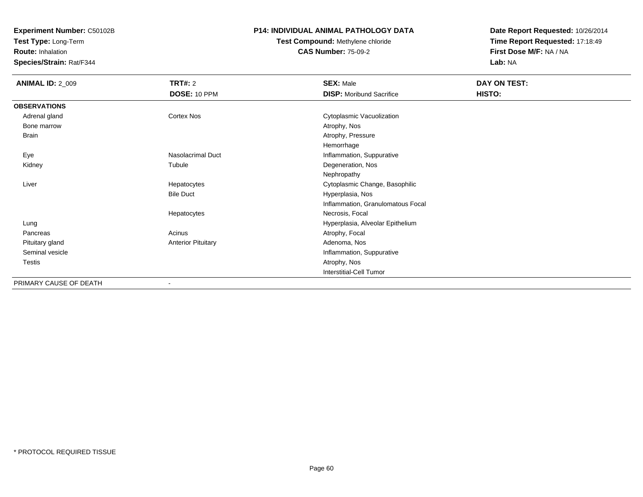**Test Type:** Long-Term

**Route:** Inhalation

**Species/Strain:** Rat/F344

## **P14: INDIVIDUAL ANIMAL PATHOLOGY DATA**

# **Test Compound:** Methylene chloride**CAS Number:** 75-09-2

| <b>ANIMAL ID: 2_009</b> | <b>TRT#: 2</b>            | <b>SEX: Male</b>                  | DAY ON TEST: |  |
|-------------------------|---------------------------|-----------------------------------|--------------|--|
|                         | DOSE: 10 PPM              | <b>DISP:</b> Moribund Sacrifice   | HISTO:       |  |
| <b>OBSERVATIONS</b>     |                           |                                   |              |  |
| Adrenal gland           | Cortex Nos                | Cytoplasmic Vacuolization         |              |  |
| Bone marrow             |                           | Atrophy, Nos                      |              |  |
| Brain                   |                           | Atrophy, Pressure                 |              |  |
|                         |                           | Hemorrhage                        |              |  |
| Eye                     | <b>Nasolacrimal Duct</b>  | Inflammation, Suppurative         |              |  |
| Kidney                  | Tubule                    | Degeneration, Nos                 |              |  |
|                         |                           | Nephropathy                       |              |  |
| Liver                   | Hepatocytes               | Cytoplasmic Change, Basophilic    |              |  |
|                         | <b>Bile Duct</b>          | Hyperplasia, Nos                  |              |  |
|                         |                           | Inflammation, Granulomatous Focal |              |  |
|                         | Hepatocytes               | Necrosis, Focal                   |              |  |
| Lung                    |                           | Hyperplasia, Alveolar Epithelium  |              |  |
| Pancreas                | Acinus                    | Atrophy, Focal                    |              |  |
| Pituitary gland         | <b>Anterior Pituitary</b> | Adenoma, Nos                      |              |  |
| Seminal vesicle         |                           | Inflammation, Suppurative         |              |  |
| <b>Testis</b>           |                           | Atrophy, Nos                      |              |  |
|                         |                           | <b>Interstitial-Cell Tumor</b>    |              |  |
| PRIMARY CAUSE OF DEATH  |                           |                                   |              |  |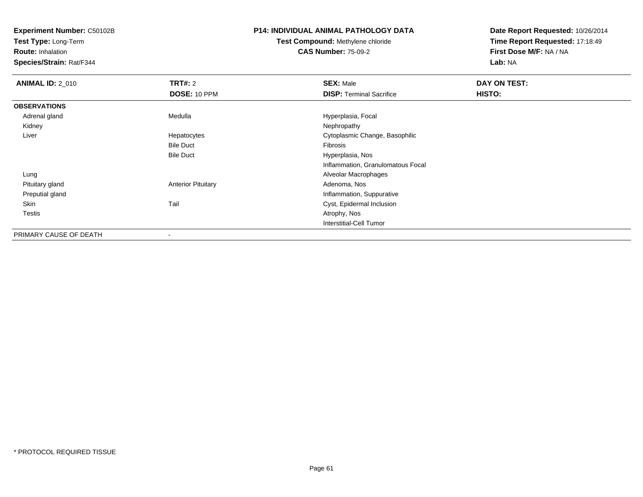**Test Type:** Long-Term

**Route:** Inhalation

**Species/Strain:** Rat/F344

# **P14: INDIVIDUAL ANIMAL PATHOLOGY DATA**

**Test Compound:** Methylene chloride**CAS Number:** 75-09-2

| <b>ANIMAL ID: 2 010</b> | TRT#: 2                   | <b>SEX: Male</b>                  | DAY ON TEST: |  |
|-------------------------|---------------------------|-----------------------------------|--------------|--|
|                         | DOSE: 10 PPM              | <b>DISP: Terminal Sacrifice</b>   | HISTO:       |  |
| <b>OBSERVATIONS</b>     |                           |                                   |              |  |
| Adrenal gland           | Medulla                   | Hyperplasia, Focal                |              |  |
| Kidney                  |                           | Nephropathy                       |              |  |
| Liver                   | Hepatocytes               | Cytoplasmic Change, Basophilic    |              |  |
|                         | <b>Bile Duct</b>          | Fibrosis                          |              |  |
|                         | <b>Bile Duct</b>          | Hyperplasia, Nos                  |              |  |
|                         |                           | Inflammation, Granulomatous Focal |              |  |
| Lung                    |                           | Alveolar Macrophages              |              |  |
| Pituitary gland         | <b>Anterior Pituitary</b> | Adenoma, Nos                      |              |  |
| Preputial gland         |                           | Inflammation, Suppurative         |              |  |
| Skin                    | Tail                      | Cyst, Epidermal Inclusion         |              |  |
| <b>Testis</b>           |                           | Atrophy, Nos                      |              |  |
|                         |                           | Interstitial-Cell Tumor           |              |  |
| PRIMARY CAUSE OF DEATH  | ۰                         |                                   |              |  |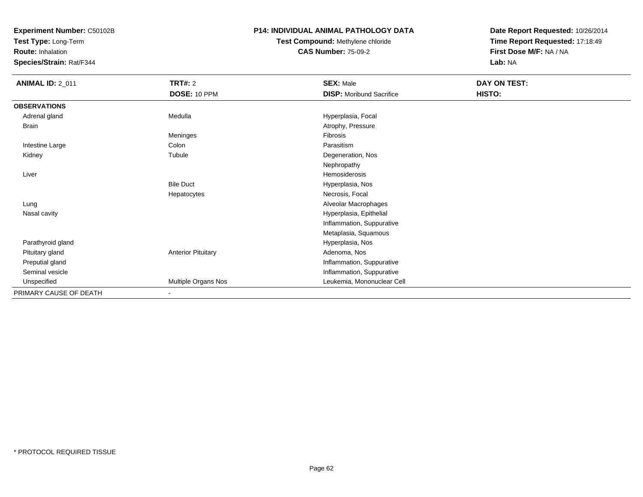**Test Type:** Long-Term

**Route:** Inhalation

**Species/Strain:** Rat/F344

## **P14: INDIVIDUAL ANIMAL PATHOLOGY DATA**

**Test Compound:** Methylene chloride**CAS Number:** 75-09-2

| <b>ANIMAL ID: 2_011</b> | <b>TRT#: 2</b>            | <b>SEX: Male</b>                | DAY ON TEST: |  |
|-------------------------|---------------------------|---------------------------------|--------------|--|
|                         | <b>DOSE: 10 PPM</b>       | <b>DISP:</b> Moribund Sacrifice | HISTO:       |  |
| <b>OBSERVATIONS</b>     |                           |                                 |              |  |
| Adrenal gland           | Medulla                   | Hyperplasia, Focal              |              |  |
| <b>Brain</b>            |                           | Atrophy, Pressure               |              |  |
|                         | Meninges                  | Fibrosis                        |              |  |
| Intestine Large         | Colon                     | Parasitism                      |              |  |
| Kidney                  | Tubule                    | Degeneration, Nos               |              |  |
|                         |                           | Nephropathy                     |              |  |
| Liver                   |                           | Hemosiderosis                   |              |  |
|                         | <b>Bile Duct</b>          | Hyperplasia, Nos                |              |  |
|                         | Hepatocytes               | Necrosis, Focal                 |              |  |
| Lung                    |                           | Alveolar Macrophages            |              |  |
| Nasal cavity            |                           | Hyperplasia, Epithelial         |              |  |
|                         |                           | Inflammation, Suppurative       |              |  |
|                         |                           | Metaplasia, Squamous            |              |  |
| Parathyroid gland       |                           | Hyperplasia, Nos                |              |  |
| Pituitary gland         | <b>Anterior Pituitary</b> | Adenoma, Nos                    |              |  |
| Preputial gland         |                           | Inflammation, Suppurative       |              |  |
| Seminal vesicle         |                           | Inflammation, Suppurative       |              |  |
| Unspecified             | Multiple Organs Nos       | Leukemia, Mononuclear Cell      |              |  |
| PRIMARY CAUSE OF DEATH  | $\overline{\phantom{a}}$  |                                 |              |  |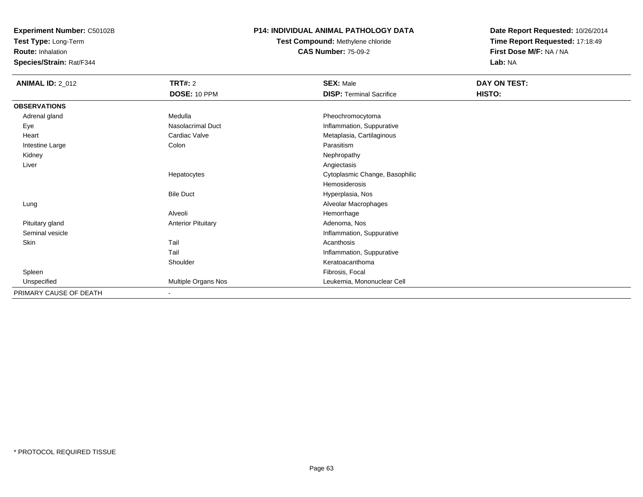**Test Type:** Long-Term

**Route:** Inhalation

**Species/Strain:** Rat/F344

## **P14: INDIVIDUAL ANIMAL PATHOLOGY DATA**

**Test Compound:** Methylene chloride**CAS Number:** 75-09-2

| <b>ANIMAL ID: 2_012</b> | <b>TRT#: 2</b>            | <b>SEX: Male</b>                | DAY ON TEST: |  |
|-------------------------|---------------------------|---------------------------------|--------------|--|
|                         | DOSE: 10 PPM              | <b>DISP: Terminal Sacrifice</b> | HISTO:       |  |
| <b>OBSERVATIONS</b>     |                           |                                 |              |  |
| Adrenal gland           | Medulla                   | Pheochromocytoma                |              |  |
| Eye                     | Nasolacrimal Duct         | Inflammation, Suppurative       |              |  |
| Heart                   | Cardiac Valve             | Metaplasia, Cartilaginous       |              |  |
| Intestine Large         | Colon                     | Parasitism                      |              |  |
| Kidney                  |                           | Nephropathy                     |              |  |
| Liver                   |                           | Angiectasis                     |              |  |
|                         | Hepatocytes               | Cytoplasmic Change, Basophilic  |              |  |
|                         |                           | Hemosiderosis                   |              |  |
|                         | <b>Bile Duct</b>          | Hyperplasia, Nos                |              |  |
| Lung                    |                           | Alveolar Macrophages            |              |  |
|                         | Alveoli                   | Hemorrhage                      |              |  |
| Pituitary gland         | <b>Anterior Pituitary</b> | Adenoma, Nos                    |              |  |
| Seminal vesicle         |                           | Inflammation, Suppurative       |              |  |
| Skin                    | Tail                      | Acanthosis                      |              |  |
|                         | Tail                      | Inflammation, Suppurative       |              |  |
|                         | Shoulder                  | Keratoacanthoma                 |              |  |
| Spleen                  |                           | Fibrosis, Focal                 |              |  |
| Unspecified             | Multiple Organs Nos       | Leukemia, Mononuclear Cell      |              |  |
| PRIMARY CAUSE OF DEATH  | $\overline{\phantom{a}}$  |                                 |              |  |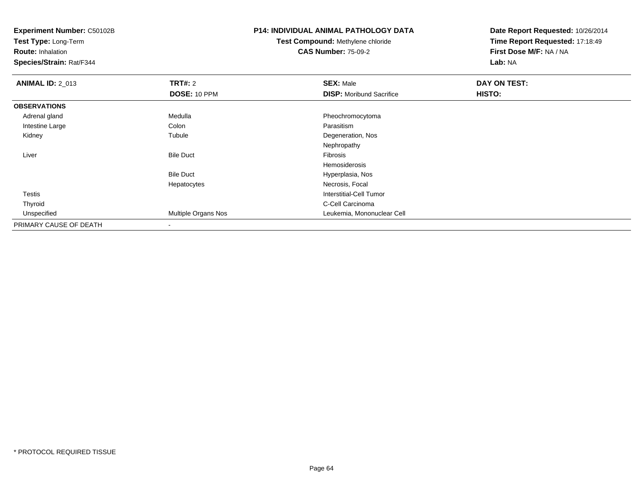**Test Type:** Long-Term

**Route:** Inhalation

**Species/Strain:** Rat/F344

# **P14: INDIVIDUAL ANIMAL PATHOLOGY DATA**

**Test Compound:** Methylene chloride**CAS Number:** 75-09-2

| <b>ANIMAL ID: 2_013</b> | <b>TRT#: 2</b>      | <b>SEX: Male</b>                | DAY ON TEST: |  |
|-------------------------|---------------------|---------------------------------|--------------|--|
|                         | DOSE: 10 PPM        | <b>DISP:</b> Moribund Sacrifice | HISTO:       |  |
| <b>OBSERVATIONS</b>     |                     |                                 |              |  |
| Adrenal gland           | Medulla             | Pheochromocytoma                |              |  |
| Intestine Large         | Colon               | Parasitism                      |              |  |
| Kidney                  | Tubule              | Degeneration, Nos               |              |  |
|                         |                     | Nephropathy                     |              |  |
| Liver                   | <b>Bile Duct</b>    | Fibrosis                        |              |  |
|                         |                     | Hemosiderosis                   |              |  |
|                         | <b>Bile Duct</b>    | Hyperplasia, Nos                |              |  |
|                         | Hepatocytes         | Necrosis, Focal                 |              |  |
| Testis                  |                     | Interstitial-Cell Tumor         |              |  |
| Thyroid                 |                     | C-Cell Carcinoma                |              |  |
| Unspecified             | Multiple Organs Nos | Leukemia, Mononuclear Cell      |              |  |
| PRIMARY CAUSE OF DEATH  |                     |                                 |              |  |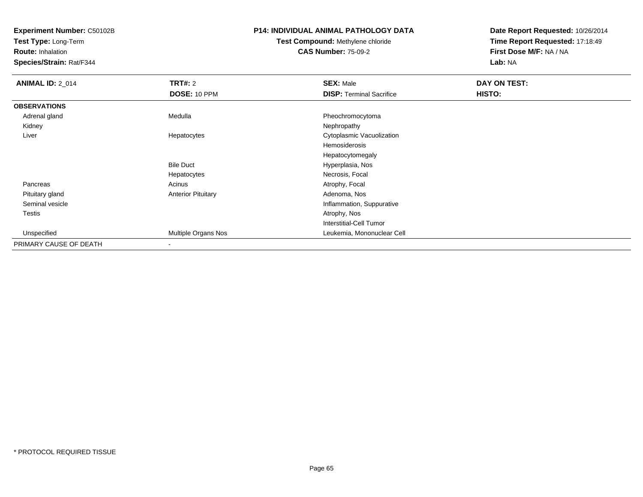**Test Type:** Long-Term

**Route:** Inhalation

**Species/Strain:** Rat/F344

# **P14: INDIVIDUAL ANIMAL PATHOLOGY DATA**

# **Test Compound:** Methylene chloride**CAS Number:** 75-09-2

| <b>ANIMAL ID: 2_014</b> | <b>TRT#: 2</b>            | <b>SEX: Male</b>                | DAY ON TEST: |  |
|-------------------------|---------------------------|---------------------------------|--------------|--|
|                         | DOSE: 10 PPM              | <b>DISP: Terminal Sacrifice</b> | HISTO:       |  |
| <b>OBSERVATIONS</b>     |                           |                                 |              |  |
| Adrenal gland           | Medulla                   | Pheochromocytoma                |              |  |
| Kidney                  |                           | Nephropathy                     |              |  |
| Liver                   | Hepatocytes               | Cytoplasmic Vacuolization       |              |  |
|                         |                           | Hemosiderosis                   |              |  |
|                         |                           | Hepatocytomegaly                |              |  |
|                         | <b>Bile Duct</b>          | Hyperplasia, Nos                |              |  |
|                         | Hepatocytes               | Necrosis, Focal                 |              |  |
| Pancreas                | Acinus                    | Atrophy, Focal                  |              |  |
| Pituitary gland         | <b>Anterior Pituitary</b> | Adenoma, Nos                    |              |  |
| Seminal vesicle         |                           | Inflammation, Suppurative       |              |  |
| Testis                  |                           | Atrophy, Nos                    |              |  |
|                         |                           | <b>Interstitial-Cell Tumor</b>  |              |  |
| Unspecified             | Multiple Organs Nos       | Leukemia, Mononuclear Cell      |              |  |
| PRIMARY CAUSE OF DEATH  | $\,$                      |                                 |              |  |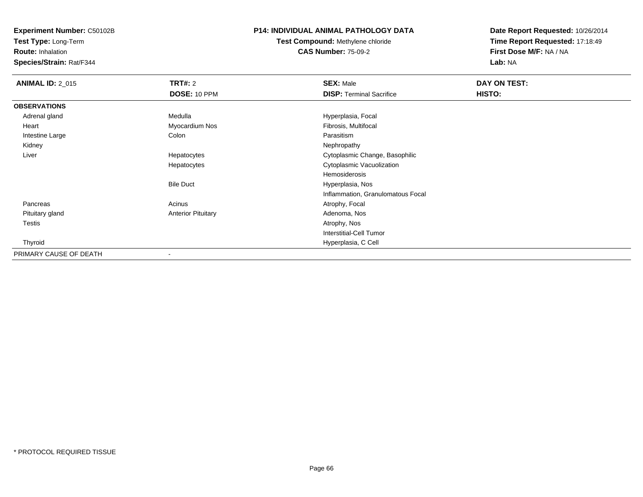**Test Type:** Long-Term

**Route:** Inhalation

**Species/Strain:** Rat/F344

## **P14: INDIVIDUAL ANIMAL PATHOLOGY DATA**

**Test Compound:** Methylene chloride**CAS Number:** 75-09-2

| <b>ANIMAL ID: 2_015</b> | <b>TRT#: 2</b>            | <b>SEX: Male</b>                  | DAY ON TEST: |  |
|-------------------------|---------------------------|-----------------------------------|--------------|--|
|                         | DOSE: 10 PPM              | <b>DISP: Terminal Sacrifice</b>   | HISTO:       |  |
| <b>OBSERVATIONS</b>     |                           |                                   |              |  |
| Adrenal gland           | Medulla                   | Hyperplasia, Focal                |              |  |
| Heart                   | Myocardium Nos            | Fibrosis, Multifocal              |              |  |
| Intestine Large         | Colon                     | Parasitism                        |              |  |
| Kidney                  |                           | Nephropathy                       |              |  |
| Liver                   | Hepatocytes               | Cytoplasmic Change, Basophilic    |              |  |
|                         | Hepatocytes               | Cytoplasmic Vacuolization         |              |  |
|                         |                           | Hemosiderosis                     |              |  |
|                         | <b>Bile Duct</b>          | Hyperplasia, Nos                  |              |  |
|                         |                           | Inflammation, Granulomatous Focal |              |  |
| Pancreas                | Acinus                    | Atrophy, Focal                    |              |  |
| Pituitary gland         | <b>Anterior Pituitary</b> | Adenoma, Nos                      |              |  |
| Testis                  |                           | Atrophy, Nos                      |              |  |
|                         |                           | <b>Interstitial-Cell Tumor</b>    |              |  |
| Thyroid                 |                           | Hyperplasia, C Cell               |              |  |
| PRIMARY CAUSE OF DEATH  | $\overline{\phantom{a}}$  |                                   |              |  |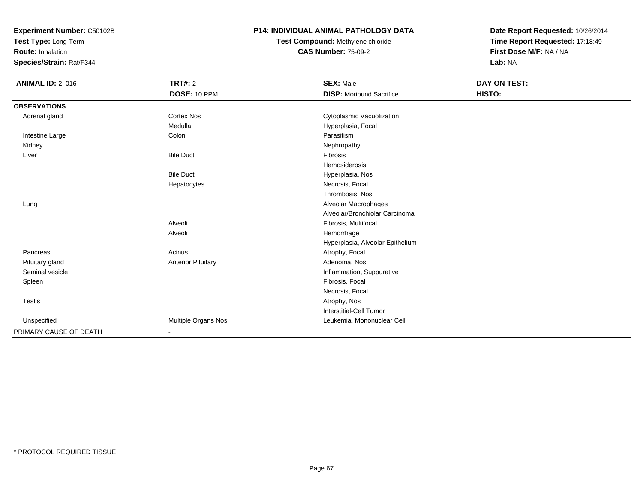**Test Type:** Long-Term

**Route:** Inhalation

**Species/Strain:** Rat/F344

#### **P14: INDIVIDUAL ANIMAL PATHOLOGY DATA**

# **Test Compound:** Methylene chloride**CAS Number:** 75-09-2

| <b>ANIMAL ID: 2_016</b> | TRT#: 2                   | <b>SEX: Male</b>                 | DAY ON TEST: |  |
|-------------------------|---------------------------|----------------------------------|--------------|--|
|                         | DOSE: 10 PPM              | <b>DISP: Moribund Sacrifice</b>  | HISTO:       |  |
| <b>OBSERVATIONS</b>     |                           |                                  |              |  |
| Adrenal gland           | <b>Cortex Nos</b>         | Cytoplasmic Vacuolization        |              |  |
|                         | Medulla                   | Hyperplasia, Focal               |              |  |
| Intestine Large         | Colon                     | Parasitism                       |              |  |
| Kidney                  |                           | Nephropathy                      |              |  |
| Liver                   | <b>Bile Duct</b>          | Fibrosis                         |              |  |
|                         |                           | Hemosiderosis                    |              |  |
|                         | <b>Bile Duct</b>          | Hyperplasia, Nos                 |              |  |
|                         | Hepatocytes               | Necrosis, Focal                  |              |  |
|                         |                           | Thrombosis, Nos                  |              |  |
| Lung                    |                           | Alveolar Macrophages             |              |  |
|                         |                           | Alveolar/Bronchiolar Carcinoma   |              |  |
|                         | Alveoli                   | Fibrosis, Multifocal             |              |  |
|                         | Alveoli                   | Hemorrhage                       |              |  |
|                         |                           | Hyperplasia, Alveolar Epithelium |              |  |
| Pancreas                | Acinus                    | Atrophy, Focal                   |              |  |
| Pituitary gland         | <b>Anterior Pituitary</b> | Adenoma, Nos                     |              |  |
| Seminal vesicle         |                           | Inflammation, Suppurative        |              |  |
| Spleen                  |                           | Fibrosis, Focal                  |              |  |
|                         |                           | Necrosis, Focal                  |              |  |
| <b>Testis</b>           |                           | Atrophy, Nos                     |              |  |
|                         |                           | <b>Interstitial-Cell Tumor</b>   |              |  |
| Unspecified             | Multiple Organs Nos       | Leukemia, Mononuclear Cell       |              |  |
| PRIMARY CAUSE OF DEATH  |                           |                                  |              |  |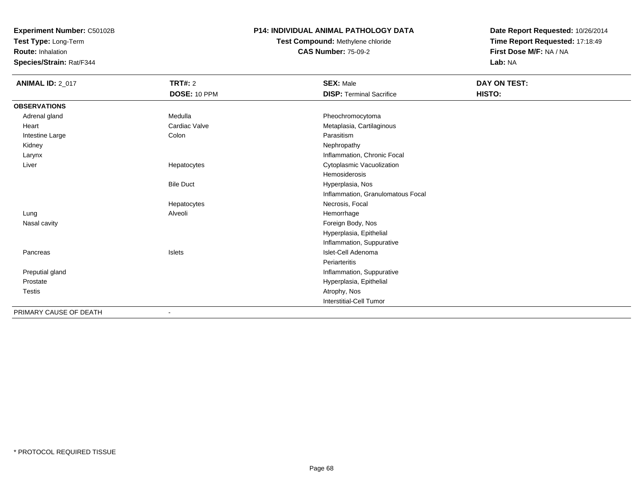**Test Type:** Long-Term

**Route:** Inhalation

**Species/Strain:** Rat/F344

## **P14: INDIVIDUAL ANIMAL PATHOLOGY DATA**

# **Test Compound:** Methylene chloride**CAS Number:** 75-09-2

| <b>ANIMAL ID: 2_017</b> | <b>TRT#: 2</b>   | <b>SEX: Male</b>                  | DAY ON TEST: |  |
|-------------------------|------------------|-----------------------------------|--------------|--|
|                         | DOSE: 10 PPM     | <b>DISP: Terminal Sacrifice</b>   | HISTO:       |  |
| <b>OBSERVATIONS</b>     |                  |                                   |              |  |
| Adrenal gland           | Medulla          | Pheochromocytoma                  |              |  |
| Heart                   | Cardiac Valve    | Metaplasia, Cartilaginous         |              |  |
| Intestine Large         | Colon            | Parasitism                        |              |  |
| Kidney                  |                  | Nephropathy                       |              |  |
| Larynx                  |                  | Inflammation, Chronic Focal       |              |  |
| Liver                   | Hepatocytes      | Cytoplasmic Vacuolization         |              |  |
|                         |                  | Hemosiderosis                     |              |  |
|                         | <b>Bile Duct</b> | Hyperplasia, Nos                  |              |  |
|                         |                  | Inflammation, Granulomatous Focal |              |  |
|                         | Hepatocytes      | Necrosis, Focal                   |              |  |
| Lung                    | Alveoli          | Hemorrhage                        |              |  |
| Nasal cavity            |                  | Foreign Body, Nos                 |              |  |
|                         |                  | Hyperplasia, Epithelial           |              |  |
|                         |                  | Inflammation, Suppurative         |              |  |
| Pancreas                | Islets           | Islet-Cell Adenoma                |              |  |
|                         |                  | Periarteritis                     |              |  |
| Preputial gland         |                  | Inflammation, Suppurative         |              |  |
| Prostate                |                  | Hyperplasia, Epithelial           |              |  |
| <b>Testis</b>           |                  | Atrophy, Nos                      |              |  |
|                         |                  | <b>Interstitial-Cell Tumor</b>    |              |  |
| PRIMARY CAUSE OF DEATH  | $\blacksquare$   |                                   |              |  |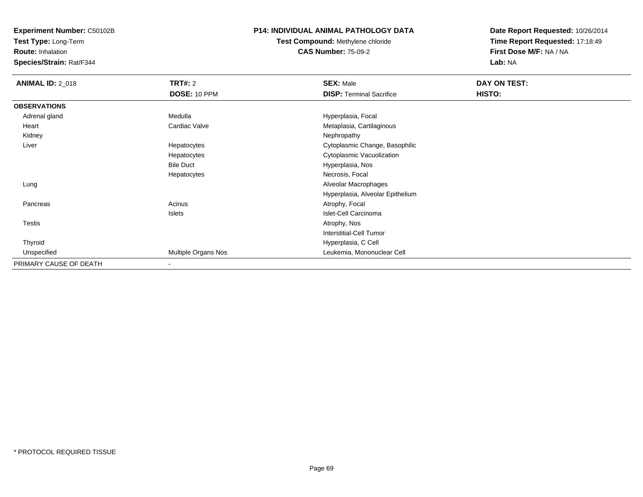**Test Type:** Long-Term

**Route:** Inhalation

**Species/Strain:** Rat/F344

## **P14: INDIVIDUAL ANIMAL PATHOLOGY DATA**

# **Test Compound:** Methylene chloride**CAS Number:** 75-09-2

| <b>ANIMAL ID: 2_018</b> | <b>TRT#: 2</b>           | <b>SEX: Male</b>                 | DAY ON TEST: |  |
|-------------------------|--------------------------|----------------------------------|--------------|--|
|                         | DOSE: 10 PPM             | <b>DISP: Terminal Sacrifice</b>  | HISTO:       |  |
| <b>OBSERVATIONS</b>     |                          |                                  |              |  |
| Adrenal gland           | Medulla                  | Hyperplasia, Focal               |              |  |
| Heart                   | Cardiac Valve            | Metaplasia, Cartilaginous        |              |  |
| Kidney                  |                          | Nephropathy                      |              |  |
| Liver                   | Hepatocytes              | Cytoplasmic Change, Basophilic   |              |  |
|                         | Hepatocytes              | Cytoplasmic Vacuolization        |              |  |
|                         | <b>Bile Duct</b>         | Hyperplasia, Nos                 |              |  |
|                         | Hepatocytes              | Necrosis, Focal                  |              |  |
| Lung                    |                          | Alveolar Macrophages             |              |  |
|                         |                          | Hyperplasia, Alveolar Epithelium |              |  |
| Pancreas                | Acinus                   | Atrophy, Focal                   |              |  |
|                         | Islets                   | Islet-Cell Carcinoma             |              |  |
| Testis                  |                          | Atrophy, Nos                     |              |  |
|                         |                          | <b>Interstitial-Cell Tumor</b>   |              |  |
| Thyroid                 |                          | Hyperplasia, C Cell              |              |  |
| Unspecified             | Multiple Organs Nos      | Leukemia, Mononuclear Cell       |              |  |
| PRIMARY CAUSE OF DEATH  | $\overline{\phantom{a}}$ |                                  |              |  |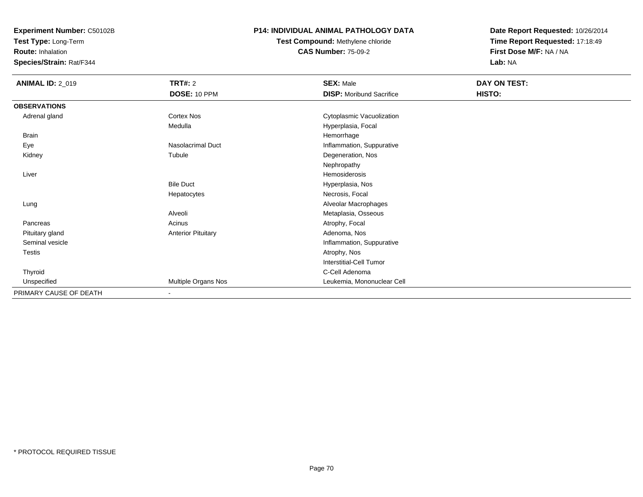**Test Type:** Long-Term

**Route:** Inhalation

**Species/Strain:** Rat/F344

## **P14: INDIVIDUAL ANIMAL PATHOLOGY DATA**

**Test Compound:** Methylene chloride**CAS Number:** 75-09-2

| <b>ANIMAL ID: 2_019</b> | <b>TRT#: 2</b>            | <b>SEX: Male</b>                | DAY ON TEST: |  |
|-------------------------|---------------------------|---------------------------------|--------------|--|
|                         | DOSE: 10 PPM              | <b>DISP:</b> Moribund Sacrifice | HISTO:       |  |
| <b>OBSERVATIONS</b>     |                           |                                 |              |  |
| Adrenal gland           | <b>Cortex Nos</b>         | Cytoplasmic Vacuolization       |              |  |
|                         | Medulla                   | Hyperplasia, Focal              |              |  |
| <b>Brain</b>            |                           | Hemorrhage                      |              |  |
| Eye                     | <b>Nasolacrimal Duct</b>  | Inflammation, Suppurative       |              |  |
| Kidney                  | Tubule                    | Degeneration, Nos               |              |  |
|                         |                           | Nephropathy                     |              |  |
| Liver                   |                           | Hemosiderosis                   |              |  |
|                         | <b>Bile Duct</b>          | Hyperplasia, Nos                |              |  |
|                         | Hepatocytes               | Necrosis, Focal                 |              |  |
| Lung                    |                           | Alveolar Macrophages            |              |  |
|                         | Alveoli                   | Metaplasia, Osseous             |              |  |
| Pancreas                | Acinus                    | Atrophy, Focal                  |              |  |
| Pituitary gland         | <b>Anterior Pituitary</b> | Adenoma, Nos                    |              |  |
| Seminal vesicle         |                           | Inflammation, Suppurative       |              |  |
| Testis                  |                           | Atrophy, Nos                    |              |  |
|                         |                           | Interstitial-Cell Tumor         |              |  |
| Thyroid                 |                           | C-Cell Adenoma                  |              |  |
| Unspecified             | Multiple Organs Nos       | Leukemia, Mononuclear Cell      |              |  |
| PRIMARY CAUSE OF DEATH  | $\sim$                    |                                 |              |  |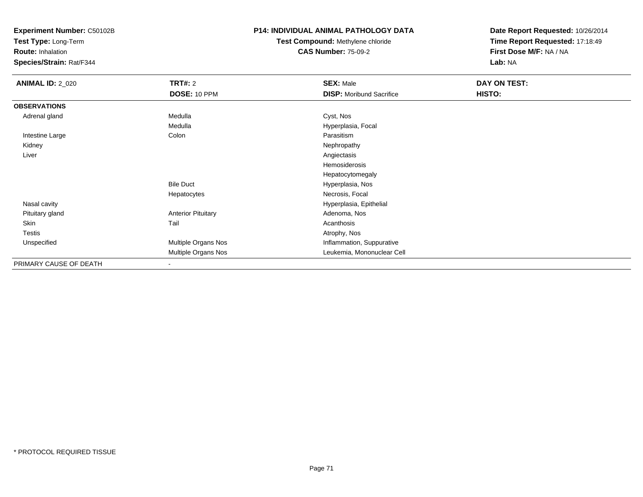**Test Type:** Long-Term

**Route:** Inhalation

**Species/Strain:** Rat/F344

## **P14: INDIVIDUAL ANIMAL PATHOLOGY DATA**

# **Test Compound:** Methylene chloride**CAS Number:** 75-09-2

| <b>ANIMAL ID: 2_020</b> | TRT#: 2                    | <b>SEX: Male</b>                | DAY ON TEST: |  |
|-------------------------|----------------------------|---------------------------------|--------------|--|
|                         | DOSE: 10 PPM               | <b>DISP:</b> Moribund Sacrifice | HISTO:       |  |
| <b>OBSERVATIONS</b>     |                            |                                 |              |  |
| Adrenal gland           | Medulla                    | Cyst, Nos                       |              |  |
|                         | Medulla                    | Hyperplasia, Focal              |              |  |
| Intestine Large         | Colon                      | Parasitism                      |              |  |
| Kidney                  |                            | Nephropathy                     |              |  |
| Liver                   |                            | Angiectasis                     |              |  |
|                         |                            | Hemosiderosis                   |              |  |
|                         |                            | Hepatocytomegaly                |              |  |
|                         | <b>Bile Duct</b>           | Hyperplasia, Nos                |              |  |
|                         | Hepatocytes                | Necrosis, Focal                 |              |  |
| Nasal cavity            |                            | Hyperplasia, Epithelial         |              |  |
| Pituitary gland         | <b>Anterior Pituitary</b>  | Adenoma, Nos                    |              |  |
| Skin                    | Tail                       | Acanthosis                      |              |  |
| <b>Testis</b>           |                            | Atrophy, Nos                    |              |  |
| Unspecified             | Multiple Organs Nos        | Inflammation, Suppurative       |              |  |
|                         | <b>Multiple Organs Nos</b> | Leukemia, Mononuclear Cell      |              |  |
| PRIMARY CAUSE OF DEATH  | $\overline{\phantom{a}}$   |                                 |              |  |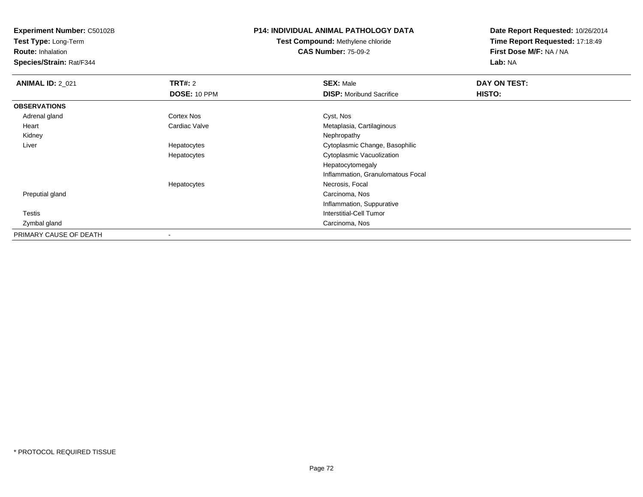**Test Type:** Long-Term

**Route:** Inhalation

**Species/Strain:** Rat/F344

## **P14: INDIVIDUAL ANIMAL PATHOLOGY DATA**

**Test Compound:** Methylene chloride**CAS Number:** 75-09-2

| <b>ANIMAL ID: 2_021</b> | TRT#: 2           | <b>SEX: Male</b>                  | DAY ON TEST: |  |
|-------------------------|-------------------|-----------------------------------|--------------|--|
|                         | DOSE: 10 PPM      | <b>DISP: Moribund Sacrifice</b>   | HISTO:       |  |
| <b>OBSERVATIONS</b>     |                   |                                   |              |  |
| Adrenal gland           | <b>Cortex Nos</b> | Cyst, Nos                         |              |  |
| Heart                   | Cardiac Valve     | Metaplasia, Cartilaginous         |              |  |
| Kidney                  |                   | Nephropathy                       |              |  |
| Liver                   | Hepatocytes       | Cytoplasmic Change, Basophilic    |              |  |
|                         | Hepatocytes       | Cytoplasmic Vacuolization         |              |  |
|                         |                   | Hepatocytomegaly                  |              |  |
|                         |                   | Inflammation, Granulomatous Focal |              |  |
|                         | Hepatocytes       | Necrosis, Focal                   |              |  |
| Preputial gland         |                   | Carcinoma, Nos                    |              |  |
|                         |                   | Inflammation, Suppurative         |              |  |
| Testis                  |                   | <b>Interstitial-Cell Tumor</b>    |              |  |
| Zymbal gland            |                   | Carcinoma, Nos                    |              |  |
| PRIMARY CAUSE OF DEATH  |                   |                                   |              |  |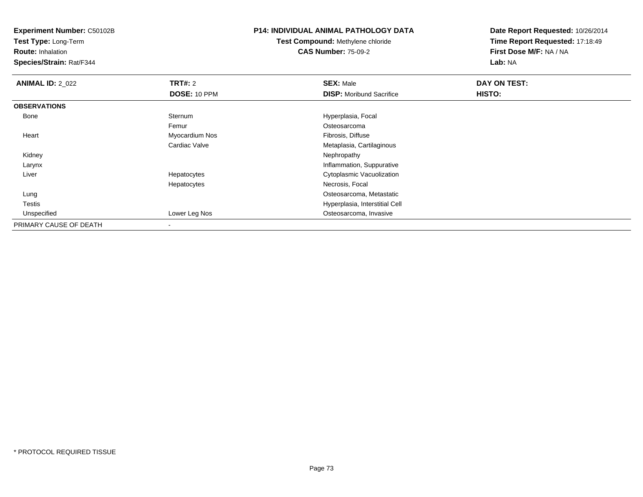**Test Type:** Long-Term

**Route:** Inhalation

**Species/Strain:** Rat/F344

### **P14: INDIVIDUAL ANIMAL PATHOLOGY DATA**

**Test Compound:** Methylene chloride**CAS Number:** 75-09-2

| <b>ANIMAL ID: 2_022</b> | TRT#: 2        | <b>SEX: Male</b>                | DAY ON TEST: |  |
|-------------------------|----------------|---------------------------------|--------------|--|
|                         | DOSE: 10 PPM   | <b>DISP:</b> Moribund Sacrifice | HISTO:       |  |
| <b>OBSERVATIONS</b>     |                |                                 |              |  |
| Bone                    | Sternum        | Hyperplasia, Focal              |              |  |
|                         | Femur          | Osteosarcoma                    |              |  |
| Heart                   | Myocardium Nos | Fibrosis, Diffuse               |              |  |
|                         | Cardiac Valve  | Metaplasia, Cartilaginous       |              |  |
| Kidney                  |                | Nephropathy                     |              |  |
| Larynx                  |                | Inflammation, Suppurative       |              |  |
| Liver                   | Hepatocytes    | Cytoplasmic Vacuolization       |              |  |
|                         | Hepatocytes    | Necrosis, Focal                 |              |  |
| Lung                    |                | Osteosarcoma, Metastatic        |              |  |
| Testis                  |                | Hyperplasia, Interstitial Cell  |              |  |
| Unspecified             | Lower Leg Nos  | Osteosarcoma, Invasive          |              |  |
| PRIMARY CAUSE OF DEATH  | $\,$           |                                 |              |  |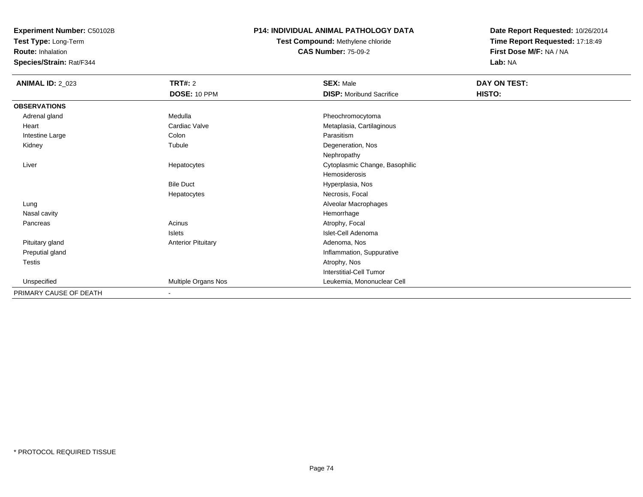**Test Type:** Long-Term

**Route:** Inhalation

**Species/Strain:** Rat/F344

### **P14: INDIVIDUAL ANIMAL PATHOLOGY DATA**

# **Test Compound:** Methylene chloride**CAS Number:** 75-09-2

| <b>ANIMAL ID: 2_023</b> | <b>TRT#: 2</b><br>DOSE: 10 PPM | <b>SEX: Male</b><br><b>DISP: Moribund Sacrifice</b> | DAY ON TEST:<br>HISTO: |  |
|-------------------------|--------------------------------|-----------------------------------------------------|------------------------|--|
| <b>OBSERVATIONS</b>     |                                |                                                     |                        |  |
| Adrenal gland           | Medulla                        | Pheochromocytoma                                    |                        |  |
| Heart                   | Cardiac Valve                  |                                                     |                        |  |
|                         |                                | Metaplasia, Cartilaginous                           |                        |  |
| Intestine Large         | Colon                          | Parasitism                                          |                        |  |
| Kidney                  | Tubule                         | Degeneration, Nos                                   |                        |  |
|                         |                                | Nephropathy                                         |                        |  |
| Liver                   | Hepatocytes                    | Cytoplasmic Change, Basophilic                      |                        |  |
|                         |                                | Hemosiderosis                                       |                        |  |
|                         | <b>Bile Duct</b>               | Hyperplasia, Nos                                    |                        |  |
|                         | Hepatocytes                    | Necrosis, Focal                                     |                        |  |
| Lung                    |                                | Alveolar Macrophages                                |                        |  |
| Nasal cavity            |                                | Hemorrhage                                          |                        |  |
| Pancreas                | Acinus                         | Atrophy, Focal                                      |                        |  |
|                         | Islets                         | Islet-Cell Adenoma                                  |                        |  |
| Pituitary gland         | <b>Anterior Pituitary</b>      | Adenoma, Nos                                        |                        |  |
| Preputial gland         |                                | Inflammation, Suppurative                           |                        |  |
| Testis                  |                                | Atrophy, Nos                                        |                        |  |
|                         |                                | Interstitial-Cell Tumor                             |                        |  |
| Unspecified             | Multiple Organs Nos            | Leukemia, Mononuclear Cell                          |                        |  |
| PRIMARY CAUSE OF DEATH  | $\overline{\phantom{a}}$       |                                                     |                        |  |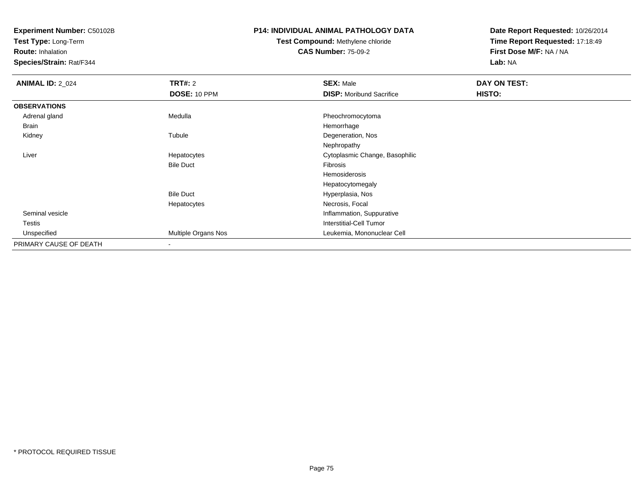**Test Type:** Long-Term

**Route:** Inhalation

**Species/Strain:** Rat/F344

### **P14: INDIVIDUAL ANIMAL PATHOLOGY DATA**

# **Test Compound:** Methylene chloride**CAS Number:** 75-09-2

| <b>ANIMAL ID: 2_024</b> | <b>TRT#: 2</b>      | <b>SEX: Male</b>                | DAY ON TEST: |  |
|-------------------------|---------------------|---------------------------------|--------------|--|
|                         | <b>DOSE: 10 PPM</b> | <b>DISP:</b> Moribund Sacrifice | HISTO:       |  |
| <b>OBSERVATIONS</b>     |                     |                                 |              |  |
| Adrenal gland           | Medulla             | Pheochromocytoma                |              |  |
| <b>Brain</b>            |                     | Hemorrhage                      |              |  |
| Kidney                  | Tubule              | Degeneration, Nos               |              |  |
|                         |                     | Nephropathy                     |              |  |
| Liver                   | Hepatocytes         | Cytoplasmic Change, Basophilic  |              |  |
|                         | <b>Bile Duct</b>    | Fibrosis                        |              |  |
|                         |                     | Hemosiderosis                   |              |  |
|                         |                     | Hepatocytomegaly                |              |  |
|                         | <b>Bile Duct</b>    | Hyperplasia, Nos                |              |  |
|                         | Hepatocytes         | Necrosis, Focal                 |              |  |
| Seminal vesicle         |                     | Inflammation, Suppurative       |              |  |
| Testis                  |                     | <b>Interstitial-Cell Tumor</b>  |              |  |
| Unspecified             | Multiple Organs Nos | Leukemia, Mononuclear Cell      |              |  |
| PRIMARY CAUSE OF DEATH  |                     |                                 |              |  |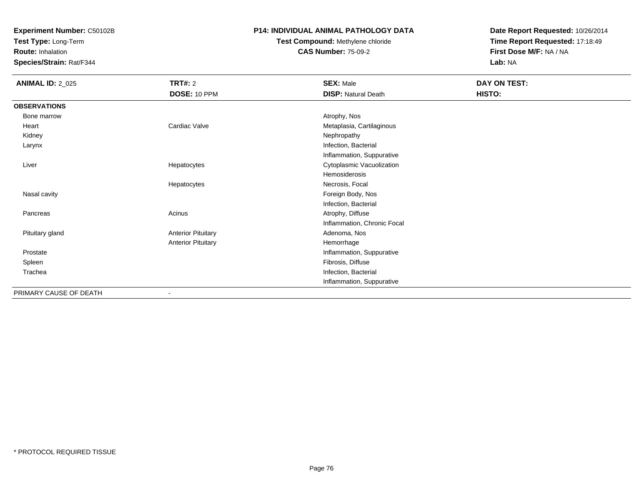**Test Type:** Long-Term

**Route:** Inhalation

**Species/Strain:** Rat/F344

### **P14: INDIVIDUAL ANIMAL PATHOLOGY DATA**

# **Test Compound:** Methylene chloride**CAS Number:** 75-09-2

| <b>ANIMAL ID: 2_025</b> | <b>TRT#: 2</b>            | <b>SEX: Male</b>            | DAY ON TEST: |
|-------------------------|---------------------------|-----------------------------|--------------|
|                         | DOSE: 10 PPM              | <b>DISP: Natural Death</b>  | HISTO:       |
| <b>OBSERVATIONS</b>     |                           |                             |              |
| Bone marrow             |                           | Atrophy, Nos                |              |
| Heart                   | Cardiac Valve             | Metaplasia, Cartilaginous   |              |
| Kidney                  |                           | Nephropathy                 |              |
| Larynx                  |                           | Infection, Bacterial        |              |
|                         |                           | Inflammation, Suppurative   |              |
| Liver                   | Hepatocytes               | Cytoplasmic Vacuolization   |              |
|                         |                           | Hemosiderosis               |              |
|                         | Hepatocytes               | Necrosis, Focal             |              |
| Nasal cavity            |                           | Foreign Body, Nos           |              |
|                         |                           | Infection, Bacterial        |              |
| Pancreas                | Acinus                    | Atrophy, Diffuse            |              |
|                         |                           | Inflammation, Chronic Focal |              |
| Pituitary gland         | <b>Anterior Pituitary</b> | Adenoma, Nos                |              |
|                         | <b>Anterior Pituitary</b> | Hemorrhage                  |              |
| Prostate                |                           | Inflammation, Suppurative   |              |
| Spleen                  |                           | Fibrosis, Diffuse           |              |
| Trachea                 |                           | Infection, Bacterial        |              |
|                         |                           | Inflammation, Suppurative   |              |
| PRIMARY CAUSE OF DEATH  |                           |                             |              |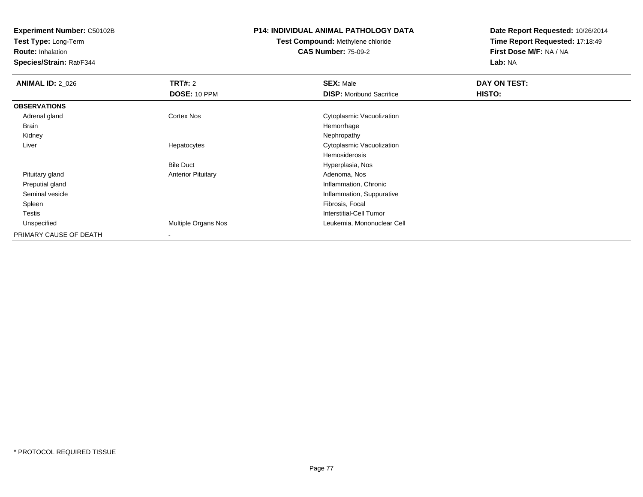**Test Type:** Long-Term

**Route:** Inhalation

**Species/Strain:** Rat/F344

# **P14: INDIVIDUAL ANIMAL PATHOLOGY DATA**

**Test Compound:** Methylene chloride**CAS Number:** 75-09-2

| <b>ANIMAL ID: 2_026</b> | TRT#: 2                   | <b>SEX: Male</b>                | DAY ON TEST: |  |
|-------------------------|---------------------------|---------------------------------|--------------|--|
|                         | DOSE: 10 PPM              | <b>DISP:</b> Moribund Sacrifice | HISTO:       |  |
| <b>OBSERVATIONS</b>     |                           |                                 |              |  |
| Adrenal gland           | Cortex Nos                | Cytoplasmic Vacuolization       |              |  |
| Brain                   |                           | Hemorrhage                      |              |  |
| Kidney                  |                           | Nephropathy                     |              |  |
| Liver                   | Hepatocytes               | Cytoplasmic Vacuolization       |              |  |
|                         |                           | Hemosiderosis                   |              |  |
|                         | <b>Bile Duct</b>          | Hyperplasia, Nos                |              |  |
| Pituitary gland         | <b>Anterior Pituitary</b> | Adenoma, Nos                    |              |  |
| Preputial gland         |                           | Inflammation, Chronic           |              |  |
| Seminal vesicle         |                           | Inflammation, Suppurative       |              |  |
| Spleen                  |                           | Fibrosis, Focal                 |              |  |
| Testis                  |                           | Interstitial-Cell Tumor         |              |  |
| Unspecified             | Multiple Organs Nos       | Leukemia, Mononuclear Cell      |              |  |
| PRIMARY CAUSE OF DEATH  | $\overline{\phantom{a}}$  |                                 |              |  |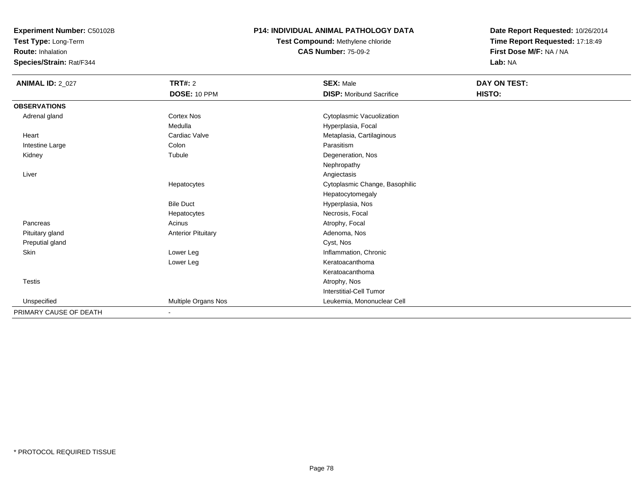**Test Type:** Long-Term

**Route:** Inhalation

**Species/Strain:** Rat/F344

### **P14: INDIVIDUAL ANIMAL PATHOLOGY DATA**

**Test Compound:** Methylene chloride**CAS Number:** 75-09-2

| <b>ANIMAL ID: 2_027</b> | <b>TRT#: 2</b>            | <b>SEX: Male</b>                | DAY ON TEST: |
|-------------------------|---------------------------|---------------------------------|--------------|
|                         | DOSE: 10 PPM              | <b>DISP:</b> Moribund Sacrifice | HISTO:       |
| <b>OBSERVATIONS</b>     |                           |                                 |              |
| Adrenal gland           | <b>Cortex Nos</b>         | Cytoplasmic Vacuolization       |              |
|                         | Medulla                   | Hyperplasia, Focal              |              |
| Heart                   | Cardiac Valve             | Metaplasia, Cartilaginous       |              |
| Intestine Large         | Colon                     | Parasitism                      |              |
| Kidney                  | Tubule                    | Degeneration, Nos               |              |
|                         |                           | Nephropathy                     |              |
| Liver                   |                           | Angiectasis                     |              |
|                         | Hepatocytes               | Cytoplasmic Change, Basophilic  |              |
|                         |                           | Hepatocytomegaly                |              |
|                         | <b>Bile Duct</b>          | Hyperplasia, Nos                |              |
|                         | Hepatocytes               | Necrosis, Focal                 |              |
| Pancreas                | Acinus                    | Atrophy, Focal                  |              |
| Pituitary gland         | <b>Anterior Pituitary</b> | Adenoma, Nos                    |              |
| Preputial gland         |                           | Cyst, Nos                       |              |
| <b>Skin</b>             | Lower Leg                 | Inflammation, Chronic           |              |
|                         | Lower Leg                 | Keratoacanthoma                 |              |
|                         |                           | Keratoacanthoma                 |              |
| Testis                  |                           | Atrophy, Nos                    |              |
|                         |                           | Interstitial-Cell Tumor         |              |
| Unspecified             | Multiple Organs Nos       | Leukemia, Mononuclear Cell      |              |
| PRIMARY CAUSE OF DEATH  | $\blacksquare$            |                                 |              |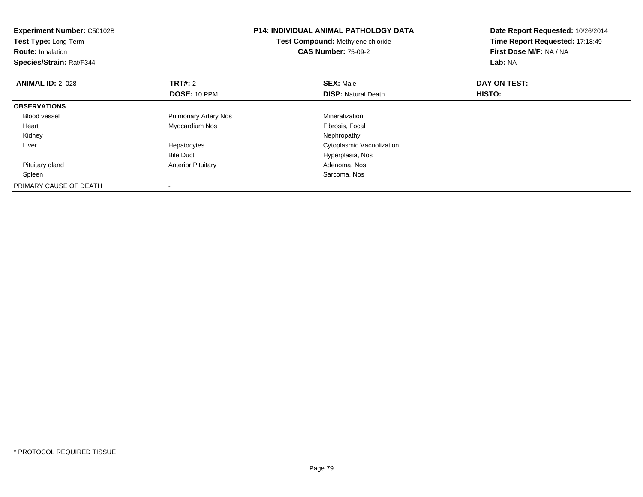| Experiment Number: C50102B<br>Test Type: Long-Term<br><b>Route: Inhalation</b><br>Species/Strain: Rat/F344 |                             | <b>P14: INDIVIDUAL ANIMAL PATHOLOGY DATA</b><br>Test Compound: Methylene chloride<br><b>CAS Number: 75-09-2</b> | Date Report Requested: 10/26/2014<br>Time Report Requested: 17:18:49<br>First Dose M/F: NA / NA<br>Lab: NA |
|------------------------------------------------------------------------------------------------------------|-----------------------------|-----------------------------------------------------------------------------------------------------------------|------------------------------------------------------------------------------------------------------------|
| <b>ANIMAL ID: 2 028</b>                                                                                    | <b>TRT#: 2</b>              | <b>SEX: Male</b>                                                                                                | DAY ON TEST:                                                                                               |
|                                                                                                            | DOSE: 10 PPM                | <b>DISP:</b> Natural Death                                                                                      | <b>HISTO:</b>                                                                                              |
| <b>OBSERVATIONS</b>                                                                                        |                             |                                                                                                                 |                                                                                                            |
| Blood vessel                                                                                               | <b>Pulmonary Artery Nos</b> | Mineralization                                                                                                  |                                                                                                            |
| Heart                                                                                                      | Myocardium Nos              | Fibrosis, Focal                                                                                                 |                                                                                                            |
| Kidney                                                                                                     |                             | Nephropathy                                                                                                     |                                                                                                            |
| Liver                                                                                                      | Hepatocytes                 | Cytoplasmic Vacuolization                                                                                       |                                                                                                            |
|                                                                                                            | <b>Bile Duct</b>            | Hyperplasia, Nos                                                                                                |                                                                                                            |
| Pituitary gland                                                                                            | <b>Anterior Pituitary</b>   | Adenoma, Nos                                                                                                    |                                                                                                            |
| Spleen                                                                                                     |                             | Sarcoma, Nos                                                                                                    |                                                                                                            |
| PRIMARY CAUSE OF DEATH                                                                                     |                             |                                                                                                                 |                                                                                                            |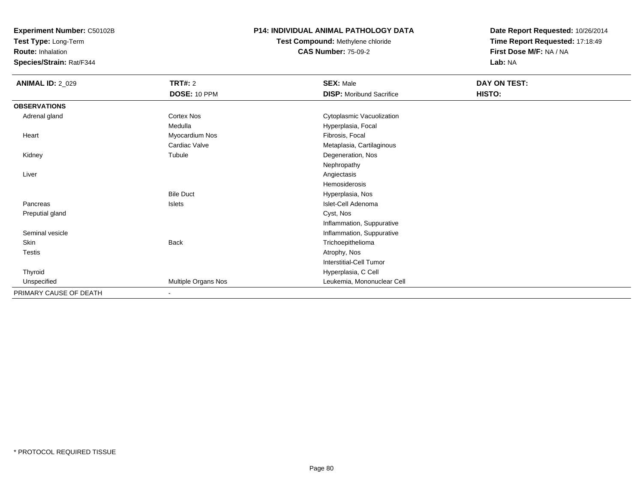**Test Type:** Long-Term

**Route:** Inhalation

**Species/Strain:** Rat/F344

#### **P14: INDIVIDUAL ANIMAL PATHOLOGY DATA**

**Test Compound:** Methylene chloride**CAS Number:** 75-09-2

| <b>ANIMAL ID: 2_029</b> | <b>TRT#: 2</b>      | <b>SEX: Male</b>                | DAY ON TEST: |
|-------------------------|---------------------|---------------------------------|--------------|
|                         | DOSE: 10 PPM        | <b>DISP:</b> Moribund Sacrifice | HISTO:       |
| <b>OBSERVATIONS</b>     |                     |                                 |              |
| Adrenal gland           | Cortex Nos          | Cytoplasmic Vacuolization       |              |
|                         | Medulla             | Hyperplasia, Focal              |              |
| Heart                   | Myocardium Nos      | Fibrosis, Focal                 |              |
|                         | Cardiac Valve       | Metaplasia, Cartilaginous       |              |
| Kidney                  | Tubule              | Degeneration, Nos               |              |
|                         |                     | Nephropathy                     |              |
| Liver                   |                     | Angiectasis                     |              |
|                         |                     | Hemosiderosis                   |              |
|                         | <b>Bile Duct</b>    | Hyperplasia, Nos                |              |
| Pancreas                | Islets              | Islet-Cell Adenoma              |              |
| Preputial gland         |                     | Cyst, Nos                       |              |
|                         |                     | Inflammation, Suppurative       |              |
| Seminal vesicle         |                     | Inflammation, Suppurative       |              |
| Skin                    | <b>Back</b>         | Trichoepithelioma               |              |
| Testis                  |                     | Atrophy, Nos                    |              |
|                         |                     | <b>Interstitial-Cell Tumor</b>  |              |
| Thyroid                 |                     | Hyperplasia, C Cell             |              |
| Unspecified             | Multiple Organs Nos | Leukemia, Mononuclear Cell      |              |
| PRIMARY CAUSE OF DEATH  | $\blacksquare$      |                                 |              |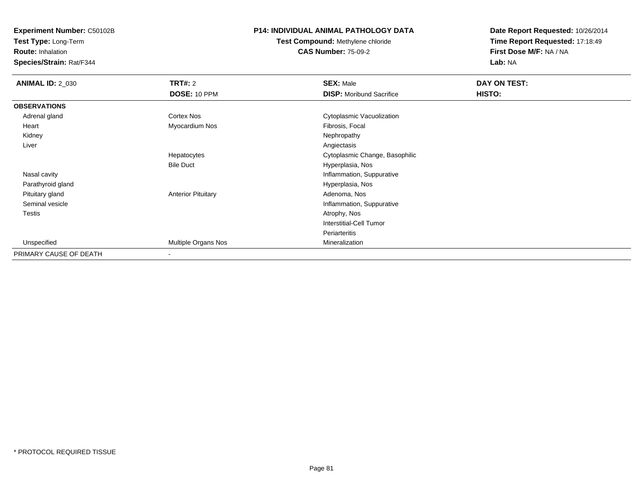**Test Type:** Long-Term

**Route:** Inhalation

**Species/Strain:** Rat/F344

### **P14: INDIVIDUAL ANIMAL PATHOLOGY DATA**

**Test Compound:** Methylene chloride**CAS Number:** 75-09-2

| <b>ANIMAL ID: 2_030</b> | <b>TRT#: 2</b>            | <b>SEX: Male</b>                | DAY ON TEST: |  |
|-------------------------|---------------------------|---------------------------------|--------------|--|
|                         | DOSE: 10 PPM              | <b>DISP:</b> Moribund Sacrifice | HISTO:       |  |
| <b>OBSERVATIONS</b>     |                           |                                 |              |  |
| Adrenal gland           | Cortex Nos                | Cytoplasmic Vacuolization       |              |  |
| Heart                   | Myocardium Nos            | Fibrosis, Focal                 |              |  |
| Kidney                  |                           | Nephropathy                     |              |  |
| Liver                   |                           | Angiectasis                     |              |  |
|                         | Hepatocytes               | Cytoplasmic Change, Basophilic  |              |  |
|                         | <b>Bile Duct</b>          | Hyperplasia, Nos                |              |  |
| Nasal cavity            |                           | Inflammation, Suppurative       |              |  |
| Parathyroid gland       |                           | Hyperplasia, Nos                |              |  |
| Pituitary gland         | <b>Anterior Pituitary</b> | Adenoma, Nos                    |              |  |
| Seminal vesicle         |                           | Inflammation, Suppurative       |              |  |
| Testis                  |                           | Atrophy, Nos                    |              |  |
|                         |                           | Interstitial-Cell Tumor         |              |  |
|                         |                           | Periarteritis                   |              |  |
| Unspecified             | Multiple Organs Nos       | Mineralization                  |              |  |
| PRIMARY CAUSE OF DEATH  | $\overline{\phantom{a}}$  |                                 |              |  |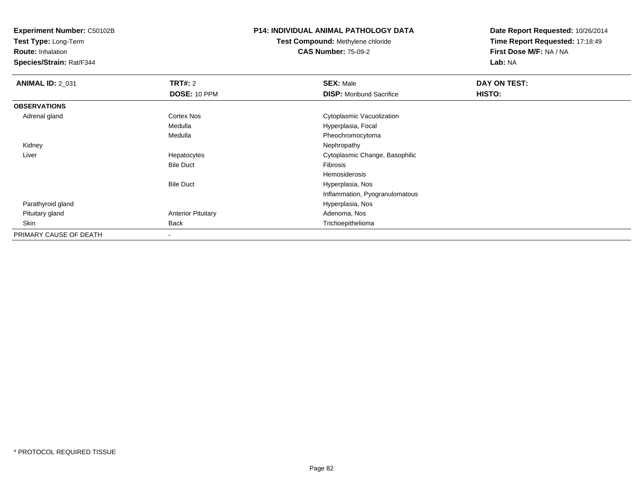**Test Type:** Long-Term

**Route:** Inhalation

**Species/Strain:** Rat/F344

### **P14: INDIVIDUAL ANIMAL PATHOLOGY DATA**

**Test Compound:** Methylene chloride**CAS Number:** 75-09-2

| <b>ANIMAL ID: 2_031</b> | <b>TRT#: 2</b>            | <b>SEX: Male</b>                | DAY ON TEST: |  |
|-------------------------|---------------------------|---------------------------------|--------------|--|
|                         | <b>DOSE: 10 PPM</b>       | <b>DISP:</b> Moribund Sacrifice | HISTO:       |  |
| <b>OBSERVATIONS</b>     |                           |                                 |              |  |
| Adrenal gland           | <b>Cortex Nos</b>         | Cytoplasmic Vacuolization       |              |  |
|                         | Medulla                   | Hyperplasia, Focal              |              |  |
|                         | Medulla                   | Pheochromocytoma                |              |  |
| Kidney                  |                           | Nephropathy                     |              |  |
| Liver                   | Hepatocytes               | Cytoplasmic Change, Basophilic  |              |  |
|                         | <b>Bile Duct</b>          | Fibrosis                        |              |  |
|                         |                           | Hemosiderosis                   |              |  |
|                         | <b>Bile Duct</b>          | Hyperplasia, Nos                |              |  |
|                         |                           | Inflammation, Pyogranulomatous  |              |  |
| Parathyroid gland       |                           | Hyperplasia, Nos                |              |  |
| Pituitary gland         | <b>Anterior Pituitary</b> | Adenoma, Nos                    |              |  |
| Skin                    | <b>Back</b>               | Trichoepithelioma               |              |  |
| PRIMARY CAUSE OF DEATH  |                           |                                 |              |  |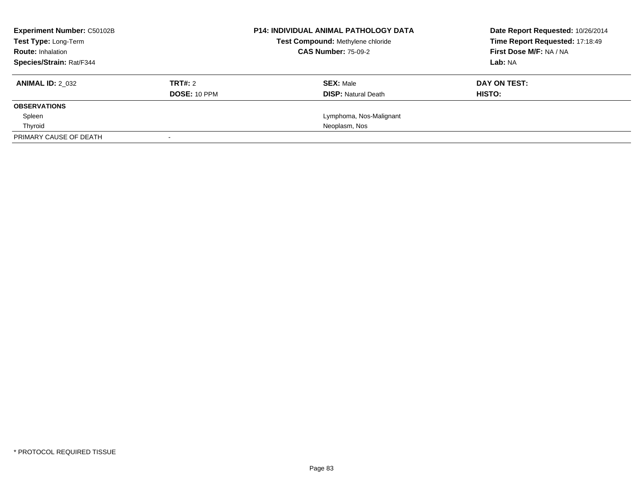| <b>Experiment Number: C50102B</b> |              | <b>P14: INDIVIDUAL ANIMAL PATHOLOGY DATA</b> | Date Report Requested: 10/26/2014 |
|-----------------------------------|--------------|----------------------------------------------|-----------------------------------|
| Test Type: Long-Term              |              | Test Compound: Methylene chloride            | Time Report Requested: 17:18:49   |
| <b>Route: Inhalation</b>          |              | <b>CAS Number: 75-09-2</b>                   | First Dose M/F: NA / NA           |
| Species/Strain: Rat/F344          |              |                                              | Lab: NA                           |
| <b>ANIMAL ID: 2 032</b>           | TRT#: 2      | <b>SEX: Male</b>                             | DAY ON TEST:                      |
|                                   | DOSE: 10 PPM | <b>DISP:</b> Natural Death                   | HISTO:                            |
| <b>OBSERVATIONS</b>               |              |                                              |                                   |
| Spleen                            |              | Lymphoma, Nos-Malignant                      |                                   |
| Thyroid                           |              | Neoplasm, Nos                                |                                   |
| PRIMARY CAUSE OF DEATH            |              |                                              |                                   |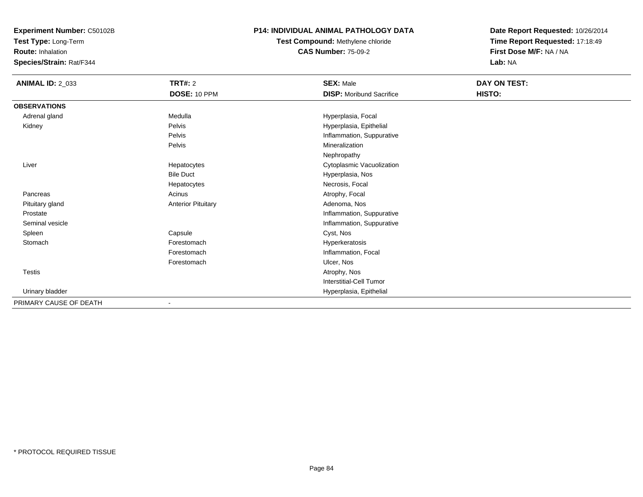**Test Type:** Long-Term

**Route:** Inhalation

**Species/Strain:** Rat/F344

#### **P14: INDIVIDUAL ANIMAL PATHOLOGY DATA**

**Test Compound:** Methylene chloride**CAS Number:** 75-09-2

| <b>ANIMAL ID: 2_033</b> | <b>TRT#: 2</b>            | <b>SEX: Male</b>                | DAY ON TEST: |  |
|-------------------------|---------------------------|---------------------------------|--------------|--|
|                         | DOSE: 10 PPM              | <b>DISP:</b> Moribund Sacrifice | HISTO:       |  |
| <b>OBSERVATIONS</b>     |                           |                                 |              |  |
| Adrenal gland           | Medulla                   | Hyperplasia, Focal              |              |  |
| Kidney                  | Pelvis                    | Hyperplasia, Epithelial         |              |  |
|                         | Pelvis                    | Inflammation, Suppurative       |              |  |
|                         | Pelvis                    | Mineralization                  |              |  |
|                         |                           | Nephropathy                     |              |  |
| Liver                   | Hepatocytes               | Cytoplasmic Vacuolization       |              |  |
|                         | <b>Bile Duct</b>          | Hyperplasia, Nos                |              |  |
|                         | Hepatocytes               | Necrosis, Focal                 |              |  |
| Pancreas                | Acinus                    | Atrophy, Focal                  |              |  |
| Pituitary gland         | <b>Anterior Pituitary</b> | Adenoma, Nos                    |              |  |
| Prostate                |                           | Inflammation, Suppurative       |              |  |
| Seminal vesicle         |                           | Inflammation, Suppurative       |              |  |
| Spleen                  | Capsule                   | Cyst, Nos                       |              |  |
| Stomach                 | Forestomach               | Hyperkeratosis                  |              |  |
|                         | Forestomach               | Inflammation, Focal             |              |  |
|                         | Forestomach               | Ulcer, Nos                      |              |  |
| <b>Testis</b>           |                           | Atrophy, Nos                    |              |  |
|                         |                           | Interstitial-Cell Tumor         |              |  |
| Urinary bladder         |                           | Hyperplasia, Epithelial         |              |  |
| PRIMARY CAUSE OF DEATH  |                           |                                 |              |  |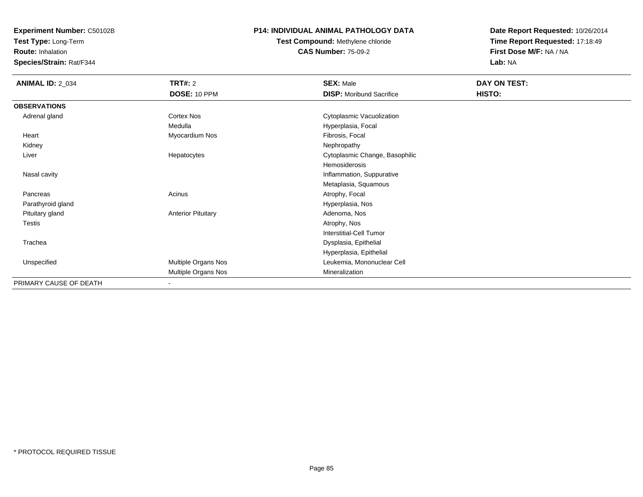**Test Type:** Long-Term

**Route:** Inhalation

**Species/Strain:** Rat/F344

### **P14: INDIVIDUAL ANIMAL PATHOLOGY DATA**

**Test Compound:** Methylene chloride**CAS Number:** 75-09-2

| <b>ANIMAL ID: 2_034</b> | <b>TRT#: 2</b>            | <b>SEX: Male</b>                | DAY ON TEST: |  |
|-------------------------|---------------------------|---------------------------------|--------------|--|
|                         | DOSE: 10 PPM              | <b>DISP:</b> Moribund Sacrifice | HISTO:       |  |
| <b>OBSERVATIONS</b>     |                           |                                 |              |  |
| Adrenal gland           | Cortex Nos                | Cytoplasmic Vacuolization       |              |  |
|                         | Medulla                   | Hyperplasia, Focal              |              |  |
| Heart                   | Myocardium Nos            | Fibrosis, Focal                 |              |  |
| Kidney                  |                           | Nephropathy                     |              |  |
| Liver                   | Hepatocytes               | Cytoplasmic Change, Basophilic  |              |  |
|                         |                           | Hemosiderosis                   |              |  |
| Nasal cavity            |                           | Inflammation, Suppurative       |              |  |
|                         |                           | Metaplasia, Squamous            |              |  |
| Pancreas                | Acinus                    | Atrophy, Focal                  |              |  |
| Parathyroid gland       |                           | Hyperplasia, Nos                |              |  |
| Pituitary gland         | <b>Anterior Pituitary</b> | Adenoma, Nos                    |              |  |
| Testis                  |                           | Atrophy, Nos                    |              |  |
|                         |                           | <b>Interstitial-Cell Tumor</b>  |              |  |
| Trachea                 |                           | Dysplasia, Epithelial           |              |  |
|                         |                           | Hyperplasia, Epithelial         |              |  |
| Unspecified             | Multiple Organs Nos       | Leukemia, Mononuclear Cell      |              |  |
|                         | Multiple Organs Nos       | Mineralization                  |              |  |
| PRIMARY CAUSE OF DEATH  | ٠                         |                                 |              |  |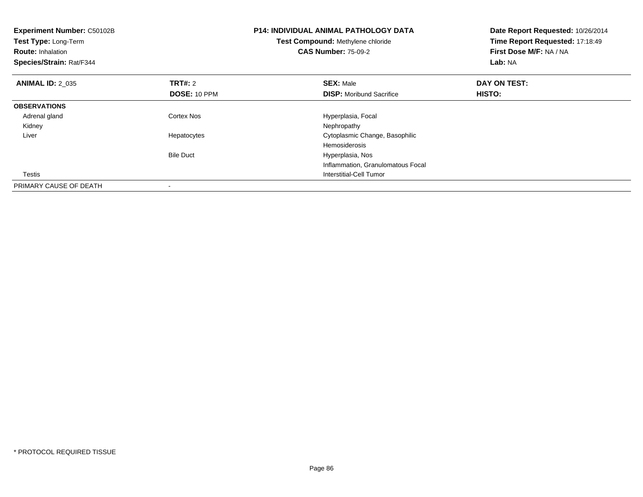| Experiment Number: C50102B<br><b>Test Type: Long-Term</b><br><b>Route: Inhalation</b><br>Species/Strain: Rat/F344 |                                | <b>P14: INDIVIDUAL ANIMAL PATHOLOGY DATA</b><br>Test Compound: Methylene chloride<br><b>CAS Number: 75-09-2</b> | Date Report Requested: 10/26/2014<br>Time Report Requested: 17:18:49<br>First Dose M/F: NA / NA<br>Lab: NA |
|-------------------------------------------------------------------------------------------------------------------|--------------------------------|-----------------------------------------------------------------------------------------------------------------|------------------------------------------------------------------------------------------------------------|
| <b>ANIMAL ID: 2 035</b>                                                                                           | <b>TRT#: 2</b><br>DOSE: 10 PPM | <b>SEX: Male</b><br><b>DISP:</b> Moribund Sacrifice                                                             | DAY ON TEST:<br><b>HISTO:</b>                                                                              |
| <b>OBSERVATIONS</b>                                                                                               |                                |                                                                                                                 |                                                                                                            |
| Adrenal gland<br>Kidney                                                                                           | Cortex Nos                     | Hyperplasia, Focal<br>Nephropathy                                                                               |                                                                                                            |
| Liver                                                                                                             | Hepatocytes                    | Cytoplasmic Change, Basophilic<br>Hemosiderosis                                                                 |                                                                                                            |
|                                                                                                                   | <b>Bile Duct</b>               | Hyperplasia, Nos                                                                                                |                                                                                                            |
|                                                                                                                   |                                | Inflammation, Granulomatous Focal                                                                               |                                                                                                            |
| Testis                                                                                                            |                                | Interstitial-Cell Tumor                                                                                         |                                                                                                            |
| PRIMARY CAUSE OF DEATH                                                                                            |                                |                                                                                                                 |                                                                                                            |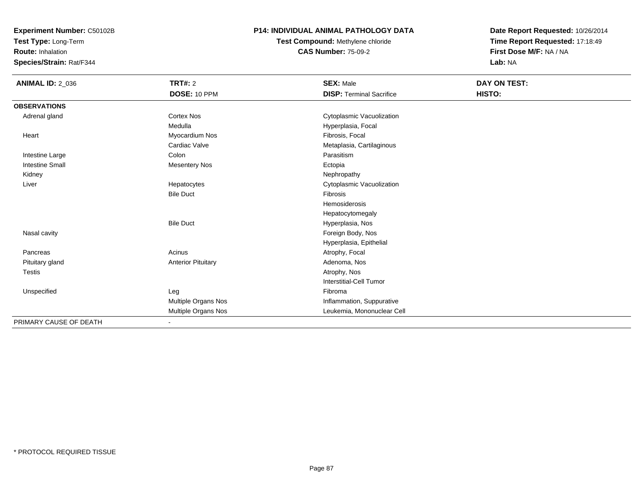**Test Type:** Long-Term

**Route:** Inhalation

**Species/Strain:** Rat/F344

#### **P14: INDIVIDUAL ANIMAL PATHOLOGY DATA**

**Test Compound:** Methylene chloride**CAS Number:** 75-09-2

| <b>ANIMAL ID: 2_036</b> | <b>TRT#: 2</b><br><b>DOSE: 10 PPM</b> | <b>SEX: Male</b><br><b>DISP: Terminal Sacrifice</b> | <b>DAY ON TEST:</b><br>HISTO: |
|-------------------------|---------------------------------------|-----------------------------------------------------|-------------------------------|
| <b>OBSERVATIONS</b>     |                                       |                                                     |                               |
| Adrenal gland           | <b>Cortex Nos</b>                     | Cytoplasmic Vacuolization                           |                               |
|                         | Medulla                               | Hyperplasia, Focal                                  |                               |
| Heart                   | Myocardium Nos                        | Fibrosis, Focal                                     |                               |
|                         | Cardiac Valve                         | Metaplasia, Cartilaginous                           |                               |
| Intestine Large         | Colon                                 | Parasitism                                          |                               |
| <b>Intestine Small</b>  | <b>Mesentery Nos</b>                  | Ectopia                                             |                               |
| Kidney                  |                                       | Nephropathy                                         |                               |
| Liver                   | Hepatocytes                           | Cytoplasmic Vacuolization                           |                               |
|                         | <b>Bile Duct</b>                      | Fibrosis                                            |                               |
|                         |                                       | Hemosiderosis                                       |                               |
|                         |                                       | Hepatocytomegaly                                    |                               |
|                         | <b>Bile Duct</b>                      | Hyperplasia, Nos                                    |                               |
| Nasal cavity            |                                       | Foreign Body, Nos                                   |                               |
|                         |                                       | Hyperplasia, Epithelial                             |                               |
| Pancreas                | Acinus                                | Atrophy, Focal                                      |                               |
| Pituitary gland         | <b>Anterior Pituitary</b>             | Adenoma, Nos                                        |                               |
| Testis                  |                                       | Atrophy, Nos                                        |                               |
|                         |                                       | <b>Interstitial-Cell Tumor</b>                      |                               |
| Unspecified             | Leg                                   | Fibroma                                             |                               |
|                         | Multiple Organs Nos                   | Inflammation, Suppurative                           |                               |
|                         | Multiple Organs Nos                   | Leukemia, Mononuclear Cell                          |                               |
| PRIMARY CAUSE OF DEATH  | $\overline{\phantom{a}}$              |                                                     |                               |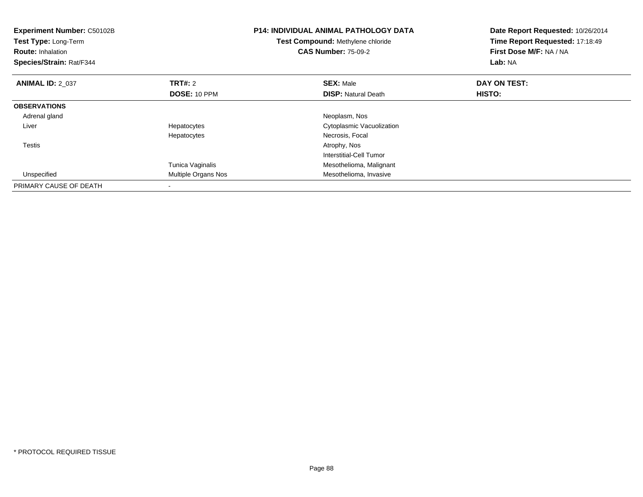| Experiment Number: C50102B<br>Test Type: Long-Term<br><b>Route: Inhalation</b><br>Species/Strain: Rat/F344 |                     | <b>P14: INDIVIDUAL ANIMAL PATHOLOGY DATA</b><br>Test Compound: Methylene chloride<br><b>CAS Number: 75-09-2</b> | Date Report Requested: 10/26/2014<br>Time Report Requested: 17:18:49<br>First Dose M/F: NA / NA<br>Lab: NA |
|------------------------------------------------------------------------------------------------------------|---------------------|-----------------------------------------------------------------------------------------------------------------|------------------------------------------------------------------------------------------------------------|
| <b>ANIMAL ID: 2 037</b>                                                                                    | <b>TRT#: 2</b>      | <b>SEX: Male</b>                                                                                                | DAY ON TEST:                                                                                               |
|                                                                                                            | DOSE: 10 PPM        | <b>DISP:</b> Natural Death                                                                                      | HISTO:                                                                                                     |
| <b>OBSERVATIONS</b>                                                                                        |                     |                                                                                                                 |                                                                                                            |
| Adrenal gland                                                                                              |                     | Neoplasm, Nos                                                                                                   |                                                                                                            |
| Liver                                                                                                      | Hepatocytes         | Cytoplasmic Vacuolization                                                                                       |                                                                                                            |
|                                                                                                            | Hepatocytes         | Necrosis, Focal                                                                                                 |                                                                                                            |
| Testis                                                                                                     |                     | Atrophy, Nos                                                                                                    |                                                                                                            |
|                                                                                                            |                     | Interstitial-Cell Tumor                                                                                         |                                                                                                            |
|                                                                                                            | Tunica Vaginalis    | Mesothelioma, Malignant                                                                                         |                                                                                                            |
| Unspecified                                                                                                | Multiple Organs Nos | Mesothelioma, Invasive                                                                                          |                                                                                                            |
| PRIMARY CAUSE OF DEATH                                                                                     |                     |                                                                                                                 |                                                                                                            |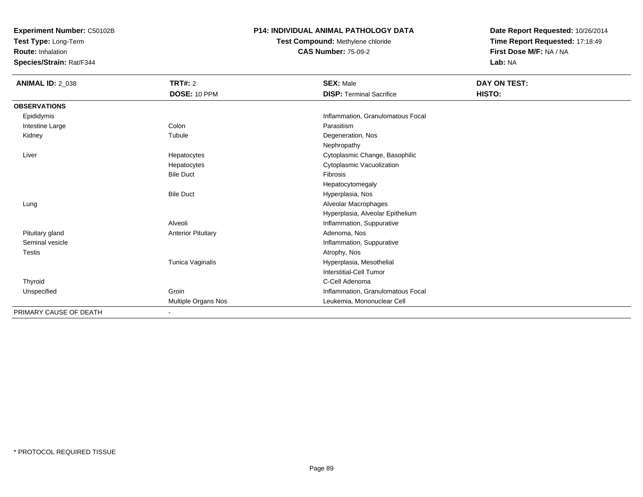**Test Type:** Long-Term

**Route:** Inhalation

**Species/Strain:** Rat/F344

#### **P14: INDIVIDUAL ANIMAL PATHOLOGY DATA**

**Test Compound:** Methylene chloride**CAS Number:** 75-09-2

| <b>ANIMAL ID: 2_038</b> | TRT#: 2<br>DOSE: 10 PPM   | <b>SEX: Male</b><br><b>DISP: Terminal Sacrifice</b> | DAY ON TEST:<br>HISTO: |  |
|-------------------------|---------------------------|-----------------------------------------------------|------------------------|--|
| <b>OBSERVATIONS</b>     |                           |                                                     |                        |  |
| Epididymis              |                           | Inflammation, Granulomatous Focal                   |                        |  |
| Intestine Large         | Colon                     | Parasitism                                          |                        |  |
| Kidney                  | Tubule                    | Degeneration, Nos                                   |                        |  |
|                         |                           | Nephropathy                                         |                        |  |
| Liver                   | Hepatocytes               | Cytoplasmic Change, Basophilic                      |                        |  |
|                         | Hepatocytes               | Cytoplasmic Vacuolization                           |                        |  |
|                         | <b>Bile Duct</b>          | Fibrosis                                            |                        |  |
|                         |                           | Hepatocytomegaly                                    |                        |  |
|                         | <b>Bile Duct</b>          | Hyperplasia, Nos                                    |                        |  |
| Lung                    |                           | Alveolar Macrophages                                |                        |  |
|                         |                           | Hyperplasia, Alveolar Epithelium                    |                        |  |
|                         | Alveoli                   | Inflammation, Suppurative                           |                        |  |
| Pituitary gland         | <b>Anterior Pituitary</b> | Adenoma, Nos                                        |                        |  |
| Seminal vesicle         |                           | Inflammation, Suppurative                           |                        |  |
| <b>Testis</b>           |                           | Atrophy, Nos                                        |                        |  |
|                         | Tunica Vaginalis          | Hyperplasia, Mesothelial                            |                        |  |
|                         |                           | <b>Interstitial-Cell Tumor</b>                      |                        |  |
| Thyroid                 |                           | C-Cell Adenoma                                      |                        |  |
| Unspecified             | Groin                     | Inflammation, Granulomatous Focal                   |                        |  |
|                         | Multiple Organs Nos       | Leukemia, Mononuclear Cell                          |                        |  |
| PRIMARY CAUSE OF DEATH  | $\overline{\phantom{a}}$  |                                                     |                        |  |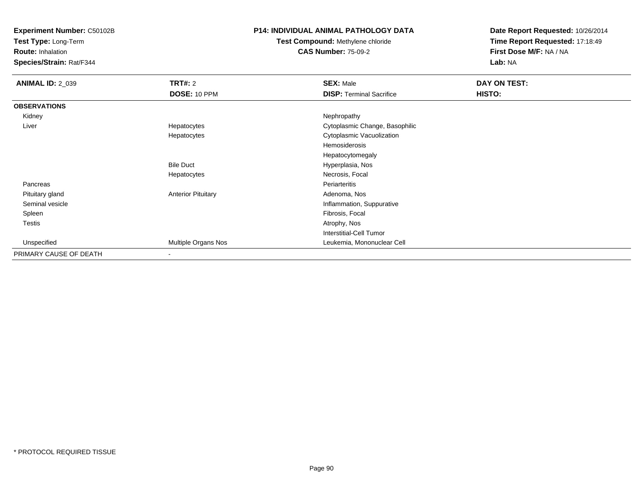**Test Type:** Long-Term

**Route:** Inhalation

**Species/Strain:** Rat/F344

### **P14: INDIVIDUAL ANIMAL PATHOLOGY DATA**

# **Test Compound:** Methylene chloride**CAS Number:** 75-09-2

| <b>ANIMAL ID: 2_039</b> | <b>TRT#: 2</b>            | <b>SEX: Male</b>                | DAY ON TEST: |
|-------------------------|---------------------------|---------------------------------|--------------|
|                         | <b>DOSE: 10 PPM</b>       | <b>DISP: Terminal Sacrifice</b> | HISTO:       |
| <b>OBSERVATIONS</b>     |                           |                                 |              |
| Kidney                  |                           | Nephropathy                     |              |
| Liver                   | Hepatocytes               | Cytoplasmic Change, Basophilic  |              |
|                         | Hepatocytes               | Cytoplasmic Vacuolization       |              |
|                         |                           | Hemosiderosis                   |              |
|                         |                           | Hepatocytomegaly                |              |
|                         | <b>Bile Duct</b>          | Hyperplasia, Nos                |              |
|                         | Hepatocytes               | Necrosis, Focal                 |              |
| Pancreas                |                           | Periarteritis                   |              |
| Pituitary gland         | <b>Anterior Pituitary</b> | Adenoma, Nos                    |              |
| Seminal vesicle         |                           | Inflammation, Suppurative       |              |
| Spleen                  |                           | Fibrosis, Focal                 |              |
| <b>Testis</b>           |                           | Atrophy, Nos                    |              |
|                         |                           | <b>Interstitial-Cell Tumor</b>  |              |
| Unspecified             | Multiple Organs Nos       | Leukemia, Mononuclear Cell      |              |
| PRIMARY CAUSE OF DEATH  | $\blacksquare$            |                                 |              |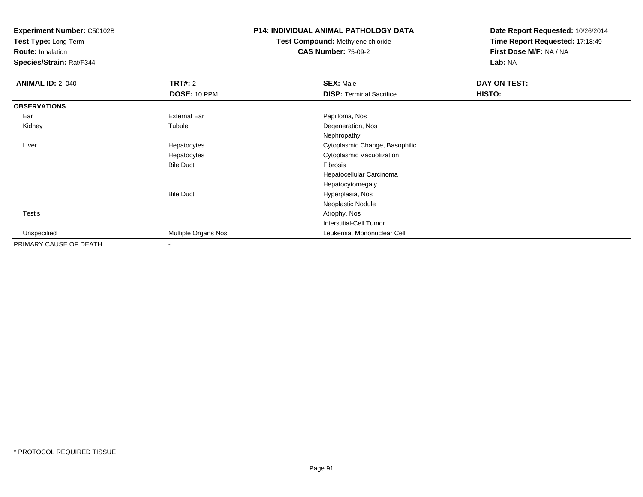**Test Type:** Long-Term

**Route:** Inhalation

**Species/Strain:** Rat/F344

### **P14: INDIVIDUAL ANIMAL PATHOLOGY DATA**

# **Test Compound:** Methylene chloride**CAS Number:** 75-09-2

| <b>ANIMAL ID: 2_040</b> | TRT#: 2             | <b>SEX: Male</b>                | DAY ON TEST: |  |
|-------------------------|---------------------|---------------------------------|--------------|--|
|                         | <b>DOSE: 10 PPM</b> | <b>DISP: Terminal Sacrifice</b> | HISTO:       |  |
| <b>OBSERVATIONS</b>     |                     |                                 |              |  |
| Ear                     | <b>External Ear</b> | Papilloma, Nos                  |              |  |
| Kidney                  | Tubule              | Degeneration, Nos               |              |  |
|                         |                     | Nephropathy                     |              |  |
| Liver                   | Hepatocytes         | Cytoplasmic Change, Basophilic  |              |  |
|                         | Hepatocytes         | Cytoplasmic Vacuolization       |              |  |
|                         | <b>Bile Duct</b>    | Fibrosis                        |              |  |
|                         |                     | Hepatocellular Carcinoma        |              |  |
|                         |                     | Hepatocytomegaly                |              |  |
|                         | <b>Bile Duct</b>    | Hyperplasia, Nos                |              |  |
|                         |                     | Neoplastic Nodule               |              |  |
| <b>Testis</b>           |                     | Atrophy, Nos                    |              |  |
|                         |                     | <b>Interstitial-Cell Tumor</b>  |              |  |
| Unspecified             | Multiple Organs Nos | Leukemia, Mononuclear Cell      |              |  |
| PRIMARY CAUSE OF DEATH  |                     |                                 |              |  |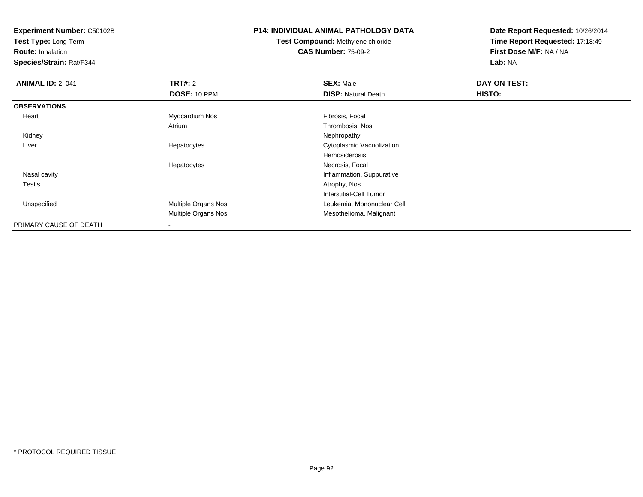**Test Type:** Long-Term

**Route:** Inhalation

**Species/Strain:** Rat/F344

# **P14: INDIVIDUAL ANIMAL PATHOLOGY DATA**

**Test Compound:** Methylene chloride**CAS Number:** 75-09-2

| <b>ANIMAL ID: 2_041</b> | <b>TRT#: 2</b>      | <b>SEX: Male</b>           | DAY ON TEST: |  |
|-------------------------|---------------------|----------------------------|--------------|--|
|                         | DOSE: 10 PPM        | <b>DISP: Natural Death</b> | HISTO:       |  |
| <b>OBSERVATIONS</b>     |                     |                            |              |  |
| Heart                   | Myocardium Nos      | Fibrosis, Focal            |              |  |
|                         | Atrium              | Thrombosis, Nos            |              |  |
| Kidney                  |                     | Nephropathy                |              |  |
| Liver                   | Hepatocytes         | Cytoplasmic Vacuolization  |              |  |
|                         |                     | Hemosiderosis              |              |  |
|                         | Hepatocytes         | Necrosis, Focal            |              |  |
| Nasal cavity            |                     | Inflammation, Suppurative  |              |  |
| Testis                  |                     | Atrophy, Nos               |              |  |
|                         |                     | Interstitial-Cell Tumor    |              |  |
| Unspecified             | Multiple Organs Nos | Leukemia, Mononuclear Cell |              |  |
|                         | Multiple Organs Nos | Mesothelioma, Malignant    |              |  |
| PRIMARY CAUSE OF DEATH  |                     |                            |              |  |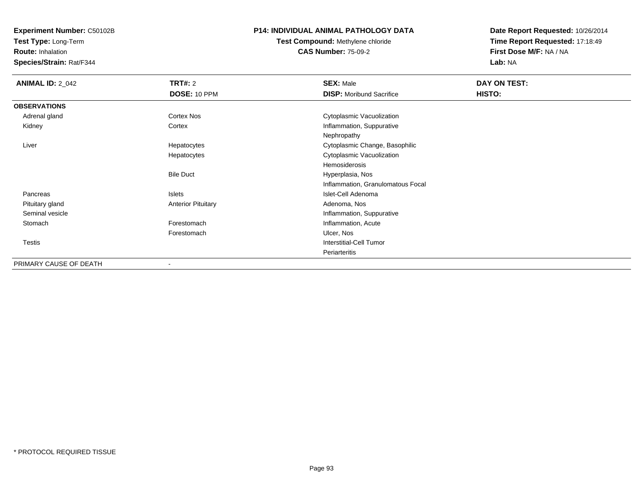**Test Type:** Long-Term

**Route:** Inhalation

**Species/Strain:** Rat/F344

### **P14: INDIVIDUAL ANIMAL PATHOLOGY DATA**

**Test Compound:** Methylene chloride**CAS Number:** 75-09-2

| <b>ANIMAL ID: 2_042</b> | <b>TRT#:</b> 2            | <b>SEX: Male</b>                  | DAY ON TEST: |  |
|-------------------------|---------------------------|-----------------------------------|--------------|--|
|                         | DOSE: 10 PPM              | <b>DISP:</b> Moribund Sacrifice   | HISTO:       |  |
| <b>OBSERVATIONS</b>     |                           |                                   |              |  |
| Adrenal gland           | <b>Cortex Nos</b>         | Cytoplasmic Vacuolization         |              |  |
| Kidney                  | Cortex                    | Inflammation, Suppurative         |              |  |
|                         |                           | Nephropathy                       |              |  |
| Liver                   | Hepatocytes               | Cytoplasmic Change, Basophilic    |              |  |
|                         | Hepatocytes               | Cytoplasmic Vacuolization         |              |  |
|                         |                           | Hemosiderosis                     |              |  |
|                         | <b>Bile Duct</b>          | Hyperplasia, Nos                  |              |  |
|                         |                           | Inflammation, Granulomatous Focal |              |  |
| Pancreas                | Islets                    | Islet-Cell Adenoma                |              |  |
| Pituitary gland         | <b>Anterior Pituitary</b> | Adenoma, Nos                      |              |  |
| Seminal vesicle         |                           | Inflammation, Suppurative         |              |  |
| Stomach                 | Forestomach               | Inflammation, Acute               |              |  |
|                         | Forestomach               | Ulcer, Nos                        |              |  |
| Testis                  |                           | Interstitial-Cell Tumor           |              |  |
|                         |                           | Periarteritis                     |              |  |
| PRIMARY CAUSE OF DEATH  |                           |                                   |              |  |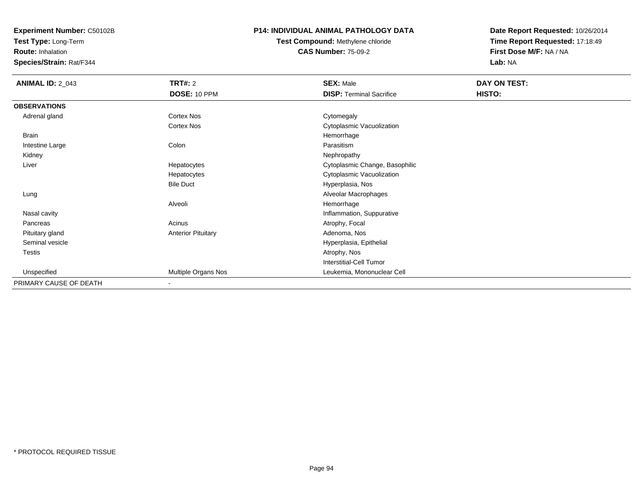**Test Type:** Long-Term

**Route:** Inhalation

**Species/Strain:** Rat/F344

### **P14: INDIVIDUAL ANIMAL PATHOLOGY DATA**

# **Test Compound:** Methylene chloride**CAS Number:** 75-09-2

| <b>ANIMAL ID: 2_043</b> | <b>TRT#: 2</b>            | <b>SEX: Male</b>                | DAY ON TEST: |  |
|-------------------------|---------------------------|---------------------------------|--------------|--|
|                         | DOSE: 10 PPM              | <b>DISP: Terminal Sacrifice</b> | HISTO:       |  |
| <b>OBSERVATIONS</b>     |                           |                                 |              |  |
| Adrenal gland           | Cortex Nos                | Cytomegaly                      |              |  |
|                         | Cortex Nos                | Cytoplasmic Vacuolization       |              |  |
| <b>Brain</b>            |                           | Hemorrhage                      |              |  |
| Intestine Large         | Colon                     | Parasitism                      |              |  |
| Kidney                  |                           | Nephropathy                     |              |  |
| Liver                   | Hepatocytes               | Cytoplasmic Change, Basophilic  |              |  |
|                         | Hepatocytes               | Cytoplasmic Vacuolization       |              |  |
|                         | <b>Bile Duct</b>          | Hyperplasia, Nos                |              |  |
| Lung                    |                           | Alveolar Macrophages            |              |  |
|                         | Alveoli                   | Hemorrhage                      |              |  |
| Nasal cavity            |                           | Inflammation, Suppurative       |              |  |
| Pancreas                | Acinus                    | Atrophy, Focal                  |              |  |
| Pituitary gland         | <b>Anterior Pituitary</b> | Adenoma, Nos                    |              |  |
| Seminal vesicle         |                           | Hyperplasia, Epithelial         |              |  |
| Testis                  |                           | Atrophy, Nos                    |              |  |
|                         |                           | <b>Interstitial-Cell Tumor</b>  |              |  |
| Unspecified             | Multiple Organs Nos       | Leukemia, Mononuclear Cell      |              |  |
| PRIMARY CAUSE OF DEATH  | $\overline{\phantom{a}}$  |                                 |              |  |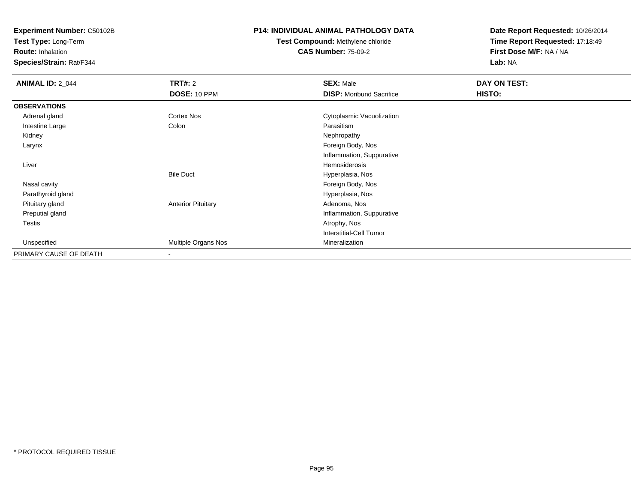**Test Type:** Long-Term

**Route:** Inhalation

**Species/Strain:** Rat/F344

### **P14: INDIVIDUAL ANIMAL PATHOLOGY DATA**

# **Test Compound:** Methylene chloride**CAS Number:** 75-09-2

| <b>ANIMAL ID: 2_044</b> | <b>TRT#: 2</b>            | <b>SEX: Male</b>                | DAY ON TEST: |  |
|-------------------------|---------------------------|---------------------------------|--------------|--|
|                         | DOSE: 10 PPM              | <b>DISP:</b> Moribund Sacrifice | HISTO:       |  |
| <b>OBSERVATIONS</b>     |                           |                                 |              |  |
| Adrenal gland           | Cortex Nos                | Cytoplasmic Vacuolization       |              |  |
| Intestine Large         | Colon                     | Parasitism                      |              |  |
| Kidney                  |                           | Nephropathy                     |              |  |
| Larynx                  |                           | Foreign Body, Nos               |              |  |
|                         |                           | Inflammation, Suppurative       |              |  |
| Liver                   |                           | Hemosiderosis                   |              |  |
|                         | <b>Bile Duct</b>          | Hyperplasia, Nos                |              |  |
| Nasal cavity            |                           | Foreign Body, Nos               |              |  |
| Parathyroid gland       |                           | Hyperplasia, Nos                |              |  |
| Pituitary gland         | <b>Anterior Pituitary</b> | Adenoma, Nos                    |              |  |
| Preputial gland         |                           | Inflammation, Suppurative       |              |  |
| Testis                  |                           | Atrophy, Nos                    |              |  |
|                         |                           | <b>Interstitial-Cell Tumor</b>  |              |  |
| Unspecified             | Multiple Organs Nos       | Mineralization                  |              |  |
| PRIMARY CAUSE OF DEATH  | $\overline{\phantom{a}}$  |                                 |              |  |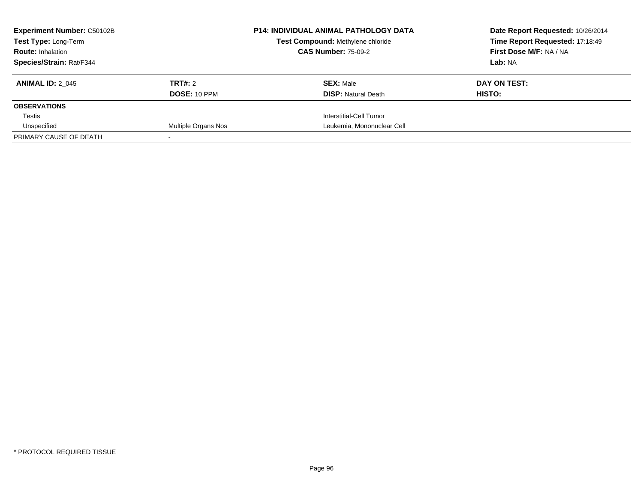| <b>Experiment Number: C50102B</b> |                     | <b>P14: INDIVIDUAL ANIMAL PATHOLOGY DATA</b> | Date Report Requested: 10/26/2014 |
|-----------------------------------|---------------------|----------------------------------------------|-----------------------------------|
| Test Type: Long-Term              |                     | Test Compound: Methylene chloride            | Time Report Requested: 17:18:49   |
| <b>Route: Inhalation</b>          |                     | <b>CAS Number: 75-09-2</b>                   | First Dose M/F: NA / NA           |
| Species/Strain: Rat/F344          |                     |                                              | Lab: NA                           |
| <b>ANIMAL ID: 2 045</b>           | TRT#: 2             | <b>SEX: Male</b>                             | DAY ON TEST:                      |
|                                   | <b>DOSE: 10 PPM</b> | <b>DISP:</b> Natural Death                   | HISTO:                            |
| <b>OBSERVATIONS</b>               |                     |                                              |                                   |
| Testis                            |                     | Interstitial-Cell Tumor                      |                                   |
| Unspecified                       | Multiple Organs Nos | Leukemia, Mononuclear Cell                   |                                   |
| PRIMARY CAUSE OF DEATH            |                     |                                              |                                   |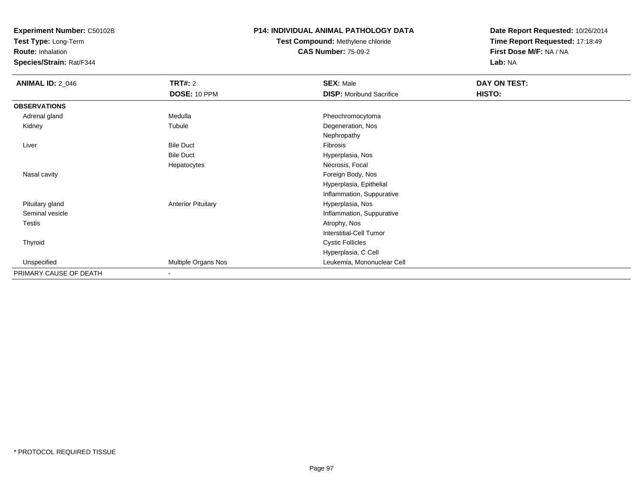**Test Type:** Long-Term

**Route:** Inhalation

**Species/Strain:** Rat/F344

### **P14: INDIVIDUAL ANIMAL PATHOLOGY DATA**

# **Test Compound:** Methylene chloride**CAS Number:** 75-09-2

| <b>ANIMAL ID: 2_046</b> | <b>TRT#: 2</b>            | <b>SEX: Male</b>                | DAY ON TEST: |  |
|-------------------------|---------------------------|---------------------------------|--------------|--|
|                         | <b>DOSE: 10 PPM</b>       | <b>DISP: Moribund Sacrifice</b> | HISTO:       |  |
| <b>OBSERVATIONS</b>     |                           |                                 |              |  |
| Adrenal gland           | Medulla                   | Pheochromocytoma                |              |  |
| Kidney                  | Tubule                    | Degeneration, Nos               |              |  |
|                         |                           | Nephropathy                     |              |  |
| Liver                   | <b>Bile Duct</b>          | Fibrosis                        |              |  |
|                         | <b>Bile Duct</b>          | Hyperplasia, Nos                |              |  |
|                         | Hepatocytes               | Necrosis, Focal                 |              |  |
| Nasal cavity            |                           | Foreign Body, Nos               |              |  |
|                         |                           | Hyperplasia, Epithelial         |              |  |
|                         |                           | Inflammation, Suppurative       |              |  |
| Pituitary gland         | <b>Anterior Pituitary</b> | Hyperplasia, Nos                |              |  |
| Seminal vesicle         |                           | Inflammation, Suppurative       |              |  |
| Testis                  |                           | Atrophy, Nos                    |              |  |
|                         |                           | <b>Interstitial-Cell Tumor</b>  |              |  |
| Thyroid                 |                           | <b>Cystic Follicles</b>         |              |  |
|                         |                           | Hyperplasia, C Cell             |              |  |
| Unspecified             | Multiple Organs Nos       | Leukemia, Mononuclear Cell      |              |  |
| PRIMARY CAUSE OF DEATH  | $\blacksquare$            |                                 |              |  |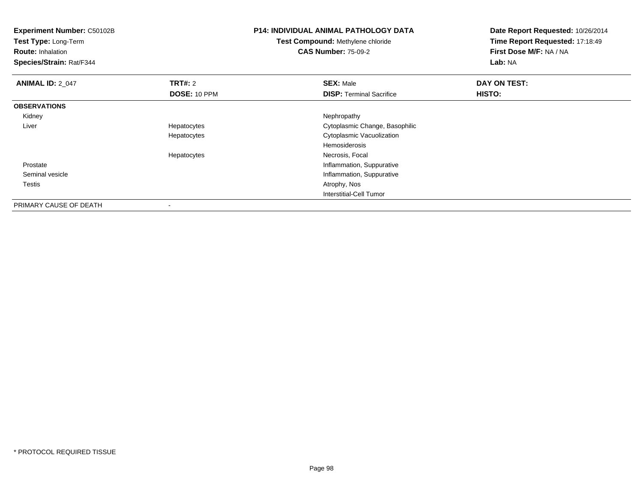| <b>Experiment Number: C50102B</b><br>Test Type: Long-Term<br><b>Route: Inhalation</b><br>Species/Strain: Rat/F344 |                | <b>P14: INDIVIDUAL ANIMAL PATHOLOGY DATA</b><br><b>Test Compound: Methylene chloride</b><br><b>CAS Number: 75-09-2</b> | Date Report Requested: 10/26/2014<br>Time Report Requested: 17:18:49<br>First Dose M/F: NA / NA<br>Lab: NA |
|-------------------------------------------------------------------------------------------------------------------|----------------|------------------------------------------------------------------------------------------------------------------------|------------------------------------------------------------------------------------------------------------|
| <b>ANIMAL ID: 2_047</b>                                                                                           | <b>TRT#: 2</b> | <b>SEX: Male</b>                                                                                                       | DAY ON TEST:                                                                                               |
|                                                                                                                   | DOSE: 10 PPM   | <b>DISP: Terminal Sacrifice</b>                                                                                        | <b>HISTO:</b>                                                                                              |
| <b>OBSERVATIONS</b>                                                                                               |                |                                                                                                                        |                                                                                                            |
| Kidney                                                                                                            |                | Nephropathy                                                                                                            |                                                                                                            |
| Liver                                                                                                             | Hepatocytes    | Cytoplasmic Change, Basophilic                                                                                         |                                                                                                            |
|                                                                                                                   | Hepatocytes    | Cytoplasmic Vacuolization                                                                                              |                                                                                                            |
|                                                                                                                   |                | Hemosiderosis                                                                                                          |                                                                                                            |
|                                                                                                                   | Hepatocytes    | Necrosis, Focal                                                                                                        |                                                                                                            |
| Prostate                                                                                                          |                | Inflammation, Suppurative                                                                                              |                                                                                                            |
| Seminal vesicle                                                                                                   |                | Inflammation, Suppurative                                                                                              |                                                                                                            |
| Testis                                                                                                            |                | Atrophy, Nos                                                                                                           |                                                                                                            |
|                                                                                                                   |                | Interstitial-Cell Tumor                                                                                                |                                                                                                            |
| PRIMARY CAUSE OF DEATH                                                                                            | $\,$           |                                                                                                                        |                                                                                                            |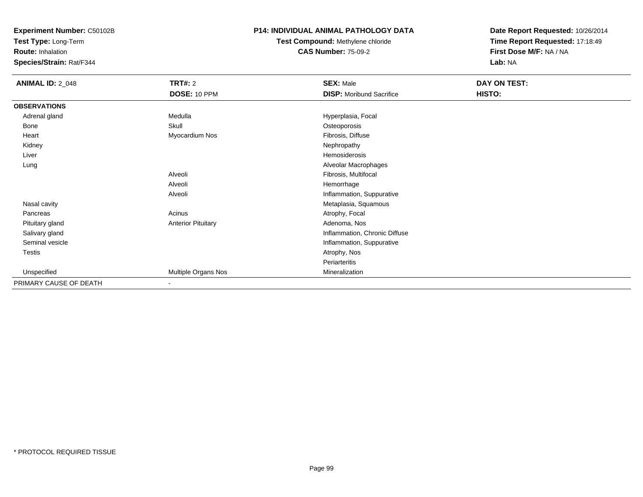**Test Type:** Long-Term

**Route:** Inhalation

**Species/Strain:** Rat/F344

### **P14: INDIVIDUAL ANIMAL PATHOLOGY DATA**

# **Test Compound:** Methylene chloride**CAS Number:** 75-09-2

| <b>ANIMAL ID: 2_048</b> | <b>TRT#: 2</b>            | <b>SEX: Male</b>                | DAY ON TEST: |  |
|-------------------------|---------------------------|---------------------------------|--------------|--|
|                         | DOSE: 10 PPM              | <b>DISP:</b> Moribund Sacrifice | HISTO:       |  |
| <b>OBSERVATIONS</b>     |                           |                                 |              |  |
| Adrenal gland           | Medulla                   | Hyperplasia, Focal              |              |  |
| Bone                    | Skull                     | Osteoporosis                    |              |  |
| Heart                   | Myocardium Nos            | Fibrosis, Diffuse               |              |  |
| Kidney                  |                           | Nephropathy                     |              |  |
| Liver                   |                           | <b>Hemosiderosis</b>            |              |  |
| Lung                    |                           | Alveolar Macrophages            |              |  |
|                         | Alveoli                   | Fibrosis, Multifocal            |              |  |
|                         | Alveoli                   | Hemorrhage                      |              |  |
|                         | Alveoli                   | Inflammation, Suppurative       |              |  |
| Nasal cavity            |                           | Metaplasia, Squamous            |              |  |
| Pancreas                | Acinus                    | Atrophy, Focal                  |              |  |
| Pituitary gland         | <b>Anterior Pituitary</b> | Adenoma, Nos                    |              |  |
| Salivary gland          |                           | Inflammation, Chronic Diffuse   |              |  |
| Seminal vesicle         |                           | Inflammation, Suppurative       |              |  |
| Testis                  |                           | Atrophy, Nos                    |              |  |
|                         |                           | Periarteritis                   |              |  |
| Unspecified             | Multiple Organs Nos       | Mineralization                  |              |  |
| PRIMARY CAUSE OF DEATH  | $\overline{\phantom{a}}$  |                                 |              |  |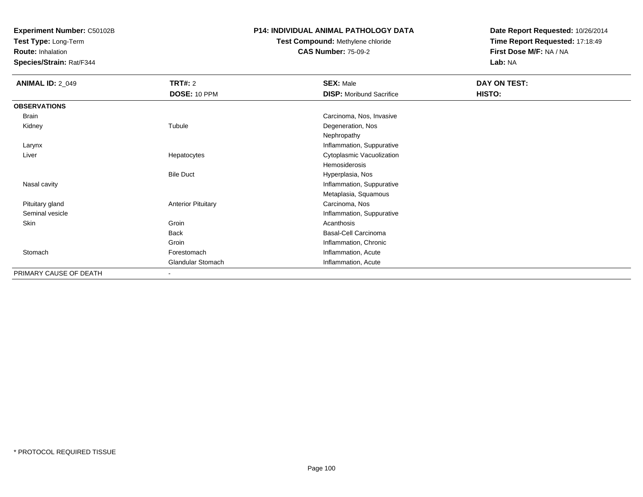**Test Type:** Long-Term

**Route:** Inhalation

**Species/Strain:** Rat/F344

### **P14: INDIVIDUAL ANIMAL PATHOLOGY DATA**

# **Test Compound:** Methylene chloride**CAS Number:** 75-09-2

| <b>ANIMAL ID: 2_049</b> | <b>TRT#: 2</b>            | <b>SEX: Male</b>                | DAY ON TEST: |
|-------------------------|---------------------------|---------------------------------|--------------|
|                         | <b>DOSE: 10 PPM</b>       | <b>DISP:</b> Moribund Sacrifice | HISTO:       |
| <b>OBSERVATIONS</b>     |                           |                                 |              |
| Brain                   |                           | Carcinoma, Nos, Invasive        |              |
| Kidney                  | Tubule                    | Degeneration, Nos               |              |
|                         |                           | Nephropathy                     |              |
| Larynx                  |                           | Inflammation, Suppurative       |              |
| Liver                   | Hepatocytes               | Cytoplasmic Vacuolization       |              |
|                         |                           | Hemosiderosis                   |              |
|                         | <b>Bile Duct</b>          | Hyperplasia, Nos                |              |
| Nasal cavity            |                           | Inflammation, Suppurative       |              |
|                         |                           | Metaplasia, Squamous            |              |
| Pituitary gland         | <b>Anterior Pituitary</b> | Carcinoma, Nos                  |              |
| Seminal vesicle         |                           | Inflammation, Suppurative       |              |
| Skin                    | Groin                     | Acanthosis                      |              |
|                         | <b>Back</b>               | <b>Basal-Cell Carcinoma</b>     |              |
|                         | Groin                     | Inflammation, Chronic           |              |
| Stomach                 | Forestomach               | Inflammation, Acute             |              |
|                         | Glandular Stomach         | Inflammation, Acute             |              |
| PRIMARY CAUSE OF DEATH  | $\overline{\phantom{a}}$  |                                 |              |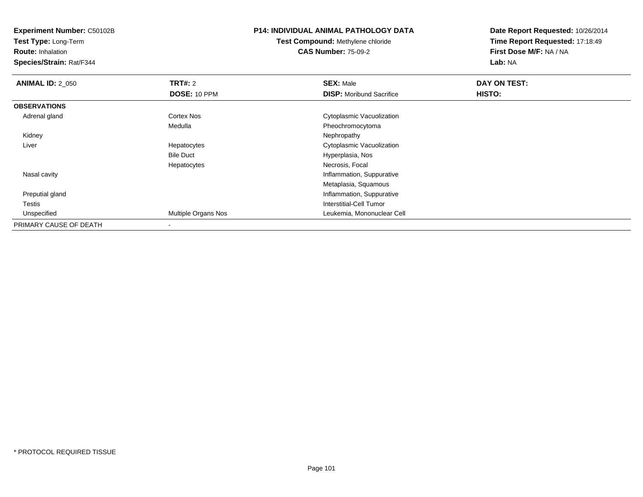**Test Type:** Long-Term

**Route:** Inhalation

**Species/Strain:** Rat/F344

# **P14: INDIVIDUAL ANIMAL PATHOLOGY DATA**

**Test Compound:** Methylene chloride**CAS Number:** 75-09-2

| <b>ANIMAL ID: 2_050</b> | TRT#: 2             | <b>SEX: Male</b>                | DAY ON TEST: |  |
|-------------------------|---------------------|---------------------------------|--------------|--|
|                         | <b>DOSE: 10 PPM</b> | <b>DISP:</b> Moribund Sacrifice | HISTO:       |  |
| <b>OBSERVATIONS</b>     |                     |                                 |              |  |
| Adrenal gland           | <b>Cortex Nos</b>   | Cytoplasmic Vacuolization       |              |  |
|                         | Medulla             | Pheochromocytoma                |              |  |
| Kidney                  |                     | Nephropathy                     |              |  |
| Liver                   | Hepatocytes         | Cytoplasmic Vacuolization       |              |  |
|                         | <b>Bile Duct</b>    | Hyperplasia, Nos                |              |  |
|                         | Hepatocytes         | Necrosis, Focal                 |              |  |
| Nasal cavity            |                     | Inflammation, Suppurative       |              |  |
|                         |                     | Metaplasia, Squamous            |              |  |
| Preputial gland         |                     | Inflammation, Suppurative       |              |  |
| Testis                  |                     | Interstitial-Cell Tumor         |              |  |
| Unspecified             | Multiple Organs Nos | Leukemia, Mononuclear Cell      |              |  |
| PRIMARY CAUSE OF DEATH  |                     |                                 |              |  |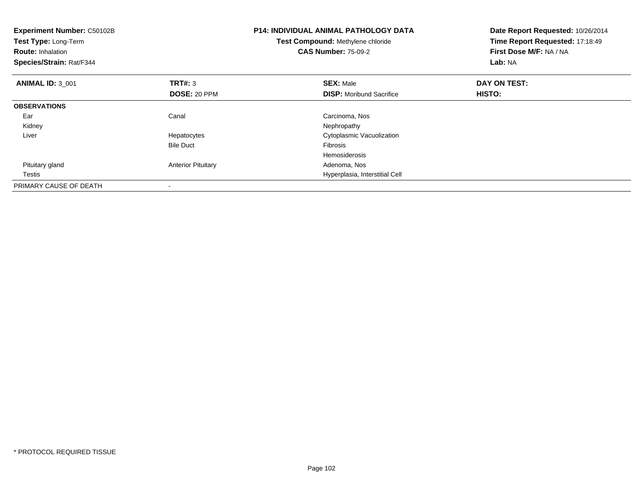| <b>Experiment Number: C50102B</b><br>Test Type: Long-Term<br><b>Route: Inhalation</b><br>Species/Strain: Rat/F344 |                           | <b>P14: INDIVIDUAL ANIMAL PATHOLOGY DATA</b><br>Test Compound: Methylene chloride<br><b>CAS Number: 75-09-2</b> | Date Report Requested: 10/26/2014<br>Time Report Requested: 17:18:49<br>First Dose M/F: NA / NA<br>Lab: NA |
|-------------------------------------------------------------------------------------------------------------------|---------------------------|-----------------------------------------------------------------------------------------------------------------|------------------------------------------------------------------------------------------------------------|
| <b>ANIMAL ID: 3_001</b>                                                                                           | <b>TRT#:</b> 3            | <b>SEX: Male</b>                                                                                                | DAY ON TEST:                                                                                               |
|                                                                                                                   | DOSE: 20 PPM              | <b>DISP:</b> Moribund Sacrifice                                                                                 | HISTO:                                                                                                     |
| <b>OBSERVATIONS</b>                                                                                               |                           |                                                                                                                 |                                                                                                            |
| Ear                                                                                                               | Canal                     | Carcinoma, Nos                                                                                                  |                                                                                                            |
| Kidney                                                                                                            |                           | Nephropathy                                                                                                     |                                                                                                            |
| Liver                                                                                                             | Hepatocytes               | Cytoplasmic Vacuolization                                                                                       |                                                                                                            |
|                                                                                                                   | <b>Bile Duct</b>          | Fibrosis                                                                                                        |                                                                                                            |
|                                                                                                                   |                           | Hemosiderosis                                                                                                   |                                                                                                            |
| Pituitary gland                                                                                                   | <b>Anterior Pituitary</b> | Adenoma, Nos                                                                                                    |                                                                                                            |
| Testis                                                                                                            |                           | Hyperplasia, Interstitial Cell                                                                                  |                                                                                                            |
| PRIMARY CAUSE OF DEATH                                                                                            |                           |                                                                                                                 |                                                                                                            |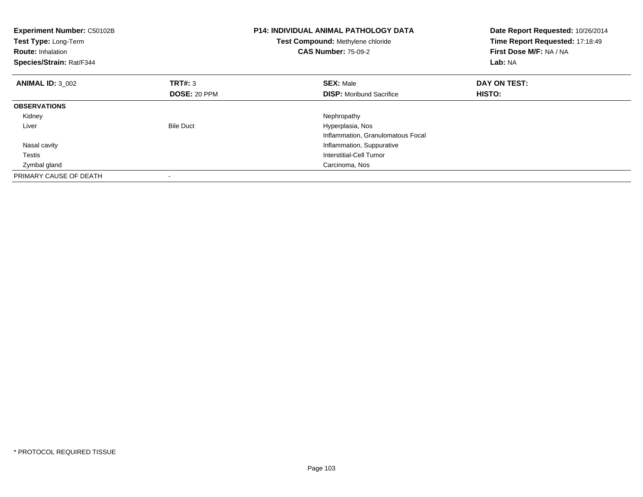| <b>Experiment Number: C50102B</b><br>Test Type: Long-Term<br><b>Route: Inhalation</b><br>Species/Strain: Rat/F344 |                     | <b>P14: INDIVIDUAL ANIMAL PATHOLOGY DATA</b><br>Test Compound: Methylene chloride<br><b>CAS Number: 75-09-2</b> | Date Report Requested: 10/26/2014<br>Time Report Requested: 17:18:49<br>First Dose M/F: NA / NA<br>Lab: NA |
|-------------------------------------------------------------------------------------------------------------------|---------------------|-----------------------------------------------------------------------------------------------------------------|------------------------------------------------------------------------------------------------------------|
| <b>ANIMAL ID: 3 002</b>                                                                                           | <b>TRT#: 3</b>      | <b>SEX: Male</b>                                                                                                | DAY ON TEST:                                                                                               |
|                                                                                                                   | <b>DOSE: 20 PPM</b> | <b>DISP:</b> Moribund Sacrifice                                                                                 | HISTO:                                                                                                     |
| <b>OBSERVATIONS</b>                                                                                               |                     |                                                                                                                 |                                                                                                            |
| Kidney                                                                                                            |                     | Nephropathy                                                                                                     |                                                                                                            |
| Liver                                                                                                             | <b>Bile Duct</b>    | Hyperplasia, Nos                                                                                                |                                                                                                            |
|                                                                                                                   |                     | Inflammation, Granulomatous Focal                                                                               |                                                                                                            |
| Nasal cavity                                                                                                      |                     | Inflammation, Suppurative                                                                                       |                                                                                                            |
| Testis                                                                                                            |                     | Interstitial-Cell Tumor                                                                                         |                                                                                                            |
| Zymbal gland                                                                                                      |                     | Carcinoma, Nos                                                                                                  |                                                                                                            |
| PRIMARY CAUSE OF DEATH                                                                                            |                     |                                                                                                                 |                                                                                                            |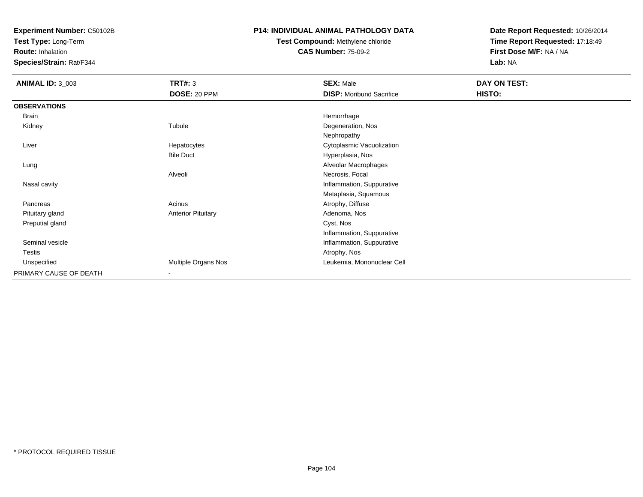**Test Type:** Long-Term

**Route:** Inhalation

**Species/Strain:** Rat/F344

#### **P14: INDIVIDUAL ANIMAL PATHOLOGY DATA**

# **Test Compound:** Methylene chloride**CAS Number:** 75-09-2

| <b>ANIMAL ID: 3_003</b> | <b>TRT#: 3</b><br>DOSE: 20 PPM | <b>SEX: Male</b><br><b>DISP:</b> Moribund Sacrifice | DAY ON TEST:<br>HISTO: |
|-------------------------|--------------------------------|-----------------------------------------------------|------------------------|
| <b>OBSERVATIONS</b>     |                                |                                                     |                        |
| Brain                   |                                | Hemorrhage                                          |                        |
| Kidney                  | Tubule                         | Degeneration, Nos                                   |                        |
|                         |                                | Nephropathy                                         |                        |
| Liver                   | Hepatocytes                    | Cytoplasmic Vacuolization                           |                        |
|                         | <b>Bile Duct</b>               | Hyperplasia, Nos                                    |                        |
| Lung                    |                                | Alveolar Macrophages                                |                        |
|                         | Alveoli                        | Necrosis, Focal                                     |                        |
| Nasal cavity            |                                | Inflammation, Suppurative                           |                        |
|                         |                                | Metaplasia, Squamous                                |                        |
| Pancreas                | Acinus                         | Atrophy, Diffuse                                    |                        |
| Pituitary gland         | <b>Anterior Pituitary</b>      | Adenoma, Nos                                        |                        |
| Preputial gland         |                                | Cyst, Nos                                           |                        |
|                         |                                | Inflammation, Suppurative                           |                        |
| Seminal vesicle         |                                | Inflammation, Suppurative                           |                        |
| Testis                  |                                | Atrophy, Nos                                        |                        |
| Unspecified             | Multiple Organs Nos            | Leukemia, Mononuclear Cell                          |                        |
| PRIMARY CAUSE OF DEATH  | ٠                              |                                                     |                        |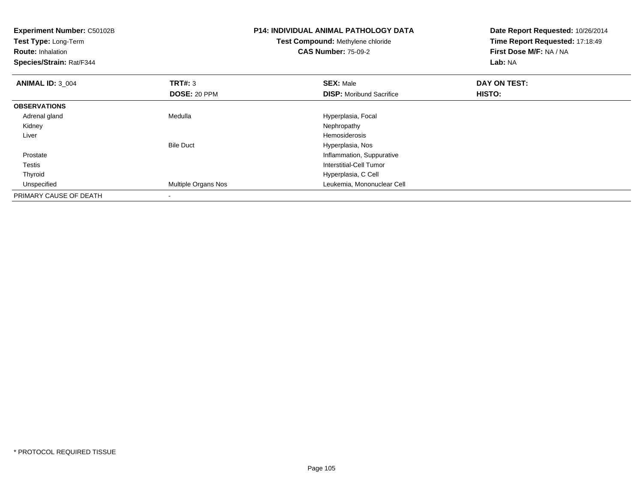| <b>Experiment Number: C50102B</b><br>Test Type: Long-Term<br><b>Route: Inhalation</b><br>Species/Strain: Rat/F344 |                            | <b>P14: INDIVIDUAL ANIMAL PATHOLOGY DATA</b><br>Test Compound: Methylene chloride<br><b>CAS Number: 75-09-2</b> | Date Report Requested: 10/26/2014<br>Time Report Requested: 17:18:49<br>First Dose M/F: NA / NA<br>Lab: NA |  |
|-------------------------------------------------------------------------------------------------------------------|----------------------------|-----------------------------------------------------------------------------------------------------------------|------------------------------------------------------------------------------------------------------------|--|
| <b>ANIMAL ID: 3 004</b>                                                                                           | TRT#: 3                    | <b>SEX: Male</b>                                                                                                | DAY ON TEST:                                                                                               |  |
|                                                                                                                   | DOSE: 20 PPM               | <b>DISP:</b> Moribund Sacrifice                                                                                 | <b>HISTO:</b>                                                                                              |  |
| <b>OBSERVATIONS</b>                                                                                               |                            |                                                                                                                 |                                                                                                            |  |
| Adrenal gland                                                                                                     | Medulla                    | Hyperplasia, Focal                                                                                              |                                                                                                            |  |
| Kidney                                                                                                            |                            | Nephropathy                                                                                                     |                                                                                                            |  |
| Liver                                                                                                             |                            | <b>Hemosiderosis</b>                                                                                            |                                                                                                            |  |
|                                                                                                                   | <b>Bile Duct</b>           | Hyperplasia, Nos                                                                                                |                                                                                                            |  |
| Prostate                                                                                                          |                            | Inflammation, Suppurative                                                                                       |                                                                                                            |  |
| Testis                                                                                                            |                            | Interstitial-Cell Tumor                                                                                         |                                                                                                            |  |
| Thyroid                                                                                                           |                            | Hyperplasia, C Cell                                                                                             |                                                                                                            |  |
| Unspecified                                                                                                       | <b>Multiple Organs Nos</b> | Leukemia, Mononuclear Cell                                                                                      |                                                                                                            |  |
| PRIMARY CAUSE OF DEATH                                                                                            |                            |                                                                                                                 |                                                                                                            |  |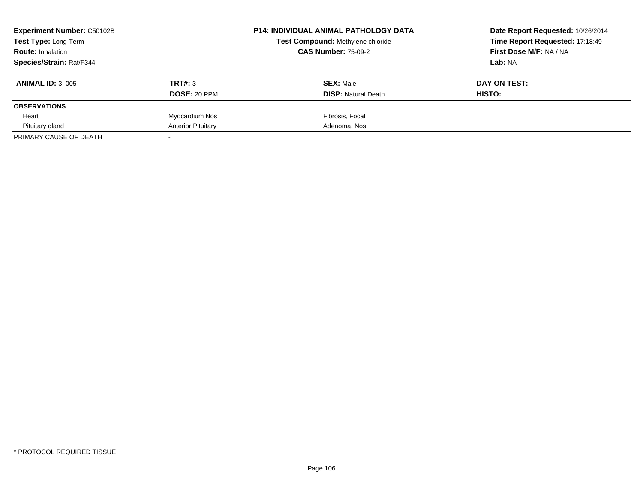| <b>Experiment Number: C50102B</b><br>Test Type: Long-Term |                           | <b>P14: INDIVIDUAL ANIMAL PATHOLOGY DATA</b> | Date Report Requested: 10/26/2014 |
|-----------------------------------------------------------|---------------------------|----------------------------------------------|-----------------------------------|
|                                                           |                           | Test Compound: Methylene chloride            | Time Report Requested: 17:18:49   |
| <b>Route: Inhalation</b>                                  |                           | <b>CAS Number: 75-09-2</b>                   | First Dose M/F: NA / NA           |
| Species/Strain: Rat/F344                                  |                           |                                              | Lab: NA                           |
| <b>ANIMAL ID: 3 005</b>                                   | TRT#: 3                   | <b>SEX: Male</b>                             | DAY ON TEST:                      |
|                                                           | <b>DOSE: 20 PPM</b>       | <b>DISP:</b> Natural Death                   | <b>HISTO:</b>                     |
| <b>OBSERVATIONS</b>                                       |                           |                                              |                                   |
| Heart                                                     | Myocardium Nos            | Fibrosis, Focal                              |                                   |
| Pituitary gland                                           | <b>Anterior Pituitary</b> | Adenoma, Nos                                 |                                   |
| PRIMARY CAUSE OF DEATH                                    |                           |                                              |                                   |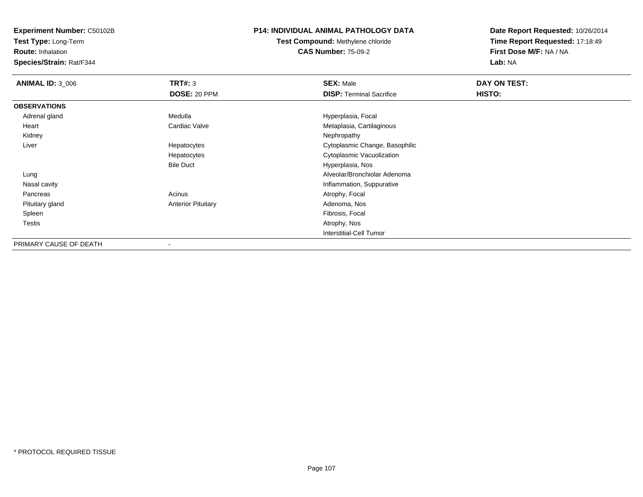**Test Type:** Long-Term

**Route:** Inhalation

**Species/Strain:** Rat/F344

### **P14: INDIVIDUAL ANIMAL PATHOLOGY DATA**

**Test Compound:** Methylene chloride**CAS Number:** 75-09-2

| <b>ANIMAL ID: 3_006</b> | TRT#: 3                   | <b>SEX: Male</b>                | DAY ON TEST: |  |
|-------------------------|---------------------------|---------------------------------|--------------|--|
|                         | <b>DOSE: 20 PPM</b>       | <b>DISP: Terminal Sacrifice</b> | HISTO:       |  |
| <b>OBSERVATIONS</b>     |                           |                                 |              |  |
| Adrenal gland           | Medulla                   | Hyperplasia, Focal              |              |  |
| Heart                   | Cardiac Valve             | Metaplasia, Cartilaginous       |              |  |
| Kidney                  |                           | Nephropathy                     |              |  |
| Liver                   | Hepatocytes               | Cytoplasmic Change, Basophilic  |              |  |
|                         | Hepatocytes               | Cytoplasmic Vacuolization       |              |  |
|                         | <b>Bile Duct</b>          | Hyperplasia, Nos                |              |  |
| Lung                    |                           | Alveolar/Bronchiolar Adenoma    |              |  |
| Nasal cavity            |                           | Inflammation, Suppurative       |              |  |
| Pancreas                | Acinus                    | Atrophy, Focal                  |              |  |
| Pituitary gland         | <b>Anterior Pituitary</b> | Adenoma, Nos                    |              |  |
| Spleen                  |                           | Fibrosis, Focal                 |              |  |
| <b>Testis</b>           |                           | Atrophy, Nos                    |              |  |
|                         |                           | <b>Interstitial-Cell Tumor</b>  |              |  |
| PRIMARY CAUSE OF DEATH  |                           |                                 |              |  |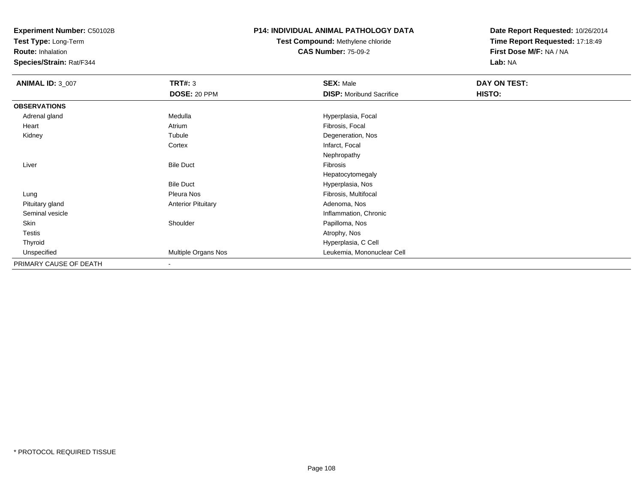**Test Type:** Long-Term

**Route:** Inhalation

**Species/Strain:** Rat/F344

### **P14: INDIVIDUAL ANIMAL PATHOLOGY DATA**

# **Test Compound:** Methylene chloride**CAS Number:** 75-09-2

| <b>ANIMAL ID: 3_007</b> | <b>TRT#: 3</b>            | <b>SEX: Male</b>                | DAY ON TEST: |  |
|-------------------------|---------------------------|---------------------------------|--------------|--|
|                         | DOSE: 20 PPM              | <b>DISP:</b> Moribund Sacrifice | HISTO:       |  |
| <b>OBSERVATIONS</b>     |                           |                                 |              |  |
| Adrenal gland           | Medulla                   | Hyperplasia, Focal              |              |  |
| Heart                   | Atrium                    | Fibrosis, Focal                 |              |  |
| Kidney                  | Tubule                    | Degeneration, Nos               |              |  |
|                         | Cortex                    | Infarct, Focal                  |              |  |
|                         |                           | Nephropathy                     |              |  |
| Liver                   | <b>Bile Duct</b>          | Fibrosis                        |              |  |
|                         |                           | Hepatocytomegaly                |              |  |
|                         | <b>Bile Duct</b>          | Hyperplasia, Nos                |              |  |
| Lung                    | Pleura Nos                | Fibrosis, Multifocal            |              |  |
| Pituitary gland         | <b>Anterior Pituitary</b> | Adenoma, Nos                    |              |  |
| Seminal vesicle         |                           | Inflammation, Chronic           |              |  |
| Skin                    | Shoulder                  | Papilloma, Nos                  |              |  |
| <b>Testis</b>           |                           | Atrophy, Nos                    |              |  |
| Thyroid                 |                           | Hyperplasia, C Cell             |              |  |
| Unspecified             | Multiple Organs Nos       | Leukemia, Mononuclear Cell      |              |  |
| PRIMARY CAUSE OF DEATH  | $\overline{\phantom{a}}$  |                                 |              |  |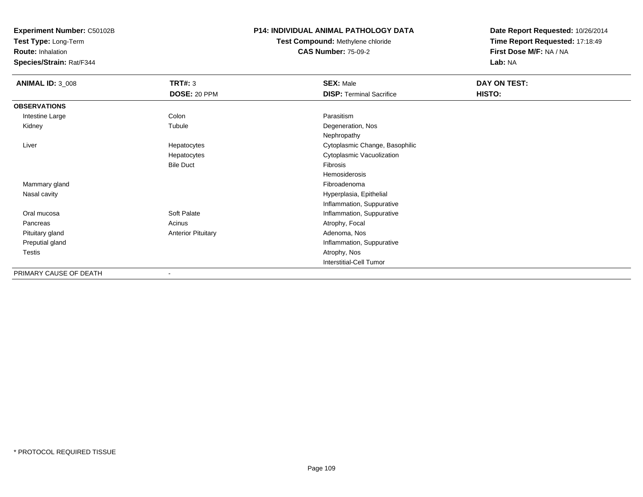**Test Type:** Long-Term

**Route:** Inhalation

**Species/Strain:** Rat/F344

#### **P14: INDIVIDUAL ANIMAL PATHOLOGY DATA**

**Test Compound:** Methylene chloride**CAS Number:** 75-09-2

| <b>ANIMAL ID: 3_008</b> | <b>TRT#: 3</b><br>DOSE: 20 PPM | <b>SEX: Male</b><br><b>DISP: Terminal Sacrifice</b> | DAY ON TEST:<br>HISTO: |  |
|-------------------------|--------------------------------|-----------------------------------------------------|------------------------|--|
|                         |                                |                                                     |                        |  |
| <b>OBSERVATIONS</b>     |                                |                                                     |                        |  |
| Intestine Large         | Colon                          | Parasitism                                          |                        |  |
| Kidney                  | Tubule                         | Degeneration, Nos                                   |                        |  |
|                         |                                | Nephropathy                                         |                        |  |
| Liver                   | Hepatocytes                    | Cytoplasmic Change, Basophilic                      |                        |  |
|                         | Hepatocytes                    | Cytoplasmic Vacuolization                           |                        |  |
|                         | <b>Bile Duct</b>               | Fibrosis                                            |                        |  |
|                         |                                | Hemosiderosis                                       |                        |  |
| Mammary gland           |                                | Fibroadenoma                                        |                        |  |
| Nasal cavity            |                                | Hyperplasia, Epithelial                             |                        |  |
|                         |                                | Inflammation, Suppurative                           |                        |  |
| Oral mucosa             | Soft Palate                    | Inflammation, Suppurative                           |                        |  |
| Pancreas                | Acinus                         | Atrophy, Focal                                      |                        |  |
| Pituitary gland         | <b>Anterior Pituitary</b>      | Adenoma, Nos                                        |                        |  |
| Preputial gland         |                                | Inflammation, Suppurative                           |                        |  |
| Testis                  |                                | Atrophy, Nos                                        |                        |  |
|                         |                                | <b>Interstitial-Cell Tumor</b>                      |                        |  |
| PRIMARY CAUSE OF DEATH  | ۰                              |                                                     |                        |  |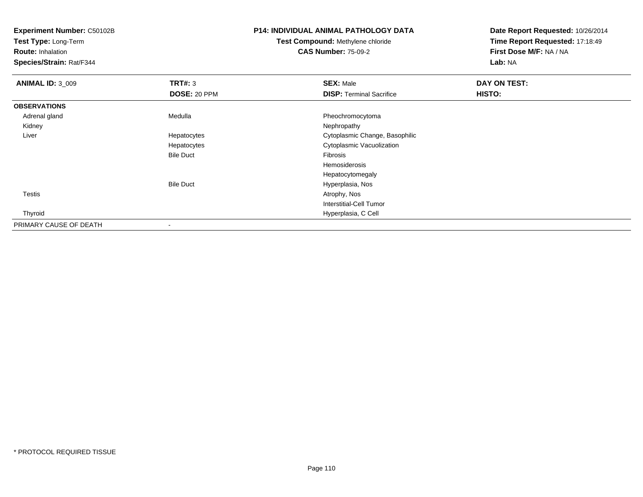**Test Type:** Long-Term

**Route:** Inhalation

**Species/Strain:** Rat/F344

# **P14: INDIVIDUAL ANIMAL PATHOLOGY DATA**

**Test Compound:** Methylene chloride**CAS Number:** 75-09-2

| <b>ANIMAL ID: 3_009</b> | <b>TRT#: 3</b>   | <b>SEX: Male</b>                | DAY ON TEST: |  |
|-------------------------|------------------|---------------------------------|--------------|--|
|                         | DOSE: 20 PPM     | <b>DISP: Terminal Sacrifice</b> | HISTO:       |  |
| <b>OBSERVATIONS</b>     |                  |                                 |              |  |
| Adrenal gland           | Medulla          | Pheochromocytoma                |              |  |
| Kidney                  |                  | Nephropathy                     |              |  |
| Liver                   | Hepatocytes      | Cytoplasmic Change, Basophilic  |              |  |
|                         | Hepatocytes      | Cytoplasmic Vacuolization       |              |  |
|                         | <b>Bile Duct</b> | Fibrosis                        |              |  |
|                         |                  | Hemosiderosis                   |              |  |
|                         |                  | Hepatocytomegaly                |              |  |
|                         | <b>Bile Duct</b> | Hyperplasia, Nos                |              |  |
| Testis                  |                  | Atrophy, Nos                    |              |  |
|                         |                  | <b>Interstitial-Cell Tumor</b>  |              |  |
| Thyroid                 |                  | Hyperplasia, C Cell             |              |  |
| PRIMARY CAUSE OF DEATH  |                  |                                 |              |  |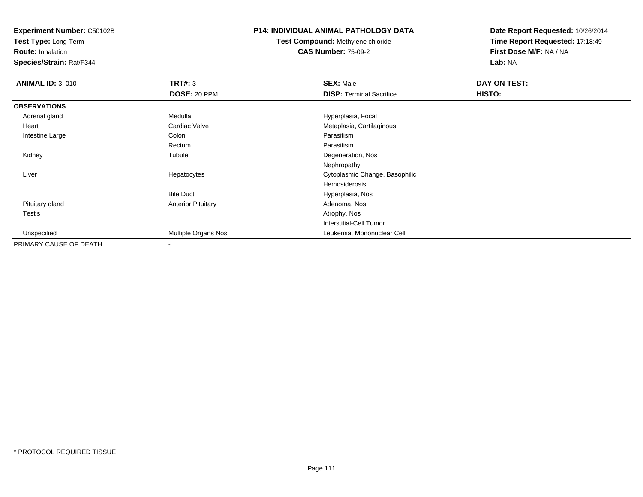**Test Type:** Long-Term

**Route:** Inhalation

**Species/Strain:** Rat/F344

### **P14: INDIVIDUAL ANIMAL PATHOLOGY DATA**

**Test Compound:** Methylene chloride**CAS Number:** 75-09-2

| <b>ANIMAL ID: 3_010</b> | <b>TRT#: 3</b>            | <b>SEX: Male</b>                | DAY ON TEST: |  |
|-------------------------|---------------------------|---------------------------------|--------------|--|
|                         | <b>DOSE: 20 PPM</b>       | <b>DISP: Terminal Sacrifice</b> | HISTO:       |  |
| <b>OBSERVATIONS</b>     |                           |                                 |              |  |
| Adrenal gland           | Medulla                   | Hyperplasia, Focal              |              |  |
| Heart                   | Cardiac Valve             | Metaplasia, Cartilaginous       |              |  |
| Intestine Large         | Colon                     | Parasitism                      |              |  |
|                         | Rectum                    | Parasitism                      |              |  |
| Kidney                  | Tubule                    | Degeneration, Nos               |              |  |
|                         |                           | Nephropathy                     |              |  |
| Liver                   | Hepatocytes               | Cytoplasmic Change, Basophilic  |              |  |
|                         |                           | Hemosiderosis                   |              |  |
|                         | <b>Bile Duct</b>          | Hyperplasia, Nos                |              |  |
| Pituitary gland         | <b>Anterior Pituitary</b> | Adenoma, Nos                    |              |  |
| Testis                  |                           | Atrophy, Nos                    |              |  |
|                         |                           | Interstitial-Cell Tumor         |              |  |
| Unspecified             | Multiple Organs Nos       | Leukemia, Mononuclear Cell      |              |  |
| PRIMARY CAUSE OF DEATH  |                           |                                 |              |  |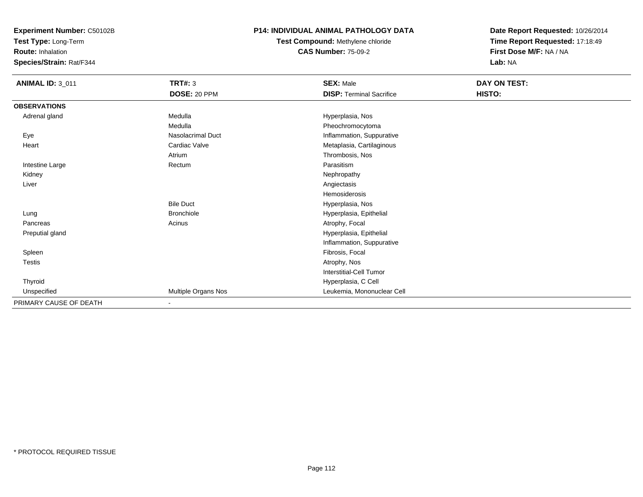**Test Type:** Long-Term

**Route:** Inhalation

**Species/Strain:** Rat/F344

#### **P14: INDIVIDUAL ANIMAL PATHOLOGY DATA**

**Test Compound:** Methylene chloride**CAS Number:** 75-09-2

| <b>ANIMAL ID: 3_011</b> | TRT#: 3                  | <b>SEX: Male</b>                | DAY ON TEST: |
|-------------------------|--------------------------|---------------------------------|--------------|
|                         | <b>DOSE: 20 PPM</b>      | <b>DISP: Terminal Sacrifice</b> | HISTO:       |
| <b>OBSERVATIONS</b>     |                          |                                 |              |
| Adrenal gland           | Medulla                  | Hyperplasia, Nos                |              |
|                         | Medulla                  | Pheochromocytoma                |              |
| Eye                     | <b>Nasolacrimal Duct</b> | Inflammation, Suppurative       |              |
| Heart                   | Cardiac Valve            | Metaplasia, Cartilaginous       |              |
|                         | Atrium                   | Thrombosis, Nos                 |              |
| Intestine Large         | Rectum                   | Parasitism                      |              |
| Kidney                  |                          | Nephropathy                     |              |
| Liver                   |                          | Angiectasis                     |              |
|                         |                          | Hemosiderosis                   |              |
|                         | <b>Bile Duct</b>         | Hyperplasia, Nos                |              |
| Lung                    | <b>Bronchiole</b>        | Hyperplasia, Epithelial         |              |
| Pancreas                | Acinus                   | Atrophy, Focal                  |              |
| Preputial gland         |                          | Hyperplasia, Epithelial         |              |
|                         |                          | Inflammation, Suppurative       |              |
| Spleen                  |                          | Fibrosis, Focal                 |              |
| Testis                  |                          | Atrophy, Nos                    |              |
|                         |                          | Interstitial-Cell Tumor         |              |
| Thyroid                 |                          | Hyperplasia, C Cell             |              |
| Unspecified             | Multiple Organs Nos      | Leukemia, Mononuclear Cell      |              |
| PRIMARY CAUSE OF DEATH  | $\blacksquare$           |                                 |              |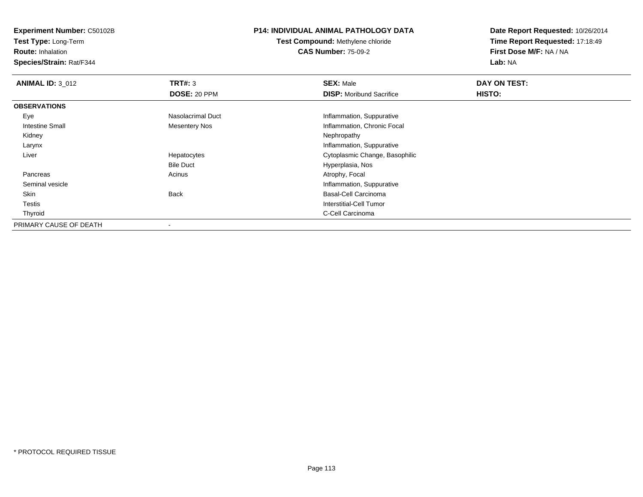**Test Type:** Long-Term

**Route:** Inhalation

**Species/Strain:** Rat/F344

### **P14: INDIVIDUAL ANIMAL PATHOLOGY DATA**

**Test Compound:** Methylene chloride**CAS Number:** 75-09-2

| <b>ANIMAL ID: 3_012</b> | TRT#: 3           | <b>SEX: Male</b>                | DAY ON TEST: |  |
|-------------------------|-------------------|---------------------------------|--------------|--|
|                         | DOSE: 20 PPM      | <b>DISP:</b> Moribund Sacrifice | HISTO:       |  |
| <b>OBSERVATIONS</b>     |                   |                                 |              |  |
| Eye                     | Nasolacrimal Duct | Inflammation, Suppurative       |              |  |
| Intestine Small         | Mesentery Nos     | Inflammation, Chronic Focal     |              |  |
| Kidney                  |                   | Nephropathy                     |              |  |
| Larynx                  |                   | Inflammation, Suppurative       |              |  |
| Liver                   | Hepatocytes       | Cytoplasmic Change, Basophilic  |              |  |
|                         | <b>Bile Duct</b>  | Hyperplasia, Nos                |              |  |
| Pancreas                | Acinus            | Atrophy, Focal                  |              |  |
| Seminal vesicle         |                   | Inflammation, Suppurative       |              |  |
| Skin                    | <b>Back</b>       | <b>Basal-Cell Carcinoma</b>     |              |  |
| Testis                  |                   | Interstitial-Cell Tumor         |              |  |
| Thyroid                 |                   | C-Cell Carcinoma                |              |  |
| PRIMARY CAUSE OF DEATH  |                   |                                 |              |  |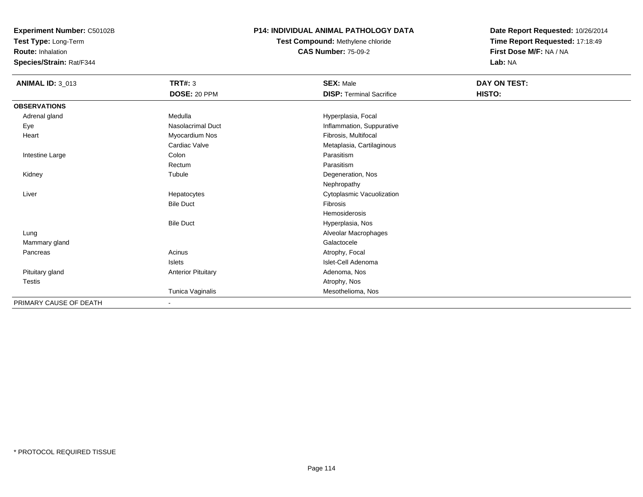**Test Type:** Long-Term

**Route:** Inhalation

**Species/Strain:** Rat/F344

#### **P14: INDIVIDUAL ANIMAL PATHOLOGY DATA**

**Test Compound:** Methylene chloride**CAS Number:** 75-09-2

| <b>ANIMAL ID: 3_013</b> | <b>TRT#: 3</b>            | <b>SEX: Male</b>                | DAY ON TEST: |  |
|-------------------------|---------------------------|---------------------------------|--------------|--|
|                         | DOSE: 20 PPM              | <b>DISP: Terminal Sacrifice</b> | HISTO:       |  |
| <b>OBSERVATIONS</b>     |                           |                                 |              |  |
| Adrenal gland           | Medulla                   | Hyperplasia, Focal              |              |  |
| Eye                     | Nasolacrimal Duct         | Inflammation, Suppurative       |              |  |
| Heart                   | Myocardium Nos            | Fibrosis, Multifocal            |              |  |
|                         | Cardiac Valve             | Metaplasia, Cartilaginous       |              |  |
| Intestine Large         | Colon                     | Parasitism                      |              |  |
|                         | Rectum                    | Parasitism                      |              |  |
| Kidney                  | Tubule                    | Degeneration, Nos               |              |  |
|                         |                           | Nephropathy                     |              |  |
| Liver                   | Hepatocytes               | Cytoplasmic Vacuolization       |              |  |
|                         | <b>Bile Duct</b>          | Fibrosis                        |              |  |
|                         |                           | Hemosiderosis                   |              |  |
|                         | <b>Bile Duct</b>          | Hyperplasia, Nos                |              |  |
| Lung                    |                           | Alveolar Macrophages            |              |  |
| Mammary gland           |                           | Galactocele                     |              |  |
| Pancreas                | Acinus                    | Atrophy, Focal                  |              |  |
|                         | Islets                    | Islet-Cell Adenoma              |              |  |
| Pituitary gland         | <b>Anterior Pituitary</b> | Adenoma, Nos                    |              |  |
| Testis                  |                           | Atrophy, Nos                    |              |  |
|                         | Tunica Vaginalis          | Mesothelioma, Nos               |              |  |
| PRIMARY CAUSE OF DEATH  | $\blacksquare$            |                                 |              |  |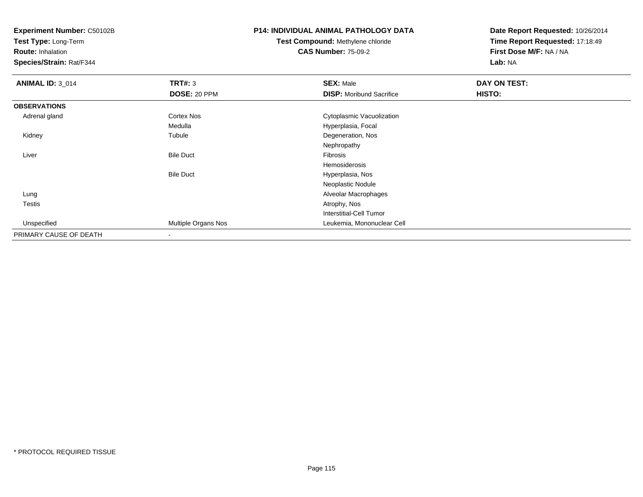**Test Type:** Long-Term

**Route:** Inhalation

**Species/Strain:** Rat/F344

# **P14: INDIVIDUAL ANIMAL PATHOLOGY DATA**

# **Test Compound:** Methylene chloride**CAS Number:** 75-09-2

| <b>ANIMAL ID: 3_014</b> | TRT#: 3                  | <b>SEX: Male</b>                | DAY ON TEST: |  |
|-------------------------|--------------------------|---------------------------------|--------------|--|
|                         | <b>DOSE: 20 PPM</b>      | <b>DISP: Moribund Sacrifice</b> | HISTO:       |  |
| <b>OBSERVATIONS</b>     |                          |                                 |              |  |
| Adrenal gland           | Cortex Nos               | Cytoplasmic Vacuolization       |              |  |
|                         | Medulla                  | Hyperplasia, Focal              |              |  |
| Kidney                  | Tubule                   | Degeneration, Nos               |              |  |
|                         |                          | Nephropathy                     |              |  |
| Liver                   | <b>Bile Duct</b>         | Fibrosis                        |              |  |
|                         |                          | Hemosiderosis                   |              |  |
|                         | <b>Bile Duct</b>         | Hyperplasia, Nos                |              |  |
|                         |                          | Neoplastic Nodule               |              |  |
| Lung                    |                          | Alveolar Macrophages            |              |  |
| <b>Testis</b>           |                          | Atrophy, Nos                    |              |  |
|                         |                          | Interstitial-Cell Tumor         |              |  |
| Unspecified             | Multiple Organs Nos      | Leukemia, Mononuclear Cell      |              |  |
| PRIMARY CAUSE OF DEATH  | $\overline{\phantom{a}}$ |                                 |              |  |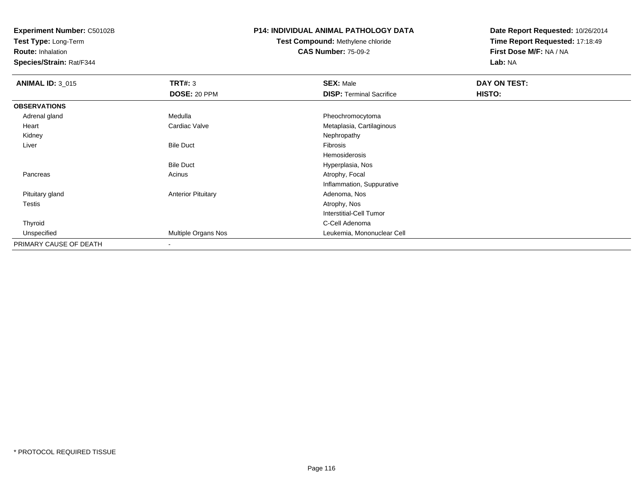**Test Type:** Long-Term

**Route:** Inhalation

**Species/Strain:** Rat/F344

### **P14: INDIVIDUAL ANIMAL PATHOLOGY DATA**

# **Test Compound:** Methylene chloride**CAS Number:** 75-09-2

| <b>ANIMAL ID: 3_015</b> | TRT#: 3                   | <b>SEX: Male</b>                | DAY ON TEST:  |  |
|-------------------------|---------------------------|---------------------------------|---------------|--|
|                         | DOSE: 20 PPM              | <b>DISP: Terminal Sacrifice</b> | <b>HISTO:</b> |  |
| <b>OBSERVATIONS</b>     |                           |                                 |               |  |
| Adrenal gland           | Medulla                   | Pheochromocytoma                |               |  |
| Heart                   | Cardiac Valve             | Metaplasia, Cartilaginous       |               |  |
| Kidney                  |                           | Nephropathy                     |               |  |
| Liver                   | <b>Bile Duct</b>          | Fibrosis                        |               |  |
|                         |                           | Hemosiderosis                   |               |  |
|                         | <b>Bile Duct</b>          | Hyperplasia, Nos                |               |  |
| Pancreas                | Acinus                    | Atrophy, Focal                  |               |  |
|                         |                           | Inflammation, Suppurative       |               |  |
| Pituitary gland         | <b>Anterior Pituitary</b> | Adenoma, Nos                    |               |  |
| <b>Testis</b>           |                           | Atrophy, Nos                    |               |  |
|                         |                           | Interstitial-Cell Tumor         |               |  |
| Thyroid                 |                           | C-Cell Adenoma                  |               |  |
| Unspecified             | Multiple Organs Nos       | Leukemia, Mononuclear Cell      |               |  |
| PRIMARY CAUSE OF DEATH  | $\overline{\phantom{a}}$  |                                 |               |  |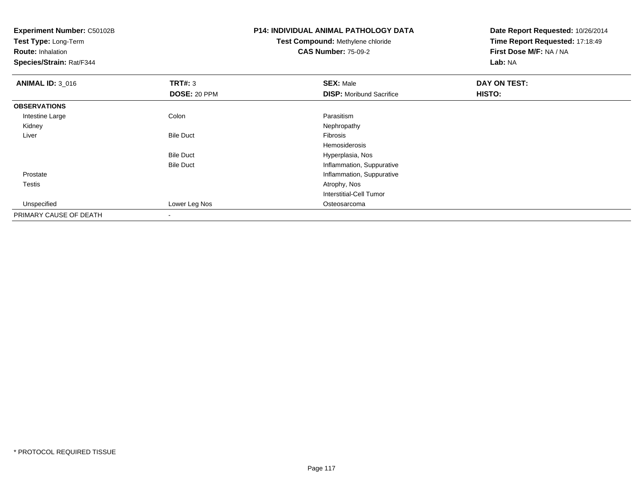| <b>Experiment Number: C50102B</b><br>Test Type: Long-Term<br><b>Route: Inhalation</b> |                  | <b>P14: INDIVIDUAL ANIMAL PATHOLOGY DATA</b><br>Test Compound: Methylene chloride<br><b>CAS Number: 75-09-2</b> | Date Report Requested: 10/26/2014<br>Time Report Requested: 17:18:49<br>First Dose M/F: NA / NA |
|---------------------------------------------------------------------------------------|------------------|-----------------------------------------------------------------------------------------------------------------|-------------------------------------------------------------------------------------------------|
| Species/Strain: Rat/F344                                                              |                  | Lab: NA                                                                                                         |                                                                                                 |
| <b>ANIMAL ID: 3_016</b>                                                               | TRT#: 3          | <b>SEX: Male</b>                                                                                                | DAY ON TEST:                                                                                    |
|                                                                                       | DOSE: 20 PPM     | <b>DISP:</b> Moribund Sacrifice                                                                                 | HISTO:                                                                                          |
| <b>OBSERVATIONS</b>                                                                   |                  |                                                                                                                 |                                                                                                 |
| Intestine Large                                                                       | Colon            | Parasitism                                                                                                      |                                                                                                 |
| Kidney                                                                                |                  | Nephropathy                                                                                                     |                                                                                                 |
| Liver                                                                                 | <b>Bile Duct</b> | Fibrosis                                                                                                        |                                                                                                 |
|                                                                                       |                  | Hemosiderosis                                                                                                   |                                                                                                 |
|                                                                                       | <b>Bile Duct</b> | Hyperplasia, Nos                                                                                                |                                                                                                 |
|                                                                                       | <b>Bile Duct</b> | Inflammation, Suppurative                                                                                       |                                                                                                 |
| Prostate                                                                              |                  | Inflammation, Suppurative                                                                                       |                                                                                                 |
| Testis                                                                                |                  | Atrophy, Nos                                                                                                    |                                                                                                 |
|                                                                                       |                  | Interstitial-Cell Tumor                                                                                         |                                                                                                 |
| Unspecified                                                                           | Lower Leg Nos    | Osteosarcoma                                                                                                    |                                                                                                 |
| PRIMARY CAUSE OF DEATH                                                                |                  |                                                                                                                 |                                                                                                 |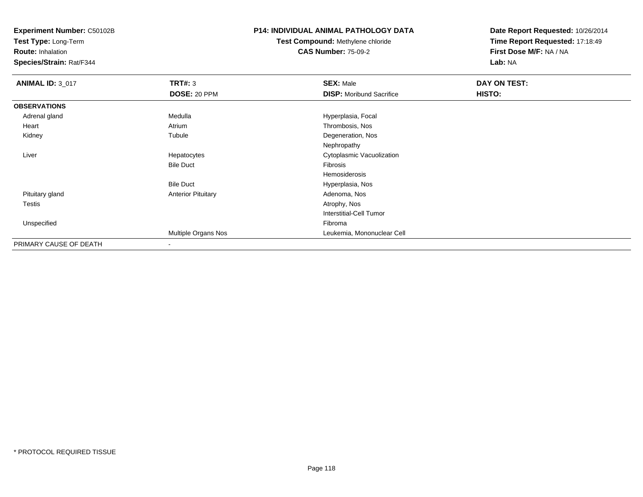**Test Type:** Long-Term

**Route:** Inhalation

**Species/Strain:** Rat/F344

#### **P14: INDIVIDUAL ANIMAL PATHOLOGY DATA**

# **Test Compound:** Methylene chloride**CAS Number:** 75-09-2

| <b>ANIMAL ID: 3_017</b> | <b>TRT#: 3</b>            | <b>SEX: Male</b>                | DAY ON TEST: |  |
|-------------------------|---------------------------|---------------------------------|--------------|--|
|                         | <b>DOSE: 20 PPM</b>       | <b>DISP:</b> Moribund Sacrifice | HISTO:       |  |
| <b>OBSERVATIONS</b>     |                           |                                 |              |  |
| Adrenal gland           | Medulla                   | Hyperplasia, Focal              |              |  |
| Heart                   | Atrium                    | Thrombosis, Nos                 |              |  |
| Kidney                  | Tubule                    | Degeneration, Nos               |              |  |
|                         |                           | Nephropathy                     |              |  |
| Liver                   | Hepatocytes               | Cytoplasmic Vacuolization       |              |  |
|                         | <b>Bile Duct</b>          | Fibrosis                        |              |  |
|                         |                           | Hemosiderosis                   |              |  |
|                         | <b>Bile Duct</b>          | Hyperplasia, Nos                |              |  |
| Pituitary gland         | <b>Anterior Pituitary</b> | Adenoma, Nos                    |              |  |
| Testis                  |                           | Atrophy, Nos                    |              |  |
|                         |                           | Interstitial-Cell Tumor         |              |  |
| Unspecified             |                           | Fibroma                         |              |  |
|                         | Multiple Organs Nos       | Leukemia, Mononuclear Cell      |              |  |
| PRIMARY CAUSE OF DEATH  |                           |                                 |              |  |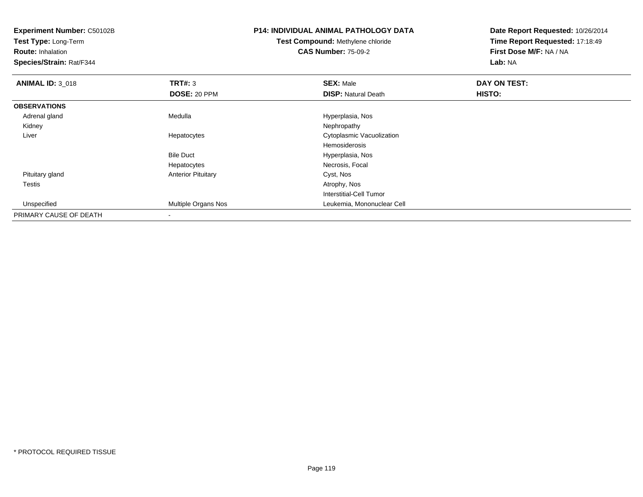**Experiment Number:** C50102B**Test Type:** Long-Term**Route:** Inhalation **Species/Strain:** Rat/F344**P14: INDIVIDUAL ANIMAL PATHOLOGY DATATest Compound:** Methylene chloride**CAS Number:** 75-09-2**Date Report Requested:** 10/26/2014**Time Report Requested:** 17:18:49**First Dose M/F:** NA / NA**Lab:** NA**ANIMAL ID: 3 018 REX:** Male **DAY ON TEST: SEX:** Male **SEX:** Male **DOSE:** 20 PPM**DISP:** Natural Death **HISTO: OBSERVATIONS** Adrenal glandMedulla Medulla Hyperplasia, Nostra en la materialista de la media de la media de la media de la media de la m<br>Nephropathy Kidneyy the control of the control of the control of the control of the control of the control of the control of the control of the control of the control of the control of the control of the control of the control of the contro Liver Hepatocytes Cytoplasmic VacuolizationHemosiderosis Hyperplasia, NosBile Ducts **Necrosis, Focal** Hepatocytes Pituitary glandAnterior Pituitary Cyst, Nos<br>
Atrophy, Nos<br>
Atrophy, Nos Testiss and the contract of the contract of the contract of the contract of the contract of the contract of the contract of the contract of the contract of the contract of the contract of the contract of the contract of the cont Interstitial-Cell Tumor Unspecified Multiple Organs Nos Leukemia, Mononuclear Cell PRIMARY CAUSE OF DEATH-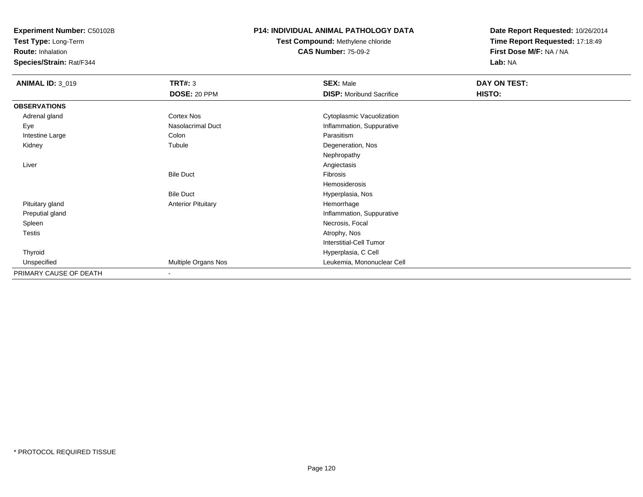**Test Type:** Long-Term

**Route:** Inhalation

**Species/Strain:** Rat/F344

### **P14: INDIVIDUAL ANIMAL PATHOLOGY DATA**

# **Test Compound:** Methylene chloride**CAS Number:** 75-09-2

| <b>ANIMAL ID: 3_019</b> | <b>TRT#: 3</b>            | <b>SEX: Male</b>                | DAY ON TEST: |  |
|-------------------------|---------------------------|---------------------------------|--------------|--|
|                         | DOSE: 20 PPM              | <b>DISP:</b> Moribund Sacrifice | HISTO:       |  |
| <b>OBSERVATIONS</b>     |                           |                                 |              |  |
| Adrenal gland           | Cortex Nos                | Cytoplasmic Vacuolization       |              |  |
| Eye                     | Nasolacrimal Duct         | Inflammation, Suppurative       |              |  |
| Intestine Large         | Colon                     | Parasitism                      |              |  |
| Kidney                  | Tubule                    | Degeneration, Nos               |              |  |
|                         |                           | Nephropathy                     |              |  |
| Liver                   |                           | Angiectasis                     |              |  |
|                         | <b>Bile Duct</b>          | Fibrosis                        |              |  |
|                         |                           | Hemosiderosis                   |              |  |
|                         | <b>Bile Duct</b>          | Hyperplasia, Nos                |              |  |
| Pituitary gland         | <b>Anterior Pituitary</b> | Hemorrhage                      |              |  |
| Preputial gland         |                           | Inflammation, Suppurative       |              |  |
| Spleen                  |                           | Necrosis, Focal                 |              |  |
| <b>Testis</b>           |                           | Atrophy, Nos                    |              |  |
|                         |                           | <b>Interstitial-Cell Tumor</b>  |              |  |
| Thyroid                 |                           | Hyperplasia, C Cell             |              |  |
| Unspecified             | Multiple Organs Nos       | Leukemia, Mononuclear Cell      |              |  |
| PRIMARY CAUSE OF DEATH  | $\overline{\phantom{a}}$  |                                 |              |  |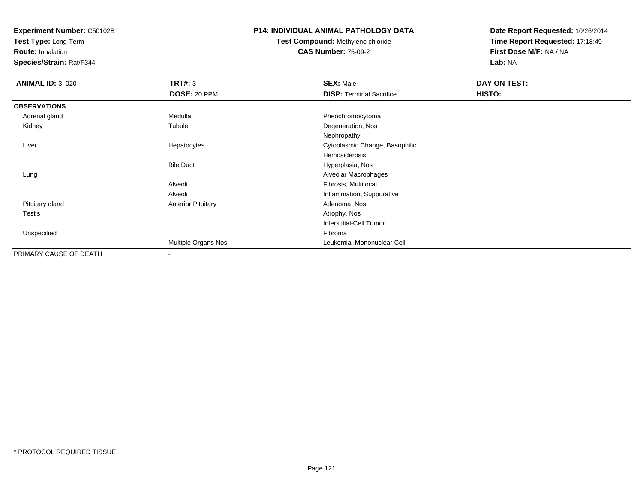**Test Type:** Long-Term

**Route:** Inhalation

**Species/Strain:** Rat/F344

### **P14: INDIVIDUAL ANIMAL PATHOLOGY DATA**

# **Test Compound:** Methylene chloride**CAS Number:** 75-09-2

| <b>ANIMAL ID: 3_020</b> | <b>TRT#: 3</b>            | <b>SEX: Male</b>                | DAY ON TEST: |  |
|-------------------------|---------------------------|---------------------------------|--------------|--|
|                         | DOSE: 20 PPM              | <b>DISP: Terminal Sacrifice</b> | HISTO:       |  |
| <b>OBSERVATIONS</b>     |                           |                                 |              |  |
| Adrenal gland           | Medulla                   | Pheochromocytoma                |              |  |
| Kidney                  | Tubule                    | Degeneration, Nos               |              |  |
|                         |                           | Nephropathy                     |              |  |
| Liver                   | Hepatocytes               | Cytoplasmic Change, Basophilic  |              |  |
|                         |                           | Hemosiderosis                   |              |  |
|                         | <b>Bile Duct</b>          | Hyperplasia, Nos                |              |  |
| Lung                    |                           | Alveolar Macrophages            |              |  |
|                         | Alveoli                   | Fibrosis, Multifocal            |              |  |
|                         | Alveoli                   | Inflammation, Suppurative       |              |  |
| Pituitary gland         | <b>Anterior Pituitary</b> | Adenoma, Nos                    |              |  |
| <b>Testis</b>           |                           | Atrophy, Nos                    |              |  |
|                         |                           | <b>Interstitial-Cell Tumor</b>  |              |  |
| Unspecified             |                           | Fibroma                         |              |  |
|                         | Multiple Organs Nos       | Leukemia, Mononuclear Cell      |              |  |
| PRIMARY CAUSE OF DEATH  | $\overline{\phantom{a}}$  |                                 |              |  |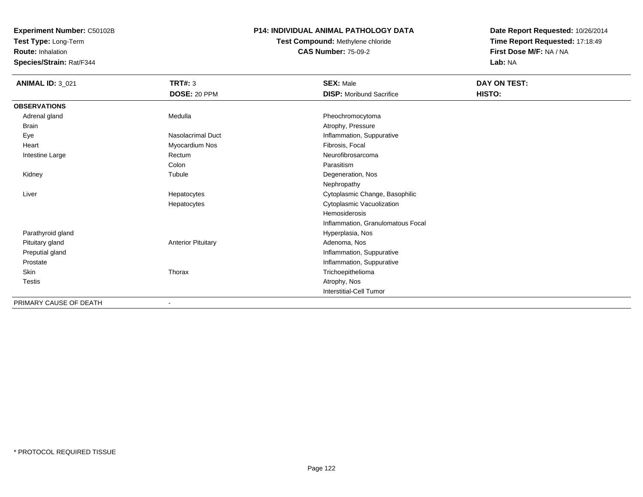**Test Type:** Long-Term

**Route:** Inhalation

**Species/Strain:** Rat/F344

#### **P14: INDIVIDUAL ANIMAL PATHOLOGY DATA**

# **Test Compound:** Methylene chloride**CAS Number:** 75-09-2

| <b>ANIMAL ID: 3_021</b> | <b>TRT#: 3</b><br>DOSE: 20 PPM | <b>SEX: Male</b><br><b>DISP:</b> Moribund Sacrifice | DAY ON TEST:<br>HISTO: |
|-------------------------|--------------------------------|-----------------------------------------------------|------------------------|
| <b>OBSERVATIONS</b>     |                                |                                                     |                        |
| Adrenal gland           | Medulla                        | Pheochromocytoma                                    |                        |
| <b>Brain</b>            |                                | Atrophy, Pressure                                   |                        |
| Eye                     | <b>Nasolacrimal Duct</b>       | Inflammation, Suppurative                           |                        |
| Heart                   | Myocardium Nos                 | Fibrosis, Focal                                     |                        |
| Intestine Large         | Rectum                         | Neurofibrosarcoma                                   |                        |
|                         | Colon                          | Parasitism                                          |                        |
| Kidney                  | Tubule                         | Degeneration, Nos                                   |                        |
|                         |                                | Nephropathy                                         |                        |
| Liver                   | Hepatocytes                    | Cytoplasmic Change, Basophilic                      |                        |
|                         | Hepatocytes                    | Cytoplasmic Vacuolization                           |                        |
|                         |                                | Hemosiderosis                                       |                        |
|                         |                                | Inflammation, Granulomatous Focal                   |                        |
| Parathyroid gland       |                                | Hyperplasia, Nos                                    |                        |
| Pituitary gland         | <b>Anterior Pituitary</b>      | Adenoma, Nos                                        |                        |
| Preputial gland         |                                | Inflammation, Suppurative                           |                        |
| Prostate                |                                | Inflammation, Suppurative                           |                        |
| Skin                    | Thorax                         | Trichoepithelioma                                   |                        |
| <b>Testis</b>           |                                | Atrophy, Nos                                        |                        |
|                         |                                | <b>Interstitial-Cell Tumor</b>                      |                        |
| PRIMARY CAUSE OF DEATH  | $\overline{\phantom{a}}$       |                                                     |                        |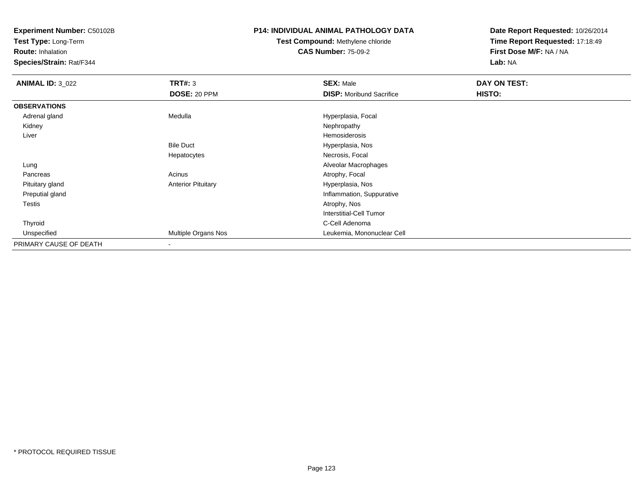**Test Type:** Long-Term

**Route:** Inhalation

**Species/Strain:** Rat/F344

### **P14: INDIVIDUAL ANIMAL PATHOLOGY DATA**

# **Test Compound:** Methylene chloride**CAS Number:** 75-09-2

| <b>ANIMAL ID: 3_022</b> | TRT#: 3                   | <b>SEX: Male</b>                | DAY ON TEST: |  |
|-------------------------|---------------------------|---------------------------------|--------------|--|
|                         | <b>DOSE: 20 PPM</b>       | <b>DISP:</b> Moribund Sacrifice | HISTO:       |  |
| <b>OBSERVATIONS</b>     |                           |                                 |              |  |
| Adrenal gland           | Medulla                   | Hyperplasia, Focal              |              |  |
| Kidney                  |                           | Nephropathy                     |              |  |
| Liver                   |                           | Hemosiderosis                   |              |  |
|                         | <b>Bile Duct</b>          | Hyperplasia, Nos                |              |  |
|                         | Hepatocytes               | Necrosis, Focal                 |              |  |
| Lung                    |                           | Alveolar Macrophages            |              |  |
| Pancreas                | Acinus                    | Atrophy, Focal                  |              |  |
| Pituitary gland         | <b>Anterior Pituitary</b> | Hyperplasia, Nos                |              |  |
| Preputial gland         |                           | Inflammation, Suppurative       |              |  |
| Testis                  |                           | Atrophy, Nos                    |              |  |
|                         |                           | Interstitial-Cell Tumor         |              |  |
| Thyroid                 |                           | C-Cell Adenoma                  |              |  |
| Unspecified             | Multiple Organs Nos       | Leukemia, Mononuclear Cell      |              |  |
| PRIMARY CAUSE OF DEATH  |                           |                                 |              |  |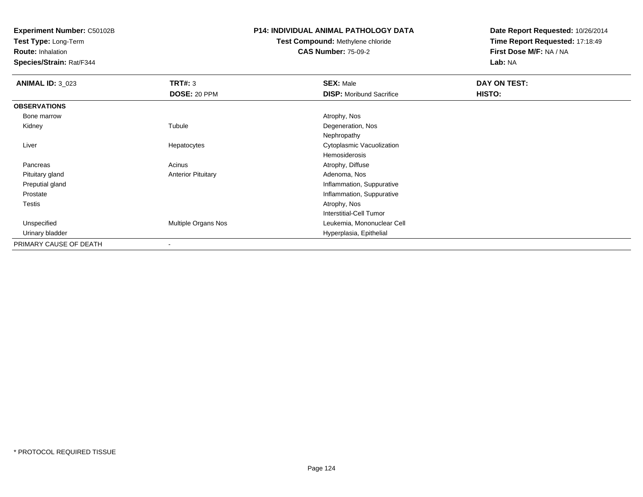**Test Type:** Long-Term

**Route:** Inhalation

**Species/Strain:** Rat/F344

#### **P14: INDIVIDUAL ANIMAL PATHOLOGY DATA**

# **Test Compound:** Methylene chloride**CAS Number:** 75-09-2

| <b>ANIMAL ID: 3_023</b> | TRT#: 3                   | <b>SEX: Male</b>                | DAY ON TEST: |  |
|-------------------------|---------------------------|---------------------------------|--------------|--|
|                         | <b>DOSE: 20 PPM</b>       | <b>DISP:</b> Moribund Sacrifice | HISTO:       |  |
| <b>OBSERVATIONS</b>     |                           |                                 |              |  |
| Bone marrow             |                           | Atrophy, Nos                    |              |  |
| Kidney                  | Tubule                    | Degeneration, Nos               |              |  |
|                         |                           | Nephropathy                     |              |  |
| Liver                   | Hepatocytes               | Cytoplasmic Vacuolization       |              |  |
|                         |                           | Hemosiderosis                   |              |  |
| Pancreas                | Acinus                    | Atrophy, Diffuse                |              |  |
| Pituitary gland         | <b>Anterior Pituitary</b> | Adenoma, Nos                    |              |  |
| Preputial gland         |                           | Inflammation, Suppurative       |              |  |
| Prostate                |                           | Inflammation, Suppurative       |              |  |
| <b>Testis</b>           |                           | Atrophy, Nos                    |              |  |
|                         |                           | <b>Interstitial-Cell Tumor</b>  |              |  |
| Unspecified             | Multiple Organs Nos       | Leukemia, Mononuclear Cell      |              |  |
| Urinary bladder         |                           | Hyperplasia, Epithelial         |              |  |
| PRIMARY CAUSE OF DEATH  | $\overline{\phantom{a}}$  |                                 |              |  |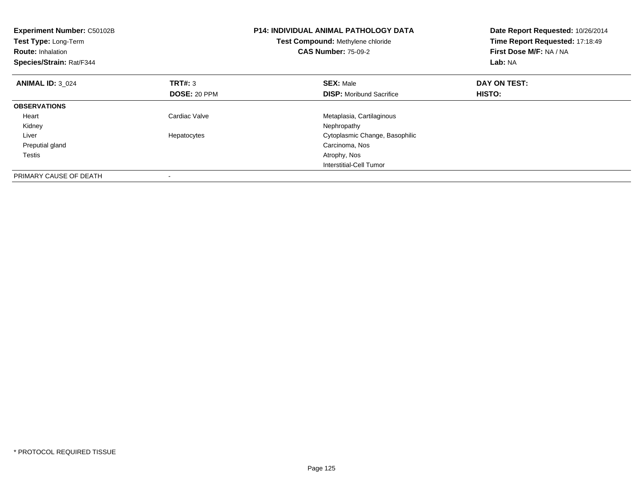| <b>Experiment Number: C50102B</b><br>Test Type: Long-Term<br><b>Route: Inhalation</b><br>Species/Strain: Rat/F344 |                | <b>P14: INDIVIDUAL ANIMAL PATHOLOGY DATA</b><br>Test Compound: Methylene chloride<br><b>CAS Number: 75-09-2</b> | Date Report Requested: 10/26/2014<br>Time Report Requested: 17:18:49<br>First Dose M/F: NA / NA<br>Lab: NA |  |
|-------------------------------------------------------------------------------------------------------------------|----------------|-----------------------------------------------------------------------------------------------------------------|------------------------------------------------------------------------------------------------------------|--|
| <b>ANIMAL ID: 3 024</b>                                                                                           | <b>TRT#: 3</b> | <b>SEX: Male</b>                                                                                                | DAY ON TEST:                                                                                               |  |
|                                                                                                                   | DOSE: 20 PPM   | <b>DISP:</b> Moribund Sacrifice                                                                                 | HISTO:                                                                                                     |  |
| <b>OBSERVATIONS</b>                                                                                               |                |                                                                                                                 |                                                                                                            |  |
| Heart                                                                                                             | Cardiac Valve  | Metaplasia, Cartilaginous                                                                                       |                                                                                                            |  |
| Kidney                                                                                                            |                | Nephropathy                                                                                                     |                                                                                                            |  |
| Liver                                                                                                             | Hepatocytes    | Cytoplasmic Change, Basophilic                                                                                  |                                                                                                            |  |
| Preputial gland                                                                                                   |                | Carcinoma, Nos                                                                                                  |                                                                                                            |  |
| Testis                                                                                                            |                | Atrophy, Nos                                                                                                    |                                                                                                            |  |
|                                                                                                                   |                | Interstitial-Cell Tumor                                                                                         |                                                                                                            |  |
| PRIMARY CAUSE OF DEATH                                                                                            |                |                                                                                                                 |                                                                                                            |  |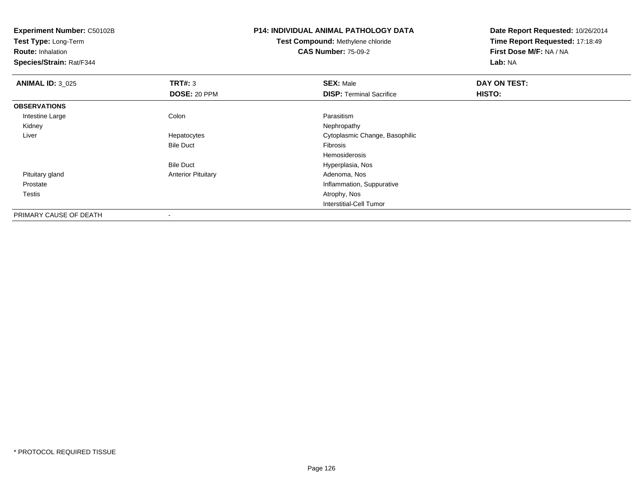**Experiment Number:** C50102B**Test Type:** Long-Term**Route:** Inhalation **Species/Strain:** Rat/F344**P14: INDIVIDUAL ANIMAL PATHOLOGY DATATest Compound:** Methylene chloride**CAS Number:** 75-09-2**Date Report Requested:** 10/26/2014**Time Report Requested:** 17:18:49**First Dose M/F:** NA / NA**Lab:** NA**ANIMAL ID:** 3\_025 **TRT#:** <sup>3</sup> **SEX:** Male **DAY ON TEST: DOSE:** 20 PPM**DISP:** Terminal Sacrifice **HISTO: OBSERVATIONS** Intestine Largee and the Colon Colon Colon Colon and the Parasitism Nephropathy Kidneyy the control of the control of the control of the control of the control of the control of the control of the control of the control of the control of the control of the control of the control of the control of the contro Liver Hepatocytes Cytoplasmic Change, Basophilic Bile Duct Fibrosis Hemosiderosis Hyperplasia, NosBile Duct Pituitary glandAnterior Pituitary **Adenoma, Nos** Adenoma, Nos Prostate Inflammation, Suppurative Testiss and the contract of the contract of the contract of the contract of the contract of the contract of the contract of the contract of the contract of the contract of the contract of the contract of the contract of the cont Interstitial-Cell TumorPRIMARY CAUSE OF DEATH

-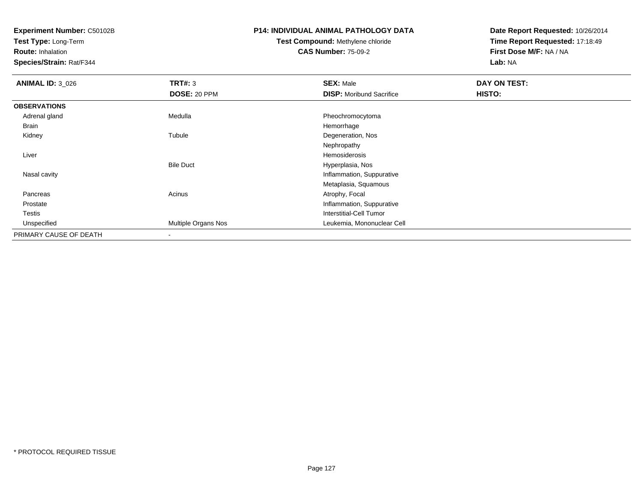**Test Type:** Long-Term

**Route:** Inhalation

**Species/Strain:** Rat/F344

# **P14: INDIVIDUAL ANIMAL PATHOLOGY DATA**

# **Test Compound:** Methylene chloride**CAS Number:** 75-09-2

| <b>ANIMAL ID: 3_026</b> | TRT#: 3             | <b>SEX: Male</b>                | DAY ON TEST: |  |
|-------------------------|---------------------|---------------------------------|--------------|--|
|                         | DOSE: 20 PPM        | <b>DISP:</b> Moribund Sacrifice | HISTO:       |  |
| <b>OBSERVATIONS</b>     |                     |                                 |              |  |
| Adrenal gland           | Medulla             | Pheochromocytoma                |              |  |
| Brain                   |                     | Hemorrhage                      |              |  |
| Kidney                  | Tubule              | Degeneration, Nos               |              |  |
|                         |                     | Nephropathy                     |              |  |
| Liver                   |                     | Hemosiderosis                   |              |  |
|                         | <b>Bile Duct</b>    | Hyperplasia, Nos                |              |  |
| Nasal cavity            |                     | Inflammation, Suppurative       |              |  |
|                         |                     | Metaplasia, Squamous            |              |  |
| Pancreas                | Acinus              | Atrophy, Focal                  |              |  |
| Prostate                |                     | Inflammation, Suppurative       |              |  |
| Testis                  |                     | Interstitial-Cell Tumor         |              |  |
| Unspecified             | Multiple Organs Nos | Leukemia, Mononuclear Cell      |              |  |
| PRIMARY CAUSE OF DEATH  | $\blacksquare$      |                                 |              |  |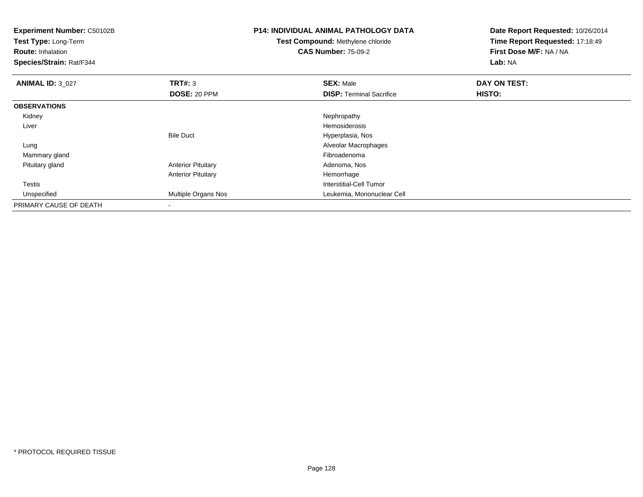| <b>Experiment Number: C50102B</b><br>Test Type: Long-Term<br><b>Route: Inhalation</b><br>Species/Strain: Rat/F344 |                           | <b>P14: INDIVIDUAL ANIMAL PATHOLOGY DATA</b><br><b>Test Compound: Methylene chloride</b><br><b>CAS Number: 75-09-2</b> | Date Report Requested: 10/26/2014<br>Time Report Requested: 17:18:49<br>First Dose M/F: NA / NA<br>Lab: NA |  |
|-------------------------------------------------------------------------------------------------------------------|---------------------------|------------------------------------------------------------------------------------------------------------------------|------------------------------------------------------------------------------------------------------------|--|
| <b>ANIMAL ID: 3_027</b>                                                                                           | TRT#: 3                   | <b>SEX: Male</b>                                                                                                       | DAY ON TEST:                                                                                               |  |
|                                                                                                                   | DOSE: 20 PPM              | <b>DISP: Terminal Sacrifice</b>                                                                                        | HISTO:                                                                                                     |  |
| <b>OBSERVATIONS</b>                                                                                               |                           |                                                                                                                        |                                                                                                            |  |
| Kidney                                                                                                            |                           | Nephropathy                                                                                                            |                                                                                                            |  |
| Liver                                                                                                             |                           | <b>Hemosiderosis</b>                                                                                                   |                                                                                                            |  |
|                                                                                                                   | <b>Bile Duct</b>          | Hyperplasia, Nos                                                                                                       |                                                                                                            |  |
| Lung                                                                                                              |                           | Alveolar Macrophages                                                                                                   |                                                                                                            |  |
| Mammary gland                                                                                                     |                           | Fibroadenoma                                                                                                           |                                                                                                            |  |
| Pituitary gland                                                                                                   | <b>Anterior Pituitary</b> | Adenoma, Nos                                                                                                           |                                                                                                            |  |
|                                                                                                                   | <b>Anterior Pituitary</b> | Hemorrhage                                                                                                             |                                                                                                            |  |
| Testis                                                                                                            |                           | <b>Interstitial-Cell Tumor</b>                                                                                         |                                                                                                            |  |
| Unspecified                                                                                                       | Multiple Organs Nos       | Leukemia, Mononuclear Cell                                                                                             |                                                                                                            |  |
| PRIMARY CAUSE OF DEATH                                                                                            |                           |                                                                                                                        |                                                                                                            |  |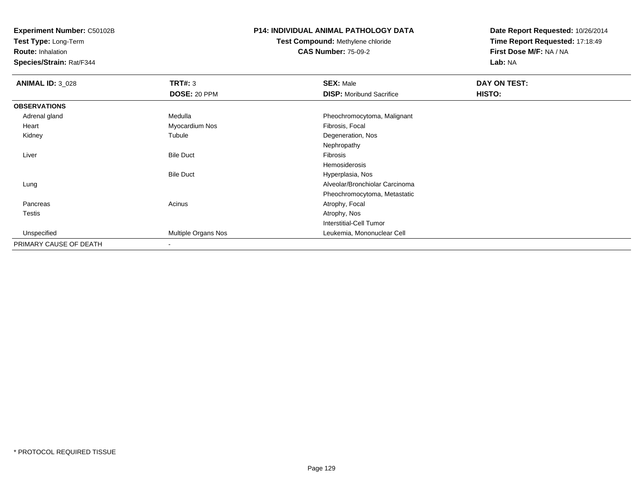**Test Type:** Long-Term

**Route:** Inhalation

**Species/Strain:** Rat/F344

### **P14: INDIVIDUAL ANIMAL PATHOLOGY DATA**

# **Test Compound:** Methylene chloride**CAS Number:** 75-09-2

| <b>ANIMAL ID: 3_028</b> | TRT#: 3             | <b>SEX: Male</b>                | DAY ON TEST: |  |
|-------------------------|---------------------|---------------------------------|--------------|--|
|                         | DOSE: 20 PPM        | <b>DISP:</b> Moribund Sacrifice | HISTO:       |  |
| <b>OBSERVATIONS</b>     |                     |                                 |              |  |
| Adrenal gland           | Medulla             | Pheochromocytoma, Malignant     |              |  |
| Heart                   | Myocardium Nos      | Fibrosis, Focal                 |              |  |
| Kidney                  | Tubule              | Degeneration, Nos               |              |  |
|                         |                     | Nephropathy                     |              |  |
| Liver                   | <b>Bile Duct</b>    | Fibrosis                        |              |  |
|                         |                     | Hemosiderosis                   |              |  |
|                         | <b>Bile Duct</b>    | Hyperplasia, Nos                |              |  |
| Lung                    |                     | Alveolar/Bronchiolar Carcinoma  |              |  |
|                         |                     | Pheochromocytoma, Metastatic    |              |  |
| Pancreas                | Acinus              | Atrophy, Focal                  |              |  |
| <b>Testis</b>           |                     | Atrophy, Nos                    |              |  |
|                         |                     | <b>Interstitial-Cell Tumor</b>  |              |  |
| Unspecified             | Multiple Organs Nos | Leukemia, Mononuclear Cell      |              |  |
| PRIMARY CAUSE OF DEATH  |                     |                                 |              |  |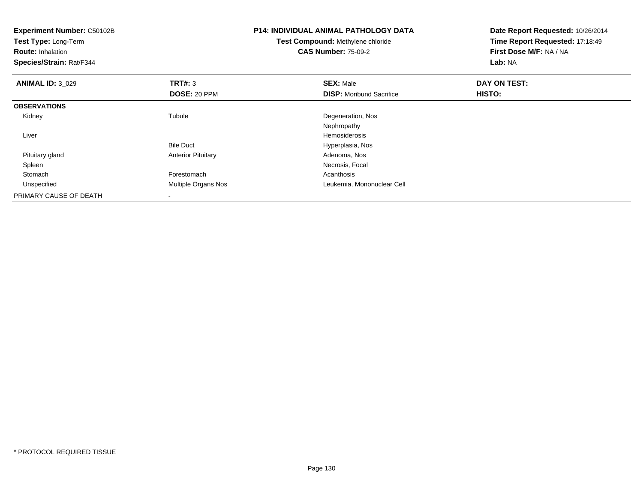| <b>Experiment Number: C50102B</b><br>Test Type: Long-Term<br><b>Route: Inhalation</b><br>Species/Strain: Rat/F344 |                           | <b>P14: INDIVIDUAL ANIMAL PATHOLOGY DATA</b><br>Test Compound: Methylene chloride<br><b>CAS Number: 75-09-2</b> | Date Report Requested: 10/26/2014<br>Time Report Requested: 17:18:49<br>First Dose M/F: NA / NA<br>Lab: NA |  |
|-------------------------------------------------------------------------------------------------------------------|---------------------------|-----------------------------------------------------------------------------------------------------------------|------------------------------------------------------------------------------------------------------------|--|
| <b>ANIMAL ID: 3 029</b>                                                                                           | TRT#: 3                   | <b>SEX: Male</b>                                                                                                | DAY ON TEST:                                                                                               |  |
|                                                                                                                   | DOSE: 20 PPM              | <b>DISP:</b> Moribund Sacrifice                                                                                 | <b>HISTO:</b>                                                                                              |  |
| <b>OBSERVATIONS</b>                                                                                               |                           |                                                                                                                 |                                                                                                            |  |
| Kidney                                                                                                            | Tubule                    | Degeneration, Nos                                                                                               |                                                                                                            |  |
|                                                                                                                   |                           | Nephropathy                                                                                                     |                                                                                                            |  |
| Liver                                                                                                             |                           | <b>Hemosiderosis</b>                                                                                            |                                                                                                            |  |
|                                                                                                                   | <b>Bile Duct</b>          | Hyperplasia, Nos                                                                                                |                                                                                                            |  |
| Pituitary gland                                                                                                   | <b>Anterior Pituitary</b> | Adenoma, Nos                                                                                                    |                                                                                                            |  |
| Spleen                                                                                                            |                           | Necrosis, Focal                                                                                                 |                                                                                                            |  |
| Stomach                                                                                                           | Forestomach               | Acanthosis                                                                                                      |                                                                                                            |  |
| Unspecified                                                                                                       | Multiple Organs Nos       | Leukemia, Mononuclear Cell                                                                                      |                                                                                                            |  |
| PRIMARY CAUSE OF DEATH                                                                                            |                           |                                                                                                                 |                                                                                                            |  |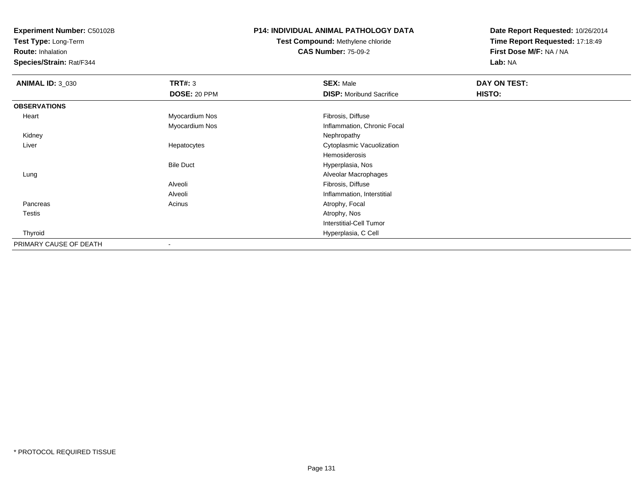**Test Type:** Long-Term

**Route:** Inhalation

**Species/Strain:** Rat/F344

### **P14: INDIVIDUAL ANIMAL PATHOLOGY DATA**

# **Test Compound:** Methylene chloride**CAS Number:** 75-09-2

| <b>ANIMAL ID: 3_030</b> | <b>TRT#: 3</b>           | <b>SEX: Male</b>                | DAY ON TEST: |  |
|-------------------------|--------------------------|---------------------------------|--------------|--|
|                         | DOSE: 20 PPM             | <b>DISP:</b> Moribund Sacrifice | HISTO:       |  |
| <b>OBSERVATIONS</b>     |                          |                                 |              |  |
| Heart                   | Myocardium Nos           | Fibrosis, Diffuse               |              |  |
|                         | Myocardium Nos           | Inflammation, Chronic Focal     |              |  |
| Kidney                  |                          | Nephropathy                     |              |  |
| Liver                   | Hepatocytes              | Cytoplasmic Vacuolization       |              |  |
|                         |                          | Hemosiderosis                   |              |  |
|                         | <b>Bile Duct</b>         | Hyperplasia, Nos                |              |  |
| Lung                    |                          | Alveolar Macrophages            |              |  |
|                         | Alveoli                  | Fibrosis, Diffuse               |              |  |
|                         | Alveoli                  | Inflammation, Interstitial      |              |  |
| Pancreas                | Acinus                   | Atrophy, Focal                  |              |  |
| <b>Testis</b>           |                          | Atrophy, Nos                    |              |  |
|                         |                          | <b>Interstitial-Cell Tumor</b>  |              |  |
| Thyroid                 |                          | Hyperplasia, C Cell             |              |  |
| PRIMARY CAUSE OF DEATH  | $\overline{\phantom{a}}$ |                                 |              |  |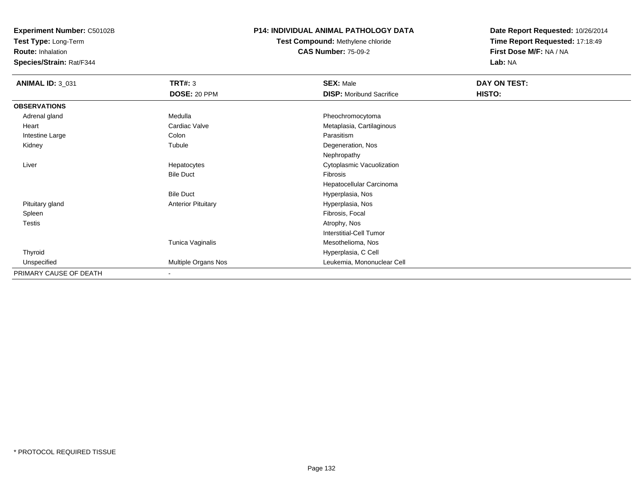**Test Type:** Long-Term

**Route:** Inhalation

**Species/Strain:** Rat/F344

### **P14: INDIVIDUAL ANIMAL PATHOLOGY DATA**

**Test Compound:** Methylene chloride**CAS Number:** 75-09-2

| <b>ANIMAL ID: 3_031</b> | <b>TRT#: 3</b>            | <b>SEX: Male</b>                | DAY ON TEST: |  |
|-------------------------|---------------------------|---------------------------------|--------------|--|
|                         | DOSE: 20 PPM              | <b>DISP:</b> Moribund Sacrifice | HISTO:       |  |
| <b>OBSERVATIONS</b>     |                           |                                 |              |  |
| Adrenal gland           | Medulla                   | Pheochromocytoma                |              |  |
| Heart                   | Cardiac Valve             | Metaplasia, Cartilaginous       |              |  |
| Intestine Large         | Colon                     | Parasitism                      |              |  |
| Kidney                  | Tubule                    | Degeneration, Nos               |              |  |
|                         |                           | Nephropathy                     |              |  |
| Liver                   | Hepatocytes               | Cytoplasmic Vacuolization       |              |  |
|                         | <b>Bile Duct</b>          | Fibrosis                        |              |  |
|                         |                           | Hepatocellular Carcinoma        |              |  |
|                         | <b>Bile Duct</b>          | Hyperplasia, Nos                |              |  |
| Pituitary gland         | <b>Anterior Pituitary</b> | Hyperplasia, Nos                |              |  |
| Spleen                  |                           | Fibrosis, Focal                 |              |  |
| Testis                  |                           | Atrophy, Nos                    |              |  |
|                         |                           | Interstitial-Cell Tumor         |              |  |
|                         | Tunica Vaginalis          | Mesothelioma, Nos               |              |  |
| Thyroid                 |                           | Hyperplasia, C Cell             |              |  |
| Unspecified             | Multiple Organs Nos       | Leukemia, Mononuclear Cell      |              |  |
| PRIMARY CAUSE OF DEATH  | $\overline{\phantom{a}}$  |                                 |              |  |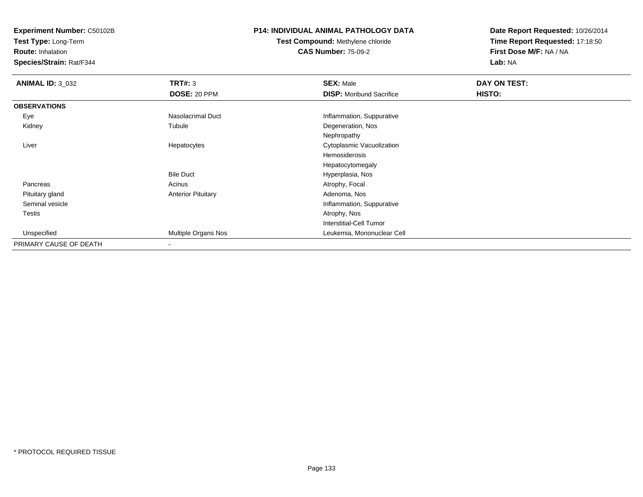**Test Type:** Long-Term

**Route:** Inhalation

**Species/Strain:** Rat/F344

### **P14: INDIVIDUAL ANIMAL PATHOLOGY DATA**

# **Test Compound:** Methylene chloride**CAS Number:** 75-09-2

| <b>ANIMAL ID: 3_032</b> | <b>TRT#: 3</b>            | <b>SEX: Male</b>                | DAY ON TEST: |  |
|-------------------------|---------------------------|---------------------------------|--------------|--|
|                         | DOSE: 20 PPM              | <b>DISP:</b> Moribund Sacrifice | HISTO:       |  |
| <b>OBSERVATIONS</b>     |                           |                                 |              |  |
| Eye                     | Nasolacrimal Duct         | Inflammation, Suppurative       |              |  |
| Kidney                  | Tubule                    | Degeneration, Nos               |              |  |
|                         |                           | Nephropathy                     |              |  |
| Liver                   | Hepatocytes               | Cytoplasmic Vacuolization       |              |  |
|                         |                           | Hemosiderosis                   |              |  |
|                         |                           | Hepatocytomegaly                |              |  |
|                         | <b>Bile Duct</b>          | Hyperplasia, Nos                |              |  |
| Pancreas                | Acinus                    | Atrophy, Focal                  |              |  |
| Pituitary gland         | <b>Anterior Pituitary</b> | Adenoma, Nos                    |              |  |
| Seminal vesicle         |                           | Inflammation, Suppurative       |              |  |
| Testis                  |                           | Atrophy, Nos                    |              |  |
|                         |                           | <b>Interstitial-Cell Tumor</b>  |              |  |
| Unspecified             | Multiple Organs Nos       | Leukemia, Mononuclear Cell      |              |  |
| PRIMARY CAUSE OF DEATH  |                           |                                 |              |  |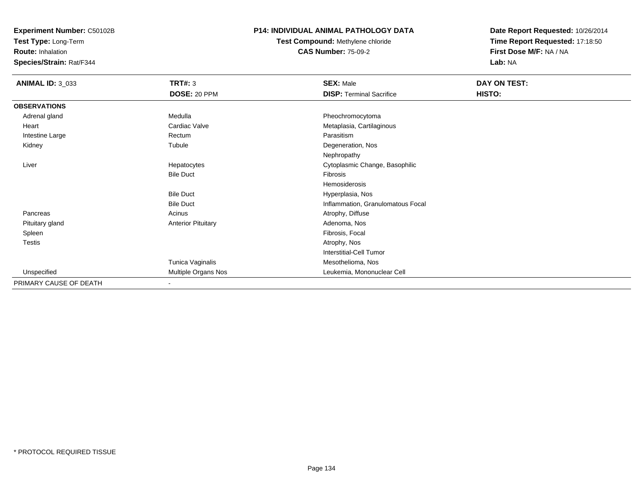**Test Type:** Long-Term

**Route:** Inhalation

**Species/Strain:** Rat/F344

### **P14: INDIVIDUAL ANIMAL PATHOLOGY DATA**

**Test Compound:** Methylene chloride**CAS Number:** 75-09-2

| <b>ANIMAL ID: 3_033</b> | <b>TRT#: 3</b>            | <b>SEX: Male</b>                  | DAY ON TEST: |  |
|-------------------------|---------------------------|-----------------------------------|--------------|--|
|                         | DOSE: 20 PPM              | <b>DISP: Terminal Sacrifice</b>   | HISTO:       |  |
| <b>OBSERVATIONS</b>     |                           |                                   |              |  |
| Adrenal gland           | Medulla                   | Pheochromocytoma                  |              |  |
| Heart                   | Cardiac Valve             | Metaplasia, Cartilaginous         |              |  |
| Intestine Large         | Rectum                    | Parasitism                        |              |  |
| Kidney                  | Tubule                    | Degeneration, Nos                 |              |  |
|                         |                           | Nephropathy                       |              |  |
| Liver                   | Hepatocytes               | Cytoplasmic Change, Basophilic    |              |  |
|                         | <b>Bile Duct</b>          | Fibrosis                          |              |  |
|                         |                           | Hemosiderosis                     |              |  |
|                         | <b>Bile Duct</b>          | Hyperplasia, Nos                  |              |  |
|                         | <b>Bile Duct</b>          | Inflammation, Granulomatous Focal |              |  |
| Pancreas                | Acinus                    | Atrophy, Diffuse                  |              |  |
| Pituitary gland         | <b>Anterior Pituitary</b> | Adenoma, Nos                      |              |  |
| Spleen                  |                           | Fibrosis, Focal                   |              |  |
| <b>Testis</b>           |                           | Atrophy, Nos                      |              |  |
|                         |                           | Interstitial-Cell Tumor           |              |  |
|                         | Tunica Vaginalis          | Mesothelioma, Nos                 |              |  |
| Unspecified             | Multiple Organs Nos       | Leukemia, Mononuclear Cell        |              |  |
| PRIMARY CAUSE OF DEATH  | $\overline{\phantom{a}}$  |                                   |              |  |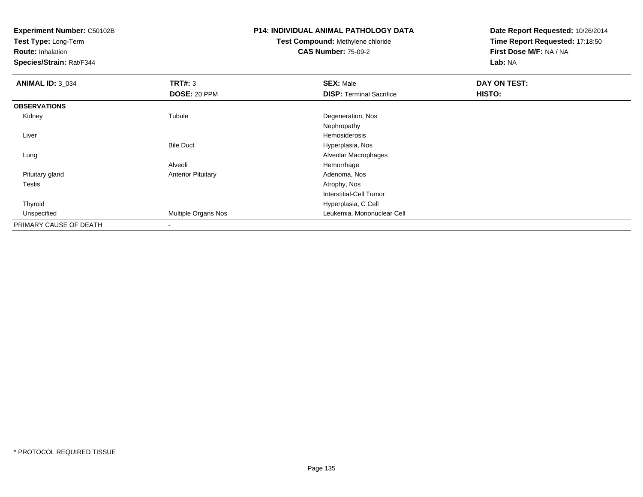**Test Type:** Long-Term

**Route:** Inhalation

**Species/Strain:** Rat/F344

# **P14: INDIVIDUAL ANIMAL PATHOLOGY DATA**

# **Test Compound:** Methylene chloride**CAS Number:** 75-09-2

| <b>ANIMAL ID: 3_034</b> | TRT#: 3                   | <b>SEX: Male</b>                | DAY ON TEST: |  |
|-------------------------|---------------------------|---------------------------------|--------------|--|
|                         | DOSE: 20 PPM              | <b>DISP: Terminal Sacrifice</b> | HISTO:       |  |
| <b>OBSERVATIONS</b>     |                           |                                 |              |  |
| Kidney                  | Tubule                    | Degeneration, Nos               |              |  |
|                         |                           | Nephropathy                     |              |  |
| Liver                   |                           | Hemosiderosis                   |              |  |
|                         | <b>Bile Duct</b>          | Hyperplasia, Nos                |              |  |
| Lung                    |                           | Alveolar Macrophages            |              |  |
|                         | Alveoli                   | Hemorrhage                      |              |  |
| Pituitary gland         | <b>Anterior Pituitary</b> | Adenoma, Nos                    |              |  |
| Testis                  |                           | Atrophy, Nos                    |              |  |
|                         |                           | <b>Interstitial-Cell Tumor</b>  |              |  |
| Thyroid                 |                           | Hyperplasia, C Cell             |              |  |
| Unspecified             | Multiple Organs Nos       | Leukemia, Mononuclear Cell      |              |  |
| PRIMARY CAUSE OF DEATH  |                           |                                 |              |  |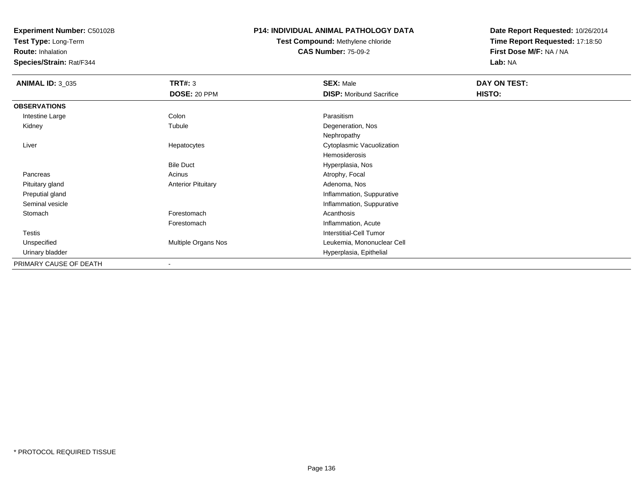**Test Type:** Long-Term

**Route:** Inhalation

**Species/Strain:** Rat/F344

#### **P14: INDIVIDUAL ANIMAL PATHOLOGY DATA**

# **Test Compound:** Methylene chloride**CAS Number:** 75-09-2

| <b>ANIMAL ID: 3 035</b> | TRT#: 3                   | <b>SEX: Male</b>                | DAY ON TEST: |  |
|-------------------------|---------------------------|---------------------------------|--------------|--|
|                         | DOSE: 20 PPM              | <b>DISP:</b> Moribund Sacrifice | HISTO:       |  |
| <b>OBSERVATIONS</b>     |                           |                                 |              |  |
| Intestine Large         | Colon                     | Parasitism                      |              |  |
| Kidney                  | Tubule                    | Degeneration, Nos               |              |  |
|                         |                           | Nephropathy                     |              |  |
| Liver                   | Hepatocytes               | Cytoplasmic Vacuolization       |              |  |
|                         |                           | Hemosiderosis                   |              |  |
|                         | <b>Bile Duct</b>          | Hyperplasia, Nos                |              |  |
| Pancreas                | Acinus                    | Atrophy, Focal                  |              |  |
| Pituitary gland         | <b>Anterior Pituitary</b> | Adenoma, Nos                    |              |  |
| Preputial gland         |                           | Inflammation, Suppurative       |              |  |
| Seminal vesicle         |                           | Inflammation, Suppurative       |              |  |
| Stomach                 | Forestomach               | Acanthosis                      |              |  |
|                         | Forestomach               | Inflammation, Acute             |              |  |
| Testis                  |                           | <b>Interstitial-Cell Tumor</b>  |              |  |
| Unspecified             | Multiple Organs Nos       | Leukemia, Mononuclear Cell      |              |  |
| Urinary bladder         |                           | Hyperplasia, Epithelial         |              |  |
| PRIMARY CAUSE OF DEATH  | $\blacksquare$            |                                 |              |  |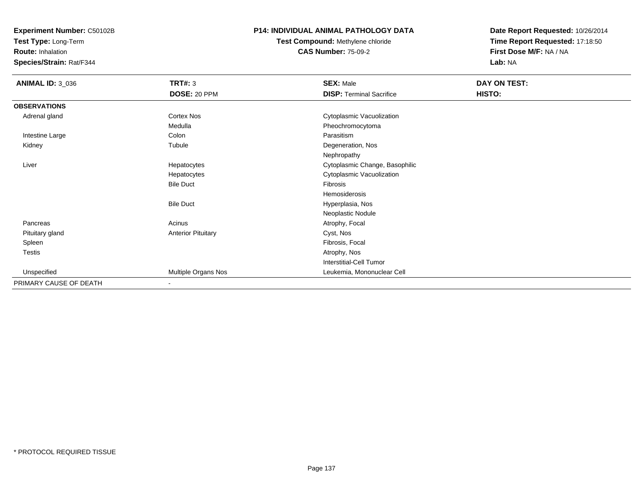**Test Type:** Long-Term

**Route:** Inhalation

**Species/Strain:** Rat/F344

### **P14: INDIVIDUAL ANIMAL PATHOLOGY DATA**

**Test Compound:** Methylene chloride**CAS Number:** 75-09-2

| <b>ANIMAL ID: 3_036</b> | <b>TRT#: 3</b>            | <b>SEX: Male</b>                | DAY ON TEST: |  |
|-------------------------|---------------------------|---------------------------------|--------------|--|
|                         | DOSE: 20 PPM              | <b>DISP: Terminal Sacrifice</b> | HISTO:       |  |
| <b>OBSERVATIONS</b>     |                           |                                 |              |  |
| Adrenal gland           | <b>Cortex Nos</b>         | Cytoplasmic Vacuolization       |              |  |
|                         | Medulla                   | Pheochromocytoma                |              |  |
| Intestine Large         | Colon                     | Parasitism                      |              |  |
| Kidney                  | Tubule                    | Degeneration, Nos               |              |  |
|                         |                           | Nephropathy                     |              |  |
| Liver                   | Hepatocytes               | Cytoplasmic Change, Basophilic  |              |  |
|                         | Hepatocytes               | Cytoplasmic Vacuolization       |              |  |
|                         | <b>Bile Duct</b>          | Fibrosis                        |              |  |
|                         |                           | Hemosiderosis                   |              |  |
|                         | <b>Bile Duct</b>          | Hyperplasia, Nos                |              |  |
|                         |                           | Neoplastic Nodule               |              |  |
| Pancreas                | Acinus                    | Atrophy, Focal                  |              |  |
| Pituitary gland         | <b>Anterior Pituitary</b> | Cyst, Nos                       |              |  |
| Spleen                  |                           | Fibrosis, Focal                 |              |  |
| Testis                  |                           | Atrophy, Nos                    |              |  |
|                         |                           | Interstitial-Cell Tumor         |              |  |
| Unspecified             | Multiple Organs Nos       | Leukemia, Mononuclear Cell      |              |  |
| PRIMARY CAUSE OF DEATH  |                           |                                 |              |  |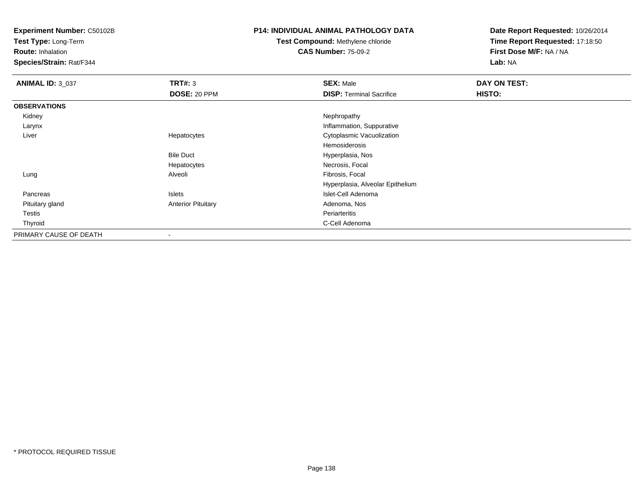**Test Type:** Long-Term

**Route:** Inhalation

**Species/Strain:** Rat/F344

### **P14: INDIVIDUAL ANIMAL PATHOLOGY DATA**

# **Test Compound:** Methylene chloride**CAS Number:** 75-09-2

| <b>ANIMAL ID: 3 037</b> | TRT#: 3                   | <b>SEX: Male</b>                 | DAY ON TEST: |  |
|-------------------------|---------------------------|----------------------------------|--------------|--|
|                         | <b>DOSE: 20 PPM</b>       | <b>DISP: Terminal Sacrifice</b>  | HISTO:       |  |
| <b>OBSERVATIONS</b>     |                           |                                  |              |  |
| Kidney                  |                           | Nephropathy                      |              |  |
| Larynx                  |                           | Inflammation, Suppurative        |              |  |
| Liver                   | Hepatocytes               | Cytoplasmic Vacuolization        |              |  |
|                         |                           | Hemosiderosis                    |              |  |
|                         | <b>Bile Duct</b>          | Hyperplasia, Nos                 |              |  |
|                         | Hepatocytes               | Necrosis, Focal                  |              |  |
| Lung                    | Alveoli                   | Fibrosis, Focal                  |              |  |
|                         |                           | Hyperplasia, Alveolar Epithelium |              |  |
| Pancreas                | Islets                    | Islet-Cell Adenoma               |              |  |
| Pituitary gland         | <b>Anterior Pituitary</b> | Adenoma, Nos                     |              |  |
| Testis                  |                           | Periarteritis                    |              |  |
| Thyroid                 |                           | C-Cell Adenoma                   |              |  |
| PRIMARY CAUSE OF DEATH  |                           |                                  |              |  |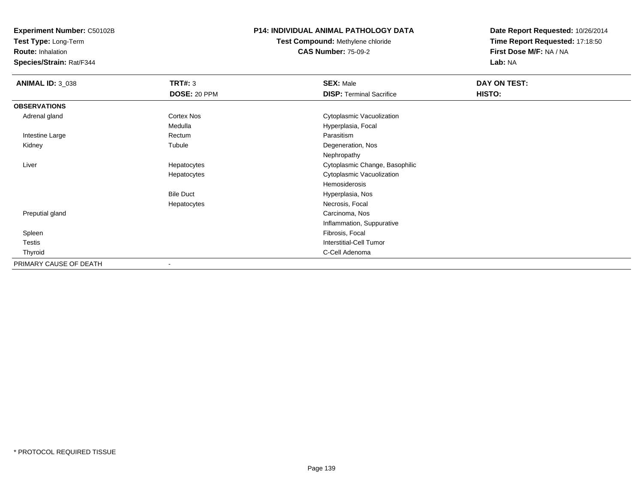**Test Type:** Long-Term

**Route:** Inhalation

**Species/Strain:** Rat/F344

### **P14: INDIVIDUAL ANIMAL PATHOLOGY DATA**

**Test Compound:** Methylene chloride**CAS Number:** 75-09-2

| <b>ANIMAL ID: 3_038</b> | TRT#: 3          | <b>SEX: Male</b>                | DAY ON TEST: |  |
|-------------------------|------------------|---------------------------------|--------------|--|
|                         | DOSE: 20 PPM     | <b>DISP: Terminal Sacrifice</b> | HISTO:       |  |
| <b>OBSERVATIONS</b>     |                  |                                 |              |  |
| Adrenal gland           | Cortex Nos       | Cytoplasmic Vacuolization       |              |  |
|                         | Medulla          | Hyperplasia, Focal              |              |  |
| Intestine Large         | Rectum           | Parasitism                      |              |  |
| Kidney                  | Tubule           | Degeneration, Nos               |              |  |
|                         |                  | Nephropathy                     |              |  |
| Liver                   | Hepatocytes      | Cytoplasmic Change, Basophilic  |              |  |
|                         | Hepatocytes      | Cytoplasmic Vacuolization       |              |  |
|                         |                  | Hemosiderosis                   |              |  |
|                         | <b>Bile Duct</b> | Hyperplasia, Nos                |              |  |
|                         | Hepatocytes      | Necrosis, Focal                 |              |  |
| Preputial gland         |                  | Carcinoma, Nos                  |              |  |
|                         |                  | Inflammation, Suppurative       |              |  |
| Spleen                  |                  | Fibrosis, Focal                 |              |  |
| Testis                  |                  | Interstitial-Cell Tumor         |              |  |
| Thyroid                 |                  | C-Cell Adenoma                  |              |  |
| PRIMARY CAUSE OF DEATH  |                  |                                 |              |  |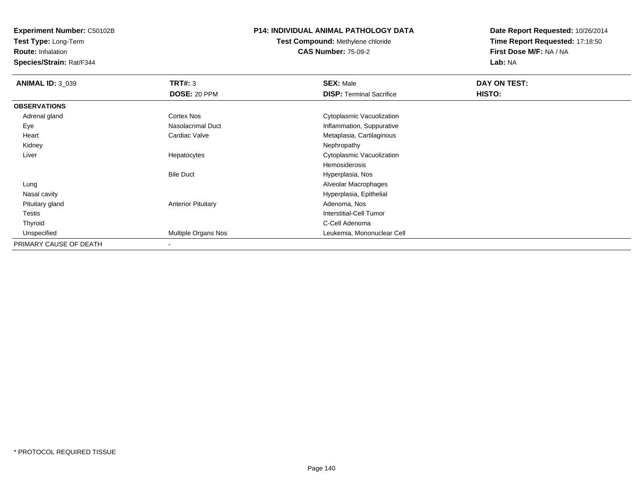**Test Type:** Long-Term

**Route:** Inhalation

**Species/Strain:** Rat/F344

### **P14: INDIVIDUAL ANIMAL PATHOLOGY DATA**

**Test Compound:** Methylene chloride**CAS Number:** 75-09-2

| <b>ANIMAL ID: 3_039</b> | TRT#: 3                   | <b>SEX: Male</b>                | DAY ON TEST: |  |
|-------------------------|---------------------------|---------------------------------|--------------|--|
|                         | DOSE: 20 PPM              | <b>DISP: Terminal Sacrifice</b> | HISTO:       |  |
| <b>OBSERVATIONS</b>     |                           |                                 |              |  |
| Adrenal gland           | <b>Cortex Nos</b>         | Cytoplasmic Vacuolization       |              |  |
| Eye                     | Nasolacrimal Duct         | Inflammation, Suppurative       |              |  |
| Heart                   | Cardiac Valve             | Metaplasia, Cartilaginous       |              |  |
| Kidney                  |                           | Nephropathy                     |              |  |
| Liver                   | Hepatocytes               | Cytoplasmic Vacuolization       |              |  |
|                         |                           | Hemosiderosis                   |              |  |
|                         | <b>Bile Duct</b>          | Hyperplasia, Nos                |              |  |
| Lung                    |                           | Alveolar Macrophages            |              |  |
| Nasal cavity            |                           | Hyperplasia, Epithelial         |              |  |
| Pituitary gland         | <b>Anterior Pituitary</b> | Adenoma, Nos                    |              |  |
| <b>Testis</b>           |                           | Interstitial-Cell Tumor         |              |  |
| Thyroid                 |                           | C-Cell Adenoma                  |              |  |
| Unspecified             | Multiple Organs Nos       | Leukemia, Mononuclear Cell      |              |  |
| PRIMARY CAUSE OF DEATH  | $\overline{\phantom{a}}$  |                                 |              |  |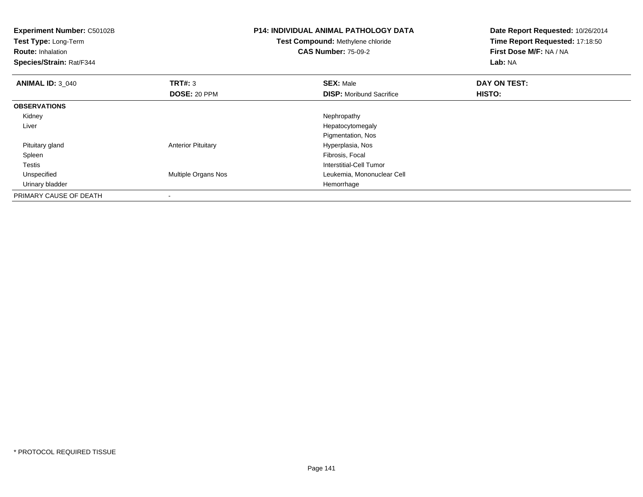| <b>Experiment Number: C50102B</b><br>Test Type: Long-Term<br><b>Route: Inhalation</b><br>Species/Strain: Rat/F344 |                           | <b>P14: INDIVIDUAL ANIMAL PATHOLOGY DATA</b><br>Test Compound: Methylene chloride<br><b>CAS Number: 75-09-2</b> | Date Report Requested: 10/26/2014<br>Time Report Requested: 17:18:50<br>First Dose M/F: NA / NA<br>Lab: NA |  |
|-------------------------------------------------------------------------------------------------------------------|---------------------------|-----------------------------------------------------------------------------------------------------------------|------------------------------------------------------------------------------------------------------------|--|
| <b>ANIMAL ID: 3 040</b>                                                                                           | TRT#: 3                   | <b>SEX: Male</b>                                                                                                | DAY ON TEST:                                                                                               |  |
|                                                                                                                   | DOSE: 20 PPM              | <b>DISP:</b> Moribund Sacrifice                                                                                 | HISTO:                                                                                                     |  |
| <b>OBSERVATIONS</b>                                                                                               |                           |                                                                                                                 |                                                                                                            |  |
| Kidney                                                                                                            |                           | Nephropathy                                                                                                     |                                                                                                            |  |
| Liver                                                                                                             |                           | Hepatocytomegaly                                                                                                |                                                                                                            |  |
|                                                                                                                   |                           | Pigmentation, Nos                                                                                               |                                                                                                            |  |
| Pituitary gland                                                                                                   | <b>Anterior Pituitary</b> | Hyperplasia, Nos                                                                                                |                                                                                                            |  |
| Spleen                                                                                                            |                           | Fibrosis, Focal                                                                                                 |                                                                                                            |  |
| <b>Testis</b>                                                                                                     |                           | Interstitial-Cell Tumor                                                                                         |                                                                                                            |  |
| Unspecified                                                                                                       | Multiple Organs Nos       | Leukemia, Mononuclear Cell                                                                                      |                                                                                                            |  |
| Urinary bladder                                                                                                   |                           | Hemorrhage                                                                                                      |                                                                                                            |  |
| PRIMARY CAUSE OF DEATH                                                                                            |                           |                                                                                                                 |                                                                                                            |  |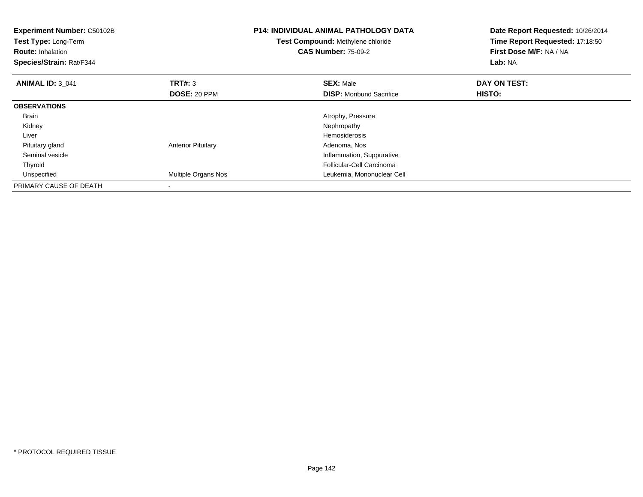| <b>Experiment Number: C50102B</b><br>Test Type: Long-Term<br><b>Route: Inhalation</b><br>Species/Strain: Rat/F344 |                           | <b>P14: INDIVIDUAL ANIMAL PATHOLOGY DATA</b><br>Test Compound: Methylene chloride<br><b>CAS Number: 75-09-2</b> | Date Report Requested: 10/26/2014<br>Time Report Requested: 17:18:50<br>First Dose M/F: NA / NA<br>Lab: NA |
|-------------------------------------------------------------------------------------------------------------------|---------------------------|-----------------------------------------------------------------------------------------------------------------|------------------------------------------------------------------------------------------------------------|
| <b>ANIMAL ID: 3 041</b>                                                                                           | TRT#: 3                   | <b>SEX: Male</b>                                                                                                | DAY ON TEST:                                                                                               |
|                                                                                                                   | DOSE: 20 PPM              | <b>DISP:</b> Moribund Sacrifice                                                                                 | HISTO:                                                                                                     |
| <b>OBSERVATIONS</b>                                                                                               |                           |                                                                                                                 |                                                                                                            |
| Brain                                                                                                             |                           | Atrophy, Pressure                                                                                               |                                                                                                            |
| Kidney                                                                                                            |                           | Nephropathy                                                                                                     |                                                                                                            |
| Liver                                                                                                             |                           | <b>Hemosiderosis</b>                                                                                            |                                                                                                            |
| Pituitary gland                                                                                                   | <b>Anterior Pituitary</b> | Adenoma, Nos                                                                                                    |                                                                                                            |
| Seminal vesicle                                                                                                   |                           | Inflammation, Suppurative                                                                                       |                                                                                                            |
| Thyroid                                                                                                           |                           | Follicular-Cell Carcinoma                                                                                       |                                                                                                            |
| Unspecified                                                                                                       | Multiple Organs Nos       | Leukemia, Mononuclear Cell                                                                                      |                                                                                                            |
| PRIMARY CAUSE OF DEATH                                                                                            |                           |                                                                                                                 |                                                                                                            |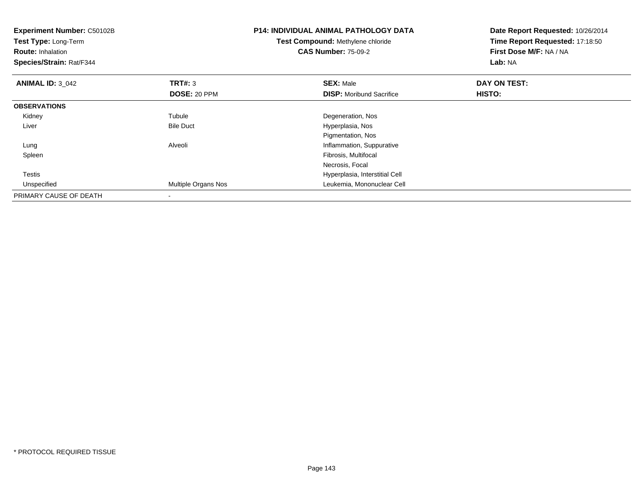| <b>Experiment Number: C50102B</b><br>Test Type: Long-Term<br><b>Route: Inhalation</b><br>Species/Strain: Rat/F344 |                     | <b>P14: INDIVIDUAL ANIMAL PATHOLOGY DATA</b><br>Test Compound: Methylene chloride<br><b>CAS Number: 75-09-2</b> | Date Report Requested: 10/26/2014<br>Time Report Requested: 17:18:50<br>First Dose M/F: NA / NA<br>Lab: NA |
|-------------------------------------------------------------------------------------------------------------------|---------------------|-----------------------------------------------------------------------------------------------------------------|------------------------------------------------------------------------------------------------------------|
| <b>ANIMAL ID: 3 042</b>                                                                                           | <b>TRT#: 3</b>      | <b>SEX: Male</b>                                                                                                | DAY ON TEST:                                                                                               |
|                                                                                                                   | DOSE: 20 PPM        | <b>DISP:</b> Moribund Sacrifice                                                                                 | <b>HISTO:</b>                                                                                              |
| <b>OBSERVATIONS</b>                                                                                               |                     |                                                                                                                 |                                                                                                            |
| Kidney                                                                                                            | Tubule              | Degeneration, Nos                                                                                               |                                                                                                            |
| Liver                                                                                                             | <b>Bile Duct</b>    | Hyperplasia, Nos                                                                                                |                                                                                                            |
|                                                                                                                   |                     | Pigmentation, Nos                                                                                               |                                                                                                            |
| Lung                                                                                                              | Alveoli             | Inflammation, Suppurative                                                                                       |                                                                                                            |
| Spleen                                                                                                            |                     | Fibrosis, Multifocal                                                                                            |                                                                                                            |
|                                                                                                                   |                     | Necrosis, Focal                                                                                                 |                                                                                                            |
| <b>Testis</b>                                                                                                     |                     | Hyperplasia, Interstitial Cell                                                                                  |                                                                                                            |
| Unspecified                                                                                                       | Multiple Organs Nos | Leukemia, Mononuclear Cell                                                                                      |                                                                                                            |
| PRIMARY CAUSE OF DEATH                                                                                            |                     |                                                                                                                 |                                                                                                            |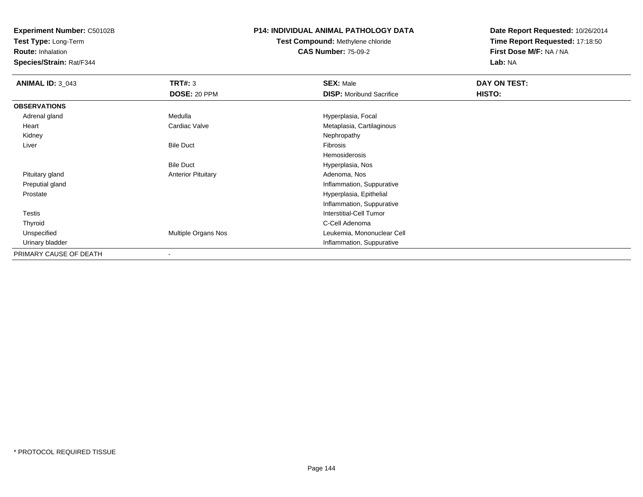**Test Type:** Long-Term

**Route:** Inhalation

**Species/Strain:** Rat/F344

### **P14: INDIVIDUAL ANIMAL PATHOLOGY DATA**

# **Test Compound:** Methylene chloride**CAS Number:** 75-09-2

| <b>ANIMAL ID: 3_043</b> | TRT#: 3                   | <b>SEX: Male</b>                | DAY ON TEST: |  |
|-------------------------|---------------------------|---------------------------------|--------------|--|
|                         | <b>DOSE: 20 PPM</b>       | <b>DISP:</b> Moribund Sacrifice | HISTO:       |  |
| <b>OBSERVATIONS</b>     |                           |                                 |              |  |
| Adrenal gland           | Medulla                   | Hyperplasia, Focal              |              |  |
| Heart                   | Cardiac Valve             | Metaplasia, Cartilaginous       |              |  |
| Kidney                  |                           | Nephropathy                     |              |  |
| Liver                   | <b>Bile Duct</b>          | Fibrosis                        |              |  |
|                         |                           | Hemosiderosis                   |              |  |
|                         | <b>Bile Duct</b>          | Hyperplasia, Nos                |              |  |
| Pituitary gland         | <b>Anterior Pituitary</b> | Adenoma, Nos                    |              |  |
| Preputial gland         |                           | Inflammation, Suppurative       |              |  |
| Prostate                |                           | Hyperplasia, Epithelial         |              |  |
|                         |                           | Inflammation, Suppurative       |              |  |
| <b>Testis</b>           |                           | Interstitial-Cell Tumor         |              |  |
| Thyroid                 |                           | C-Cell Adenoma                  |              |  |
| Unspecified             | Multiple Organs Nos       | Leukemia, Mononuclear Cell      |              |  |
| Urinary bladder         |                           | Inflammation, Suppurative       |              |  |
| PRIMARY CAUSE OF DEATH  | $\blacksquare$            |                                 |              |  |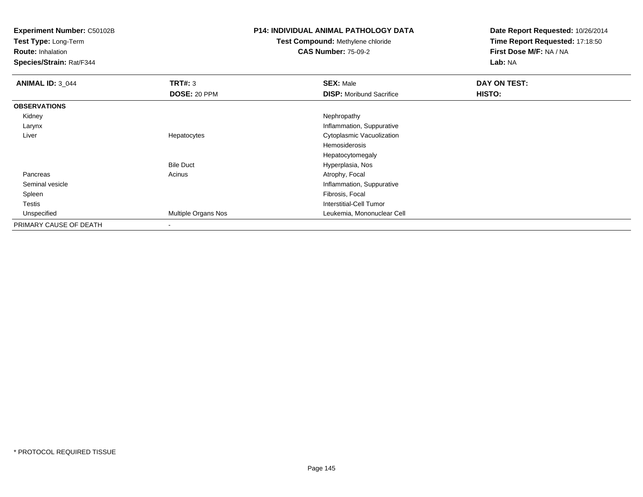**Test Type:** Long-Term

**Route:** Inhalation

**Species/Strain:** Rat/F344

## **P14: INDIVIDUAL ANIMAL PATHOLOGY DATA**

# **Test Compound:** Methylene chloride**CAS Number:** 75-09-2

| <b>ANIMAL ID: 3_044</b> | TRT#: 3             | <b>SEX: Male</b>                | DAY ON TEST: |  |
|-------------------------|---------------------|---------------------------------|--------------|--|
|                         | <b>DOSE: 20 PPM</b> | <b>DISP:</b> Moribund Sacrifice | HISTO:       |  |
| <b>OBSERVATIONS</b>     |                     |                                 |              |  |
| Kidney                  |                     | Nephropathy                     |              |  |
| Larynx                  |                     | Inflammation, Suppurative       |              |  |
| Liver                   | Hepatocytes         | Cytoplasmic Vacuolization       |              |  |
|                         |                     | Hemosiderosis                   |              |  |
|                         |                     | Hepatocytomegaly                |              |  |
|                         | <b>Bile Duct</b>    | Hyperplasia, Nos                |              |  |
| Pancreas                | Acinus              | Atrophy, Focal                  |              |  |
| Seminal vesicle         |                     | Inflammation, Suppurative       |              |  |
| Spleen                  |                     | Fibrosis, Focal                 |              |  |
| Testis                  |                     | Interstitial-Cell Tumor         |              |  |
| Unspecified             | Multiple Organs Nos | Leukemia, Mononuclear Cell      |              |  |
| PRIMARY CAUSE OF DEATH  |                     |                                 |              |  |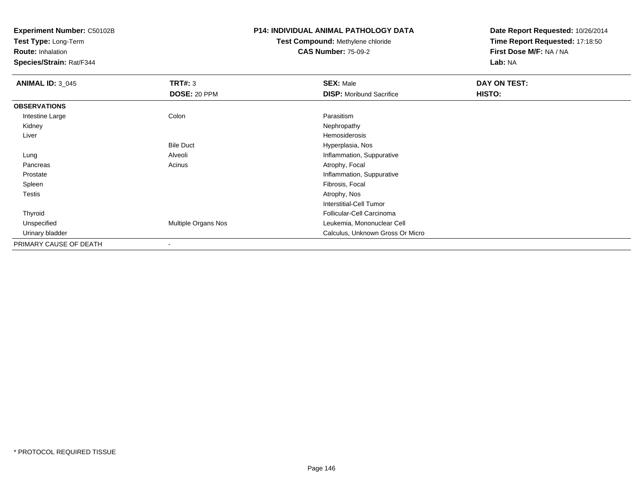**Test Type:** Long-Term

**Route:** Inhalation

**Species/Strain:** Rat/F344

## **P14: INDIVIDUAL ANIMAL PATHOLOGY DATA**

# **Test Compound:** Methylene chloride**CAS Number:** 75-09-2

| <b>ANIMAL ID: 3_045</b> | TRT#: 3                  | <b>SEX: Male</b>                 | DAY ON TEST: |  |
|-------------------------|--------------------------|----------------------------------|--------------|--|
|                         | DOSE: 20 PPM             | <b>DISP:</b> Moribund Sacrifice  | HISTO:       |  |
| <b>OBSERVATIONS</b>     |                          |                                  |              |  |
| Intestine Large         | Colon                    | Parasitism                       |              |  |
| Kidney                  |                          | Nephropathy                      |              |  |
| Liver                   |                          | Hemosiderosis                    |              |  |
|                         | <b>Bile Duct</b>         | Hyperplasia, Nos                 |              |  |
| Lung                    | Alveoli                  | Inflammation, Suppurative        |              |  |
| Pancreas                | Acinus                   | Atrophy, Focal                   |              |  |
| Prostate                |                          | Inflammation, Suppurative        |              |  |
| Spleen                  |                          | Fibrosis, Focal                  |              |  |
| <b>Testis</b>           |                          | Atrophy, Nos                     |              |  |
|                         |                          | Interstitial-Cell Tumor          |              |  |
| Thyroid                 |                          | Follicular-Cell Carcinoma        |              |  |
| Unspecified             | Multiple Organs Nos      | Leukemia, Mononuclear Cell       |              |  |
| Urinary bladder         |                          | Calculus, Unknown Gross Or Micro |              |  |
| PRIMARY CAUSE OF DEATH  | $\overline{\phantom{a}}$ |                                  |              |  |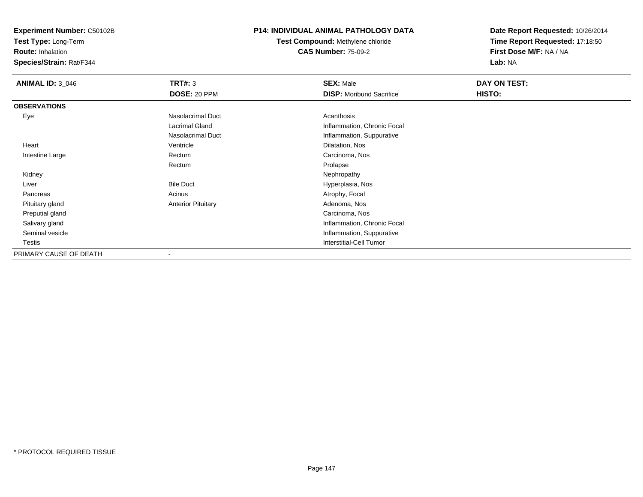**Test Type:** Long-Term

**Route:** Inhalation

**Species/Strain:** Rat/F344

## **P14: INDIVIDUAL ANIMAL PATHOLOGY DATA**

# **Test Compound:** Methylene chloride**CAS Number:** 75-09-2

| <b>ANIMAL ID: 3 046</b> | <b>TRT#: 3</b>            | <b>SEX: Male</b>                | DAY ON TEST: |
|-------------------------|---------------------------|---------------------------------|--------------|
|                         | <b>DOSE: 20 PPM</b>       | <b>DISP:</b> Moribund Sacrifice | HISTO:       |
| <b>OBSERVATIONS</b>     |                           |                                 |              |
| Eye                     | Nasolacrimal Duct         | Acanthosis                      |              |
|                         | Lacrimal Gland            | Inflammation, Chronic Focal     |              |
|                         | Nasolacrimal Duct         | Inflammation, Suppurative       |              |
| Heart                   | Ventricle                 | Dilatation, Nos                 |              |
| Intestine Large         | Rectum                    | Carcinoma, Nos                  |              |
|                         | Rectum                    | Prolapse                        |              |
| Kidney                  |                           | Nephropathy                     |              |
| Liver                   | <b>Bile Duct</b>          | Hyperplasia, Nos                |              |
| Pancreas                | Acinus                    | Atrophy, Focal                  |              |
| Pituitary gland         | <b>Anterior Pituitary</b> | Adenoma, Nos                    |              |
| Preputial gland         |                           | Carcinoma, Nos                  |              |
| Salivary gland          |                           | Inflammation, Chronic Focal     |              |
| Seminal vesicle         |                           | Inflammation, Suppurative       |              |
| Testis                  |                           | <b>Interstitial-Cell Tumor</b>  |              |
| PRIMARY CAUSE OF DEATH  |                           |                                 |              |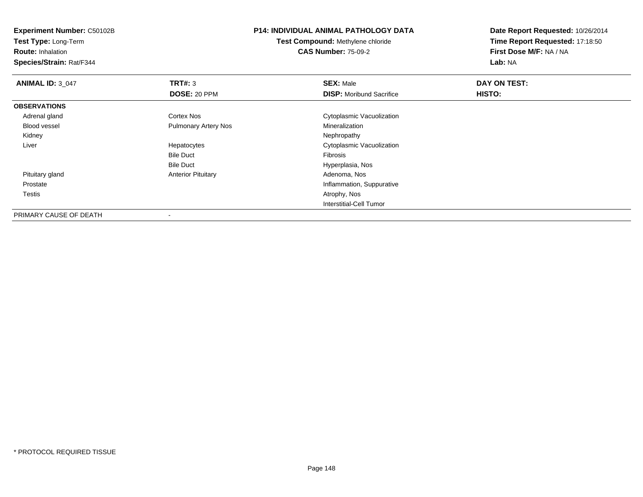**Test Type:** Long-Term

**Route:** Inhalation

**Species/Strain:** Rat/F344

# **P14: INDIVIDUAL ANIMAL PATHOLOGY DATA**

**Test Compound:** Methylene chloride**CAS Number:** 75-09-2

| <b>ANIMAL ID: 3_047</b> | TRT#: 3                     | <b>SEX: Male</b>                | DAY ON TEST: |  |
|-------------------------|-----------------------------|---------------------------------|--------------|--|
|                         | DOSE: 20 PPM                | <b>DISP:</b> Moribund Sacrifice | HISTO:       |  |
| <b>OBSERVATIONS</b>     |                             |                                 |              |  |
| Adrenal gland           | Cortex Nos                  | Cytoplasmic Vacuolization       |              |  |
| Blood vessel            | <b>Pulmonary Artery Nos</b> | Mineralization                  |              |  |
| Kidney                  |                             | Nephropathy                     |              |  |
| Liver                   | Hepatocytes                 | Cytoplasmic Vacuolization       |              |  |
|                         | <b>Bile Duct</b>            | Fibrosis                        |              |  |
|                         | <b>Bile Duct</b>            | Hyperplasia, Nos                |              |  |
| Pituitary gland         | <b>Anterior Pituitary</b>   | Adenoma, Nos                    |              |  |
| Prostate                |                             | Inflammation, Suppurative       |              |  |
| <b>Testis</b>           |                             | Atrophy, Nos                    |              |  |
|                         |                             | Interstitial-Cell Tumor         |              |  |
| PRIMARY CAUSE OF DEATH  | $\overline{\phantom{a}}$    |                                 |              |  |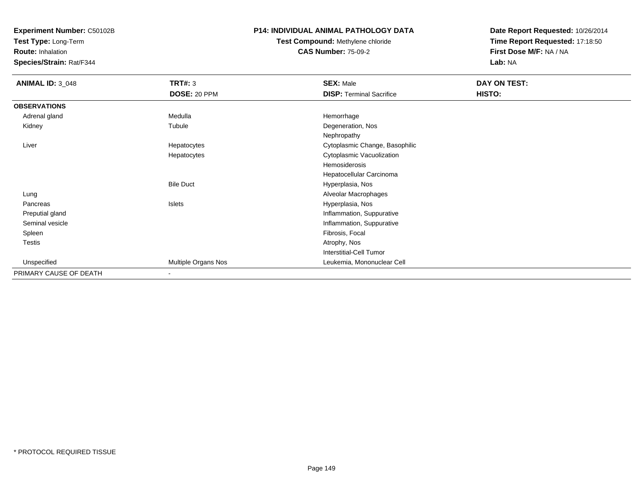**Test Type:** Long-Term

**Route:** Inhalation

**Species/Strain:** Rat/F344

### **P14: INDIVIDUAL ANIMAL PATHOLOGY DATA**

# **Test Compound:** Methylene chloride**CAS Number:** 75-09-2

| <b>ANIMAL ID: 3_048</b> | TRT#: 3             | <b>SEX: Male</b>                | DAY ON TEST: |  |
|-------------------------|---------------------|---------------------------------|--------------|--|
|                         | DOSE: 20 PPM        | <b>DISP: Terminal Sacrifice</b> | HISTO:       |  |
| <b>OBSERVATIONS</b>     |                     |                                 |              |  |
| Adrenal gland           | Medulla             | Hemorrhage                      |              |  |
| Kidney                  | Tubule              | Degeneration, Nos               |              |  |
|                         |                     | Nephropathy                     |              |  |
| Liver                   | Hepatocytes         | Cytoplasmic Change, Basophilic  |              |  |
|                         | Hepatocytes         | Cytoplasmic Vacuolization       |              |  |
|                         |                     | Hemosiderosis                   |              |  |
|                         |                     | Hepatocellular Carcinoma        |              |  |
|                         | <b>Bile Duct</b>    | Hyperplasia, Nos                |              |  |
| Lung                    |                     | Alveolar Macrophages            |              |  |
| Pancreas                | Islets              | Hyperplasia, Nos                |              |  |
| Preputial gland         |                     | Inflammation, Suppurative       |              |  |
| Seminal vesicle         |                     | Inflammation, Suppurative       |              |  |
| Spleen                  |                     | Fibrosis, Focal                 |              |  |
| Testis                  |                     | Atrophy, Nos                    |              |  |
|                         |                     | <b>Interstitial-Cell Tumor</b>  |              |  |
| Unspecified             | Multiple Organs Nos | Leukemia, Mononuclear Cell      |              |  |
| PRIMARY CAUSE OF DEATH  | $\blacksquare$      |                                 |              |  |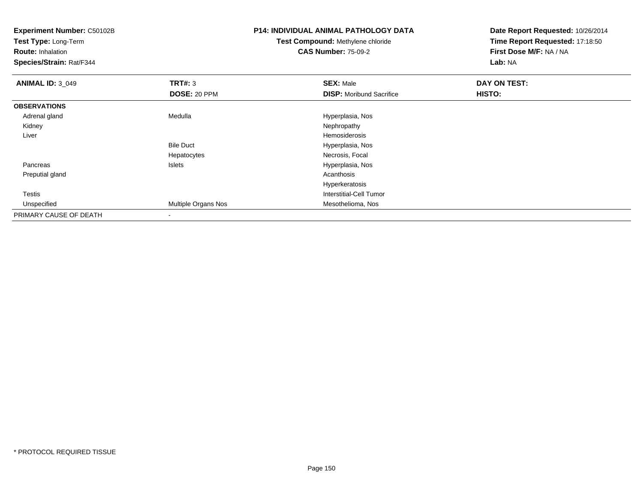| <b>Experiment Number: C50102B</b><br>Test Type: Long-Term |                     | <b>P14: INDIVIDUAL ANIMAL PATHOLOGY DATA</b> | Date Report Requested: 10/26/2014 |
|-----------------------------------------------------------|---------------------|----------------------------------------------|-----------------------------------|
|                                                           |                     | Test Compound: Methylene chloride            | Time Report Requested: 17:18:50   |
| <b>Route: Inhalation</b>                                  |                     | <b>CAS Number: 75-09-2</b>                   | First Dose M/F: NA / NA           |
| Species/Strain: Rat/F344                                  |                     |                                              | Lab: NA                           |
| <b>ANIMAL ID: 3_049</b>                                   | TRT#: 3             | <b>SEX: Male</b>                             | DAY ON TEST:                      |
|                                                           | DOSE: 20 PPM        | <b>DISP:</b> Moribund Sacrifice              | HISTO:                            |
| <b>OBSERVATIONS</b>                                       |                     |                                              |                                   |
| Adrenal gland                                             | Medulla             | Hyperplasia, Nos                             |                                   |
| Kidney                                                    |                     | Nephropathy                                  |                                   |
| Liver                                                     |                     | Hemosiderosis                                |                                   |
|                                                           | <b>Bile Duct</b>    | Hyperplasia, Nos                             |                                   |
|                                                           | Hepatocytes         | Necrosis, Focal                              |                                   |
| Pancreas                                                  | Islets              | Hyperplasia, Nos                             |                                   |
| Preputial gland                                           |                     | Acanthosis                                   |                                   |
|                                                           |                     | Hyperkeratosis                               |                                   |
| <b>Testis</b>                                             |                     | <b>Interstitial-Cell Tumor</b>               |                                   |
| Unspecified                                               | Multiple Organs Nos | Mesothelioma, Nos                            |                                   |
| PRIMARY CAUSE OF DEATH                                    |                     |                                              |                                   |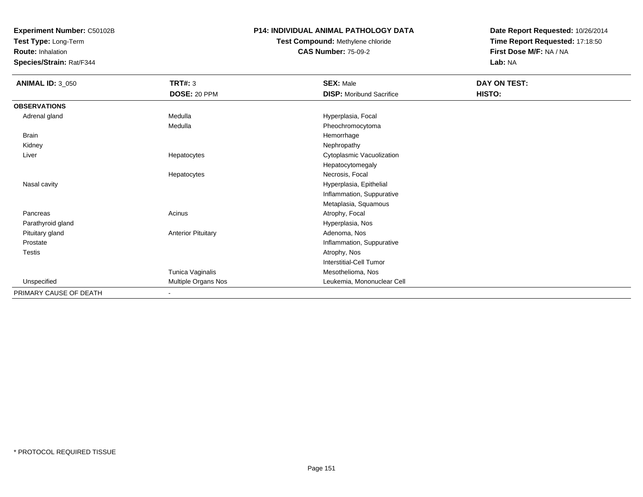**Test Type:** Long-Term

**Route:** Inhalation

**Species/Strain:** Rat/F344

## **P14: INDIVIDUAL ANIMAL PATHOLOGY DATA**

# **Test Compound:** Methylene chloride**CAS Number:** 75-09-2

| <b>ANIMAL ID: 3_050</b> | <b>TRT#: 3</b>            | <b>SEX: Male</b>                | DAY ON TEST: |
|-------------------------|---------------------------|---------------------------------|--------------|
|                         | DOSE: 20 PPM              | <b>DISP:</b> Moribund Sacrifice | HISTO:       |
| <b>OBSERVATIONS</b>     |                           |                                 |              |
| Adrenal gland           | Medulla                   | Hyperplasia, Focal              |              |
|                         | Medulla                   | Pheochromocytoma                |              |
| Brain                   |                           | Hemorrhage                      |              |
| Kidney                  |                           | Nephropathy                     |              |
| Liver                   | Hepatocytes               | Cytoplasmic Vacuolization       |              |
|                         |                           | Hepatocytomegaly                |              |
|                         | Hepatocytes               | Necrosis, Focal                 |              |
| Nasal cavity            |                           | Hyperplasia, Epithelial         |              |
|                         |                           | Inflammation, Suppurative       |              |
|                         |                           | Metaplasia, Squamous            |              |
| Pancreas                | Acinus                    | Atrophy, Focal                  |              |
| Parathyroid gland       |                           | Hyperplasia, Nos                |              |
| Pituitary gland         | <b>Anterior Pituitary</b> | Adenoma, Nos                    |              |
| Prostate                |                           | Inflammation, Suppurative       |              |
| Testis                  |                           | Atrophy, Nos                    |              |
|                         |                           | <b>Interstitial-Cell Tumor</b>  |              |
|                         | Tunica Vaginalis          | Mesothelioma, Nos               |              |
| Unspecified             | Multiple Organs Nos       | Leukemia, Mononuclear Cell      |              |
| PRIMARY CAUSE OF DEATH  |                           |                                 |              |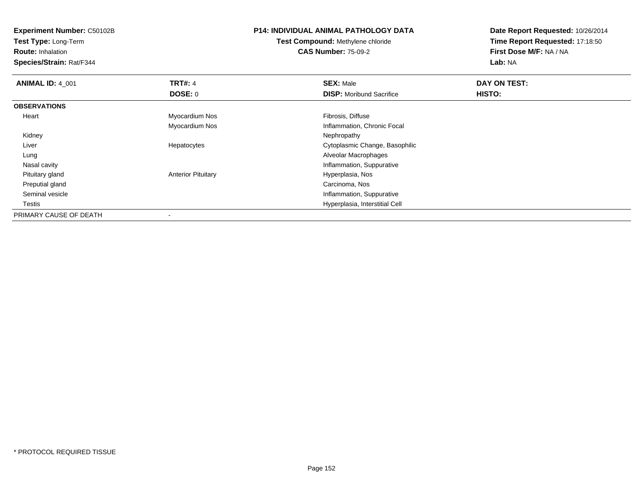**Test Type:** Long-Term

**Route:** Inhalation

**Species/Strain:** Rat/F344

# **P14: INDIVIDUAL ANIMAL PATHOLOGY DATA**

**Test Compound:** Methylene chloride**CAS Number:** 75-09-2

| <b>ANIMAL ID: 4 001</b> | <b>TRT#: 4</b>            | <b>SEX: Male</b>                | DAY ON TEST: |  |
|-------------------------|---------------------------|---------------------------------|--------------|--|
|                         | DOSE: 0                   | <b>DISP:</b> Moribund Sacrifice | HISTO:       |  |
| <b>OBSERVATIONS</b>     |                           |                                 |              |  |
| Heart                   | Myocardium Nos            | Fibrosis, Diffuse               |              |  |
|                         | Myocardium Nos            | Inflammation, Chronic Focal     |              |  |
| Kidney                  |                           | Nephropathy                     |              |  |
| Liver                   | Hepatocytes               | Cytoplasmic Change, Basophilic  |              |  |
| Lung                    |                           | Alveolar Macrophages            |              |  |
| Nasal cavity            |                           | Inflammation, Suppurative       |              |  |
| Pituitary gland         | <b>Anterior Pituitary</b> | Hyperplasia, Nos                |              |  |
| Preputial gland         |                           | Carcinoma, Nos                  |              |  |
| Seminal vesicle         |                           | Inflammation, Suppurative       |              |  |
| Testis                  |                           | Hyperplasia, Interstitial Cell  |              |  |
| PRIMARY CAUSE OF DEATH  |                           |                                 |              |  |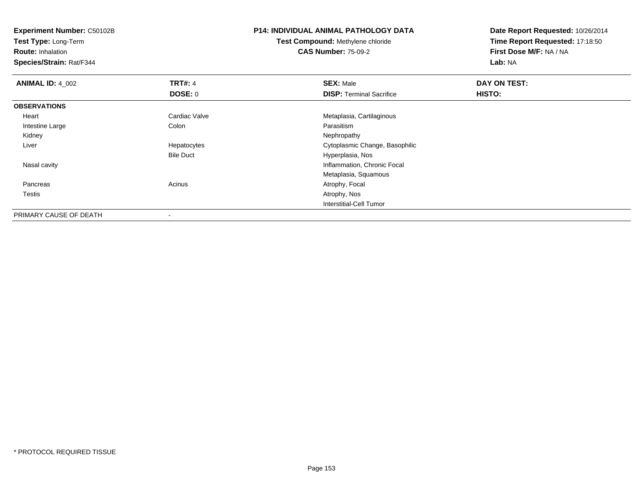**Test Type:** Long-Term

**Route:** Inhalation

**Species/Strain:** Rat/F344

# **P14: INDIVIDUAL ANIMAL PATHOLOGY DATA**

**Test Compound:** Methylene chloride**CAS Number:** 75-09-2

| <b>ANIMAL ID: 4_002</b> | <b>TRT#: 4</b>   | <b>SEX: Male</b>                | DAY ON TEST: |  |
|-------------------------|------------------|---------------------------------|--------------|--|
|                         | <b>DOSE: 0</b>   | <b>DISP: Terminal Sacrifice</b> | HISTO:       |  |
| <b>OBSERVATIONS</b>     |                  |                                 |              |  |
| Heart                   | Cardiac Valve    | Metaplasia, Cartilaginous       |              |  |
| Intestine Large         | Colon            | Parasitism                      |              |  |
| Kidney                  |                  | Nephropathy                     |              |  |
| Liver                   | Hepatocytes      | Cytoplasmic Change, Basophilic  |              |  |
|                         | <b>Bile Duct</b> | Hyperplasia, Nos                |              |  |
| Nasal cavity            |                  | Inflammation, Chronic Focal     |              |  |
|                         |                  | Metaplasia, Squamous            |              |  |
| Pancreas                | Acinus           | Atrophy, Focal                  |              |  |
| Testis                  |                  | Atrophy, Nos                    |              |  |
|                         |                  | Interstitial-Cell Tumor         |              |  |
| PRIMARY CAUSE OF DEATH  |                  |                                 |              |  |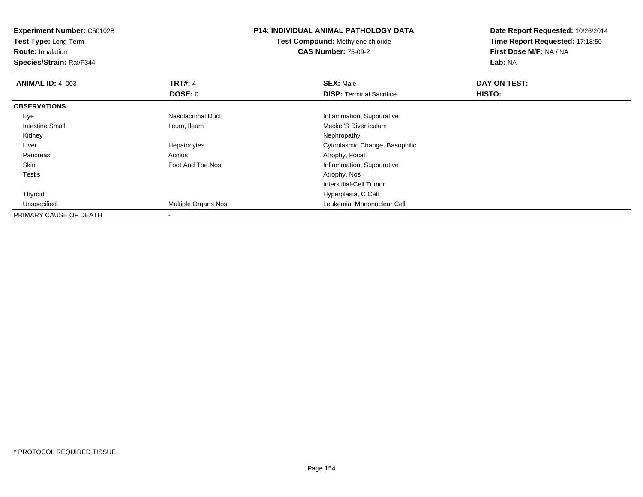**Experiment Number:** C50102B**Test Type:** Long-Term**Route:** Inhalation **Species/Strain:** Rat/F344**P14: INDIVIDUAL ANIMAL PATHOLOGY DATATest Compound:** Methylene chloride**CAS Number:** 75-09-2**Date Report Requested:** 10/26/2014**Time Report Requested:** 17:18:50**First Dose M/F:** NA / NA**Lab:** NA**ANIMAL ID: 4 003 TRT#:** 4 **SEX:** Male **DAY ON TEST: DOSE:** 0**DISP:** Terminal Sacrifice **HISTO: OBSERVATIONS** EyeNasolacrimal Duct **Inflammation**, Suppurative Intestine Small Ileum, IleumMeckel'S Diverticulum<br>Nephropathy Kidneyy the control of the control of the control of the control of the control of the control of the control of the control of the control of the control of the control of the control of the control of the control of the contro Liver Hepatocytes Cytoplasmic Change, Basophilic PancreasAcinus **Acinus** Atrophy, Focal SkinFoot And Toe Nos **Inflammation**, Suppurative Testiss and the contract of the contract of the contract of the contract of the contract of the contract of the contract of the contract of the contract of the contract of the contract of the contract of the contract of the cont Interstitial-Cell Tumor Thyroid Hyperplasia, C Cell UnspecifiedLeukemia, Mononuclear Cell PRIMARY CAUSE OF DEATH-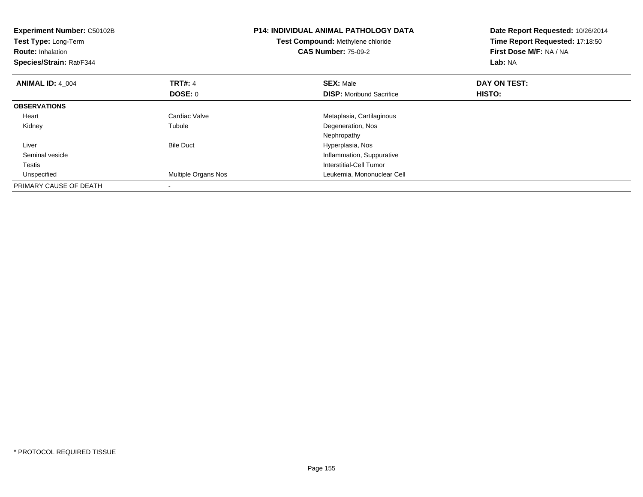| <b>Experiment Number: C50102B</b><br>Test Type: Long-Term<br><b>Route: Inhalation</b><br>Species/Strain: Rat/F344 |                     | <b>P14: INDIVIDUAL ANIMAL PATHOLOGY DATA</b><br>Test Compound: Methylene chloride<br><b>CAS Number: 75-09-2</b> | Date Report Requested: 10/26/2014<br>Time Report Requested: 17:18:50<br>First Dose M/F: NA / NA<br>Lab: NA |
|-------------------------------------------------------------------------------------------------------------------|---------------------|-----------------------------------------------------------------------------------------------------------------|------------------------------------------------------------------------------------------------------------|
| <b>ANIMAL ID: 4 004</b>                                                                                           | <b>TRT#: 4</b>      | <b>SEX: Male</b>                                                                                                | DAY ON TEST:                                                                                               |
|                                                                                                                   | <b>DOSE: 0</b>      | <b>DISP:</b> Moribund Sacrifice                                                                                 | HISTO:                                                                                                     |
| <b>OBSERVATIONS</b>                                                                                               |                     |                                                                                                                 |                                                                                                            |
| Heart                                                                                                             | Cardiac Valve       | Metaplasia, Cartilaginous                                                                                       |                                                                                                            |
| Kidney                                                                                                            | Tubule              | Degeneration, Nos                                                                                               |                                                                                                            |
|                                                                                                                   |                     | Nephropathy                                                                                                     |                                                                                                            |
| Liver                                                                                                             | <b>Bile Duct</b>    | Hyperplasia, Nos                                                                                                |                                                                                                            |
| Seminal vesicle                                                                                                   |                     | Inflammation, Suppurative                                                                                       |                                                                                                            |
| Testis                                                                                                            |                     | Interstitial-Cell Tumor                                                                                         |                                                                                                            |
| Unspecified                                                                                                       | Multiple Organs Nos | Leukemia, Mononuclear Cell                                                                                      |                                                                                                            |
| PRIMARY CAUSE OF DEATH                                                                                            |                     |                                                                                                                 |                                                                                                            |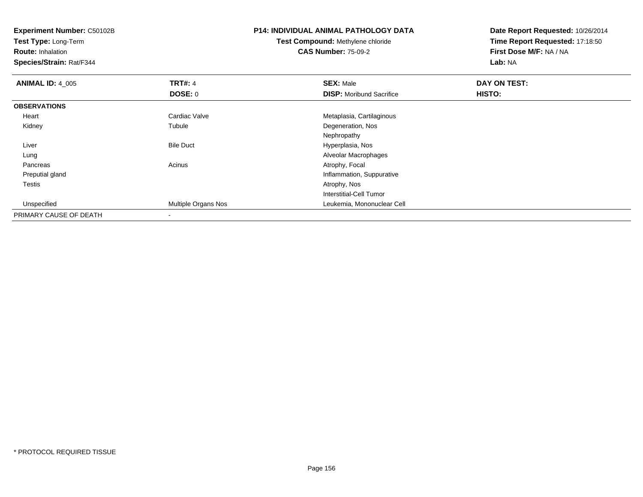**Test Type:** Long-Term

**Route:** Inhalation

**Species/Strain:** Rat/F344

# **P14: INDIVIDUAL ANIMAL PATHOLOGY DATA**

**Test Compound:** Methylene chloride**CAS Number:** 75-09-2

| <b>ANIMAL ID: 4 005</b> | <b>TRT#: 4</b>      | <b>SEX: Male</b>                | DAY ON TEST: |  |
|-------------------------|---------------------|---------------------------------|--------------|--|
|                         | DOSE: 0             | <b>DISP:</b> Moribund Sacrifice | HISTO:       |  |
| <b>OBSERVATIONS</b>     |                     |                                 |              |  |
| Heart                   | Cardiac Valve       | Metaplasia, Cartilaginous       |              |  |
| Kidney                  | Tubule              | Degeneration, Nos               |              |  |
|                         |                     | Nephropathy                     |              |  |
| Liver                   | <b>Bile Duct</b>    | Hyperplasia, Nos                |              |  |
| Lung                    |                     | Alveolar Macrophages            |              |  |
| Pancreas                | Acinus              | Atrophy, Focal                  |              |  |
| Preputial gland         |                     | Inflammation, Suppurative       |              |  |
| <b>Testis</b>           |                     | Atrophy, Nos                    |              |  |
|                         |                     | Interstitial-Cell Tumor         |              |  |
| Unspecified             | Multiple Organs Nos | Leukemia, Mononuclear Cell      |              |  |
| PRIMARY CAUSE OF DEATH  |                     |                                 |              |  |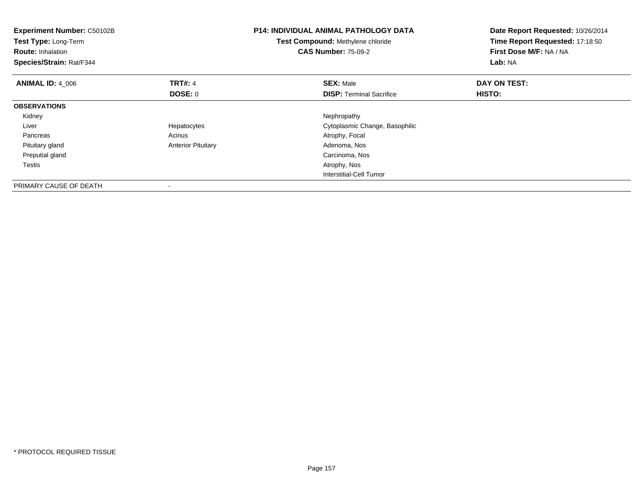| <b>Experiment Number: C50102B</b><br>Test Type: Long-Term<br><b>Route: Inhalation</b><br>Species/Strain: Rat/F344 |                           | <b>P14: INDIVIDUAL ANIMAL PATHOLOGY DATA</b><br>Test Compound: Methylene chloride<br><b>CAS Number: 75-09-2</b> | Date Report Requested: 10/26/2014<br>Time Report Requested: 17:18:50<br>First Dose M/F: NA / NA<br>Lab: NA |
|-------------------------------------------------------------------------------------------------------------------|---------------------------|-----------------------------------------------------------------------------------------------------------------|------------------------------------------------------------------------------------------------------------|
| <b>ANIMAL ID: 4 006</b>                                                                                           | <b>TRT#: 4</b>            | <b>SEX: Male</b>                                                                                                | DAY ON TEST:                                                                                               |
|                                                                                                                   | DOSE: 0                   | <b>DISP:</b> Terminal Sacrifice                                                                                 | <b>HISTO:</b>                                                                                              |
| <b>OBSERVATIONS</b>                                                                                               |                           |                                                                                                                 |                                                                                                            |
| Kidney                                                                                                            |                           | Nephropathy                                                                                                     |                                                                                                            |
| Liver                                                                                                             | Hepatocytes               | Cytoplasmic Change, Basophilic                                                                                  |                                                                                                            |
| Pancreas                                                                                                          | Acinus                    | Atrophy, Focal                                                                                                  |                                                                                                            |
| Pituitary gland                                                                                                   | <b>Anterior Pituitary</b> | Adenoma, Nos                                                                                                    |                                                                                                            |
| Preputial gland                                                                                                   |                           | Carcinoma, Nos                                                                                                  |                                                                                                            |
| Testis                                                                                                            |                           | Atrophy, Nos                                                                                                    |                                                                                                            |
|                                                                                                                   |                           | <b>Interstitial-Cell Tumor</b>                                                                                  |                                                                                                            |
| PRIMARY CAUSE OF DEATH                                                                                            |                           |                                                                                                                 |                                                                                                            |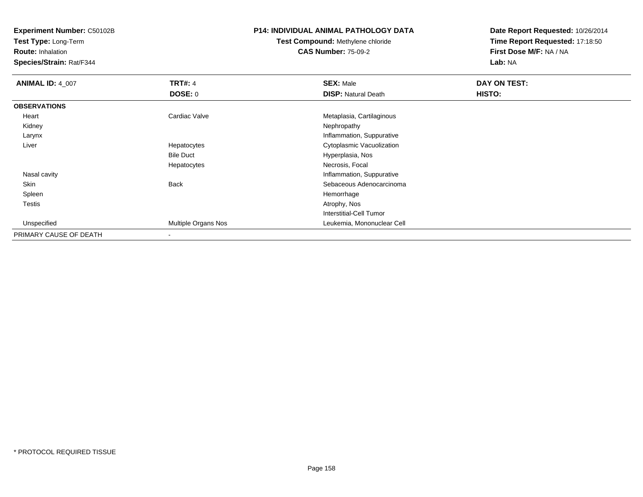**Test Type:** Long-Term

**Route:** Inhalation

**Species/Strain:** Rat/F344

## **P14: INDIVIDUAL ANIMAL PATHOLOGY DATA**

# **Test Compound:** Methylene chloride**CAS Number:** 75-09-2

| <b>ANIMAL ID: 4 007</b> | <b>TRT#: 4</b>      | <b>SEX: Male</b>               | DAY ON TEST: |
|-------------------------|---------------------|--------------------------------|--------------|
|                         | DOSE: 0             | <b>DISP: Natural Death</b>     | HISTO:       |
| <b>OBSERVATIONS</b>     |                     |                                |              |
| Heart                   | Cardiac Valve       | Metaplasia, Cartilaginous      |              |
| Kidney                  |                     | Nephropathy                    |              |
| Larynx                  |                     | Inflammation, Suppurative      |              |
| Liver                   | Hepatocytes         | Cytoplasmic Vacuolization      |              |
|                         | <b>Bile Duct</b>    | Hyperplasia, Nos               |              |
|                         | Hepatocytes         | Necrosis, Focal                |              |
| Nasal cavity            |                     | Inflammation, Suppurative      |              |
| Skin                    | <b>Back</b>         | Sebaceous Adenocarcinoma       |              |
| Spleen                  |                     | Hemorrhage                     |              |
| Testis                  |                     | Atrophy, Nos                   |              |
|                         |                     | <b>Interstitial-Cell Tumor</b> |              |
| Unspecified             | Multiple Organs Nos | Leukemia, Mononuclear Cell     |              |
| PRIMARY CAUSE OF DEATH  | $\,$ $\,$           |                                |              |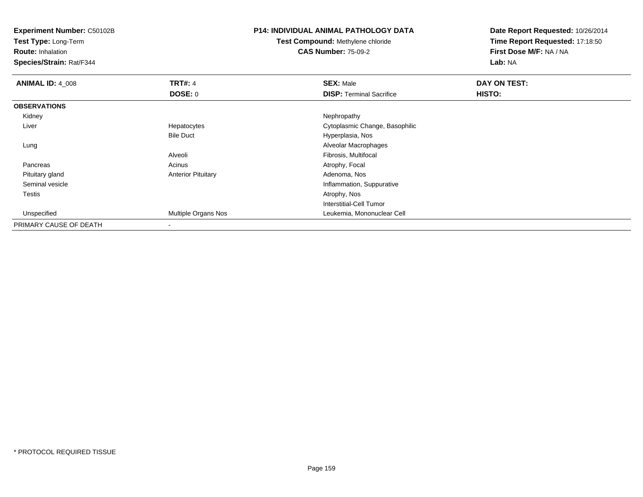**Test Type:** Long-Term

**Route:** Inhalation

**Species/Strain:** Rat/F344

### **P14: INDIVIDUAL ANIMAL PATHOLOGY DATA**

**Test Compound:** Methylene chloride**CAS Number:** 75-09-2

| <b>ANIMAL ID: 4_008</b> | <b>TRT#: 4</b>            | <b>SEX: Male</b>                | DAY ON TEST: |
|-------------------------|---------------------------|---------------------------------|--------------|
|                         | <b>DOSE: 0</b>            | <b>DISP: Terminal Sacrifice</b> | HISTO:       |
| <b>OBSERVATIONS</b>     |                           |                                 |              |
| Kidney                  |                           | Nephropathy                     |              |
| Liver                   | Hepatocytes               | Cytoplasmic Change, Basophilic  |              |
|                         | <b>Bile Duct</b>          | Hyperplasia, Nos                |              |
| Lung                    |                           | Alveolar Macrophages            |              |
|                         | Alveoli                   | Fibrosis, Multifocal            |              |
| Pancreas                | Acinus                    | Atrophy, Focal                  |              |
| Pituitary gland         | <b>Anterior Pituitary</b> | Adenoma, Nos                    |              |
| Seminal vesicle         |                           | Inflammation, Suppurative       |              |
| Testis                  |                           | Atrophy, Nos                    |              |
|                         |                           | Interstitial-Cell Tumor         |              |
| Unspecified             | Multiple Organs Nos       | Leukemia, Mononuclear Cell      |              |
| PRIMARY CAUSE OF DEATH  |                           |                                 |              |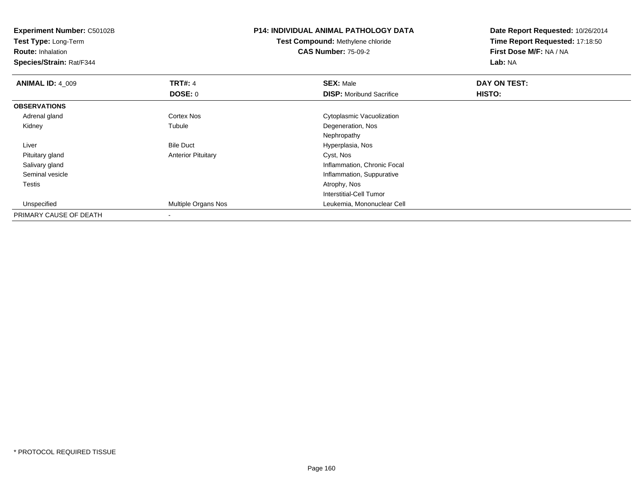**Experiment Number:** C50102B**Test Type:** Long-Term**Route:** Inhalation **Species/Strain:** Rat/F344**P14: INDIVIDUAL ANIMAL PATHOLOGY DATATest Compound:** Methylene chloride**CAS Number:** 75-09-2**Date Report Requested:** 10/26/2014**Time Report Requested:** 17:18:50**First Dose M/F:** NA / NA**Lab:** NA**ANIMAL ID: 4 009 9 TRT#:** 4 **SEX:** Male **SEX:** Male **DAY ON TEST: DOSE:** 0**DISP:** Moribund Sacrifice **HISTO: OBSERVATIONS** Adrenal gland Cortex Nos Cytoplasmic Vacuolization Kidneyy the contract of the contract of the contract of the contract of the contract of the contract of the contract of the contract of the contract of the contract of the contract of the contract of the contract of the contract Degeneration, Nos Nephropathy Bile Duct Hyperplasia, Nos Liver Pituitary glandAnterior Pituitary **Cyst, Nos**  Salivary gland Inflammation, Chronic Focal Seminal vesicleInflammation, Suppurative<br>Atrophy, Nos Testiss and the contract of the contract of the contract of the contract of the contract of the contract of the contract of the contract of the contract of the contract of the contract of the contract of the contract of the cont Interstitial-Cell Tumor Unspecified Multiple Organs Nos Leukemia, Mononuclear Cell PRIMARY CAUSE OF DEATH-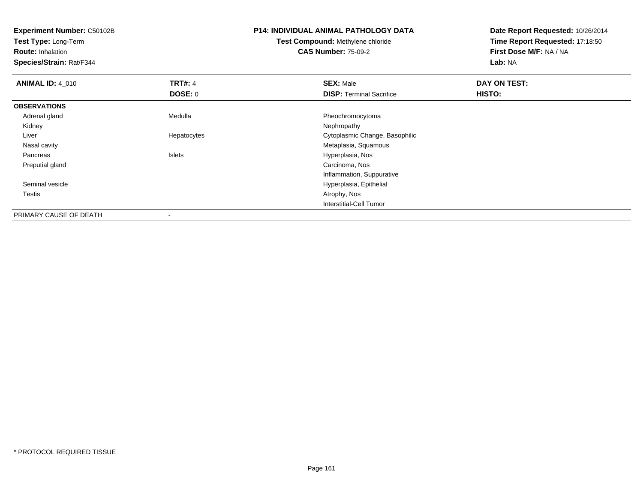**Test Type:** Long-Term

**Route:** Inhalation

**Species/Strain:** Rat/F344

# **P14: INDIVIDUAL ANIMAL PATHOLOGY DATA**

**Test Compound:** Methylene chloride**CAS Number:** 75-09-2

| <b>ANIMAL ID: 4 010</b> | <b>TRT#: 4</b>           | <b>SEX: Male</b>                | DAY ON TEST: |  |
|-------------------------|--------------------------|---------------------------------|--------------|--|
|                         | DOSE: 0                  | <b>DISP: Terminal Sacrifice</b> | HISTO:       |  |
| <b>OBSERVATIONS</b>     |                          |                                 |              |  |
| Adrenal gland           | Medulla                  | Pheochromocytoma                |              |  |
| Kidney                  |                          | Nephropathy                     |              |  |
| Liver                   | Hepatocytes              | Cytoplasmic Change, Basophilic  |              |  |
| Nasal cavity            |                          | Metaplasia, Squamous            |              |  |
| Pancreas                | Islets                   | Hyperplasia, Nos                |              |  |
| Preputial gland         |                          | Carcinoma, Nos                  |              |  |
|                         |                          | Inflammation, Suppurative       |              |  |
| Seminal vesicle         |                          | Hyperplasia, Epithelial         |              |  |
| Testis                  |                          | Atrophy, Nos                    |              |  |
|                         |                          | Interstitial-Cell Tumor         |              |  |
| PRIMARY CAUSE OF DEATH  | $\overline{\phantom{a}}$ |                                 |              |  |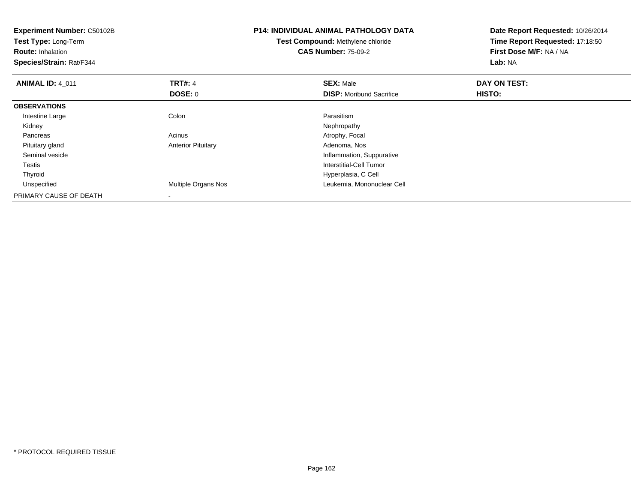| <b>Experiment Number: C50102B</b><br><b>Test Type: Long-Term</b><br><b>Route: Inhalation</b><br>Species/Strain: Rat/F344 |                           | <b>P14: INDIVIDUAL ANIMAL PATHOLOGY DATA</b><br><b>Test Compound: Methylene chloride</b><br><b>CAS Number: 75-09-2</b> | Date Report Requested: 10/26/2014<br>Time Report Requested: 17:18:50<br>First Dose M/F: NA / NA<br>Lab: NA |
|--------------------------------------------------------------------------------------------------------------------------|---------------------------|------------------------------------------------------------------------------------------------------------------------|------------------------------------------------------------------------------------------------------------|
| <b>ANIMAL ID: 4_011</b>                                                                                                  | <b>TRT#: 4</b>            | <b>SEX: Male</b>                                                                                                       | DAY ON TEST:                                                                                               |
|                                                                                                                          | DOSE: 0                   | <b>DISP:</b> Moribund Sacrifice                                                                                        | HISTO:                                                                                                     |
| <b>OBSERVATIONS</b>                                                                                                      |                           |                                                                                                                        |                                                                                                            |
| Intestine Large                                                                                                          | Colon                     | Parasitism                                                                                                             |                                                                                                            |
| Kidney                                                                                                                   |                           | Nephropathy                                                                                                            |                                                                                                            |
| Pancreas                                                                                                                 | Acinus                    | Atrophy, Focal                                                                                                         |                                                                                                            |
| Pituitary gland                                                                                                          | <b>Anterior Pituitary</b> | Adenoma, Nos                                                                                                           |                                                                                                            |
| Seminal vesicle                                                                                                          |                           | Inflammation, Suppurative                                                                                              |                                                                                                            |
| Testis                                                                                                                   |                           | Interstitial-Cell Tumor                                                                                                |                                                                                                            |
| Thyroid                                                                                                                  |                           | Hyperplasia, C Cell                                                                                                    |                                                                                                            |
| Unspecified                                                                                                              | Multiple Organs Nos       | Leukemia, Mononuclear Cell                                                                                             |                                                                                                            |
| PRIMARY CAUSE OF DEATH                                                                                                   |                           |                                                                                                                        |                                                                                                            |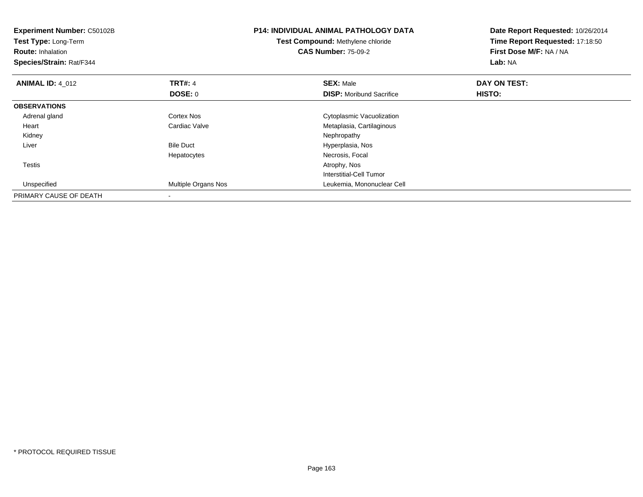| <b>Experiment Number: C50102B</b><br>Test Type: Long-Term<br><b>Route: Inhalation</b><br>Species/Strain: Rat/F344 |                     | <b>P14: INDIVIDUAL ANIMAL PATHOLOGY DATA</b><br>Test Compound: Methylene chloride<br><b>CAS Number: 75-09-2</b> | Date Report Requested: 10/26/2014<br>Time Report Requested: 17:18:50<br><b>First Dose M/F: NA / NA</b><br>Lab: NA |
|-------------------------------------------------------------------------------------------------------------------|---------------------|-----------------------------------------------------------------------------------------------------------------|-------------------------------------------------------------------------------------------------------------------|
| <b>ANIMAL ID: 4_012</b>                                                                                           | <b>TRT#: 4</b>      | <b>SEX: Male</b>                                                                                                | DAY ON TEST:                                                                                                      |
|                                                                                                                   | DOSE: 0             | <b>DISP:</b> Moribund Sacrifice                                                                                 | HISTO:                                                                                                            |
| <b>OBSERVATIONS</b>                                                                                               |                     |                                                                                                                 |                                                                                                                   |
| Adrenal gland                                                                                                     | <b>Cortex Nos</b>   | Cytoplasmic Vacuolization                                                                                       |                                                                                                                   |
| Heart                                                                                                             | Cardiac Valve       | Metaplasia, Cartilaginous                                                                                       |                                                                                                                   |
| Kidney                                                                                                            |                     | Nephropathy                                                                                                     |                                                                                                                   |
| Liver                                                                                                             | <b>Bile Duct</b>    | Hyperplasia, Nos                                                                                                |                                                                                                                   |
|                                                                                                                   | Hepatocytes         | Necrosis, Focal                                                                                                 |                                                                                                                   |
| Testis                                                                                                            |                     | Atrophy, Nos                                                                                                    |                                                                                                                   |
|                                                                                                                   |                     | Interstitial-Cell Tumor                                                                                         |                                                                                                                   |
| Unspecified                                                                                                       | Multiple Organs Nos | Leukemia, Mononuclear Cell                                                                                      |                                                                                                                   |
| PRIMARY CAUSE OF DEATH                                                                                            |                     |                                                                                                                 |                                                                                                                   |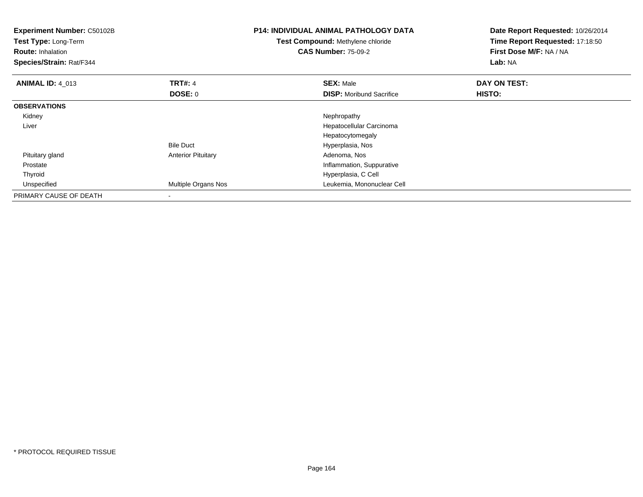| <b>Experiment Number: C50102B</b><br><b>Test Type: Long-Term</b><br><b>Route: Inhalation</b><br>Species/Strain: Rat/F344 |                           | <b>P14: INDIVIDUAL ANIMAL PATHOLOGY DATA</b><br><b>Test Compound: Methylene chloride</b><br><b>CAS Number: 75-09-2</b> | Date Report Requested: 10/26/2014<br>Time Report Requested: 17:18:50<br>First Dose M/F: NA / NA<br>Lab: NA |
|--------------------------------------------------------------------------------------------------------------------------|---------------------------|------------------------------------------------------------------------------------------------------------------------|------------------------------------------------------------------------------------------------------------|
| <b>ANIMAL ID: 4_013</b>                                                                                                  | <b>TRT#: 4</b>            | <b>SEX: Male</b>                                                                                                       | DAY ON TEST:                                                                                               |
|                                                                                                                          | DOSE: 0                   | <b>DISP:</b> Moribund Sacrifice                                                                                        | HISTO:                                                                                                     |
| <b>OBSERVATIONS</b>                                                                                                      |                           |                                                                                                                        |                                                                                                            |
| Kidney                                                                                                                   |                           | Nephropathy                                                                                                            |                                                                                                            |
| Liver                                                                                                                    |                           | Hepatocellular Carcinoma                                                                                               |                                                                                                            |
|                                                                                                                          |                           | Hepatocytomegaly                                                                                                       |                                                                                                            |
|                                                                                                                          | <b>Bile Duct</b>          | Hyperplasia, Nos                                                                                                       |                                                                                                            |
| Pituitary gland                                                                                                          | <b>Anterior Pituitary</b> | Adenoma, Nos                                                                                                           |                                                                                                            |
| Prostate                                                                                                                 |                           | Inflammation, Suppurative                                                                                              |                                                                                                            |
| Thyroid                                                                                                                  |                           | Hyperplasia, C Cell                                                                                                    |                                                                                                            |
| Unspecified                                                                                                              | Multiple Organs Nos       | Leukemia, Mononuclear Cell                                                                                             |                                                                                                            |
| PRIMARY CAUSE OF DEATH                                                                                                   |                           |                                                                                                                        |                                                                                                            |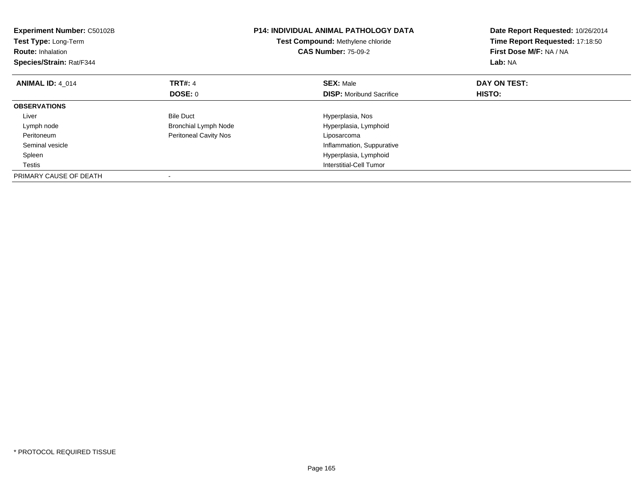| <b>Experiment Number: C50102B</b><br>Test Type: Long-Term<br><b>Route: Inhalation</b><br>Species/Strain: Rat/F344 |                              | <b>P14: INDIVIDUAL ANIMAL PATHOLOGY DATA</b><br>Test Compound: Methylene chloride<br><b>CAS Number: 75-09-2</b> | Date Report Requested: 10/26/2014<br>Time Report Requested: 17:18:50<br>First Dose M/F: NA / NA<br>Lab: NA |
|-------------------------------------------------------------------------------------------------------------------|------------------------------|-----------------------------------------------------------------------------------------------------------------|------------------------------------------------------------------------------------------------------------|
| <b>ANIMAL ID: 4 014</b>                                                                                           | <b>TRT#: 4</b>               | <b>SEX: Male</b>                                                                                                | DAY ON TEST:                                                                                               |
|                                                                                                                   | DOSE: 0                      | <b>DISP:</b> Moribund Sacrifice                                                                                 | <b>HISTO:</b>                                                                                              |
| <b>OBSERVATIONS</b>                                                                                               |                              |                                                                                                                 |                                                                                                            |
| Liver                                                                                                             | <b>Bile Duct</b>             | Hyperplasia, Nos                                                                                                |                                                                                                            |
| Lymph node                                                                                                        | <b>Bronchial Lymph Node</b>  | Hyperplasia, Lymphoid                                                                                           |                                                                                                            |
| Peritoneum                                                                                                        | <b>Peritoneal Cavity Nos</b> | Liposarcoma                                                                                                     |                                                                                                            |
| Seminal vesicle                                                                                                   |                              | Inflammation, Suppurative                                                                                       |                                                                                                            |
| Spleen                                                                                                            |                              | Hyperplasia, Lymphoid                                                                                           |                                                                                                            |
| Testis                                                                                                            |                              | Interstitial-Cell Tumor                                                                                         |                                                                                                            |
| PRIMARY CAUSE OF DEATH                                                                                            |                              |                                                                                                                 |                                                                                                            |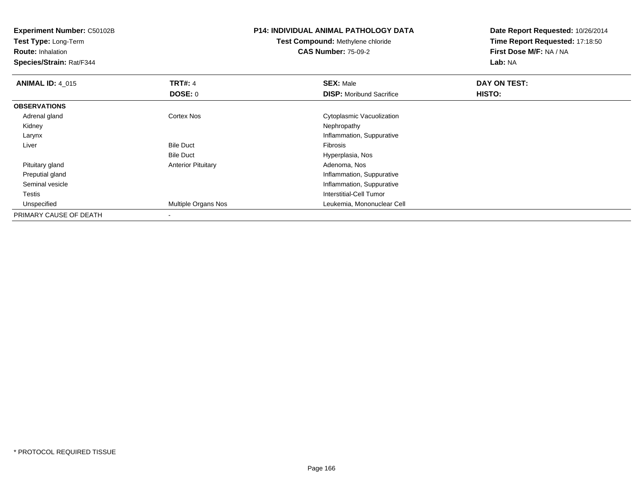**Experiment Number:** C50102B**Test Type:** Long-Term**Route:** Inhalation **Species/Strain:** Rat/F344**P14: INDIVIDUAL ANIMAL PATHOLOGY DATATest Compound:** Methylene chloride**CAS Number:** 75-09-2**Date Report Requested:** 10/26/2014**Time Report Requested:** 17:18:50**First Dose M/F:** NA / NA**Lab:** NA**ANIMAL ID: 4 015 TRT#:** 4 **SEX:** Male **DAY ON TEST: DOSE:** 0**DISP:** Moribund Sacrifice **HISTO: OBSERVATIONS** Adrenal glandCytoplasmic Vacuolization<br>
Cytoplasmic Vacuolization<br>
Nephropathy Kidneyy the control of the control of the control of the control of the control of the control of the control of the control of the control of the control of the control of the control of the control of the control of the contro Larynx Inflammation, Suppurative Liver Bile Duct Fibrosis Hyperplasia, NosBile Duct Pituitary glandAnterior Pituitary **Adenoma, Nos** Adenoma, Nos Preputial gland Inflammation, Suppurative Seminal vesicle Inflammation, Suppurative Testis Interstitial-Cell Tumor Unspecified Multiple Organs Nos Leukemia, Mononuclear Cell PRIMARY CAUSE OF DEATH-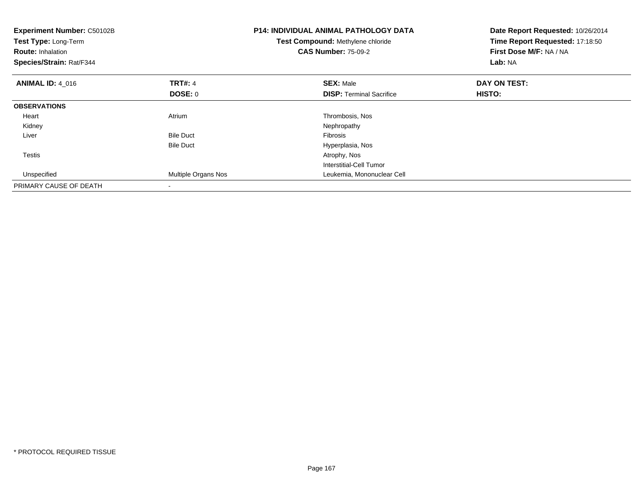| Experiment Number: C50102B<br>Test Type: Long-Term<br><b>Route: Inhalation</b><br>Species/Strain: Rat/F344 |                     | <b>P14: INDIVIDUAL ANIMAL PATHOLOGY DATA</b><br>Test Compound: Methylene chloride<br><b>CAS Number: 75-09-2</b> | Date Report Requested: 10/26/2014<br>Time Report Requested: 17:18:50<br>First Dose M/F: NA / NA<br>Lab: NA |
|------------------------------------------------------------------------------------------------------------|---------------------|-----------------------------------------------------------------------------------------------------------------|------------------------------------------------------------------------------------------------------------|
| <b>ANIMAL ID: 4_016</b>                                                                                    | <b>TRT#: 4</b>      | <b>SEX: Male</b>                                                                                                | DAY ON TEST:                                                                                               |
|                                                                                                            | <b>DOSE: 0</b>      | <b>DISP:</b> Terminal Sacrifice                                                                                 | <b>HISTO:</b>                                                                                              |
| <b>OBSERVATIONS</b>                                                                                        |                     |                                                                                                                 |                                                                                                            |
| Heart                                                                                                      | Atrium              | Thrombosis, Nos                                                                                                 |                                                                                                            |
| Kidney                                                                                                     |                     | Nephropathy                                                                                                     |                                                                                                            |
| Liver                                                                                                      | <b>Bile Duct</b>    | Fibrosis                                                                                                        |                                                                                                            |
|                                                                                                            | <b>Bile Duct</b>    | Hyperplasia, Nos                                                                                                |                                                                                                            |
| <b>Testis</b>                                                                                              |                     | Atrophy, Nos                                                                                                    |                                                                                                            |
|                                                                                                            |                     | Interstitial-Cell Tumor                                                                                         |                                                                                                            |
| Unspecified                                                                                                | Multiple Organs Nos | Leukemia, Mononuclear Cell                                                                                      |                                                                                                            |
| PRIMARY CAUSE OF DEATH                                                                                     |                     |                                                                                                                 |                                                                                                            |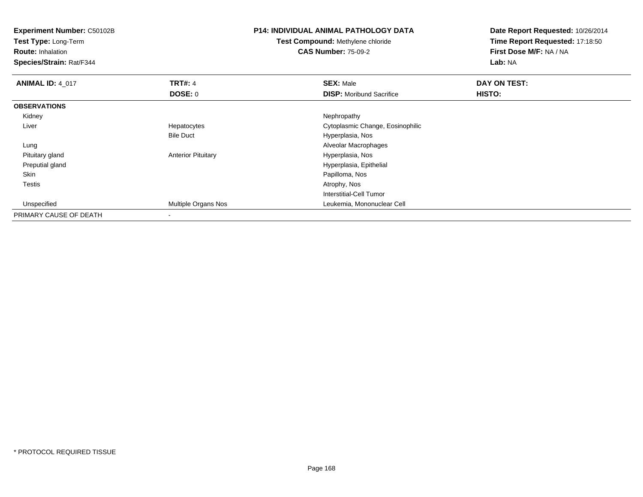**Experiment Number:** C50102B**Test Type:** Long-Term**Route:** Inhalation **Species/Strain:** Rat/F344**P14: INDIVIDUAL ANIMAL PATHOLOGY DATATest Compound:** Methylene chloride**CAS Number:** 75-09-2**Date Report Requested:** 10/26/2014**Time Report Requested:** 17:18:50**First Dose M/F:** NA / NA**Lab:** NA**ANIMAL ID: 4 017 TRT#:** 4 **SEX:** Male **DAY ON TEST: DOSE:** 0**DISP:** Moribund Sacrifice **HISTO: OBSERVATIONS** Kidneyy the control of the control of the control of the control of the control of the control of the control of the control of the control of the control of the control of the control of the control of the control of the contro Liver Hepatocytes Cytoplasmic Change, Eosinophilic Bile Duct Hyperplasia, Nos Alveolar Macrophages Lung Pituitary glandAnterior Pituitary **Material Executive Contracts** Hyperplasia, Nos Preputial gland Hyperplasia, Epithelial Skin Papilloma, Nos Testiss and the contract of the contract of the contract of the contract of the contract of the contract of the contract of the contract of the contract of the contract of the contract of the contract of the contract of the cont Interstitial-Cell Tumor Unspecified Multiple Organs Nos Leukemia, Mononuclear Cell PRIMARY CAUSE OF DEATH-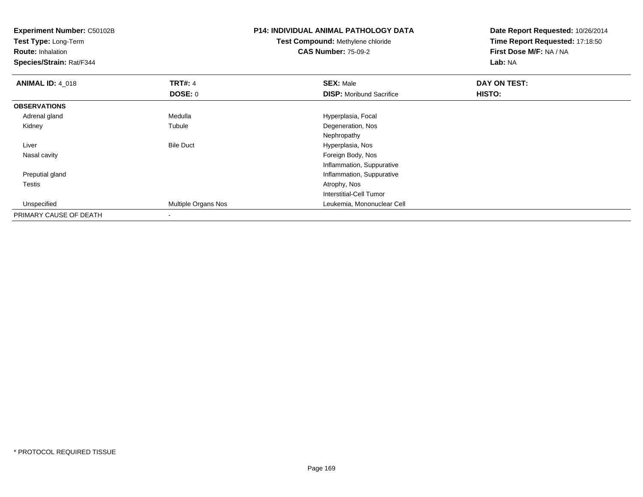| <b>Experiment Number: C50102B</b><br>Test Type: Long-Term |                     | <b>P14: INDIVIDUAL ANIMAL PATHOLOGY DATA</b> | Date Report Requested: 10/26/2014 |
|-----------------------------------------------------------|---------------------|----------------------------------------------|-----------------------------------|
|                                                           |                     | <b>Test Compound: Methylene chloride</b>     | Time Report Requested: 17:18:50   |
| <b>Route: Inhalation</b>                                  |                     | <b>CAS Number: 75-09-2</b>                   | First Dose M/F: NA / NA           |
| Species/Strain: Rat/F344                                  |                     |                                              | Lab: NA                           |
| <b>ANIMAL ID: 4 018</b>                                   | <b>TRT#: 4</b>      | <b>SEX: Male</b>                             | DAY ON TEST:                      |
|                                                           | <b>DOSE: 0</b>      | <b>DISP:</b> Moribund Sacrifice              | HISTO:                            |
| <b>OBSERVATIONS</b>                                       |                     |                                              |                                   |
| Adrenal gland                                             | Medulla             | Hyperplasia, Focal                           |                                   |
| Kidney                                                    | Tubule              | Degeneration, Nos                            |                                   |
|                                                           |                     | Nephropathy                                  |                                   |
| Liver                                                     | <b>Bile Duct</b>    | Hyperplasia, Nos                             |                                   |
| Nasal cavity                                              |                     | Foreign Body, Nos                            |                                   |
|                                                           |                     | Inflammation, Suppurative                    |                                   |
| Preputial gland                                           |                     | Inflammation, Suppurative                    |                                   |
| Testis                                                    |                     | Atrophy, Nos                                 |                                   |
|                                                           |                     | <b>Interstitial-Cell Tumor</b>               |                                   |
| Unspecified                                               | Multiple Organs Nos | Leukemia, Mononuclear Cell                   |                                   |
| PRIMARY CAUSE OF DEATH                                    |                     |                                              |                                   |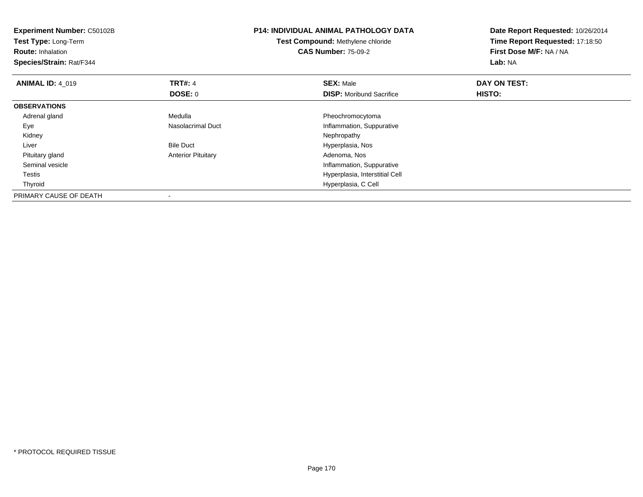| <b>Experiment Number: C50102B</b><br>Test Type: Long-Term<br><b>Route: Inhalation</b> |                           | <b>P14: INDIVIDUAL ANIMAL PATHOLOGY DATA</b><br><b>Test Compound: Methylene chloride</b><br><b>CAS Number: 75-09-2</b> | Date Report Requested: 10/26/2014<br>Time Report Requested: 17:18:50<br>First Dose M/F: NA / NA |  |
|---------------------------------------------------------------------------------------|---------------------------|------------------------------------------------------------------------------------------------------------------------|-------------------------------------------------------------------------------------------------|--|
| Species/Strain: Rat/F344                                                              |                           |                                                                                                                        | Lab: NA                                                                                         |  |
| <b>ANIMAL ID: 4_019</b>                                                               | <b>TRT#: 4</b>            | <b>SEX: Male</b>                                                                                                       | DAY ON TEST:                                                                                    |  |
|                                                                                       | DOSE: 0                   | <b>DISP:</b> Moribund Sacrifice                                                                                        | <b>HISTO:</b>                                                                                   |  |
| <b>OBSERVATIONS</b>                                                                   |                           |                                                                                                                        |                                                                                                 |  |
| Adrenal gland                                                                         | Medulla                   | Pheochromocytoma                                                                                                       |                                                                                                 |  |
| Eye                                                                                   | Nasolacrimal Duct         | Inflammation, Suppurative                                                                                              |                                                                                                 |  |
| Kidney                                                                                |                           | Nephropathy                                                                                                            |                                                                                                 |  |
| Liver                                                                                 | <b>Bile Duct</b>          | Hyperplasia, Nos                                                                                                       |                                                                                                 |  |
| Pituitary gland                                                                       | <b>Anterior Pituitary</b> | Adenoma, Nos                                                                                                           |                                                                                                 |  |
| Seminal vesicle                                                                       |                           | Inflammation, Suppurative                                                                                              |                                                                                                 |  |
| Testis                                                                                |                           | Hyperplasia, Interstitial Cell                                                                                         |                                                                                                 |  |
| Thyroid                                                                               |                           | Hyperplasia, C Cell                                                                                                    |                                                                                                 |  |
| PRIMARY CAUSE OF DEATH                                                                |                           |                                                                                                                        |                                                                                                 |  |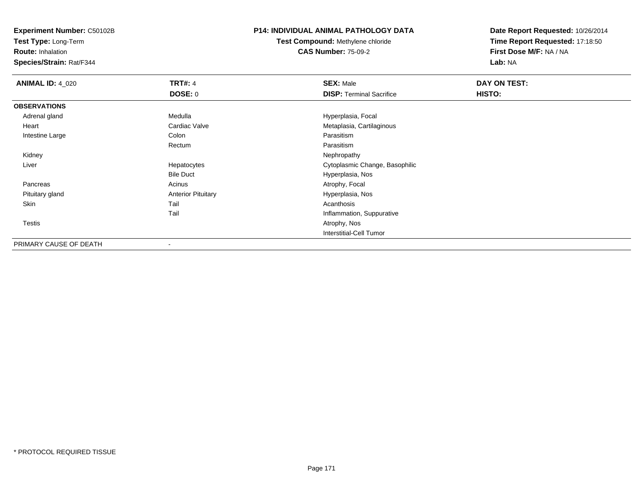**Test Type:** Long-Term

**Route:** Inhalation

**Species/Strain:** Rat/F344

#### **P14: INDIVIDUAL ANIMAL PATHOLOGY DATA**

**Test Compound:** Methylene chloride**CAS Number:** 75-09-2

| <b>ANIMAL ID: 4_020</b> | <b>TRT#: 4</b>            | <b>SEX: Male</b>                | DAY ON TEST: |  |
|-------------------------|---------------------------|---------------------------------|--------------|--|
|                         | <b>DOSE: 0</b>            | <b>DISP: Terminal Sacrifice</b> | HISTO:       |  |
| <b>OBSERVATIONS</b>     |                           |                                 |              |  |
| Adrenal gland           | Medulla                   | Hyperplasia, Focal              |              |  |
| Heart                   | Cardiac Valve             | Metaplasia, Cartilaginous       |              |  |
| Intestine Large         | Colon                     | Parasitism                      |              |  |
|                         | Rectum                    | Parasitism                      |              |  |
| Kidney                  |                           | Nephropathy                     |              |  |
| Liver                   | Hepatocytes               | Cytoplasmic Change, Basophilic  |              |  |
|                         | <b>Bile Duct</b>          | Hyperplasia, Nos                |              |  |
| Pancreas                | Acinus                    | Atrophy, Focal                  |              |  |
| Pituitary gland         | <b>Anterior Pituitary</b> | Hyperplasia, Nos                |              |  |
| Skin                    | Tail                      | Acanthosis                      |              |  |
|                         | Tail                      | Inflammation, Suppurative       |              |  |
| <b>Testis</b>           |                           | Atrophy, Nos                    |              |  |
|                         |                           | <b>Interstitial-Cell Tumor</b>  |              |  |
| PRIMARY CAUSE OF DEATH  | $\overline{\phantom{a}}$  |                                 |              |  |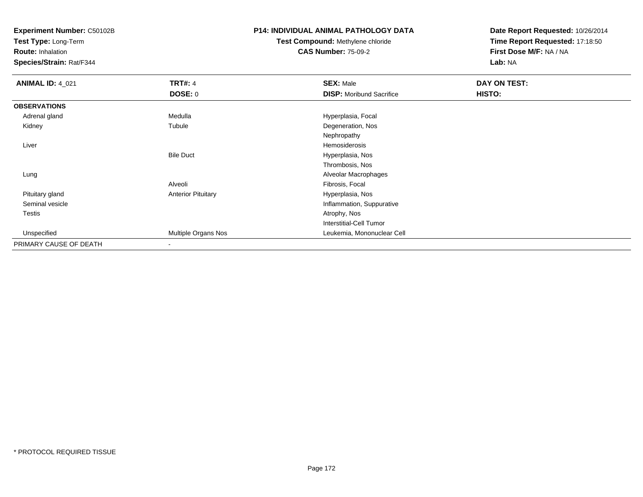**Test Type:** Long-Term

**Route:** Inhalation

**Species/Strain:** Rat/F344

## **P14: INDIVIDUAL ANIMAL PATHOLOGY DATA**

# **Test Compound:** Methylene chloride**CAS Number:** 75-09-2

| <b>ANIMAL ID: 4_021</b> | <b>TRT#: 4</b>            | <b>SEX: Male</b>                | DAY ON TEST: |  |
|-------------------------|---------------------------|---------------------------------|--------------|--|
|                         | <b>DOSE: 0</b>            | <b>DISP:</b> Moribund Sacrifice | HISTO:       |  |
| <b>OBSERVATIONS</b>     |                           |                                 |              |  |
| Adrenal gland           | Medulla                   | Hyperplasia, Focal              |              |  |
| Kidney                  | Tubule                    | Degeneration, Nos               |              |  |
|                         |                           | Nephropathy                     |              |  |
| Liver                   |                           | Hemosiderosis                   |              |  |
|                         | <b>Bile Duct</b>          | Hyperplasia, Nos                |              |  |
|                         |                           | Thrombosis, Nos                 |              |  |
| Lung                    |                           | Alveolar Macrophages            |              |  |
|                         | Alveoli                   | Fibrosis, Focal                 |              |  |
| Pituitary gland         | <b>Anterior Pituitary</b> | Hyperplasia, Nos                |              |  |
| Seminal vesicle         |                           | Inflammation, Suppurative       |              |  |
| Testis                  |                           | Atrophy, Nos                    |              |  |
|                         |                           | <b>Interstitial-Cell Tumor</b>  |              |  |
| Unspecified             | Multiple Organs Nos       | Leukemia, Mononuclear Cell      |              |  |
| PRIMARY CAUSE OF DEATH  | $\overline{\phantom{a}}$  |                                 |              |  |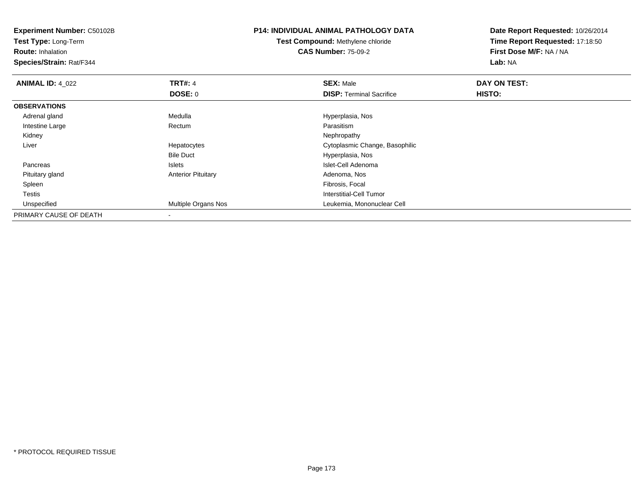**Experiment Number:** C50102B**Test Type:** Long-Term**Route:** Inhalation **Species/Strain:** Rat/F344**P14: INDIVIDUAL ANIMAL PATHOLOGY DATATest Compound:** Methylene chloride**CAS Number:** 75-09-2**Date Report Requested:** 10/26/2014**Time Report Requested:** 17:18:50**First Dose M/F:** NA / NA**Lab:** NA**ANIMAL ID: 4 022 2 DAY ON TRT#:** 4 **SEX:** Male **SEX:** Male **DOSE:** 0**DISP:** Terminal Sacrifice **HISTO: OBSERVATIONS** Adrenal glandMedulla Medulla Hyperplasia, Nos Intestine Large RectumParasitism<br>Nephropathy Kidneyy the control of the control of the control of the control of the control of the control of the control of the control of the control of the control of the control of the control of the control of the control of the contro Liver Hepatocytes Cytoplasmic Change, Basophilic Bile Duct Hyperplasia, Nos<u>Islets and the Islets of the Islet-Cell Adenoma</u> Pancreas Pituitary glandAnterior Pituitary **Adenoma, Nosting Community** Adenoma, Nosting Pibrosis, Focal Spleenn and the control of the control of the control of the control of the control of the control of the control of the control of the control of the control of the control of the control of the control of the control of the co Testis Interstitial-Cell Tumor Unspecified Multiple Organs Nos Leukemia, Mononuclear Cell PRIMARY CAUSE OF DEATH-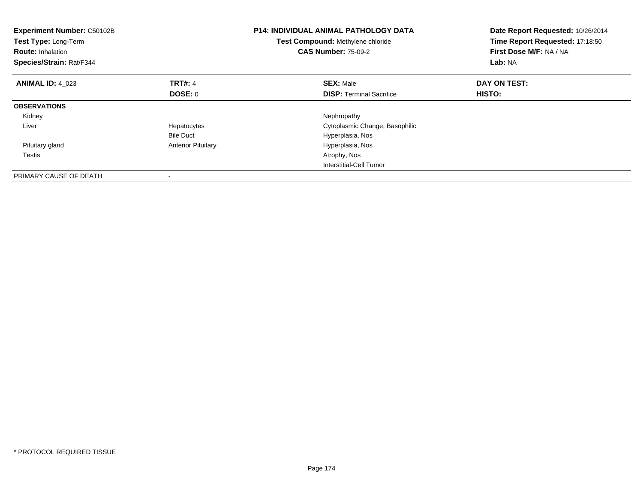| <b>Experiment Number: C50102B</b><br>Test Type: Long-Term<br><b>Route: Inhalation</b><br>Species/Strain: Rat/F344 |                           | <b>P14: INDIVIDUAL ANIMAL PATHOLOGY DATA</b><br>Test Compound: Methylene chloride<br><b>CAS Number: 75-09-2</b> | Date Report Requested: 10/26/2014<br>Time Report Requested: 17:18:50<br>First Dose M/F: NA / NA<br>Lab: NA |
|-------------------------------------------------------------------------------------------------------------------|---------------------------|-----------------------------------------------------------------------------------------------------------------|------------------------------------------------------------------------------------------------------------|
| <b>ANIMAL ID: 4 023</b>                                                                                           | <b>TRT#: 4</b>            | <b>SEX: Male</b>                                                                                                | DAY ON TEST:                                                                                               |
|                                                                                                                   | <b>DOSE: 0</b>            | <b>DISP:</b> Terminal Sacrifice                                                                                 | <b>HISTO:</b>                                                                                              |
| <b>OBSERVATIONS</b>                                                                                               |                           |                                                                                                                 |                                                                                                            |
| Kidney                                                                                                            |                           | Nephropathy                                                                                                     |                                                                                                            |
| Liver                                                                                                             | Hepatocytes               | Cytoplasmic Change, Basophilic                                                                                  |                                                                                                            |
|                                                                                                                   | <b>Bile Duct</b>          | Hyperplasia, Nos                                                                                                |                                                                                                            |
| Pituitary gland                                                                                                   | <b>Anterior Pituitary</b> | Hyperplasia, Nos                                                                                                |                                                                                                            |
| Testis                                                                                                            |                           | Atrophy, Nos                                                                                                    |                                                                                                            |
|                                                                                                                   |                           | Interstitial-Cell Tumor                                                                                         |                                                                                                            |
| PRIMARY CAUSE OF DEATH                                                                                            |                           |                                                                                                                 |                                                                                                            |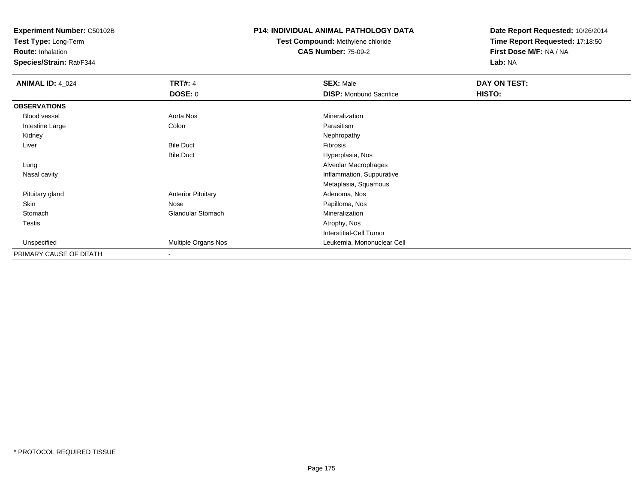**Test Type:** Long-Term

**Route:** Inhalation

**Species/Strain:** Rat/F344

## **P14: INDIVIDUAL ANIMAL PATHOLOGY DATA**

# **Test Compound:** Methylene chloride**CAS Number:** 75-09-2

| <b>ANIMAL ID: 4_024</b> | <b>TRT#: 4</b>            | <b>SEX: Male</b>                | DAY ON TEST: |  |
|-------------------------|---------------------------|---------------------------------|--------------|--|
|                         | DOSE: 0                   | <b>DISP:</b> Moribund Sacrifice | HISTO:       |  |
| <b>OBSERVATIONS</b>     |                           |                                 |              |  |
| Blood vessel            | Aorta Nos                 | Mineralization                  |              |  |
| Intestine Large         | Colon                     | Parasitism                      |              |  |
| Kidney                  |                           | Nephropathy                     |              |  |
| Liver                   | <b>Bile Duct</b>          | Fibrosis                        |              |  |
|                         | <b>Bile Duct</b>          | Hyperplasia, Nos                |              |  |
| Lung                    |                           | Alveolar Macrophages            |              |  |
| Nasal cavity            |                           | Inflammation, Suppurative       |              |  |
|                         |                           | Metaplasia, Squamous            |              |  |
| Pituitary gland         | <b>Anterior Pituitary</b> | Adenoma, Nos                    |              |  |
| Skin                    | Nose                      | Papilloma, Nos                  |              |  |
| Stomach                 | <b>Glandular Stomach</b>  | Mineralization                  |              |  |
| Testis                  |                           | Atrophy, Nos                    |              |  |
|                         |                           | <b>Interstitial-Cell Tumor</b>  |              |  |
| Unspecified             | Multiple Organs Nos       | Leukemia, Mononuclear Cell      |              |  |
| PRIMARY CAUSE OF DEATH  | $\,$ $\,$                 |                                 |              |  |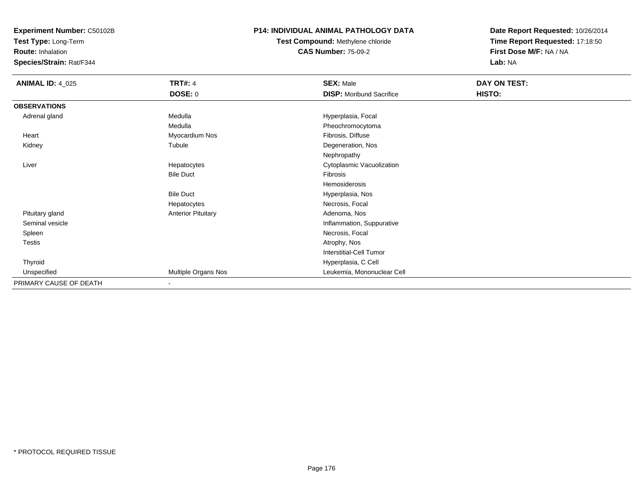**Test Type:** Long-Term

**Route:** Inhalation

**Species/Strain:** Rat/F344

## **P14: INDIVIDUAL ANIMAL PATHOLOGY DATA**

**Test Compound:** Methylene chloride**CAS Number:** 75-09-2

| <b>ANIMAL ID: 4_025</b> | <b>TRT#: 4</b>            | <b>SEX: Male</b>                | DAY ON TEST: |  |
|-------------------------|---------------------------|---------------------------------|--------------|--|
|                         | DOSE: 0                   | <b>DISP:</b> Moribund Sacrifice | HISTO:       |  |
| <b>OBSERVATIONS</b>     |                           |                                 |              |  |
| Adrenal gland           | Medulla                   | Hyperplasia, Focal              |              |  |
|                         | Medulla                   | Pheochromocytoma                |              |  |
| Heart                   | Myocardium Nos            | Fibrosis, Diffuse               |              |  |
| Kidney                  | Tubule                    | Degeneration, Nos               |              |  |
|                         |                           | Nephropathy                     |              |  |
| Liver                   | Hepatocytes               | Cytoplasmic Vacuolization       |              |  |
|                         | <b>Bile Duct</b>          | Fibrosis                        |              |  |
|                         |                           | Hemosiderosis                   |              |  |
|                         | <b>Bile Duct</b>          | Hyperplasia, Nos                |              |  |
|                         | Hepatocytes               | Necrosis, Focal                 |              |  |
| Pituitary gland         | <b>Anterior Pituitary</b> | Adenoma, Nos                    |              |  |
| Seminal vesicle         |                           | Inflammation, Suppurative       |              |  |
| Spleen                  |                           | Necrosis, Focal                 |              |  |
| Testis                  |                           | Atrophy, Nos                    |              |  |
|                         |                           | Interstitial-Cell Tumor         |              |  |
| Thyroid                 |                           | Hyperplasia, C Cell             |              |  |
| Unspecified             | Multiple Organs Nos       | Leukemia, Mononuclear Cell      |              |  |
| PRIMARY CAUSE OF DEATH  | $\overline{\phantom{a}}$  |                                 |              |  |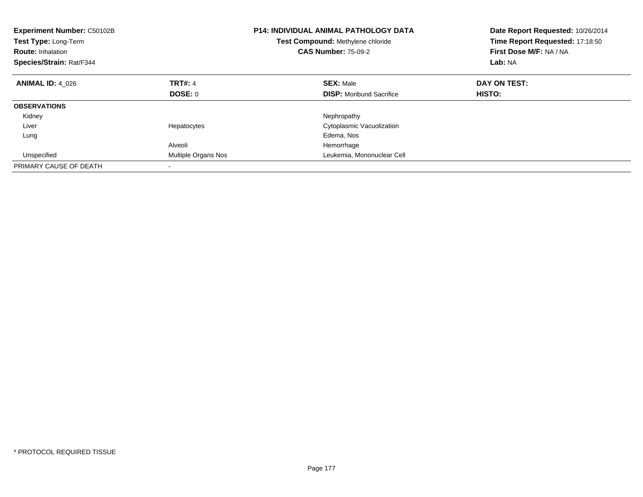| <b>Experiment Number: C50102B</b><br><b>Test Type: Long-Term</b><br><b>Route: Inhalation</b><br>Species/Strain: Rat/F344 |                            | <b>P14: INDIVIDUAL ANIMAL PATHOLOGY DATA</b><br>Test Compound: Methylene chloride<br><b>CAS Number: 75-09-2</b> | Date Report Requested: 10/26/2014<br>Time Report Requested: 17:18:50<br>First Dose M/F: NA / NA<br>Lab: NA |
|--------------------------------------------------------------------------------------------------------------------------|----------------------------|-----------------------------------------------------------------------------------------------------------------|------------------------------------------------------------------------------------------------------------|
| <b>ANIMAL ID: 4 026</b>                                                                                                  | TRT#: 4                    | <b>SEX: Male</b>                                                                                                | DAY ON TEST:                                                                                               |
|                                                                                                                          | <b>DOSE: 0</b>             | <b>DISP:</b> Moribund Sacrifice                                                                                 | HISTO:                                                                                                     |
| <b>OBSERVATIONS</b>                                                                                                      |                            |                                                                                                                 |                                                                                                            |
| Kidney                                                                                                                   |                            | Nephropathy                                                                                                     |                                                                                                            |
| Liver                                                                                                                    | Hepatocytes                | Cytoplasmic Vacuolization                                                                                       |                                                                                                            |
| Lung                                                                                                                     |                            | Edema, Nos                                                                                                      |                                                                                                            |
|                                                                                                                          | Alveoli                    | Hemorrhage                                                                                                      |                                                                                                            |
| Unspecified                                                                                                              | <b>Multiple Organs Nos</b> | Leukemia, Mononuclear Cell                                                                                      |                                                                                                            |
| PRIMARY CAUSE OF DEATH                                                                                                   |                            |                                                                                                                 |                                                                                                            |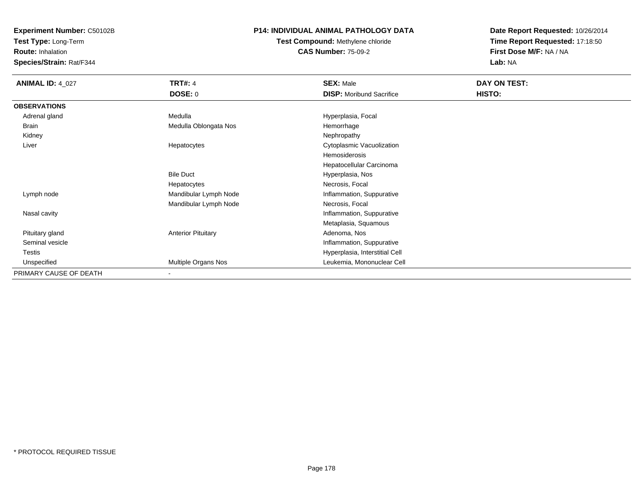**Test Type:** Long-Term

**Route:** Inhalation

**Species/Strain:** Rat/F344

## **P14: INDIVIDUAL ANIMAL PATHOLOGY DATA**

**Test Compound:** Methylene chloride**CAS Number:** 75-09-2

| <b>ANIMAL ID: 4_027</b> | <b>TRT#: 4</b>            | <b>SEX: Male</b>                | DAY ON TEST: |  |
|-------------------------|---------------------------|---------------------------------|--------------|--|
|                         | <b>DOSE: 0</b>            | <b>DISP:</b> Moribund Sacrifice | HISTO:       |  |
| <b>OBSERVATIONS</b>     |                           |                                 |              |  |
| Adrenal gland           | Medulla                   | Hyperplasia, Focal              |              |  |
| Brain                   | Medulla Oblongata Nos     | Hemorrhage                      |              |  |
| Kidney                  |                           | Nephropathy                     |              |  |
| Liver                   | Hepatocytes               | Cytoplasmic Vacuolization       |              |  |
|                         |                           | Hemosiderosis                   |              |  |
|                         |                           | Hepatocellular Carcinoma        |              |  |
|                         | <b>Bile Duct</b>          | Hyperplasia, Nos                |              |  |
|                         | Hepatocytes               | Necrosis, Focal                 |              |  |
| Lymph node              | Mandibular Lymph Node     | Inflammation, Suppurative       |              |  |
|                         | Mandibular Lymph Node     | Necrosis, Focal                 |              |  |
| Nasal cavity            |                           | Inflammation, Suppurative       |              |  |
|                         |                           | Metaplasia, Squamous            |              |  |
| Pituitary gland         | <b>Anterior Pituitary</b> | Adenoma, Nos                    |              |  |
| Seminal vesicle         |                           | Inflammation, Suppurative       |              |  |
| Testis                  |                           | Hyperplasia, Interstitial Cell  |              |  |
| Unspecified             | Multiple Organs Nos       | Leukemia, Mononuclear Cell      |              |  |
| PRIMARY CAUSE OF DEATH  |                           |                                 |              |  |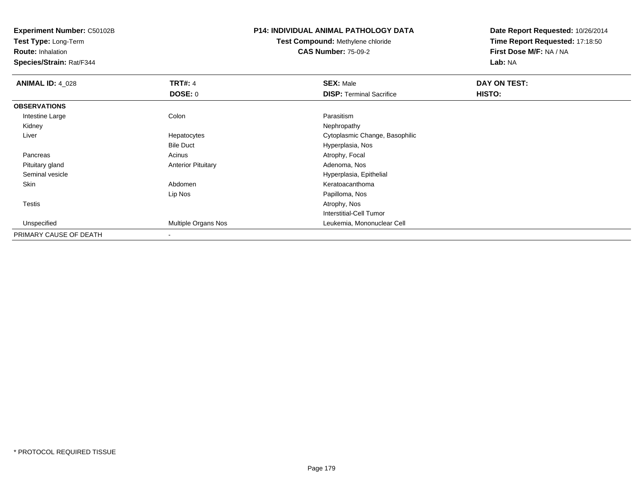**Test Type:** Long-Term

**Route:** Inhalation

**Species/Strain:** Rat/F344

## **P14: INDIVIDUAL ANIMAL PATHOLOGY DATA**

**Test Compound:** Methylene chloride**CAS Number:** 75-09-2

| <b>ANIMAL ID: 4 028</b> | <b>TRT#: 4</b><br><b>DOSE: 0</b> | <b>SEX: Male</b><br><b>DISP: Terminal Sacrifice</b> | DAY ON TEST:<br>HISTO: |
|-------------------------|----------------------------------|-----------------------------------------------------|------------------------|
| <b>OBSERVATIONS</b>     |                                  |                                                     |                        |
| Intestine Large         | Colon                            | Parasitism                                          |                        |
| Kidney                  |                                  | Nephropathy                                         |                        |
| Liver                   | Hepatocytes                      | Cytoplasmic Change, Basophilic                      |                        |
|                         | <b>Bile Duct</b>                 | Hyperplasia, Nos                                    |                        |
| Pancreas                | Acinus                           | Atrophy, Focal                                      |                        |
| Pituitary gland         | <b>Anterior Pituitary</b>        | Adenoma, Nos                                        |                        |
| Seminal vesicle         |                                  | Hyperplasia, Epithelial                             |                        |
| Skin                    | Abdomen                          | Keratoacanthoma                                     |                        |
|                         | Lip Nos                          | Papilloma, Nos                                      |                        |
| Testis                  |                                  | Atrophy, Nos                                        |                        |
|                         |                                  | <b>Interstitial-Cell Tumor</b>                      |                        |
| Unspecified             | <b>Multiple Organs Nos</b>       | Leukemia, Mononuclear Cell                          |                        |
| PRIMARY CAUSE OF DEATH  | $\,$ $\,$                        |                                                     |                        |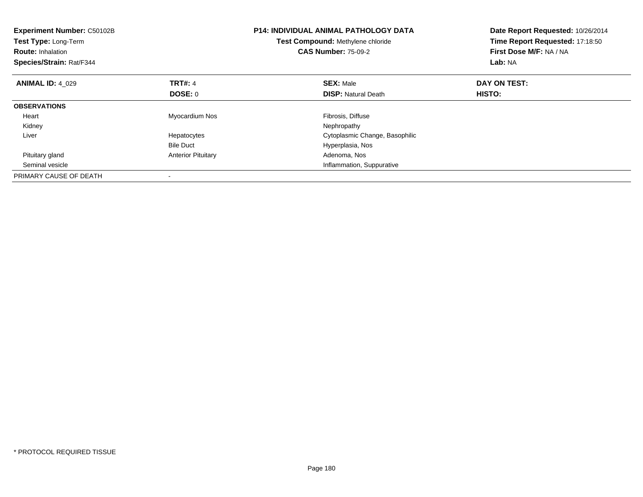| <b>Experiment Number: C50102B</b><br>Test Type: Long-Term<br><b>Route: Inhalation</b><br>Species/Strain: Rat/F344 |                           | <b>P14: INDIVIDUAL ANIMAL PATHOLOGY DATA</b><br>Test Compound: Methylene chloride<br><b>CAS Number: 75-09-2</b> | Date Report Requested: 10/26/2014<br>Time Report Requested: 17:18:50<br>First Dose M/F: NA / NA<br>Lab: NA |
|-------------------------------------------------------------------------------------------------------------------|---------------------------|-----------------------------------------------------------------------------------------------------------------|------------------------------------------------------------------------------------------------------------|
| <b>ANIMAL ID: 4 029</b>                                                                                           | <b>TRT#: 4</b>            | <b>SEX: Male</b>                                                                                                | DAY ON TEST:                                                                                               |
|                                                                                                                   | DOSE: 0                   | <b>DISP:</b> Natural Death                                                                                      | HISTO:                                                                                                     |
| <b>OBSERVATIONS</b>                                                                                               |                           |                                                                                                                 |                                                                                                            |
| Heart                                                                                                             | Myocardium Nos            | Fibrosis, Diffuse                                                                                               |                                                                                                            |
| Kidney                                                                                                            |                           | Nephropathy                                                                                                     |                                                                                                            |
| Liver                                                                                                             | Hepatocytes               | Cytoplasmic Change, Basophilic                                                                                  |                                                                                                            |
|                                                                                                                   | <b>Bile Duct</b>          | Hyperplasia, Nos                                                                                                |                                                                                                            |
| Pituitary gland                                                                                                   | <b>Anterior Pituitary</b> | Adenoma, Nos                                                                                                    |                                                                                                            |
| Seminal vesicle                                                                                                   |                           | Inflammation, Suppurative                                                                                       |                                                                                                            |
| PRIMARY CAUSE OF DEATH                                                                                            |                           |                                                                                                                 |                                                                                                            |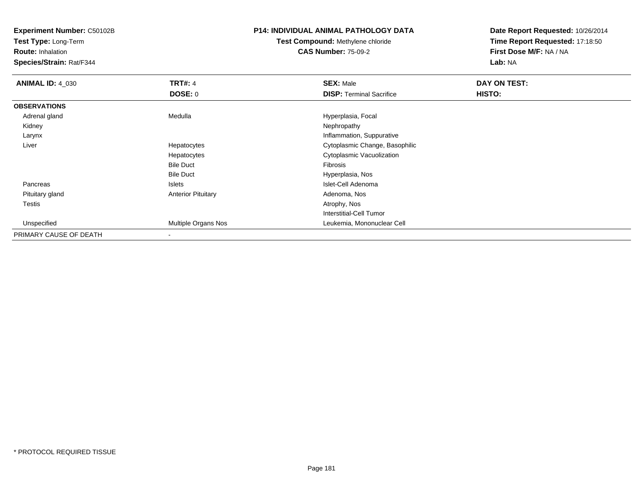**Test Type:** Long-Term

**Route:** Inhalation

**Species/Strain:** Rat/F344

## **P14: INDIVIDUAL ANIMAL PATHOLOGY DATA**

**Test Compound:** Methylene chloride**CAS Number:** 75-09-2

| <b>ANIMAL ID: 4_030</b> | <b>TRT#: 4</b>            | <b>SEX: Male</b>                | DAY ON TEST: |  |
|-------------------------|---------------------------|---------------------------------|--------------|--|
|                         | DOSE: 0                   | <b>DISP: Terminal Sacrifice</b> | HISTO:       |  |
| <b>OBSERVATIONS</b>     |                           |                                 |              |  |
| Adrenal gland           | Medulla                   | Hyperplasia, Focal              |              |  |
| Kidney                  |                           | Nephropathy                     |              |  |
| Larynx                  |                           | Inflammation, Suppurative       |              |  |
| Liver                   | Hepatocytes               | Cytoplasmic Change, Basophilic  |              |  |
|                         | Hepatocytes               | Cytoplasmic Vacuolization       |              |  |
|                         | <b>Bile Duct</b>          | Fibrosis                        |              |  |
|                         | <b>Bile Duct</b>          | Hyperplasia, Nos                |              |  |
| Pancreas                | Islets                    | Islet-Cell Adenoma              |              |  |
| Pituitary gland         | <b>Anterior Pituitary</b> | Adenoma, Nos                    |              |  |
| Testis                  |                           | Atrophy, Nos                    |              |  |
|                         |                           | Interstitial-Cell Tumor         |              |  |
| Unspecified             | Multiple Organs Nos       | Leukemia, Mononuclear Cell      |              |  |
| PRIMARY CAUSE OF DEATH  |                           |                                 |              |  |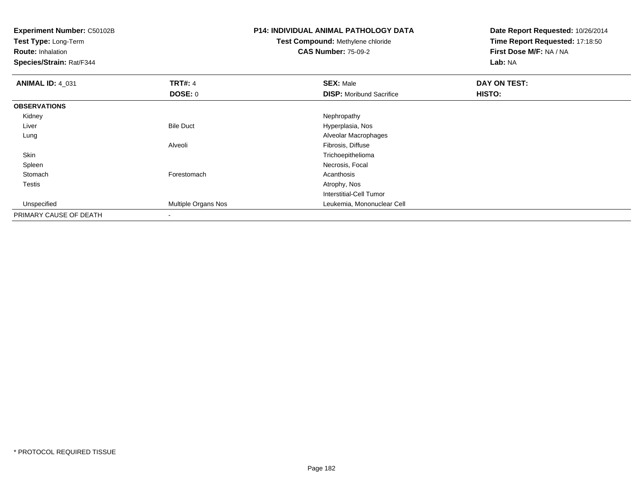**Experiment Number:** C50102B**Test Type:** Long-Term**Route:** Inhalation **Species/Strain:** Rat/F344**P14: INDIVIDUAL ANIMAL PATHOLOGY DATATest Compound:** Methylene chloride**CAS Number:** 75-09-2**Date Report Requested:** 10/26/2014**Time Report Requested:** 17:18:50**First Dose M/F:** NA / NA**Lab:** NA**ANIMAL ID:** 4\_031**TRT#:** 4 **SEX:** Male **DAY ON TEST: DOSE:** 0**DISP:** Moribund Sacrifice **HISTO: OBSERVATIONS** Kidneyy the control of the control of the control of the control of the control of the control of the control of the control of the control of the control of the control of the control of the control of the control of the contro LiverBile Duct **Hyperplasia**, Nos Alveolar Macrophages LungAlveoli Fibrosis, Diffusen and the contract of the contract of the contract of the contract of the contract of the contract of the contract of the contract of the contract of the contract of the contract of the contract of the contract of the cont Skin Spleenn and the control of the control of the control of the control of the control of the control of the control of the control of the control of the control of the control of the control of the control of the control of the co Stomachh anns an t-India anns an t-India anns an t-India anns an t-India anns an t-India anns an t-India anns an t-In Testiss and the contract of the contract of the contract of the contract of the contract of the contract of the contract of the contract of the contract of the contract of the contract of the contract of the contract of the cont Interstitial-Cell Tumor Unspecified Multiple Organs Nos Leukemia, Mononuclear Cell PRIMARY CAUSE OF DEATH-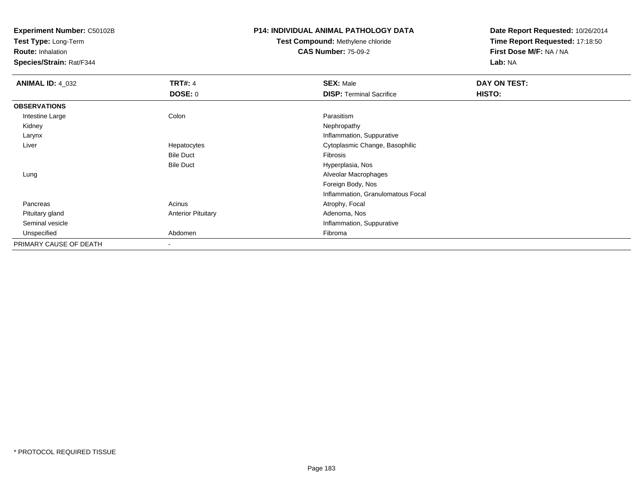**Test Type:** Long-Term

**Route:** Inhalation

**Species/Strain:** Rat/F344

#### **P14: INDIVIDUAL ANIMAL PATHOLOGY DATA**

**Test Compound:** Methylene chloride**CAS Number:** 75-09-2

| <b>ANIMAL ID: 4_032</b> | <b>TRT#: 4</b>            | <b>SEX: Male</b>                  | DAY ON TEST: |  |
|-------------------------|---------------------------|-----------------------------------|--------------|--|
|                         | <b>DOSE: 0</b>            | <b>DISP: Terminal Sacrifice</b>   | HISTO:       |  |
| <b>OBSERVATIONS</b>     |                           |                                   |              |  |
| Intestine Large         | Colon                     | Parasitism                        |              |  |
| Kidney                  |                           | Nephropathy                       |              |  |
| Larynx                  |                           | Inflammation, Suppurative         |              |  |
| Liver                   | Hepatocytes               | Cytoplasmic Change, Basophilic    |              |  |
|                         | <b>Bile Duct</b>          | Fibrosis                          |              |  |
|                         | <b>Bile Duct</b>          | Hyperplasia, Nos                  |              |  |
| Lung                    |                           | Alveolar Macrophages              |              |  |
|                         |                           | Foreign Body, Nos                 |              |  |
|                         |                           | Inflammation, Granulomatous Focal |              |  |
| Pancreas                | Acinus                    | Atrophy, Focal                    |              |  |
| Pituitary gland         | <b>Anterior Pituitary</b> | Adenoma, Nos                      |              |  |
| Seminal vesicle         |                           | Inflammation, Suppurative         |              |  |
| Unspecified             | Abdomen                   | Fibroma                           |              |  |
| PRIMARY CAUSE OF DEATH  | $\blacksquare$            |                                   |              |  |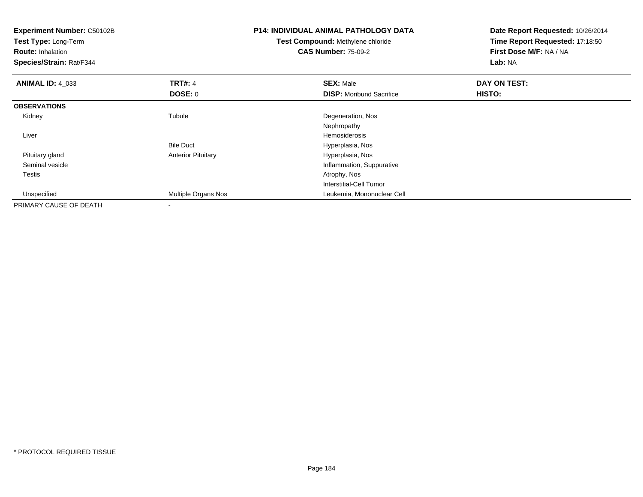| <b>Experiment Number: C50102B</b><br>Test Type: Long-Term<br><b>Route: Inhalation</b><br>Species/Strain: Rat/F344 |                           | <b>P14: INDIVIDUAL ANIMAL PATHOLOGY DATA</b><br>Test Compound: Methylene chloride<br><b>CAS Number: 75-09-2</b> | Date Report Requested: 10/26/2014<br>Time Report Requested: 17:18:50<br>First Dose M/F: NA / NA<br>Lab: NA |
|-------------------------------------------------------------------------------------------------------------------|---------------------------|-----------------------------------------------------------------------------------------------------------------|------------------------------------------------------------------------------------------------------------|
| <b>ANIMAL ID: 4 033</b>                                                                                           | <b>TRT#: 4</b>            | <b>SEX: Male</b>                                                                                                | DAY ON TEST:                                                                                               |
|                                                                                                                   | DOSE: 0                   | <b>DISP:</b> Moribund Sacrifice                                                                                 | HISTO:                                                                                                     |
| <b>OBSERVATIONS</b>                                                                                               |                           |                                                                                                                 |                                                                                                            |
| Kidney                                                                                                            | Tubule                    | Degeneration, Nos                                                                                               |                                                                                                            |
|                                                                                                                   |                           | Nephropathy                                                                                                     |                                                                                                            |
| Liver                                                                                                             |                           | Hemosiderosis                                                                                                   |                                                                                                            |
|                                                                                                                   | <b>Bile Duct</b>          | Hyperplasia, Nos                                                                                                |                                                                                                            |
| Pituitary gland                                                                                                   | <b>Anterior Pituitary</b> | Hyperplasia, Nos                                                                                                |                                                                                                            |
| Seminal vesicle                                                                                                   |                           | Inflammation, Suppurative                                                                                       |                                                                                                            |
| Testis                                                                                                            |                           | Atrophy, Nos                                                                                                    |                                                                                                            |
|                                                                                                                   |                           | Interstitial-Cell Tumor                                                                                         |                                                                                                            |
| Unspecified                                                                                                       | Multiple Organs Nos       | Leukemia, Mononuclear Cell                                                                                      |                                                                                                            |
| PRIMARY CAUSE OF DEATH                                                                                            |                           |                                                                                                                 |                                                                                                            |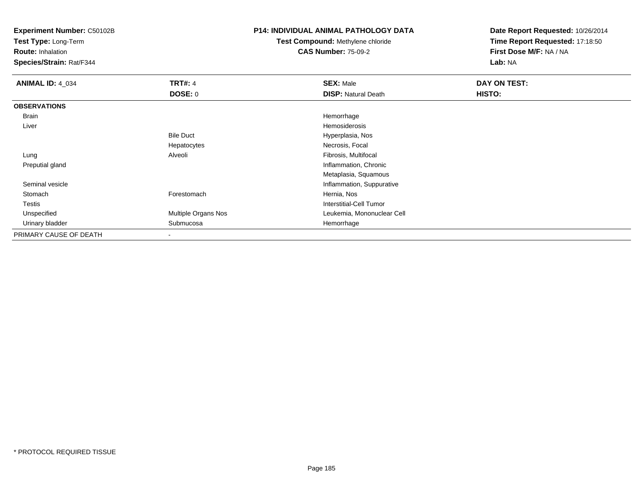**Test Type:** Long-Term

**Route:** Inhalation

**Species/Strain:** Rat/F344

### **P14: INDIVIDUAL ANIMAL PATHOLOGY DATA**

**Test Compound:** Methylene chloride**CAS Number:** 75-09-2

| <b>ANIMAL ID: 4_034</b> | <b>TRT#: 4</b>      | <b>SEX: Male</b>           | DAY ON TEST: |  |
|-------------------------|---------------------|----------------------------|--------------|--|
|                         | <b>DOSE: 0</b>      | <b>DISP: Natural Death</b> | HISTO:       |  |
| <b>OBSERVATIONS</b>     |                     |                            |              |  |
| Brain                   |                     | Hemorrhage                 |              |  |
| Liver                   |                     | Hemosiderosis              |              |  |
|                         | <b>Bile Duct</b>    | Hyperplasia, Nos           |              |  |
|                         | Hepatocytes         | Necrosis, Focal            |              |  |
| Lung                    | Alveoli             | Fibrosis, Multifocal       |              |  |
| Preputial gland         |                     | Inflammation, Chronic      |              |  |
|                         |                     | Metaplasia, Squamous       |              |  |
| Seminal vesicle         |                     | Inflammation, Suppurative  |              |  |
| Stomach                 | Forestomach         | Hernia, Nos                |              |  |
| Testis                  |                     | Interstitial-Cell Tumor    |              |  |
| Unspecified             | Multiple Organs Nos | Leukemia, Mononuclear Cell |              |  |
| Urinary bladder         | Submucosa           | Hemorrhage                 |              |  |
| PRIMARY CAUSE OF DEATH  |                     |                            |              |  |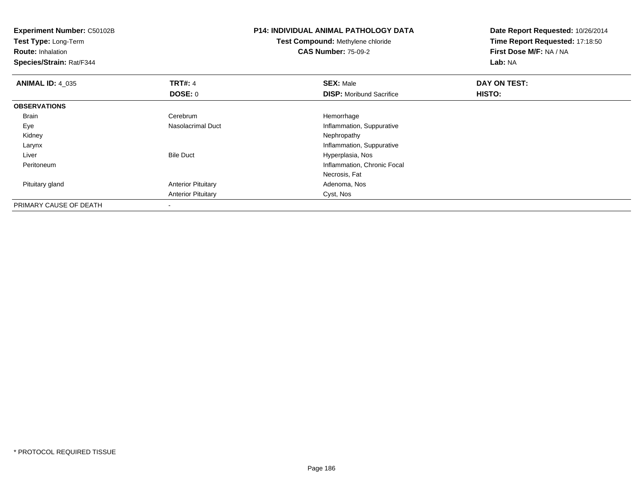**Experiment Number:** C50102B**Test Type:** Long-Term**Route:** Inhalation **Species/Strain:** Rat/F344**P14: INDIVIDUAL ANIMAL PATHOLOGY DATATest Compound:** Methylene chloride**CAS Number:** 75-09-2**Date Report Requested:** 10/26/2014**Time Report Requested:** 17:18:50**First Dose M/F:** NA / NA**Lab:** NA**ANIMAL ID:** 4\_035**TRT#:** 4 **SEX:** Male **DAY ON TEST: DOSE:** 0**DISP:** Moribund Sacrifice **HISTO: OBSERVATIONS** BrainCerebrum<br>Nasolacrimal Duct Hemorrhage EyeInflammation, Suppurative<br>Nephropathy Kidneyy the control of the control of the control of the control of the control of the control of the control of the control of the control of the control of the control of the control of the control of the control of the contro Larynx Inflammation, Suppurative LiverBile Duct **Hyperplasia**, Nos n Inflammation, Chronic Focal<br>
The Inflammation, Chronic Focal<br>
The Inflammation, Chronic Focal PeritoneumNecrosis, Fat Pituitary glandAnterior Pituitary **Adenoma, Nos** Adenoma, Nos Anterior Pituitary Cyst, Nos PRIMARY CAUSE OF DEATH-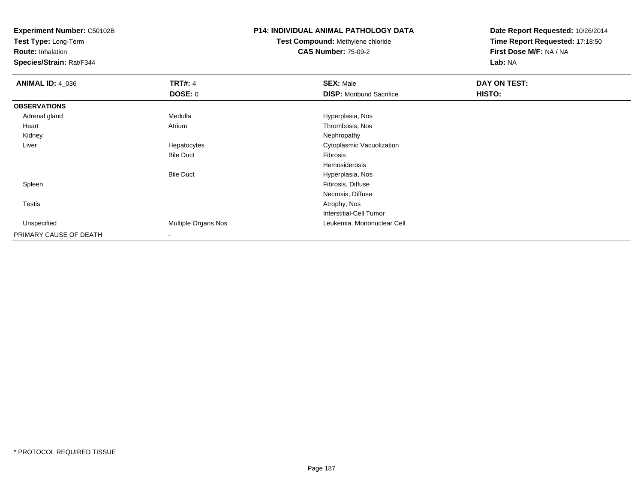**Test Type:** Long-Term

**Route:** Inhalation

**Species/Strain:** Rat/F344

## **P14: INDIVIDUAL ANIMAL PATHOLOGY DATA**

# **Test Compound:** Methylene chloride**CAS Number:** 75-09-2

| <b>ANIMAL ID: 4_036</b> | <b>TRT#: 4</b>      | <b>SEX: Male</b>                | DAY ON TEST: |  |
|-------------------------|---------------------|---------------------------------|--------------|--|
|                         | <b>DOSE: 0</b>      | <b>DISP:</b> Moribund Sacrifice | HISTO:       |  |
| <b>OBSERVATIONS</b>     |                     |                                 |              |  |
| Adrenal gland           | Medulla             | Hyperplasia, Nos                |              |  |
| Heart                   | Atrium              | Thrombosis, Nos                 |              |  |
| Kidney                  |                     | Nephropathy                     |              |  |
| Liver                   | Hepatocytes         | Cytoplasmic Vacuolization       |              |  |
|                         | <b>Bile Duct</b>    | Fibrosis                        |              |  |
|                         |                     | Hemosiderosis                   |              |  |
|                         | <b>Bile Duct</b>    | Hyperplasia, Nos                |              |  |
| Spleen                  |                     | Fibrosis, Diffuse               |              |  |
|                         |                     | Necrosis, Diffuse               |              |  |
| Testis                  |                     | Atrophy, Nos                    |              |  |
|                         |                     | Interstitial-Cell Tumor         |              |  |
| Unspecified             | Multiple Organs Nos | Leukemia, Mononuclear Cell      |              |  |
| PRIMARY CAUSE OF DEATH  |                     |                                 |              |  |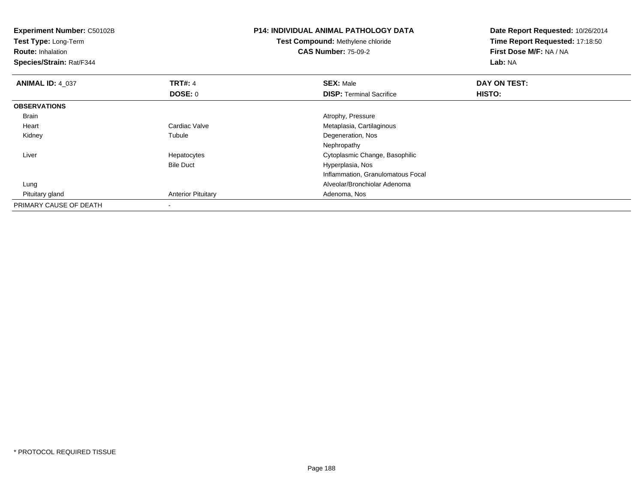**Experiment Number:** C50102B**Test Type:** Long-Term**Route:** Inhalation **Species/Strain:** Rat/F344**P14: INDIVIDUAL ANIMAL PATHOLOGY DATATest Compound:** Methylene chloride**CAS Number:** 75-09-2**Date Report Requested:** 10/26/2014**Time Report Requested:** 17:18:50**First Dose M/F:** NA / NA**Lab:** NA**ANIMAL ID:** 4\_037**TRT#:** 4 **SEX:** Male **DAY ON TEST: DOSE:** 0**DISP:** Terminal Sacrifice **HISTO: OBSERVATIONS** Brain Atrophy, Pressure Heart Cardiac Valve Metaplasia, Cartilaginous Kidneyy the contract of the contract of the contract of the contract of the contract of the contract of the contract of the contract of the contract of the contract of the contract of the contract of the contract of the contract Tubule **Degeneration**, Nos NephropathyS<br>
Secret Cytoplasmic Change, Basophilic Liver HepatocytesBile Duct Hyperplasia, Nos Inflammation, Granulomatous Focal Lung Alveolar/Bronchiolar Adenoma Pituitary glandAnterior Pituitary **Adenoma, Nos** Adenoma, Nos PRIMARY CAUSE OF DEATH-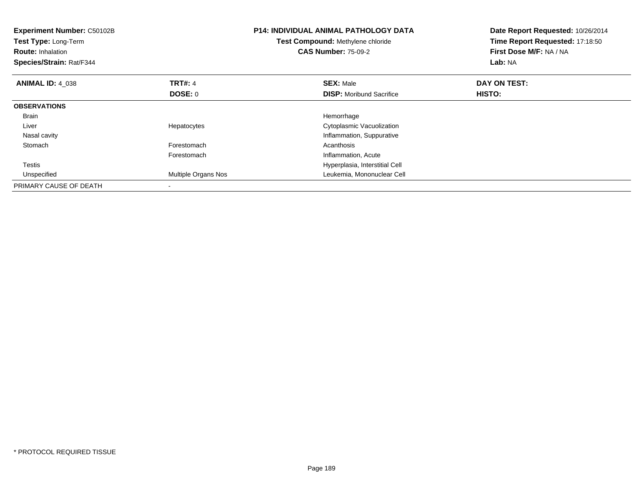| Experiment Number: C50102B<br>Test Type: Long-Term<br><b>Route: Inhalation</b><br>Species/Strain: Rat/F344 |                     | <b>P14: INDIVIDUAL ANIMAL PATHOLOGY DATA</b><br>Test Compound: Methylene chloride<br><b>CAS Number: 75-09-2</b> | Date Report Requested: 10/26/2014<br>Time Report Requested: 17:18:50<br>First Dose M/F: NA / NA<br>Lab: NA |
|------------------------------------------------------------------------------------------------------------|---------------------|-----------------------------------------------------------------------------------------------------------------|------------------------------------------------------------------------------------------------------------|
| <b>ANIMAL ID: 4 038</b>                                                                                    | <b>TRT#: 4</b>      | <b>SEX: Male</b>                                                                                                | DAY ON TEST:                                                                                               |
|                                                                                                            | DOSE: 0             | <b>DISP:</b> Moribund Sacrifice                                                                                 | HISTO:                                                                                                     |
| <b>OBSERVATIONS</b>                                                                                        |                     |                                                                                                                 |                                                                                                            |
| <b>Brain</b>                                                                                               |                     | Hemorrhage                                                                                                      |                                                                                                            |
| Liver                                                                                                      | Hepatocytes         | Cytoplasmic Vacuolization                                                                                       |                                                                                                            |
| Nasal cavity                                                                                               |                     | Inflammation, Suppurative                                                                                       |                                                                                                            |
| Stomach                                                                                                    | Forestomach         | Acanthosis                                                                                                      |                                                                                                            |
|                                                                                                            | Forestomach         | Inflammation, Acute                                                                                             |                                                                                                            |
| <b>Testis</b>                                                                                              |                     | Hyperplasia, Interstitial Cell                                                                                  |                                                                                                            |
| Unspecified                                                                                                | Multiple Organs Nos | Leukemia, Mononuclear Cell                                                                                      |                                                                                                            |
| PRIMARY CAUSE OF DEATH                                                                                     |                     |                                                                                                                 |                                                                                                            |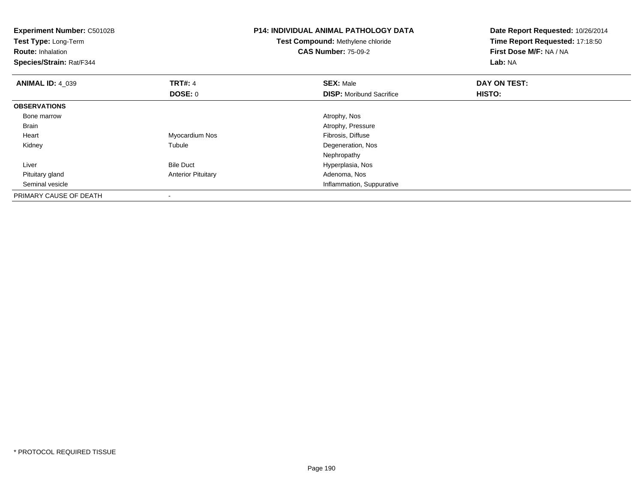| <b>Experiment Number: C50102B</b><br>Test Type: Long-Term<br><b>Route: Inhalation</b><br>Species/Strain: Rat/F344 |                           | <b>P14: INDIVIDUAL ANIMAL PATHOLOGY DATA</b><br>Test Compound: Methylene chloride<br><b>CAS Number: 75-09-2</b> | Date Report Requested: 10/26/2014<br>Time Report Requested: 17:18:50<br>First Dose M/F: NA / NA<br>Lab: NA |
|-------------------------------------------------------------------------------------------------------------------|---------------------------|-----------------------------------------------------------------------------------------------------------------|------------------------------------------------------------------------------------------------------------|
| <b>ANIMAL ID: 4 039</b>                                                                                           | <b>TRT#: 4</b>            | <b>SEX: Male</b>                                                                                                | DAY ON TEST:                                                                                               |
|                                                                                                                   | <b>DOSE: 0</b>            | <b>DISP:</b> Moribund Sacrifice                                                                                 | HISTO:                                                                                                     |
| <b>OBSERVATIONS</b>                                                                                               |                           |                                                                                                                 |                                                                                                            |
| Bone marrow                                                                                                       |                           | Atrophy, Nos                                                                                                    |                                                                                                            |
| <b>Brain</b>                                                                                                      |                           | Atrophy, Pressure                                                                                               |                                                                                                            |
| Heart                                                                                                             | Myocardium Nos            | Fibrosis, Diffuse                                                                                               |                                                                                                            |
| Kidney                                                                                                            | Tubule                    | Degeneration, Nos                                                                                               |                                                                                                            |
|                                                                                                                   |                           | Nephropathy                                                                                                     |                                                                                                            |
| Liver                                                                                                             | <b>Bile Duct</b>          | Hyperplasia, Nos                                                                                                |                                                                                                            |
| Pituitary gland                                                                                                   | <b>Anterior Pituitary</b> | Adenoma, Nos                                                                                                    |                                                                                                            |
| Seminal vesicle                                                                                                   |                           | Inflammation, Suppurative                                                                                       |                                                                                                            |
| PRIMARY CAUSE OF DEATH                                                                                            |                           |                                                                                                                 |                                                                                                            |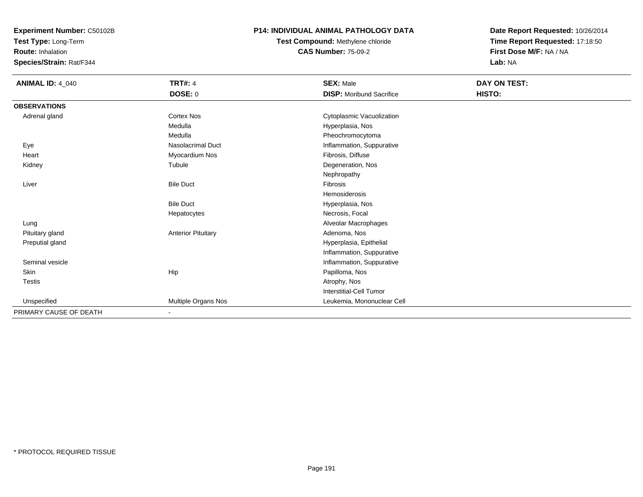**Test Type:** Long-Term

**Route:** Inhalation

**Species/Strain:** Rat/F344

### **P14: INDIVIDUAL ANIMAL PATHOLOGY DATA**

**Test Compound:** Methylene chloride**CAS Number:** 75-09-2

| <b>ANIMAL ID: 4_040</b> | <b>TRT#: 4</b><br><b>DOSE: 0</b> | <b>SEX: Male</b><br><b>DISP:</b> Moribund Sacrifice | DAY ON TEST:<br>HISTO: |
|-------------------------|----------------------------------|-----------------------------------------------------|------------------------|
| <b>OBSERVATIONS</b>     |                                  |                                                     |                        |
|                         |                                  |                                                     |                        |
| Adrenal gland           | <b>Cortex Nos</b>                | Cytoplasmic Vacuolization                           |                        |
|                         | Medulla                          | Hyperplasia, Nos                                    |                        |
|                         | Medulla                          | Pheochromocytoma                                    |                        |
| Eye                     | <b>Nasolacrimal Duct</b>         | Inflammation, Suppurative                           |                        |
| Heart                   | Myocardium Nos                   | Fibrosis, Diffuse                                   |                        |
| Kidney                  | Tubule                           | Degeneration, Nos                                   |                        |
|                         |                                  | Nephropathy                                         |                        |
| Liver                   | <b>Bile Duct</b>                 | Fibrosis                                            |                        |
|                         |                                  | Hemosiderosis                                       |                        |
|                         | <b>Bile Duct</b>                 | Hyperplasia, Nos                                    |                        |
|                         | Hepatocytes                      | Necrosis, Focal                                     |                        |
| Lung                    |                                  | Alveolar Macrophages                                |                        |
| Pituitary gland         | <b>Anterior Pituitary</b>        | Adenoma, Nos                                        |                        |
| Preputial gland         |                                  | Hyperplasia, Epithelial                             |                        |
|                         |                                  | Inflammation, Suppurative                           |                        |
| Seminal vesicle         |                                  | Inflammation, Suppurative                           |                        |
| Skin                    | Hip                              | Papilloma, Nos                                      |                        |
| <b>Testis</b>           |                                  | Atrophy, Nos                                        |                        |
|                         |                                  | Interstitial-Cell Tumor                             |                        |
| Unspecified             | Multiple Organs Nos              | Leukemia, Mononuclear Cell                          |                        |
| PRIMARY CAUSE OF DEATH  | $\blacksquare$                   |                                                     |                        |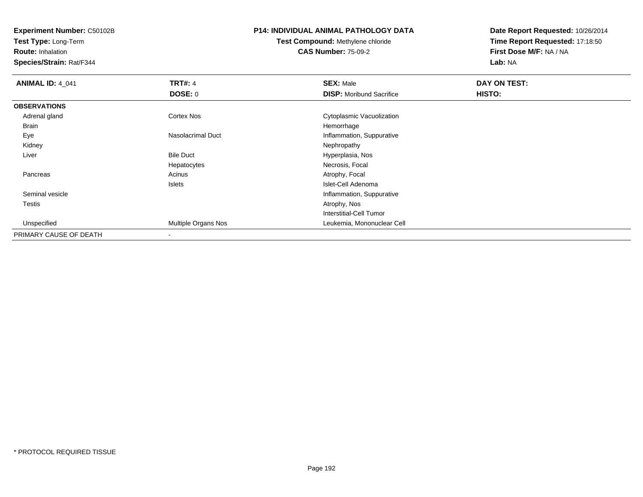**Test Type:** Long-Term

**Route:** Inhalation

**Species/Strain:** Rat/F344

## **P14: INDIVIDUAL ANIMAL PATHOLOGY DATA**

**Test Compound:** Methylene chloride**CAS Number:** 75-09-2

| <b>ANIMAL ID: 4_041</b> | <b>TRT#: 4</b>      | <b>SEX: Male</b>                | DAY ON TEST: |  |
|-------------------------|---------------------|---------------------------------|--------------|--|
|                         | DOSE: 0             | <b>DISP:</b> Moribund Sacrifice | HISTO:       |  |
| <b>OBSERVATIONS</b>     |                     |                                 |              |  |
| Adrenal gland           | <b>Cortex Nos</b>   | Cytoplasmic Vacuolization       |              |  |
| Brain                   |                     | Hemorrhage                      |              |  |
| Eye                     | Nasolacrimal Duct   | Inflammation, Suppurative       |              |  |
| Kidney                  |                     | Nephropathy                     |              |  |
| Liver                   | <b>Bile Duct</b>    | Hyperplasia, Nos                |              |  |
|                         | Hepatocytes         | Necrosis, Focal                 |              |  |
| Pancreas                | Acinus              | Atrophy, Focal                  |              |  |
|                         | Islets              | Islet-Cell Adenoma              |              |  |
| Seminal vesicle         |                     | Inflammation, Suppurative       |              |  |
| Testis                  |                     | Atrophy, Nos                    |              |  |
|                         |                     | <b>Interstitial-Cell Tumor</b>  |              |  |
| Unspecified             | Multiple Organs Nos | Leukemia, Mononuclear Cell      |              |  |
| PRIMARY CAUSE OF DEATH  | $\,$                |                                 |              |  |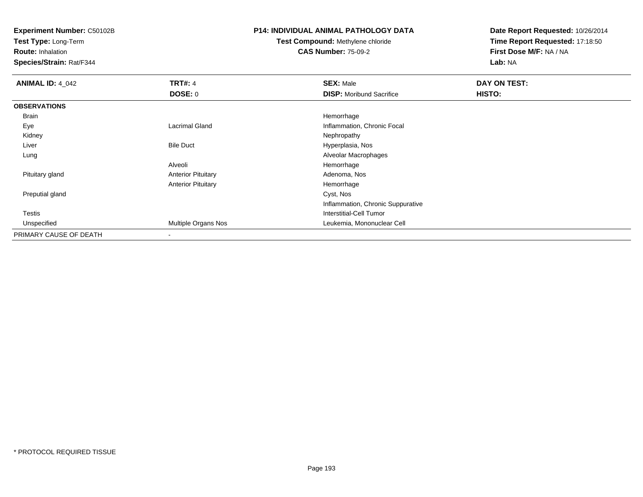**Test Type:** Long-Term

**Route:** Inhalation

**Species/Strain:** Rat/F344

### **P14: INDIVIDUAL ANIMAL PATHOLOGY DATA**

# **Test Compound:** Methylene chloride**CAS Number:** 75-09-2

| <b>ANIMAL ID: 4 042</b> | <b>TRT#: 4</b>            | <b>SEX: Male</b>                  | DAY ON TEST: |
|-------------------------|---------------------------|-----------------------------------|--------------|
|                         | <b>DOSE: 0</b>            | <b>DISP:</b> Moribund Sacrifice   | HISTO:       |
| <b>OBSERVATIONS</b>     |                           |                                   |              |
| <b>Brain</b>            |                           | Hemorrhage                        |              |
| Eye                     | <b>Lacrimal Gland</b>     | Inflammation, Chronic Focal       |              |
| Kidney                  |                           | Nephropathy                       |              |
| Liver                   | <b>Bile Duct</b>          | Hyperplasia, Nos                  |              |
| Lung                    |                           | Alveolar Macrophages              |              |
|                         | Alveoli                   | Hemorrhage                        |              |
| Pituitary gland         | <b>Anterior Pituitary</b> | Adenoma, Nos                      |              |
|                         | <b>Anterior Pituitary</b> | Hemorrhage                        |              |
| Preputial gland         |                           | Cyst, Nos                         |              |
|                         |                           | Inflammation, Chronic Suppurative |              |
| <b>Testis</b>           |                           | Interstitial-Cell Tumor           |              |
| Unspecified             | Multiple Organs Nos       | Leukemia, Mononuclear Cell        |              |
| PRIMARY CAUSE OF DEATH  |                           |                                   |              |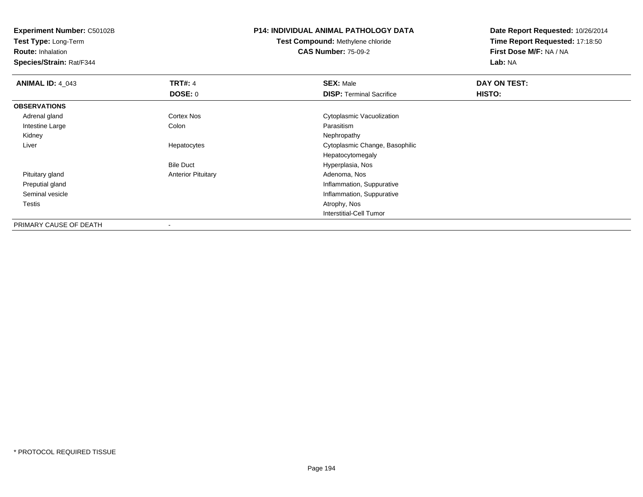**Test Type:** Long-Term

**Route:** Inhalation

**Species/Strain:** Rat/F344

# **P14: INDIVIDUAL ANIMAL PATHOLOGY DATA**

**Test Compound:** Methylene chloride**CAS Number:** 75-09-2

| <b>ANIMAL ID: 4 043</b> | <b>TRT#: 4</b>            | <b>SEX: Male</b>                | DAY ON TEST: |  |
|-------------------------|---------------------------|---------------------------------|--------------|--|
|                         | <b>DOSE: 0</b>            | <b>DISP:</b> Terminal Sacrifice | HISTO:       |  |
| <b>OBSERVATIONS</b>     |                           |                                 |              |  |
| Adrenal gland           | Cortex Nos                | Cytoplasmic Vacuolization       |              |  |
| Intestine Large         | Colon                     | Parasitism                      |              |  |
| Kidney                  |                           | Nephropathy                     |              |  |
| Liver                   | Hepatocytes               | Cytoplasmic Change, Basophilic  |              |  |
|                         |                           | Hepatocytomegaly                |              |  |
|                         | <b>Bile Duct</b>          | Hyperplasia, Nos                |              |  |
| Pituitary gland         | <b>Anterior Pituitary</b> | Adenoma, Nos                    |              |  |
| Preputial gland         |                           | Inflammation, Suppurative       |              |  |
| Seminal vesicle         |                           | Inflammation, Suppurative       |              |  |
| Testis                  |                           | Atrophy, Nos                    |              |  |
|                         |                           | <b>Interstitial-Cell Tumor</b>  |              |  |
| PRIMARY CAUSE OF DEATH  | $\,$                      |                                 |              |  |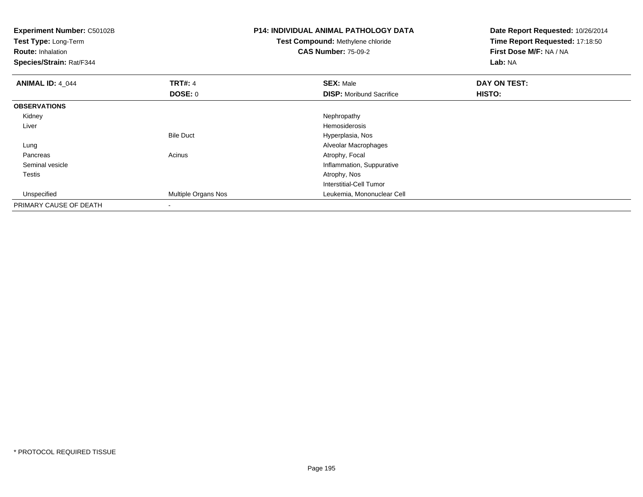| Experiment Number: C50102B<br>Test Type: Long-Term<br><b>Route: Inhalation</b><br>Species/Strain: Rat/F344 |                     | <b>P14: INDIVIDUAL ANIMAL PATHOLOGY DATA</b><br><b>Test Compound: Methylene chloride</b><br><b>CAS Number: 75-09-2</b> | Date Report Requested: 10/26/2014<br>Time Report Requested: 17:18:50<br>First Dose M/F: NA / NA<br>Lab: NA |
|------------------------------------------------------------------------------------------------------------|---------------------|------------------------------------------------------------------------------------------------------------------------|------------------------------------------------------------------------------------------------------------|
| <b>ANIMAL ID: 4_044</b>                                                                                    | <b>TRT#: 4</b>      | <b>SEX: Male</b>                                                                                                       | DAY ON TEST:                                                                                               |
|                                                                                                            | <b>DOSE: 0</b>      | <b>DISP:</b> Moribund Sacrifice                                                                                        | HISTO:                                                                                                     |
| <b>OBSERVATIONS</b>                                                                                        |                     |                                                                                                                        |                                                                                                            |
| Kidney                                                                                                     |                     | Nephropathy                                                                                                            |                                                                                                            |
| Liver                                                                                                      |                     | Hemosiderosis                                                                                                          |                                                                                                            |
|                                                                                                            | <b>Bile Duct</b>    | Hyperplasia, Nos                                                                                                       |                                                                                                            |
| Lung                                                                                                       |                     | Alveolar Macrophages                                                                                                   |                                                                                                            |
| Pancreas                                                                                                   | Acinus              | Atrophy, Focal                                                                                                         |                                                                                                            |
| Seminal vesicle                                                                                            |                     | Inflammation, Suppurative                                                                                              |                                                                                                            |
| Testis                                                                                                     |                     | Atrophy, Nos                                                                                                           |                                                                                                            |
|                                                                                                            |                     | <b>Interstitial-Cell Tumor</b>                                                                                         |                                                                                                            |
| Unspecified                                                                                                | Multiple Organs Nos | Leukemia, Mononuclear Cell                                                                                             |                                                                                                            |
| PRIMARY CAUSE OF DEATH                                                                                     | $\,$                |                                                                                                                        |                                                                                                            |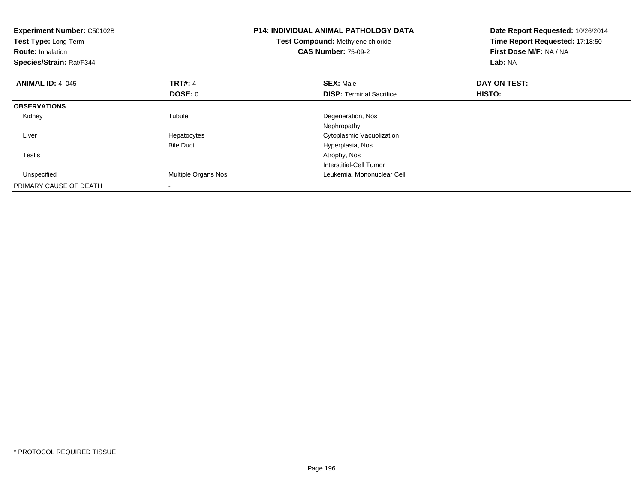| Experiment Number: C50102B<br>Test Type: Long-Term<br><b>Route: Inhalation</b><br>Species/Strain: Rat/F344 |                     | <b>P14: INDIVIDUAL ANIMAL PATHOLOGY DATA</b><br>Test Compound: Methylene chloride<br><b>CAS Number: 75-09-2</b> | Date Report Requested: 10/26/2014<br>Time Report Requested: 17:18:50<br>First Dose M/F: NA / NA<br>Lab: NA |  |
|------------------------------------------------------------------------------------------------------------|---------------------|-----------------------------------------------------------------------------------------------------------------|------------------------------------------------------------------------------------------------------------|--|
| <b>ANIMAL ID: 4_045</b>                                                                                    | <b>TRT#: 4</b>      | <b>SEX: Male</b>                                                                                                | DAY ON TEST:                                                                                               |  |
|                                                                                                            | <b>DOSE: 0</b>      | <b>DISP:</b> Terminal Sacrifice                                                                                 | <b>HISTO:</b>                                                                                              |  |
| <b>OBSERVATIONS</b>                                                                                        |                     |                                                                                                                 |                                                                                                            |  |
| Kidney                                                                                                     | Tubule              | Degeneration, Nos                                                                                               |                                                                                                            |  |
|                                                                                                            |                     | Nephropathy                                                                                                     |                                                                                                            |  |
| Liver                                                                                                      | Hepatocytes         | Cytoplasmic Vacuolization                                                                                       |                                                                                                            |  |
|                                                                                                            | <b>Bile Duct</b>    | Hyperplasia, Nos                                                                                                |                                                                                                            |  |
| <b>Testis</b>                                                                                              |                     | Atrophy, Nos                                                                                                    |                                                                                                            |  |
|                                                                                                            |                     | Interstitial-Cell Tumor                                                                                         |                                                                                                            |  |
| Unspecified                                                                                                | Multiple Organs Nos | Leukemia, Mononuclear Cell                                                                                      |                                                                                                            |  |
| PRIMARY CAUSE OF DEATH                                                                                     |                     |                                                                                                                 |                                                                                                            |  |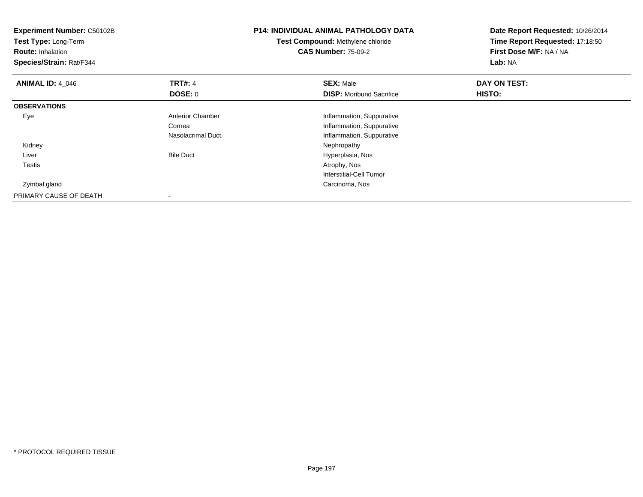| <b>Experiment Number: C50102B</b><br>Test Type: Long-Term<br><b>Route: Inhalation</b><br>Species/Strain: Rat/F344 |                         | <b>P14: INDIVIDUAL ANIMAL PATHOLOGY DATA</b><br><b>Test Compound: Methylene chloride</b><br><b>CAS Number: 75-09-2</b> | Date Report Requested: 10/26/2014<br>Time Report Requested: 17:18:50<br>First Dose M/F: NA / NA<br>Lab: NA |  |
|-------------------------------------------------------------------------------------------------------------------|-------------------------|------------------------------------------------------------------------------------------------------------------------|------------------------------------------------------------------------------------------------------------|--|
| <b>ANIMAL ID: 4 046</b>                                                                                           | <b>TRT#: 4</b>          | <b>SEX: Male</b>                                                                                                       | DAY ON TEST:                                                                                               |  |
|                                                                                                                   | DOSE: 0                 | <b>DISP:</b> Moribund Sacrifice                                                                                        | HISTO:                                                                                                     |  |
| <b>OBSERVATIONS</b>                                                                                               |                         |                                                                                                                        |                                                                                                            |  |
| Eye                                                                                                               | <b>Anterior Chamber</b> | Inflammation, Suppurative                                                                                              |                                                                                                            |  |
|                                                                                                                   | Cornea                  | Inflammation, Suppurative                                                                                              |                                                                                                            |  |
|                                                                                                                   | Nasolacrimal Duct       | Inflammation, Suppurative                                                                                              |                                                                                                            |  |
| Kidney                                                                                                            |                         | Nephropathy                                                                                                            |                                                                                                            |  |
| Liver                                                                                                             | <b>Bile Duct</b>        | Hyperplasia, Nos                                                                                                       |                                                                                                            |  |
| Testis                                                                                                            |                         | Atrophy, Nos                                                                                                           |                                                                                                            |  |
|                                                                                                                   |                         | Interstitial-Cell Tumor                                                                                                |                                                                                                            |  |
| Zymbal gland                                                                                                      |                         | Carcinoma, Nos                                                                                                         |                                                                                                            |  |
| PRIMARY CAUSE OF DEATH                                                                                            |                         |                                                                                                                        |                                                                                                            |  |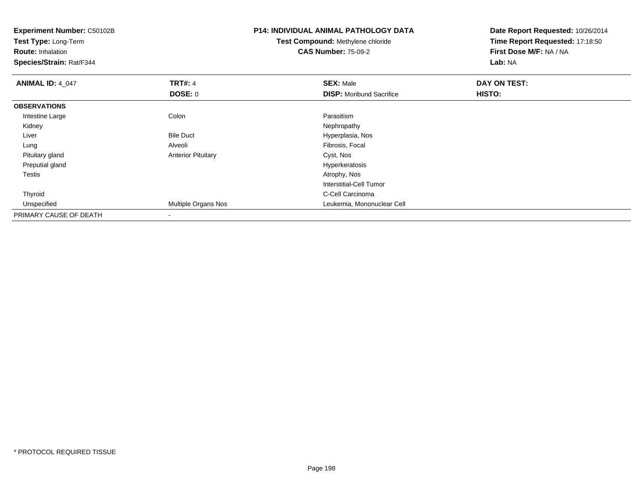| <b>Experiment Number: C50102B</b><br>Test Type: Long-Term<br><b>Route: Inhalation</b><br>Species/Strain: Rat/F344 |                           | <b>P14: INDIVIDUAL ANIMAL PATHOLOGY DATA</b><br><b>Test Compound: Methylene chloride</b><br><b>CAS Number: 75-09-2</b> | Date Report Requested: 10/26/2014<br>Time Report Requested: 17:18:50<br>First Dose M/F: NA / NA<br>Lab: NA |  |
|-------------------------------------------------------------------------------------------------------------------|---------------------------|------------------------------------------------------------------------------------------------------------------------|------------------------------------------------------------------------------------------------------------|--|
| <b>ANIMAL ID: 4_047</b>                                                                                           | <b>TRT#: 4</b>            | <b>SEX: Male</b>                                                                                                       | DAY ON TEST:                                                                                               |  |
|                                                                                                                   | <b>DOSE: 0</b>            | <b>DISP:</b> Moribund Sacrifice                                                                                        | <b>HISTO:</b>                                                                                              |  |
| <b>OBSERVATIONS</b>                                                                                               |                           |                                                                                                                        |                                                                                                            |  |
| Intestine Large                                                                                                   | Colon                     | Parasitism                                                                                                             |                                                                                                            |  |
| Kidney                                                                                                            |                           | Nephropathy                                                                                                            |                                                                                                            |  |
| Liver                                                                                                             | <b>Bile Duct</b>          | Hyperplasia, Nos                                                                                                       |                                                                                                            |  |
| Lung                                                                                                              | Alveoli                   | Fibrosis, Focal                                                                                                        |                                                                                                            |  |
| Pituitary gland                                                                                                   | <b>Anterior Pituitary</b> | Cyst, Nos                                                                                                              |                                                                                                            |  |
| Preputial gland                                                                                                   |                           | Hyperkeratosis                                                                                                         |                                                                                                            |  |
| Testis                                                                                                            |                           | Atrophy, Nos                                                                                                           |                                                                                                            |  |
|                                                                                                                   |                           | Interstitial-Cell Tumor                                                                                                |                                                                                                            |  |
| Thyroid                                                                                                           |                           | C-Cell Carcinoma                                                                                                       |                                                                                                            |  |
| Unspecified                                                                                                       | Multiple Organs Nos       | Leukemia, Mononuclear Cell                                                                                             |                                                                                                            |  |
| PRIMARY CAUSE OF DEATH                                                                                            |                           |                                                                                                                        |                                                                                                            |  |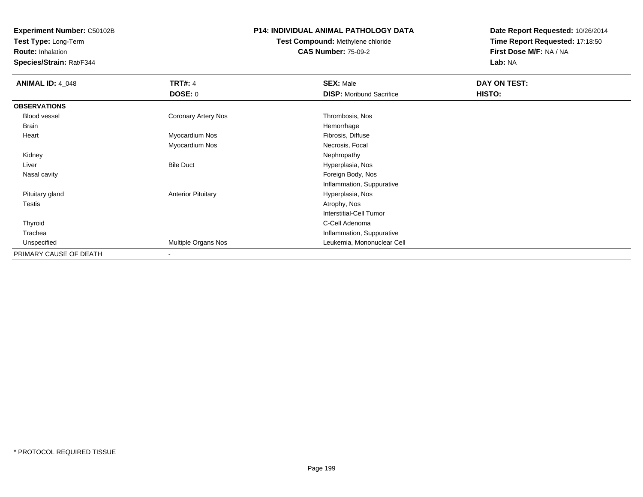**Test Type:** Long-Term

**Route:** Inhalation

**Species/Strain:** Rat/F344

## **P14: INDIVIDUAL ANIMAL PATHOLOGY DATA**

# **Test Compound:** Methylene chloride**CAS Number:** 75-09-2

| <b>ANIMAL ID: 4_048</b> | <b>TRT#: 4</b>            | <b>SEX: Male</b>                | DAY ON TEST: |  |
|-------------------------|---------------------------|---------------------------------|--------------|--|
|                         | DOSE: 0                   | <b>DISP:</b> Moribund Sacrifice | HISTO:       |  |
| <b>OBSERVATIONS</b>     |                           |                                 |              |  |
| Blood vessel            | Coronary Artery Nos       | Thrombosis, Nos                 |              |  |
| Brain                   |                           | Hemorrhage                      |              |  |
| Heart                   | Myocardium Nos            | Fibrosis, Diffuse               |              |  |
|                         | Myocardium Nos            | Necrosis, Focal                 |              |  |
| Kidney                  |                           | Nephropathy                     |              |  |
| Liver                   | <b>Bile Duct</b>          | Hyperplasia, Nos                |              |  |
| Nasal cavity            |                           | Foreign Body, Nos               |              |  |
|                         |                           | Inflammation, Suppurative       |              |  |
| Pituitary gland         | <b>Anterior Pituitary</b> | Hyperplasia, Nos                |              |  |
| Testis                  |                           | Atrophy, Nos                    |              |  |
|                         |                           | Interstitial-Cell Tumor         |              |  |
| Thyroid                 |                           | C-Cell Adenoma                  |              |  |
| Trachea                 |                           | Inflammation, Suppurative       |              |  |
| Unspecified             | Multiple Organs Nos       | Leukemia, Mononuclear Cell      |              |  |
| PRIMARY CAUSE OF DEATH  | $\overline{\phantom{a}}$  |                                 |              |  |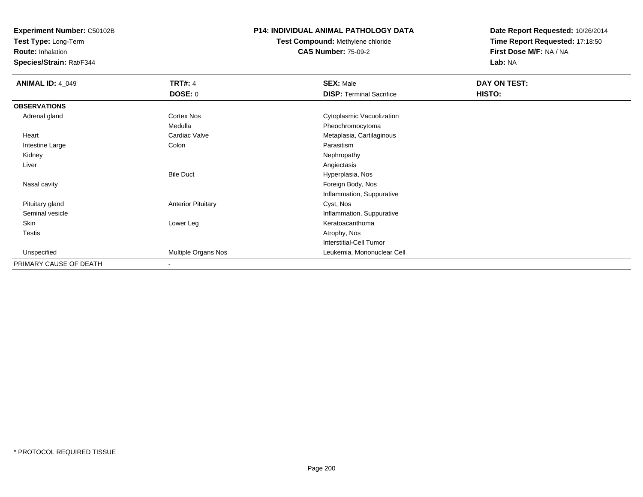**Test Type:** Long-Term

**Route:** Inhalation

**Species/Strain:** Rat/F344

### **P14: INDIVIDUAL ANIMAL PATHOLOGY DATA**

**Test Compound:** Methylene chloride**CAS Number:** 75-09-2

| <b>ANIMAL ID: 4_049</b> | <b>TRT#: 4</b>            | <b>SEX: Male</b>                | DAY ON TEST: |  |
|-------------------------|---------------------------|---------------------------------|--------------|--|
|                         | DOSE: 0                   | <b>DISP: Terminal Sacrifice</b> | HISTO:       |  |
| <b>OBSERVATIONS</b>     |                           |                                 |              |  |
| Adrenal gland           | Cortex Nos                | Cytoplasmic Vacuolization       |              |  |
|                         | Medulla                   | Pheochromocytoma                |              |  |
| Heart                   | Cardiac Valve             | Metaplasia, Cartilaginous       |              |  |
| Intestine Large         | Colon                     | Parasitism                      |              |  |
| Kidney                  |                           | Nephropathy                     |              |  |
| Liver                   |                           | Angiectasis                     |              |  |
|                         | <b>Bile Duct</b>          | Hyperplasia, Nos                |              |  |
| Nasal cavity            |                           | Foreign Body, Nos               |              |  |
|                         |                           | Inflammation, Suppurative       |              |  |
| Pituitary gland         | <b>Anterior Pituitary</b> | Cyst, Nos                       |              |  |
| Seminal vesicle         |                           | Inflammation, Suppurative       |              |  |
| Skin                    | Lower Leg                 | Keratoacanthoma                 |              |  |
| <b>Testis</b>           |                           | Atrophy, Nos                    |              |  |
|                         |                           | <b>Interstitial-Cell Tumor</b>  |              |  |
| Unspecified             | Multiple Organs Nos       | Leukemia, Mononuclear Cell      |              |  |
| PRIMARY CAUSE OF DEATH  | $\overline{\phantom{a}}$  |                                 |              |  |